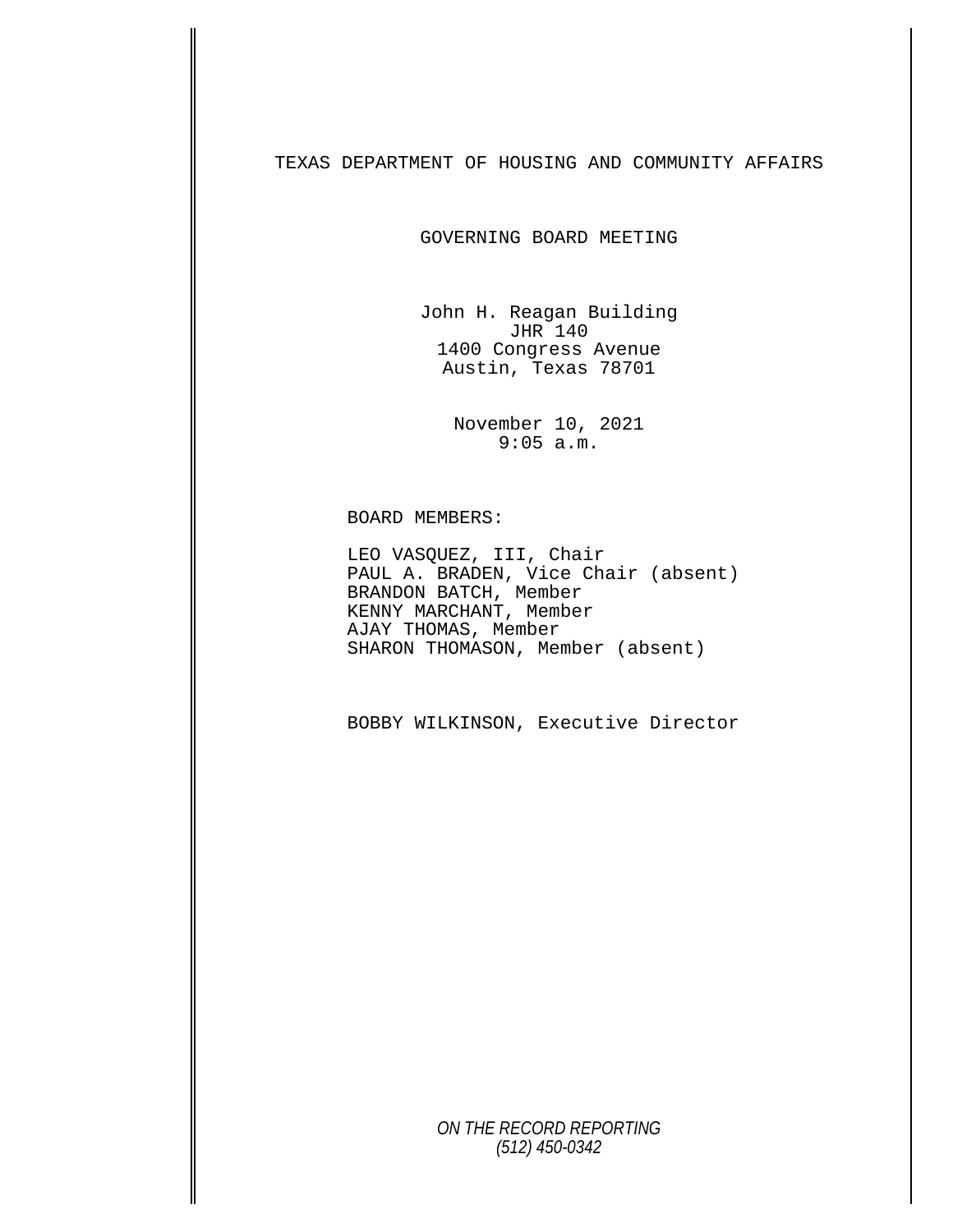TEXAS DEPARTMENT OF HOUSING AND COMMUNITY AFFAIRS

GOVERNING BOARD MEETING

John H. Reagan Building JHR 140 1400 Congress Avenue Austin, Texas 78701

> November 10, 2021 9:05 a.m.

## BOARD MEMBERS:

LEO VASQUEZ, III, Chair<br>PAUL A. BRADEN, Vice Chair (absent) BRANDON BATCH, Member KENNY MARCHANT, Member AJAY THOMAS, Member SHARON THOMASON, Member (absent)

BOBBY WILKINSON, Executive Director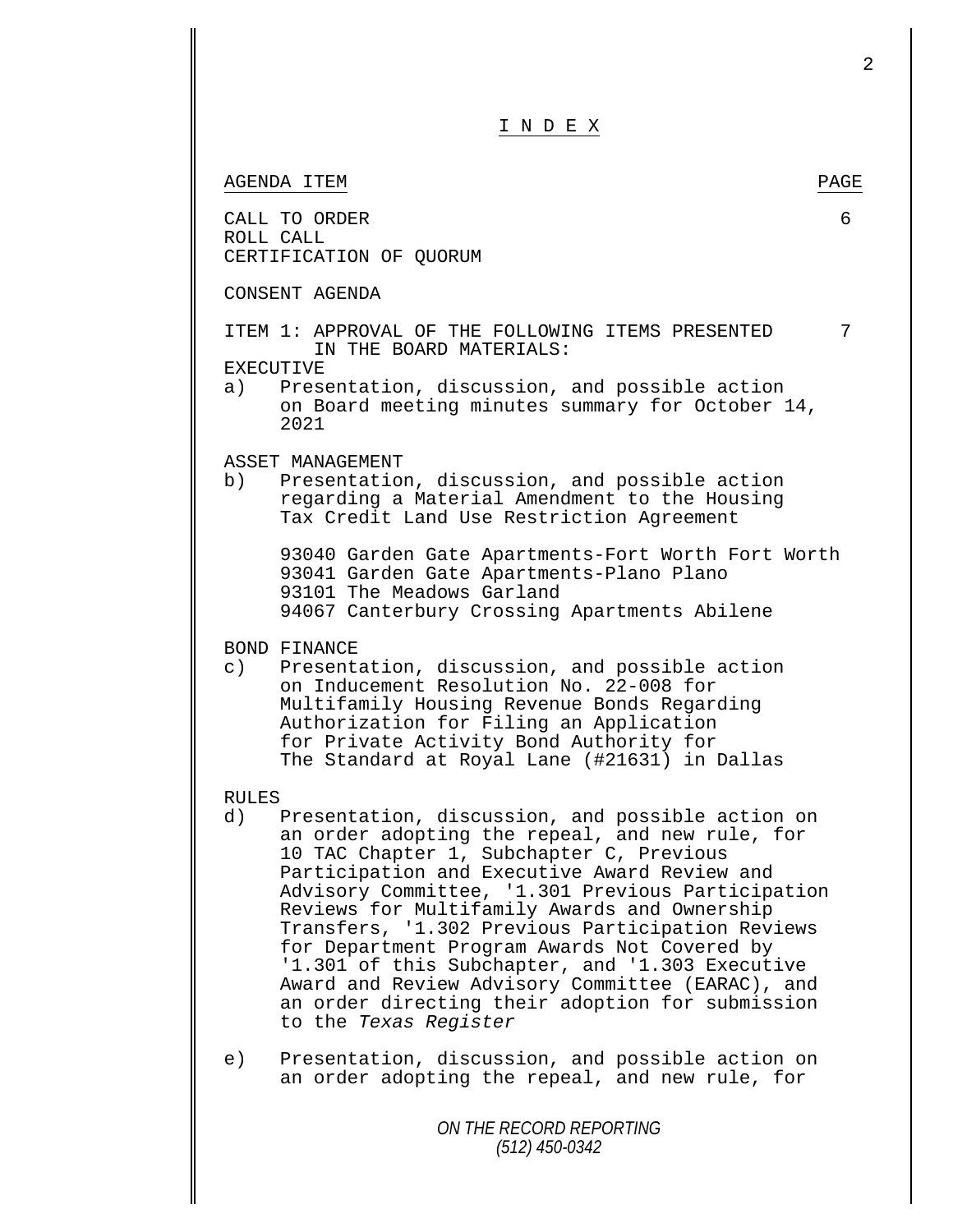| INDEX                                                                                                                                                                                                                                                                                                                                                                                                                                                                                                                                                                                                              |      |
|--------------------------------------------------------------------------------------------------------------------------------------------------------------------------------------------------------------------------------------------------------------------------------------------------------------------------------------------------------------------------------------------------------------------------------------------------------------------------------------------------------------------------------------------------------------------------------------------------------------------|------|
| AGENDA ITEM                                                                                                                                                                                                                                                                                                                                                                                                                                                                                                                                                                                                        | PAGE |
| CALL TO ORDER<br>ROLL CALL<br>CERTIFICATION OF QUORUM                                                                                                                                                                                                                                                                                                                                                                                                                                                                                                                                                              | 6    |
| CONSENT AGENDA                                                                                                                                                                                                                                                                                                                                                                                                                                                                                                                                                                                                     |      |
| ITEM 1: APPROVAL OF THE FOLLOWING ITEMS PRESENTED<br>IN THE BOARD MATERIALS:<br>EXECUTIVE<br>Presentation, discussion, and possible action<br>a)<br>on Board meeting minutes summary for October 14,<br>2021                                                                                                                                                                                                                                                                                                                                                                                                       | 7    |
| ASSET MANAGEMENT<br>b)<br>Presentation, discussion, and possible action<br>regarding a Material Amendment to the Housing<br>Tax Credit Land Use Restriction Agreement                                                                                                                                                                                                                                                                                                                                                                                                                                              |      |
| 93040 Garden Gate Apartments-Fort Worth Fort Worth<br>93041 Garden Gate Apartments-Plano Plano<br>93101 The Meadows Garland<br>94067 Canterbury Crossing Apartments Abilene                                                                                                                                                                                                                                                                                                                                                                                                                                        |      |
| BOND FINANCE<br>$\circ$ )<br>Presentation, discussion, and possible action<br>on Inducement Resolution No. 22-008 for<br>Multifamily Housing Revenue Bonds Regarding<br>Authorization for Filing an Application<br>for Private Activity Bond Authority for<br>The Standard at Royal Lane (#21631) in Dallas                                                                                                                                                                                                                                                                                                        |      |
| <b>RULES</b><br>Presentation, discussion, and possible action on<br>d)<br>an order adopting the repeal, and new rule, for<br>10 TAC Chapter 1, Subchapter C, Previous<br>Participation and Executive Award Review and<br>Advisory Committee, '1.301 Previous Participation<br>Reviews for Multifamily Awards and Ownership<br>Transfers, '1.302 Previous Participation Reviews<br>for Department Program Awards Not Covered by<br>'1.301 of this Subchapter, and '1.303 Executive<br>Award and Review Advisory Committee (EARAC), and<br>an order directing their adoption for submission<br>to the Texas Register |      |
| Presentation, discussion, and possible action on<br>e)<br>an order adopting the repeal, and new rule, for                                                                                                                                                                                                                                                                                                                                                                                                                                                                                                          |      |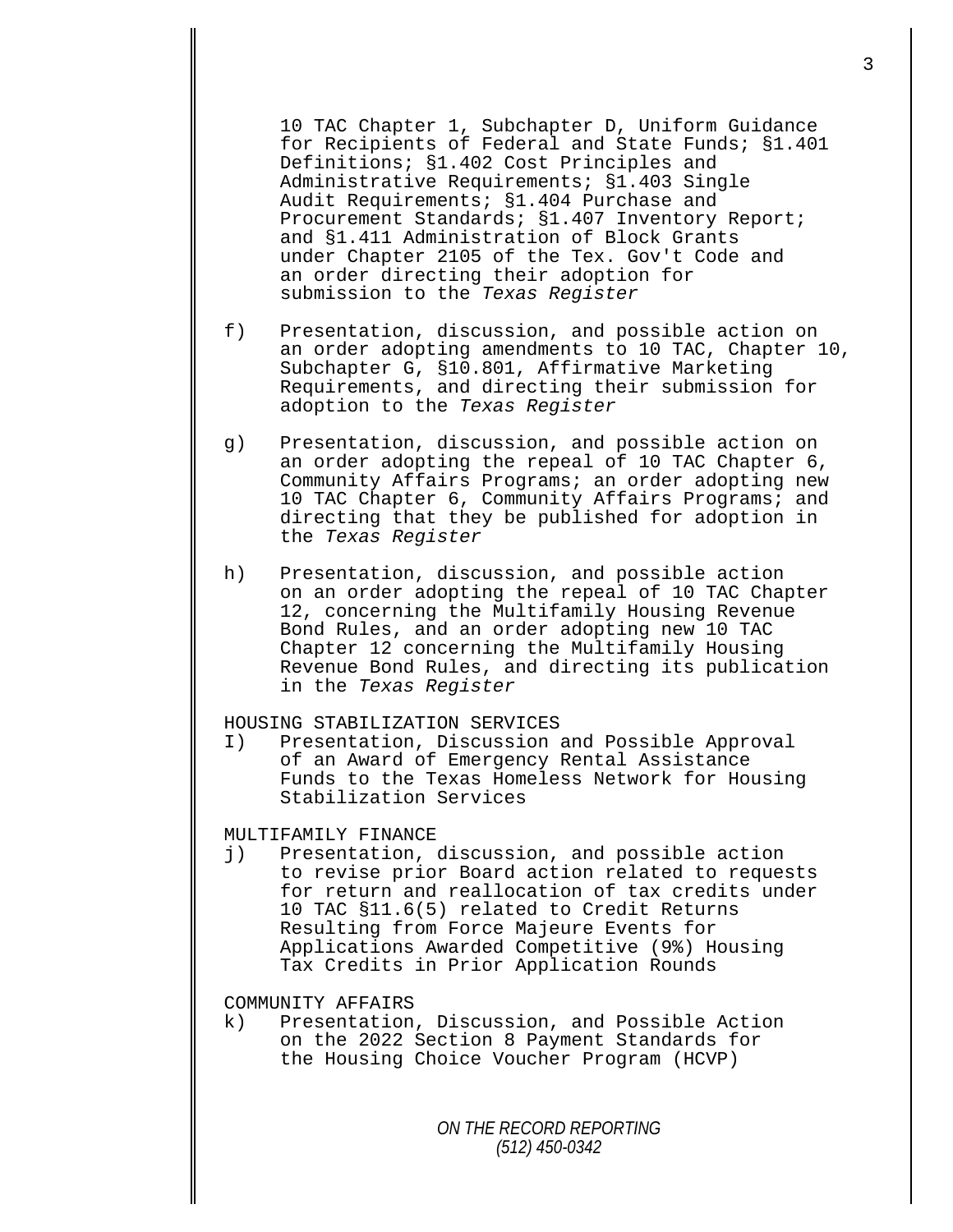10 TAC Chapter 1, Subchapter D, Uniform Guidance for Recipients of Federal and State Funds; §1.401 Definitions; §1.402 Cost Principles and Administrative Requirements; §1.403 Single Audit Requirements; §1.404 Purchase and Procurement Standards; §1.407 Inventory Report; and §1.411 Administration of Block Grants under Chapter 2105 of the Tex. Gov't Code and an order directing their adoption for submission to the *Texas Register*

- f) Presentation, discussion, and possible action on an order adopting amendments to 10 TAC, Chapter 10, Subchapter G, §10.801, Affirmative Marketing Requirements, and directing their submission for adoption to the *Texas Register*
- g) Presentation, discussion, and possible action on an order adopting the repeal of 10 TAC Chapter 6, Community Affairs Programs; an order adopting new 10 TAC Chapter 6, Community Affairs Programs; and directing that they be published for adoption in the *Texas Register*
- h) Presentation, discussion, and possible action on an order adopting the repeal of 10 TAC Chapter 12, concerning the Multifamily Housing Revenue Bond Rules, and an order adopting new 10 TAC Chapter 12 concerning the Multifamily Housing Revenue Bond Rules, and directing its publication in the *Texas Register*

## HOUSING STABILIZATION SERVICES<br>I) Presentation, Discussion

Presentation, Discussion and Possible Approval of an Award of Emergency Rental Assistance Funds to the Texas Homeless Network for Housing Stabilization Services

## MULTIFAMILY FINANCE<br>j) Presentation,

Presentation, discussion, and possible action to revise prior Board action related to requests for return and reallocation of tax credits under 10 TAC §11.6(5) related to Credit Returns Resulting from Force Majeure Events for Applications Awarded Competitive (9%) Housing Tax Credits in Prior Application Rounds

COMMUNITY AFFAIRS<br>k) Presentation

Presentation, Discussion, and Possible Action on the 2022 Section 8 Payment Standards for the Housing Choice Voucher Program (HCVP)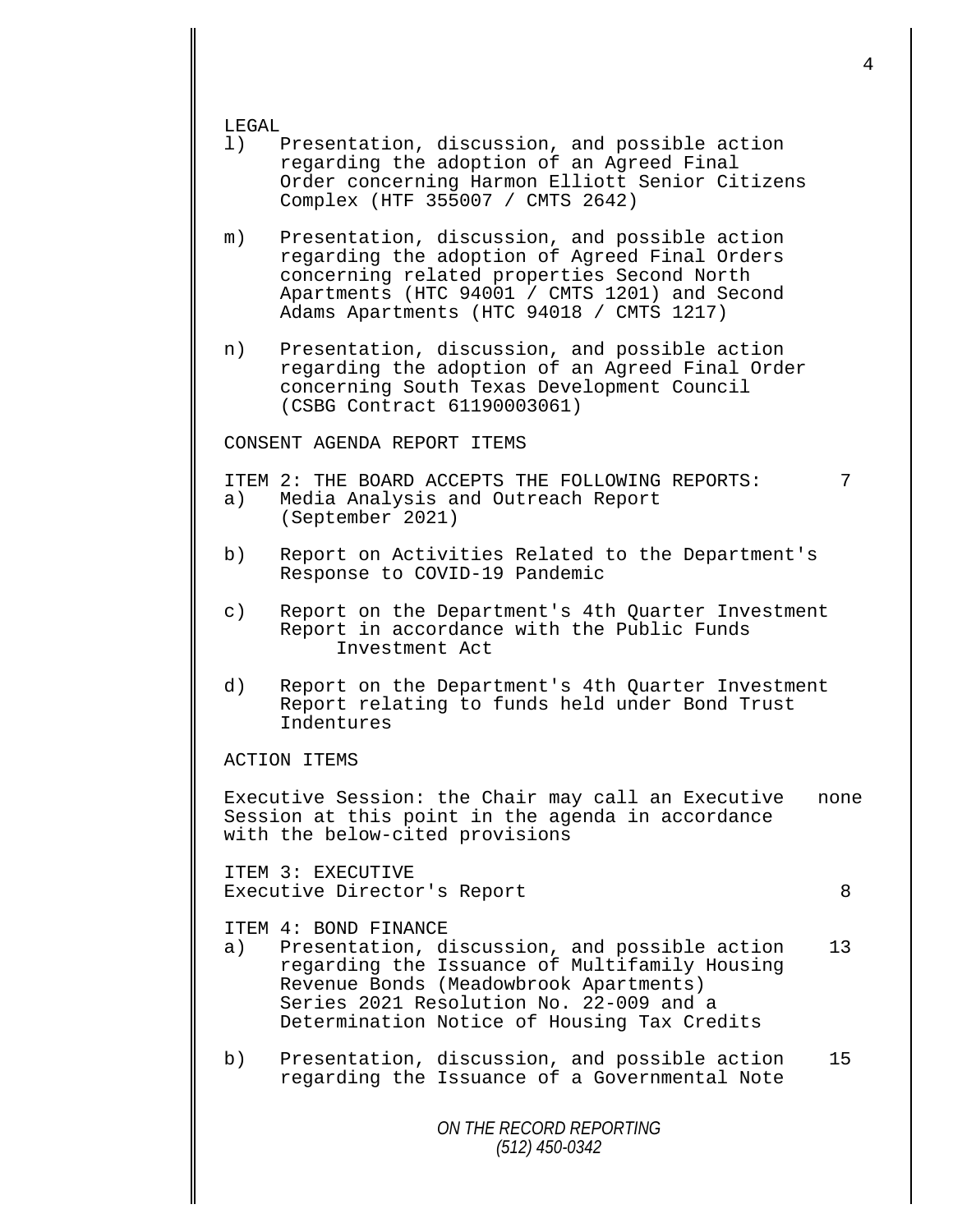LEGAL<br>1)

- Presentation, discussion, and possible action regarding the adoption of an Agreed Final Order concerning Harmon Elliott Senior Citizens Complex (HTF 355007 / CMTS 2642)
- m) Presentation, discussion, and possible action regarding the adoption of Agreed Final Orders concerning related properties Second North Apartments (HTC 94001 / CMTS 1201) and Second Adams Apartments (HTC 94018 / CMTS 1217)
- n) Presentation, discussion, and possible action regarding the adoption of an Agreed Final Order concerning South Texas Development Council (CSBG Contract 61190003061)

CONSENT AGENDA REPORT ITEMS

ITEM 2: THE BOARD ACCEPTS THE FOLLOWING REPORTS:  $\overline{7}$ <br>a) Media Analysis and Outreach Report

- Media Analysis and Outreach Report (September 2021)
- b) Report on Activities Related to the Department's Response to COVID-19 Pandemic
- c) Report on the Department's 4th Quarter Investment Report in accordance with the Public Funds Investment Act
- d) Report on the Department's 4th Quarter Investment Report relating to funds held under Bond Trust Indentures

ACTION ITEMS

Executive Session: the Chair may call an Executive none Session at this point in the agenda in accordance with the below-cited provisions

ITEM 3: EXECUTIVE Executive Director's Report 8

- ITEM 4: BOND FINANCE<br>a) Presentation, d Presentation, discussion, and possible action 13 regarding the Issuance of Multifamily Housing Revenue Bonds (Meadowbrook Apartments) Series 2021 Resolution No. 22-009 and a Determination Notice of Housing Tax Credits
- b) Presentation, discussion, and possible action 15 regarding the Issuance of a Governmental Note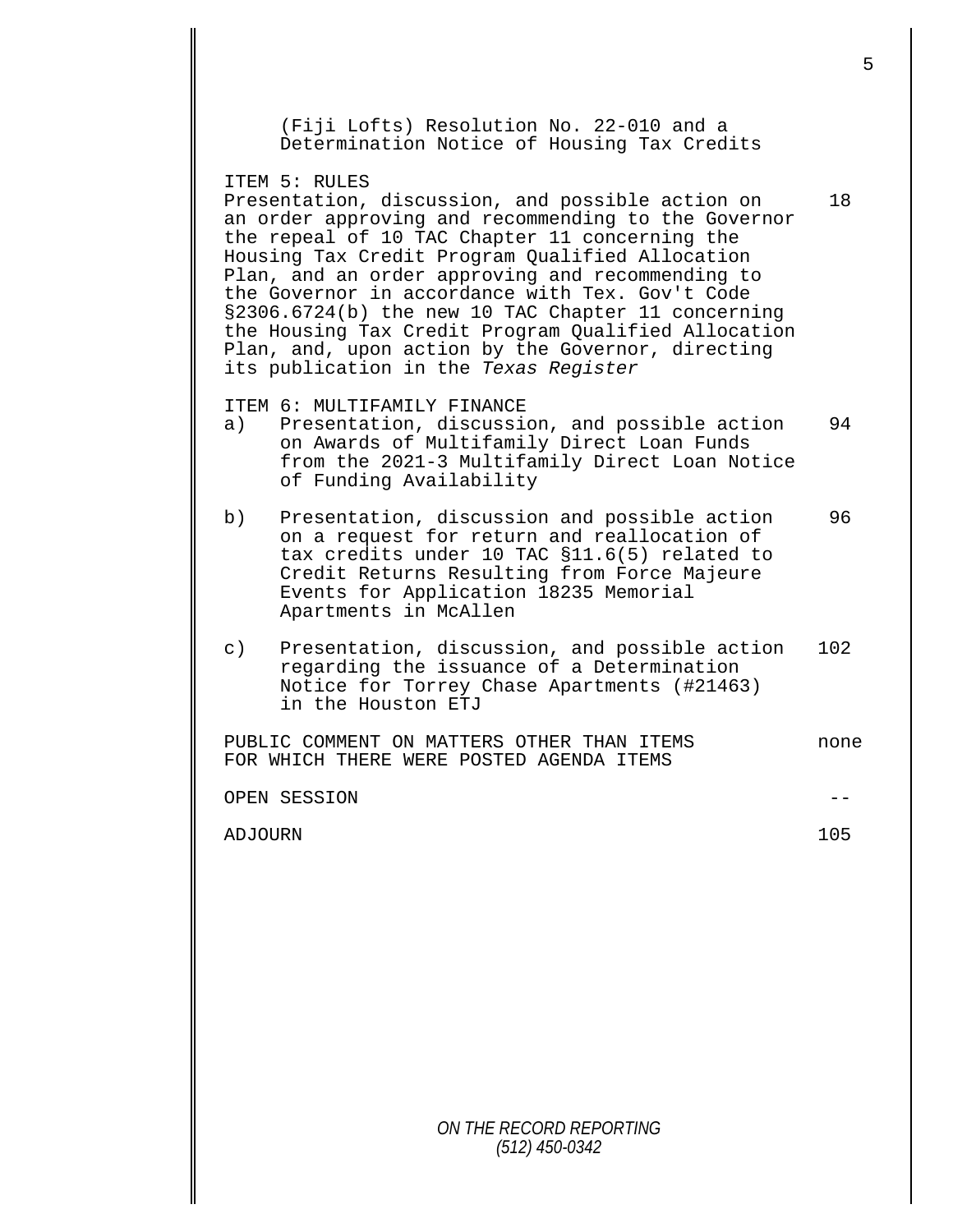|           |                                                                                                                                                                                                                                                                                                                                                                                                                                                                                                                                                 | 5    |
|-----------|-------------------------------------------------------------------------------------------------------------------------------------------------------------------------------------------------------------------------------------------------------------------------------------------------------------------------------------------------------------------------------------------------------------------------------------------------------------------------------------------------------------------------------------------------|------|
|           | (Fiji Lofts) Resolution No. 22-010 and a<br>Determination Notice of Housing Tax Credits                                                                                                                                                                                                                                                                                                                                                                                                                                                         |      |
|           | ITEM 5: RULES<br>Presentation, discussion, and possible action on<br>an order approving and recommending to the Governor<br>the repeal of 10 TAC Chapter 11 concerning the<br>Housing Tax Credit Program Qualified Allocation<br>Plan, and an order approving and recommending to<br>the Governor in accordance with Tex. Gov't Code<br>§2306.6724(b) the new 10 TAC Chapter 11 concerning<br>the Housing Tax Credit Program Qualified Allocation<br>Plan, and, upon action by the Governor, directing<br>its publication in the Texas Register | 18   |
| a)        | ITEM 6: MULTIFAMILY FINANCE<br>Presentation, discussion, and possible action<br>on Awards of Multifamily Direct Loan Funds<br>from the 2021-3 Multifamily Direct Loan Notice<br>of Funding Availability                                                                                                                                                                                                                                                                                                                                         | 94   |
| b)        | Presentation, discussion and possible action<br>on a request for return and reallocation of<br>tax credits under 10 TAC §11.6(5) related to<br>Credit Returns Resulting from Force Majeure<br>Events for Application 18235 Memorial<br>Apartments in McAllen                                                                                                                                                                                                                                                                                    | 96   |
| $\circ$ ) | Presentation, discussion, and possible action<br>regarding the issuance of a Determination<br>Notice for Torrey Chase Apartments (#21463)<br>in the Houston ETJ                                                                                                                                                                                                                                                                                                                                                                                 | 102  |
|           | PUBLIC COMMENT ON MATTERS OTHER THAN ITEMS<br>FOR WHICH THERE WERE POSTED AGENDA ITEMS                                                                                                                                                                                                                                                                                                                                                                                                                                                          | none |
|           | OPEN SESSION                                                                                                                                                                                                                                                                                                                                                                                                                                                                                                                                    |      |
| ADJOURN   |                                                                                                                                                                                                                                                                                                                                                                                                                                                                                                                                                 | 105  |
|           |                                                                                                                                                                                                                                                                                                                                                                                                                                                                                                                                                 |      |
|           |                                                                                                                                                                                                                                                                                                                                                                                                                                                                                                                                                 |      |
|           |                                                                                                                                                                                                                                                                                                                                                                                                                                                                                                                                                 |      |
|           |                                                                                                                                                                                                                                                                                                                                                                                                                                                                                                                                                 |      |
|           |                                                                                                                                                                                                                                                                                                                                                                                                                                                                                                                                                 |      |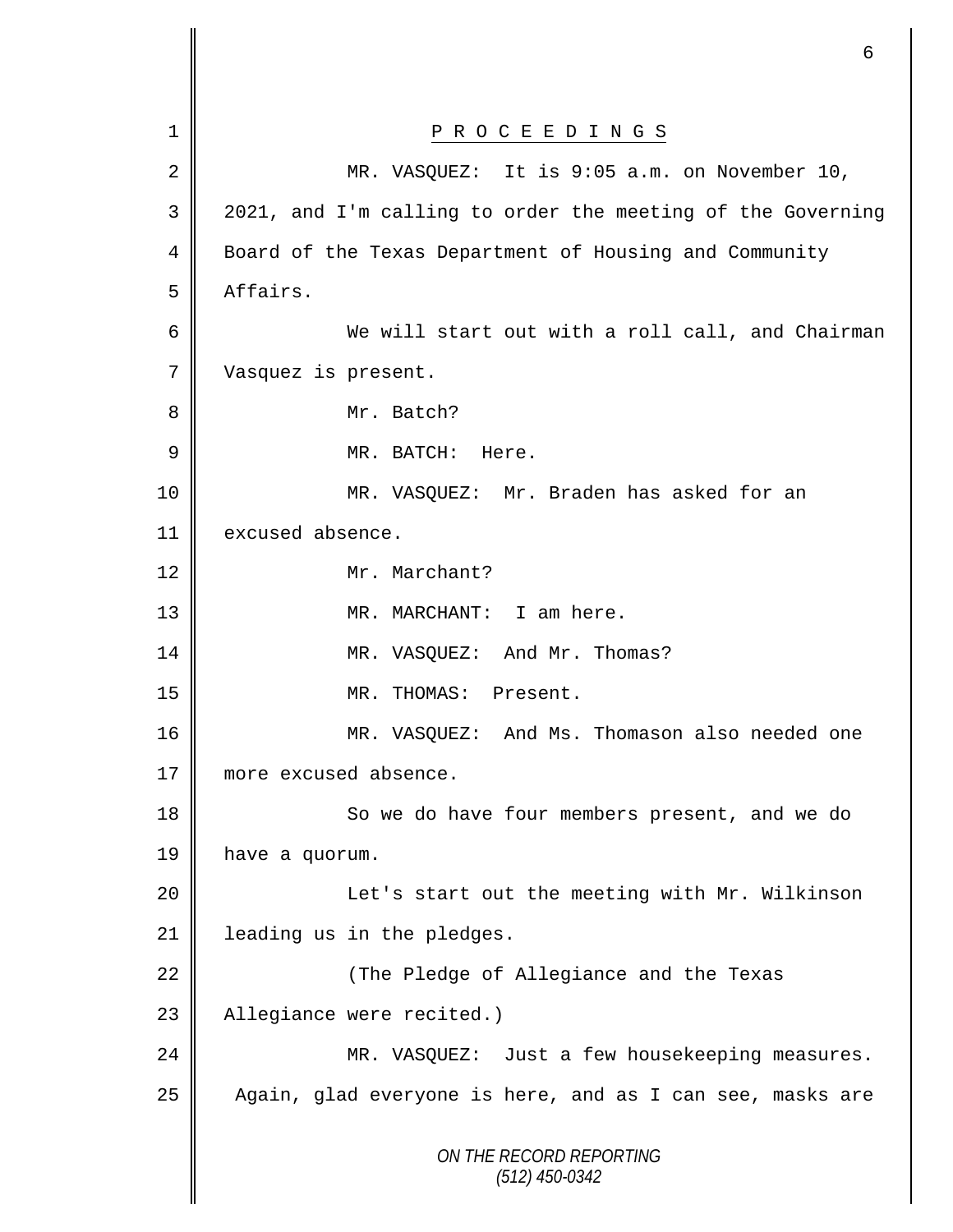|                | 6                                                           |
|----------------|-------------------------------------------------------------|
| 1              | P R O C E E D I N G S                                       |
| $\overline{2}$ | MR. VASQUEZ: It is 9:05 a.m. on November 10,                |
| 3              | 2021, and I'm calling to order the meeting of the Governing |
| 4              | Board of the Texas Department of Housing and Community      |
| 5              | Affairs.                                                    |
| 6              | We will start out with a roll call, and Chairman            |
| 7              | Vasquez is present.                                         |
| 8              | Mr. Batch?                                                  |
| $\mathsf 9$    | MR. BATCH:<br>Here.                                         |
| 10             | MR. VASQUEZ: Mr. Braden has asked for an                    |
| 11             | excused absence.                                            |
| 12             | Mr. Marchant?                                               |
| 13             | MR. MARCHANT: I am here.                                    |
| 14             | MR. VASQUEZ: And Mr. Thomas?                                |
| 15             | MR. THOMAS: Present.                                        |
| 16             | MR. VASQUEZ: And Ms. Thomason also needed one               |
| 17             | more excused absence.                                       |
| 18             | So we do have four members present, and we do               |
| 19             | have a quorum.                                              |
| 20             | Let's start out the meeting with Mr. Wilkinson              |
| 21             | leading us in the pledges.                                  |
| 22             | (The Pledge of Allegiance and the Texas                     |
| 23             | Allegiance were recited.)                                   |
| 24             | MR. VASQUEZ: Just a few housekeeping measures.              |
| 25             | Again, glad everyone is here, and as I can see, masks are   |
|                | ON THE RECORD REPORTING<br>$(512)$ 450-0342                 |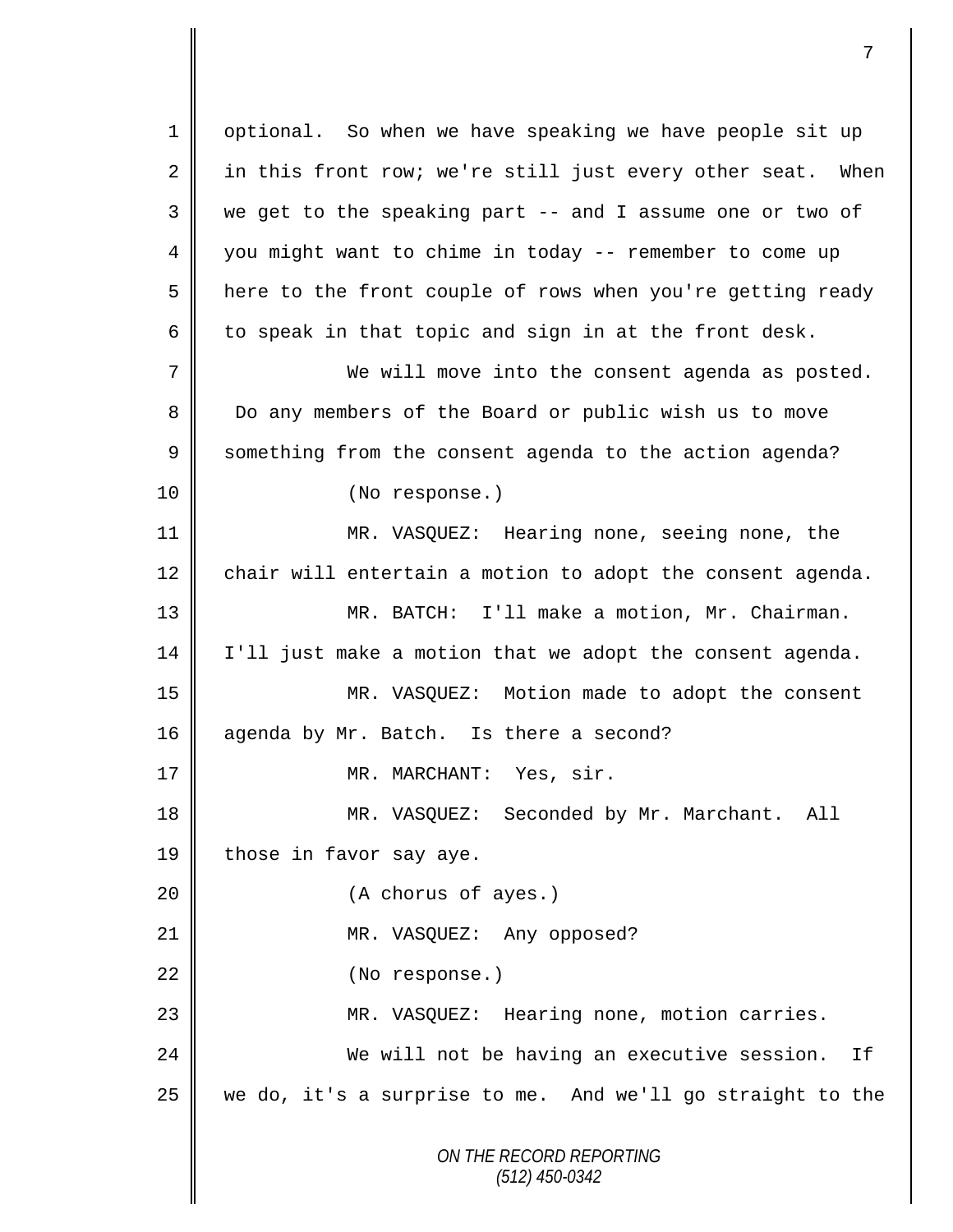*ON THE RECORD REPORTING (512) 450-0342* 1 | optional. So when we have speaking we have people sit up  $2 \parallel$  in this front row; we're still just every other seat. When  $3 \parallel$  we get to the speaking part -- and I assume one or two of 4 || you might want to chime in today -- remember to come up 5 | here to the front couple of rows when you're getting ready 6 to speak in that topic and sign in at the front desk. 7 We will move into the consent agenda as posted. 8 Do any members of the Board or public wish us to move 9 Something from the consent agenda to the action agenda? 10 || (No response.) 11 MR. VASQUEZ: Hearing none, seeing none, the 12  $\parallel$  chair will entertain a motion to adopt the consent agenda. 13 MR. BATCH: I'll make a motion, Mr. Chairman. 14 I'll just make a motion that we adopt the consent agenda. 15 MR. VASQUEZ: Motion made to adopt the consent 16 agenda by Mr. Batch. Is there a second? 17 || MR. MARCHANT: Yes, sir. 18 MR. VASQUEZ: Seconded by Mr. Marchant. All 19 | those in favor say aye. 20 || (A chorus of ayes.) 21 || MR. VASQUEZ: Any opposed? 22 | (No response.) 23 MR. VASQUEZ: Hearing none, motion carries. 24 We will not be having an executive session. If 25 we do, it's a surprise to me. And we'll go straight to the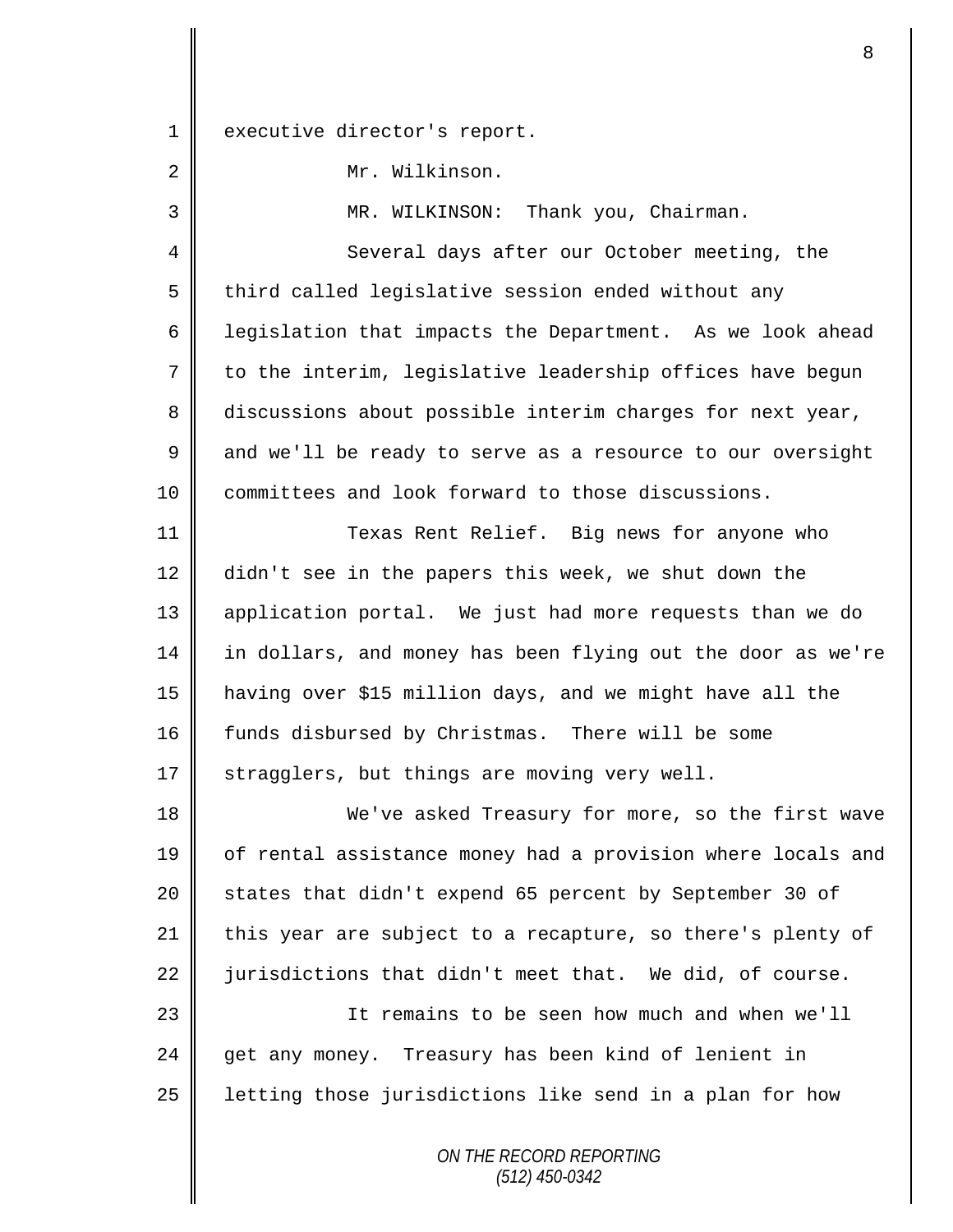1 | executive director's report.

2 Mr. Wilkinson.

3 || MR. WILKINSON: Thank you, Chairman.

4 Several days after our October meeting, the  $5 \parallel$  third called legislative session ended without any 6 | legislation that impacts the Department. As we look ahead  $7 \parallel$  to the interim, legislative leadership offices have begun 8 discussions about possible interim charges for next year,  $9 \parallel$  and we'll be ready to serve as a resource to our oversight 10 committees and look forward to those discussions.

11 | Texas Rent Relief. Big news for anyone who 12 didn't see in the papers this week, we shut down the 13 application portal. We just had more requests than we do 14 in dollars, and money has been flying out the door as we're 15 having over \$15 million days, and we might have all the 16 funds disbursed by Christmas. There will be some 17  $\parallel$  stragglers, but things are moving very well.

18 We've asked Treasury for more, so the first wave 19 | of rental assistance money had a provision where locals and 20 states that didn't expend 65 percent by September 30 of 21 this year are subject to a recapture, so there's plenty of 22  $\parallel$  jurisdictions that didn't meet that. We did, of course. 23 || It remains to be seen how much and when we'll 24 get any money. Treasury has been kind of lenient in

 $25$  | letting those jurisdictions like send in a plan for how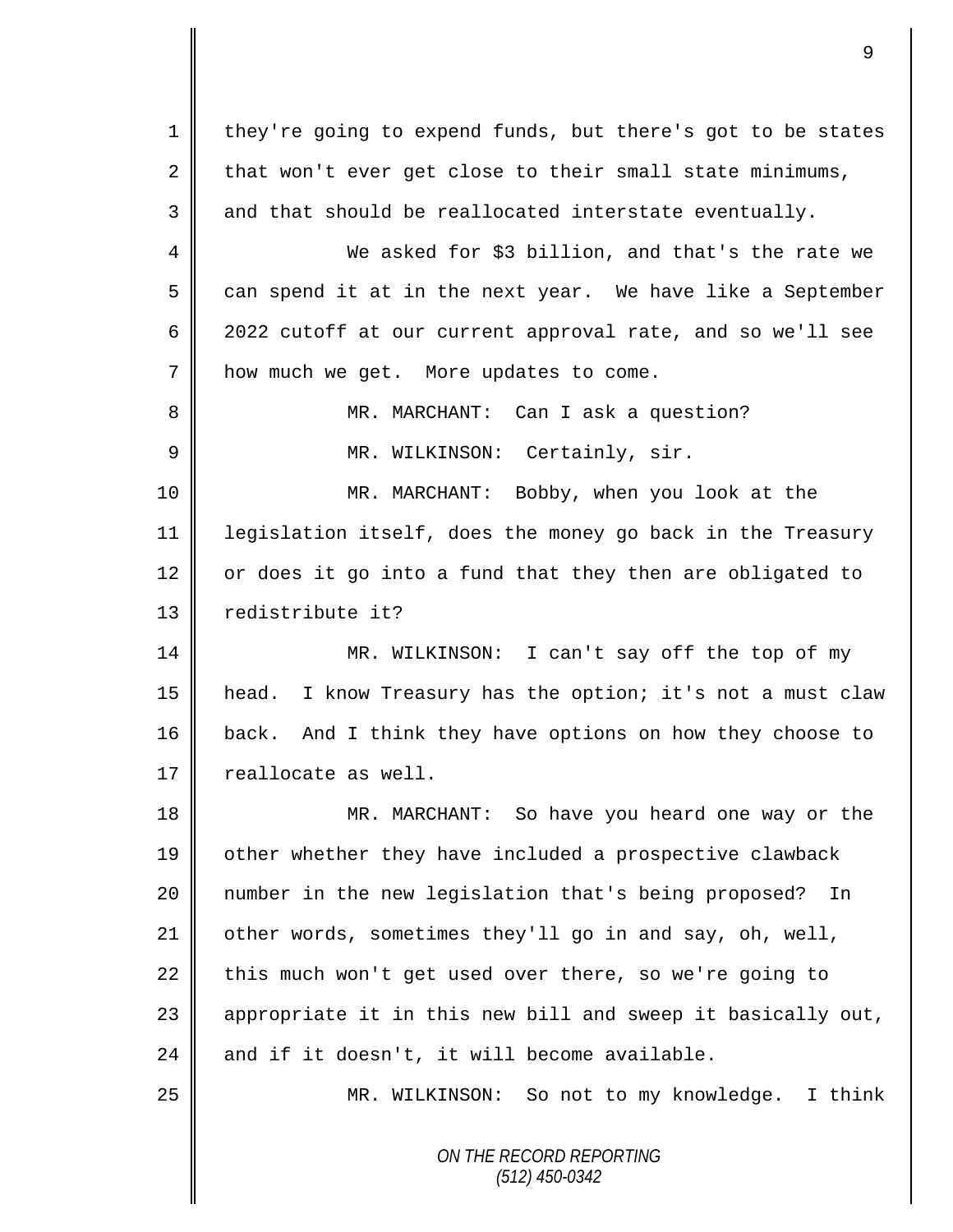*ON THE RECORD REPORTING (512) 450-0342* 1 they're going to expend funds, but there's got to be states 2 that won't ever get close to their small state minimums,  $3 \parallel$  and that should be reallocated interstate eventually. 4 We asked for \$3 billion, and that's the rate we  $5 \parallel$  can spend it at in the next year. We have like a September 6 2022 cutoff at our current approval rate, and so we'll see 7 | how much we get. More updates to come. 8 || MR. MARCHANT: Can I ask a question? 9 || MR. WILKINSON: Certainly, sir. 10 MR. MARCHANT: Bobby, when you look at the 11 legislation itself, does the money go back in the Treasury  $12$  or does it go into a fund that they then are obligated to 13 redistribute it? 14 MR. WILKINSON: I can't say off the top of my 15 head. I know Treasury has the option; it's not a must claw 16 back. And I think they have options on how they choose to 17 | reallocate as well. 18 MR. MARCHANT: So have you heard one way or the 19 other whether they have included a prospective clawback 20 || number in the new legislation that's being proposed? In 21 | other words, sometimes they'll go in and say, oh, well, 22 this much won't get used over there, so we're going to 23  $\parallel$  appropriate it in this new bill and sweep it basically out, 24 and if it doesn't, it will become available. 25 || MR. WILKINSON: So not to my knowledge. I think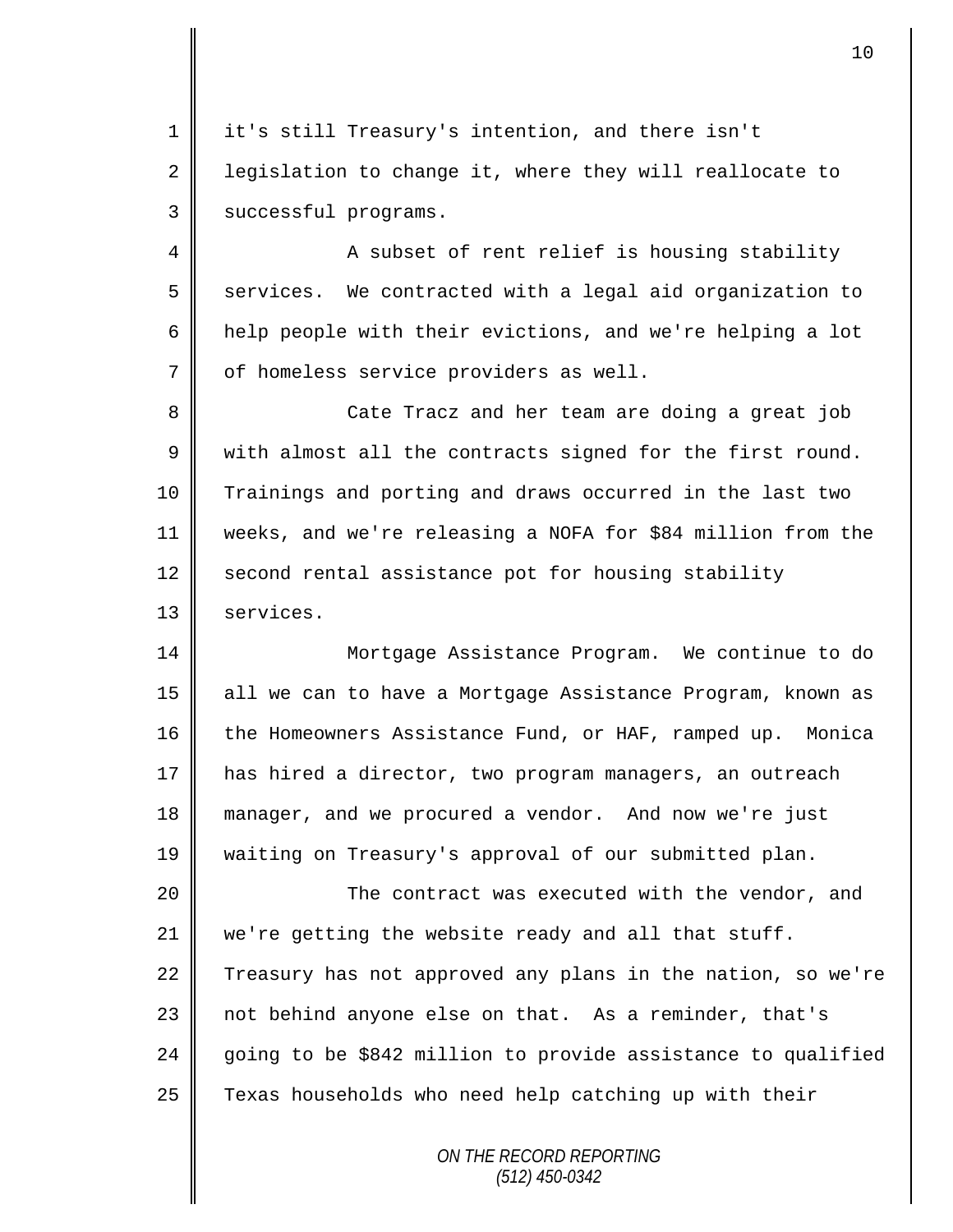1 it's still Treasury's intention, and there isn't 2 | legislation to change it, where they will reallocate to 3 | successful programs.

4 A subset of rent relief is housing stability  $5 \parallel$  services. We contracted with a legal aid organization to 6 help people with their evictions, and we're helping a lot 7 | of homeless service providers as well.

8 || Cate Tracz and her team are doing a great job  $9 \parallel$  with almost all the contracts signed for the first round. 10 Trainings and porting and draws occurred in the last two 11 weeks, and we're releasing a NOFA for \$84 million from the  $12$  second rental assistance pot for housing stability 13 | services.

 Mortgage Assistance Program. We continue to do 15 all we can to have a Mortgage Assistance Program, known as 16 the Homeowners Assistance Fund, or HAF, ramped up. Monica has hired a director, two program managers, an outreach manager, and we procured a vendor. And now we're just waiting on Treasury's approval of our submitted plan.

20 The contract was executed with the vendor, and 21 we're getting the website ready and all that stuff. 22 Treasury has not approved any plans in the nation, so we're 23 not behind anyone else on that. As a reminder, that's 24  $\parallel$  going to be \$842 million to provide assistance to qualified  $25$  Texas households who need help catching up with their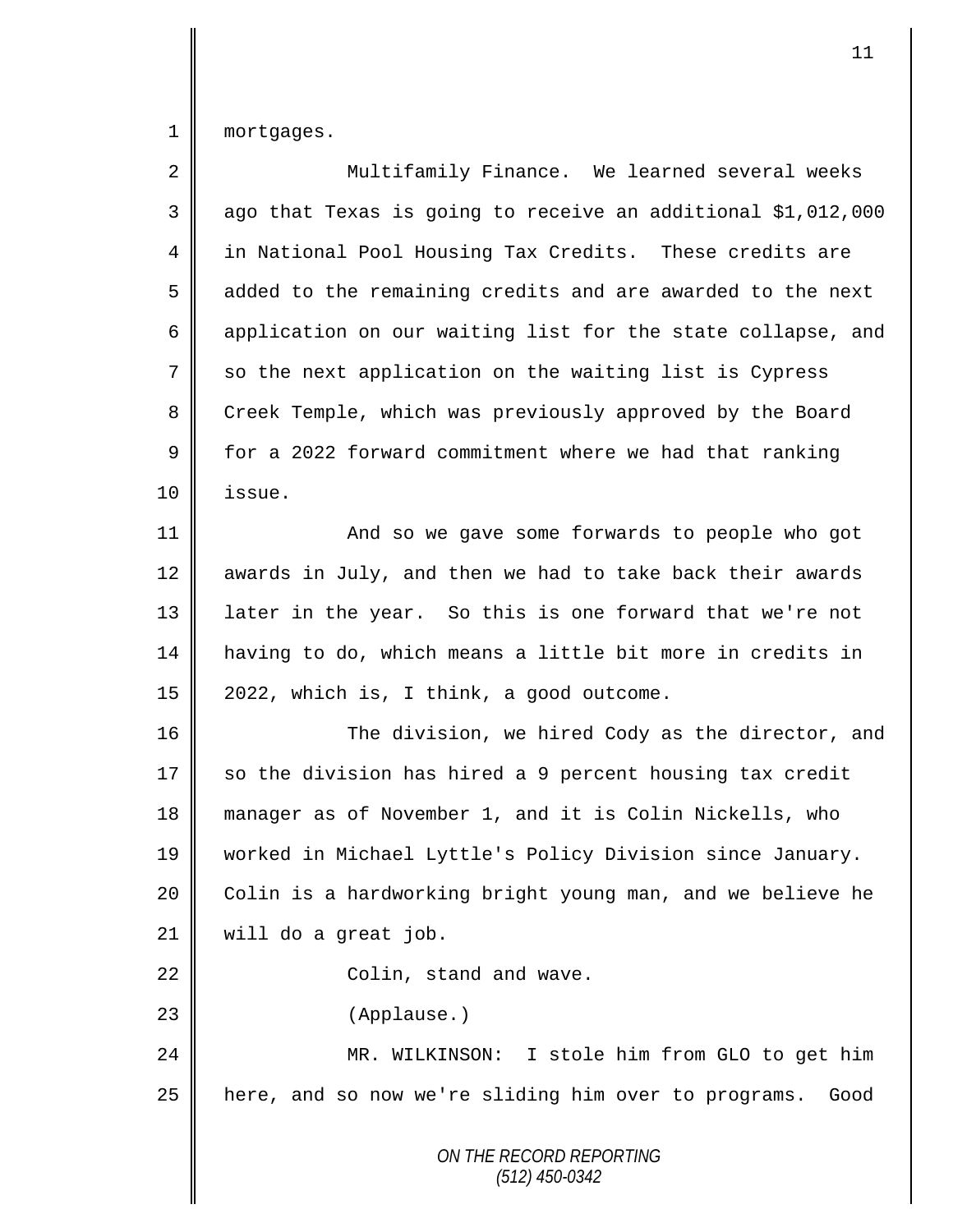1 mortgages.

| $\sqrt{2}$ | Multifamily Finance. We learned several weeks                |
|------------|--------------------------------------------------------------|
| 3          | ago that Texas is going to receive an additional \$1,012,000 |
| 4          | in National Pool Housing Tax Credits. These credits are      |
| 5          | added to the remaining credits and are awarded to the next   |
| 6          | application on our waiting list for the state collapse, and  |
| 7          | so the next application on the waiting list is Cypress       |
| 8          | Creek Temple, which was previously approved by the Board     |
| 9          | for a 2022 forward commitment where we had that ranking      |
| 10         | issue.                                                       |
| 11         | And so we gave some forwards to people who got               |
| 12         | awards in July, and then we had to take back their awards    |
| 13         | later in the year. So this is one forward that we're not     |
| 14         | having to do, which means a little bit more in credits in    |
| 15         | 2022, which is, I think, a good outcome.                     |
| 16         | The division, we hired Cody as the director, and             |
| 17         | so the division has hired a 9 percent housing tax credit     |
| 18         | manager as of November 1, and it is Colin Nickells, who      |
| 19         | worked in Michael Lyttle's Policy Division since January.    |
| 20         | Colin is a hardworking bright young man, and we believe he   |
| 21         | will do a great job.                                         |
| 22         | Colin, stand and wave.                                       |
| 23         | (Applause.)                                                  |
| 24         | MR. WILKINSON: I stole him from GLO to get him               |
| 25         | here, and so now we're sliding him over to programs.<br>Good |
|            | ON THE RECORD REPORTING<br>$(512)$ 450-0342                  |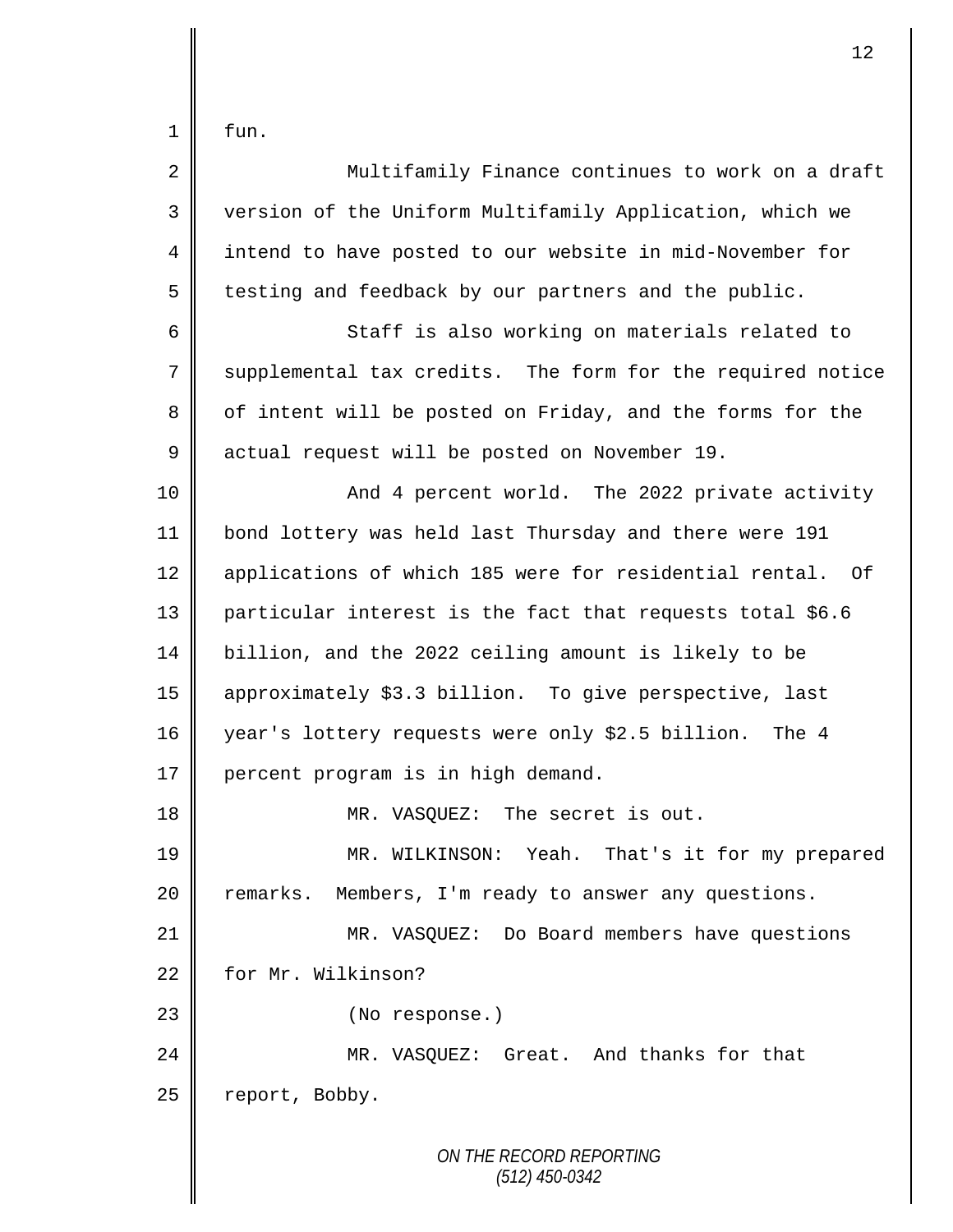fun.

| $\overline{2}$ | Multifamily Finance continues to work on a draft           |
|----------------|------------------------------------------------------------|
| 3              | version of the Uniform Multifamily Application, which we   |
| 4              | intend to have posted to our website in mid-November for   |
| 5              | testing and feedback by our partners and the public.       |
| 6              | Staff is also working on materials related to              |
| 7              | supplemental tax credits. The form for the required notice |
| 8              | of intent will be posted on Friday, and the forms for the  |
| 9              | actual request will be posted on November 19.              |
| 10             | And 4 percent world. The 2022 private activity             |
| 11             | bond lottery was held last Thursday and there were 191     |
| 12             | applications of which 185 were for residential rental. Of  |
| 13             | particular interest is the fact that requests total \$6.6  |
| 14             | billion, and the 2022 ceiling amount is likely to be       |
| 15             | approximately \$3.3 billion. To give perspective, last     |
| 16             | year's lottery requests were only \$2.5 billion. The 4     |
| 17             | percent program is in high demand.                         |
| 18             | MR. VASQUEZ: The secret is out.                            |
| 19             | MR. WILKINSON: Yeah. That's it for my prepared             |
| 20             | Members, I'm ready to answer any questions.<br>remarks.    |
| 21             | MR. VASQUEZ: Do Board members have questions               |
| 22             | for Mr. Wilkinson?                                         |
| 23             | (No response.)                                             |
| 24             | MR. VASQUEZ: Great. And thanks for that                    |
| 25             | report, Bobby.                                             |
|                | ON THE RECORD REPORTING<br>$(512)$ 450-0342                |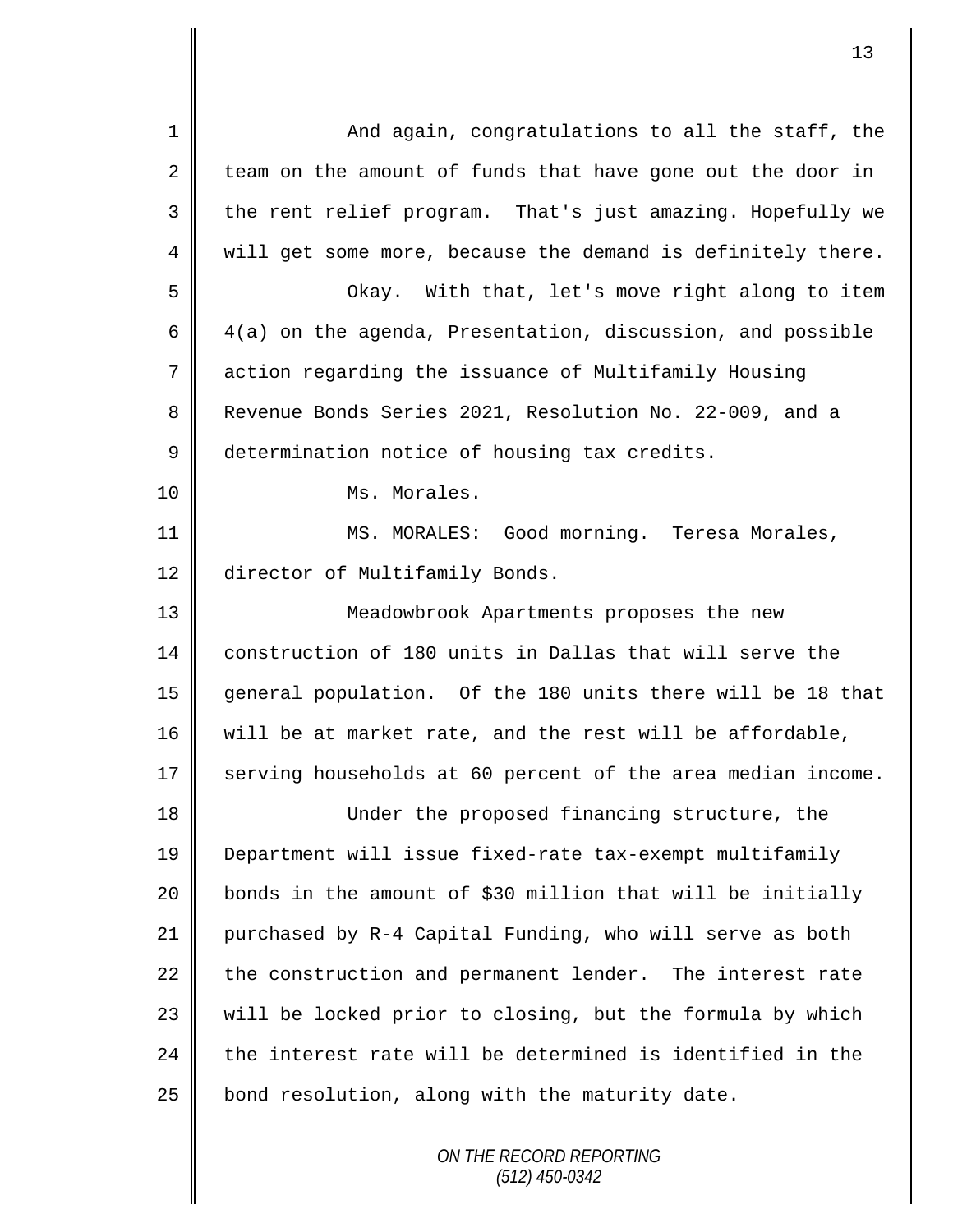| $\mathbf{1}$ | And again, congratulations to all the staff, the            |
|--------------|-------------------------------------------------------------|
| 2            | team on the amount of funds that have gone out the door in  |
| 3            | the rent relief program. That's just amazing. Hopefully we  |
| 4            | will get some more, because the demand is definitely there. |
| 5            | With that, let's move right along to item<br>Okay.          |
| 6            | 4(a) on the agenda, Presentation, discussion, and possible  |
| 7            | action regarding the issuance of Multifamily Housing        |
| 8            | Revenue Bonds Series 2021, Resolution No. 22-009, and a     |
| $\mathsf 9$  | determination notice of housing tax credits.                |
| 10           | Ms. Morales.                                                |
| 11           | MS. MORALES: Good morning. Teresa Morales,                  |
| 12           | director of Multifamily Bonds.                              |
| 13           | Meadowbrook Apartments proposes the new                     |
| 14           | construction of 180 units in Dallas that will serve the     |
| 15           | general population. Of the 180 units there will be 18 that  |
| 16           | will be at market rate, and the rest will be affordable,    |
| 17           | serving households at 60 percent of the area median income. |
| 18           | Under the proposed financing structure, the                 |
| 19           | Department will issue fixed-rate tax-exempt multifamily     |
| 20           | bonds in the amount of \$30 million that will be initially  |
| 21           | purchased by R-4 Capital Funding, who will serve as both    |
| 22           | the construction and permanent lender. The interest rate    |
| 23           | will be locked prior to closing, but the formula by which   |
| 24           | the interest rate will be determined is identified in the   |
| 25           | bond resolution, along with the maturity date.              |
|              | ON THE RECORD REPORTING                                     |

*(512) 450-0342*

Ι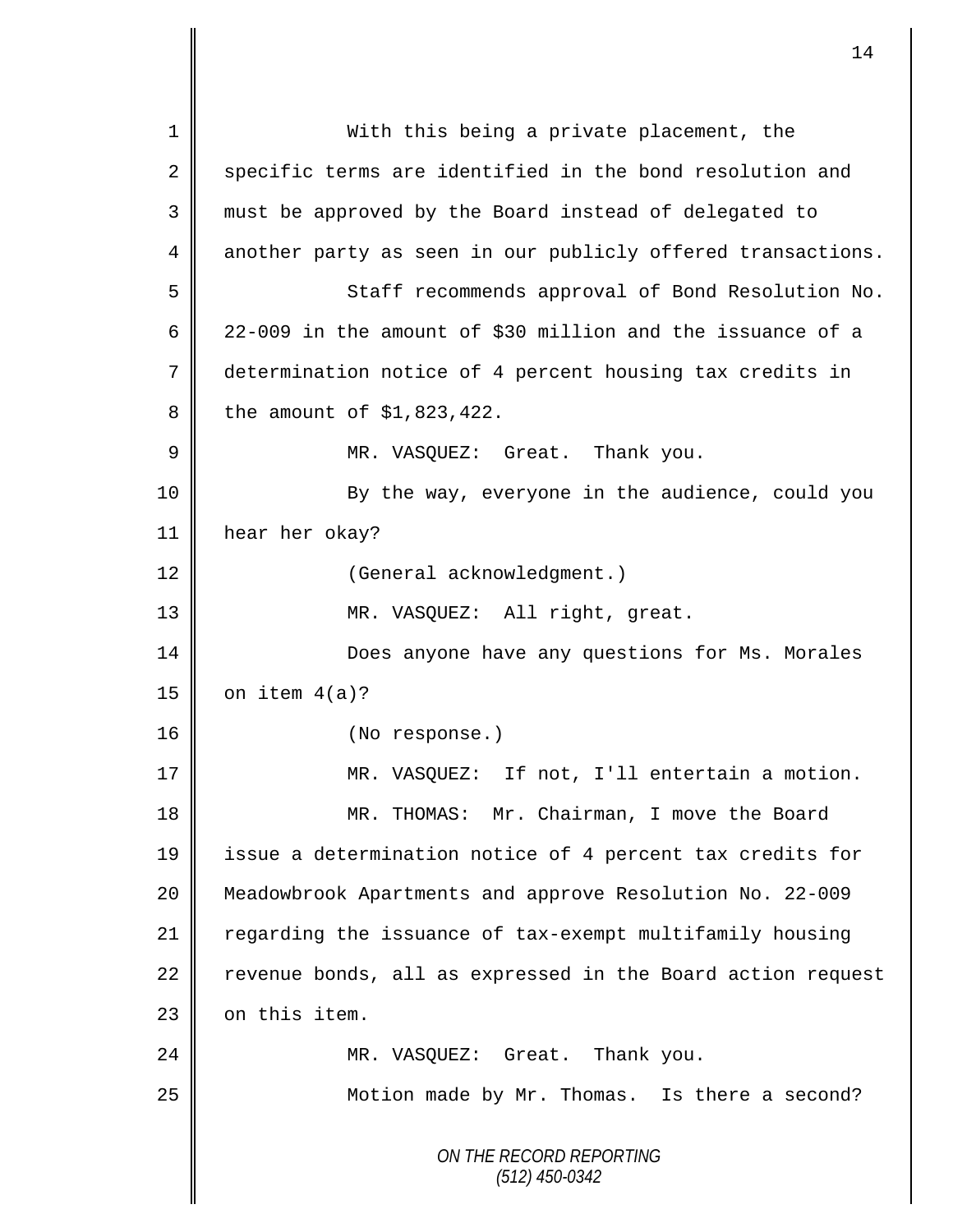*ON THE RECORD REPORTING (512) 450-0342* 1 || With this being a private placement, the  $2 \parallel$  specific terms are identified in the bond resolution and 3 must be approved by the Board instead of delegated to 4 another party as seen in our publicly offered transactions. 5 Staff recommends approval of Bond Resolution No. 6  $\parallel$  22-009 in the amount of \$30 million and the issuance of a 7 determination notice of 4 percent housing tax credits in  $8 \parallel$  the amount of \$1,823,422. 9 MR. VASQUEZ: Great. Thank you. 10 || By the way, everyone in the audience, could you 11 hear her okay? 12 | (General acknowledgment.) 13 || MR. VASQUEZ: All right, great. 14 **Does anyone have any questions for Ms. Morales**  $15$  on item  $4(a)?$ 16 || (No response.) 17 || MR. VASOUEZ: If not, I'll entertain a motion. 18 || MR. THOMAS: Mr. Chairman, I move the Board 19 issue a determination notice of 4 percent tax credits for 20 Meadowbrook Apartments and approve Resolution No. 22-009 21 | regarding the issuance of tax-exempt multifamily housing  $22$  revenue bonds, all as expressed in the Board action request 23 | on this item. 24 MR. VASOUEZ: Great. Thank you. 25 | Motion made by Mr. Thomas. Is there a second?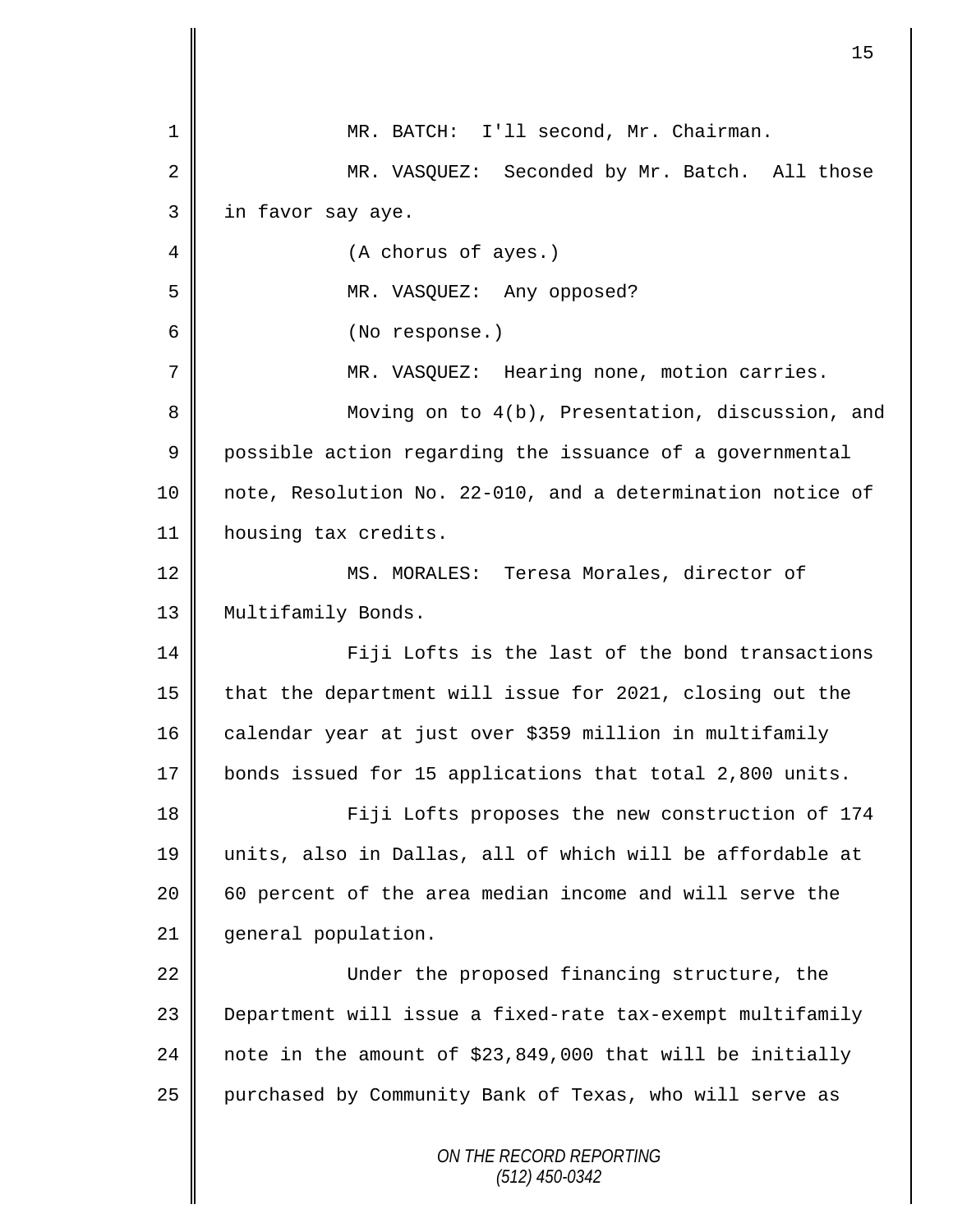| 1              | MR. BATCH: I'll second, Mr. Chairman.                      |
|----------------|------------------------------------------------------------|
| $\overline{2}$ | MR. VASQUEZ: Seconded by Mr. Batch. All those              |
| 3              | in favor say aye.                                          |
| 4              | (A chorus of ayes.)                                        |
| 5              | MR. VASQUEZ: Any opposed?                                  |
| 6              | (No response.)                                             |
| 7              | MR. VASQUEZ: Hearing none, motion carries.                 |
| 8              | Moving on to 4(b), Presentation, discussion, and           |
| $\mathsf 9$    | possible action regarding the issuance of a governmental   |
| 10             | note, Resolution No. 22-010, and a determination notice of |
| 11             | housing tax credits.                                       |
| 12             | MS. MORALES: Teresa Morales, director of                   |
| 13             | Multifamily Bonds.                                         |
| 14             | Fiji Lofts is the last of the bond transactions            |
| 15             | that the department will issue for 2021, closing out the   |
| 16             | calendar year at just over \$359 million in multifamily    |
| 17             | bonds issued for 15 applications that total 2,800 units.   |
| 18             | Fiji Lofts proposes the new construction of 174            |
| 19             | units, also in Dallas, all of which will be affordable at  |
| 20             | 60 percent of the area median income and will serve the    |
| 21             | general population.                                        |
| 22             | Under the proposed financing structure, the                |
| 23             | Department will issue a fixed-rate tax-exempt multifamily  |
| 24             | note in the amount of \$23,849,000 that will be initially  |
| 25             | purchased by Community Bank of Texas, who will serve as    |
|                | ON THE RECORD REPORTING<br>$(512)$ 450-0342                |

 $\mathbf l$ II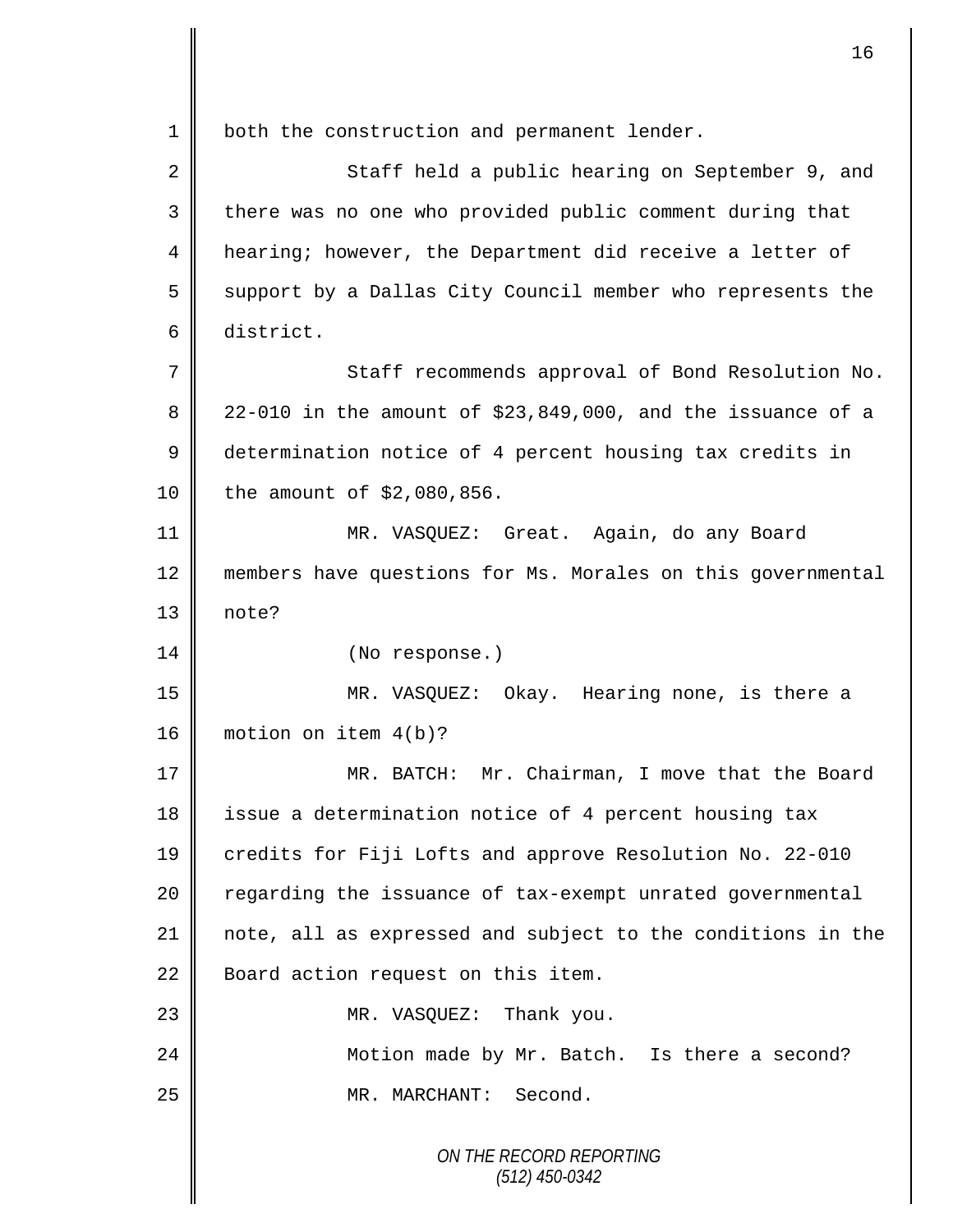*ON THE RECORD REPORTING* 1 | both the construction and permanent lender. 2 Staff held a public hearing on September 9, and 3 | there was no one who provided public comment during that 4 hearing; however, the Department did receive a letter of  $5 \parallel$  support by a Dallas City Council member who represents the 6 district. 7 Staff recommends approval of Bond Resolution No. 8  $\parallel$  22-010 in the amount of \$23,849,000, and the issuance of a 9 determination notice of 4 percent housing tax credits in 10 | the amount of \$2,080,856. 11 MR. VASQUEZ: Great. Again, do any Board 12 members have questions for Ms. Morales on this governmental 13 note? 14 || (No response.) 15 MR. VASQUEZ: Okay. Hearing none, is there a 16 motion on item 4(b)? 17 MR. BATCH: Mr. Chairman, I move that the Board 18 | issue a determination notice of 4 percent housing tax 19 credits for Fiji Lofts and approve Resolution No. 22-010 20 | regarding the issuance of tax-exempt unrated governmental 21 note, all as expressed and subject to the conditions in the 22 **Board action request on this item.** 23 || MR. VASQUEZ: Thank you. 24 | Motion made by Mr. Batch. Is there a second? 25 MR. MARCHANT: Second.

*(512) 450-0342*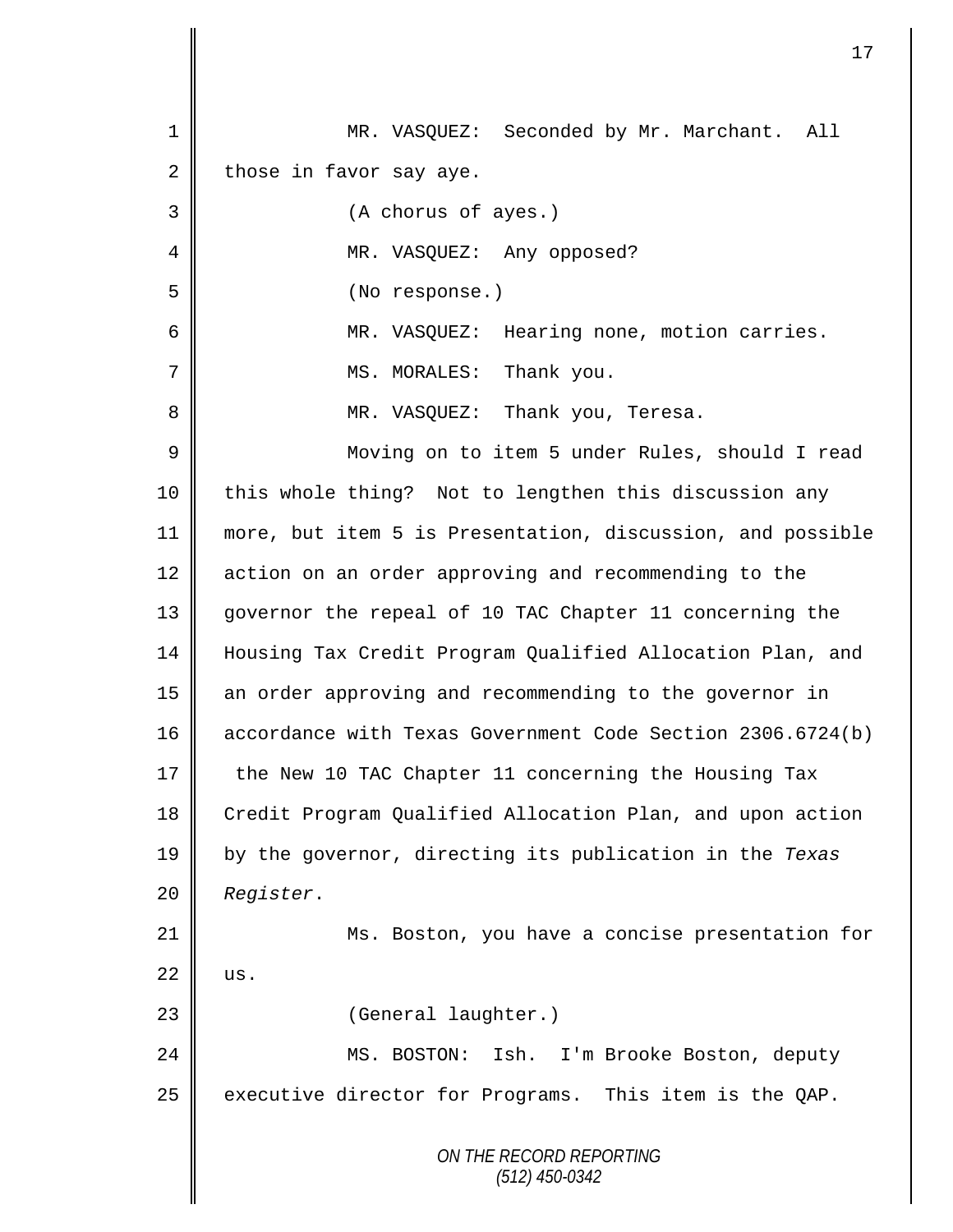|    | 17                                                         |
|----|------------------------------------------------------------|
|    |                                                            |
| 1  | MR. VASQUEZ: Seconded by Mr. Marchant. All                 |
| 2  | those in favor say aye.                                    |
| 3  | (A chorus of ayes.)                                        |
| 4  | MR. VASQUEZ: Any opposed?                                  |
| 5  | (No response.)                                             |
| 6  | MR. VASQUEZ: Hearing none, motion carries.                 |
| 7  | Thank you.<br>MS. MORALES:                                 |
| 8  | MR. VASQUEZ: Thank you, Teresa.                            |
| 9  | Moving on to item 5 under Rules, should I read             |
| 10 | this whole thing? Not to lengthen this discussion any      |
| 11 | more, but item 5 is Presentation, discussion, and possible |
| 12 | action on an order approving and recommending to the       |
| 13 | governor the repeal of 10 TAC Chapter 11 concerning the    |
| 14 | Housing Tax Credit Program Qualified Allocation Plan, and  |
| 15 | an order approving and recommending to the governor in     |
| 16 | accordance with Texas Government Code Section 2306.6724(b) |
| 17 | the New 10 TAC Chapter 11 concerning the Housing Tax       |
| 18 | Credit Program Qualified Allocation Plan, and upon action  |
| 19 | by the governor, directing its publication in the Texas    |
| 20 | Register.                                                  |
| 21 | Ms. Boston, you have a concise presentation for            |
| 22 | us.                                                        |
| 23 | (General laughter.)                                        |
| 24 | MS. BOSTON:<br>Ish.<br>I'm Brooke Boston, deputy           |
| 25 | executive director for Programs. This item is the QAP.     |
|    |                                                            |
|    | ON THE RECORD REPORTING<br>$(512)$ 450-0342                |
|    |                                                            |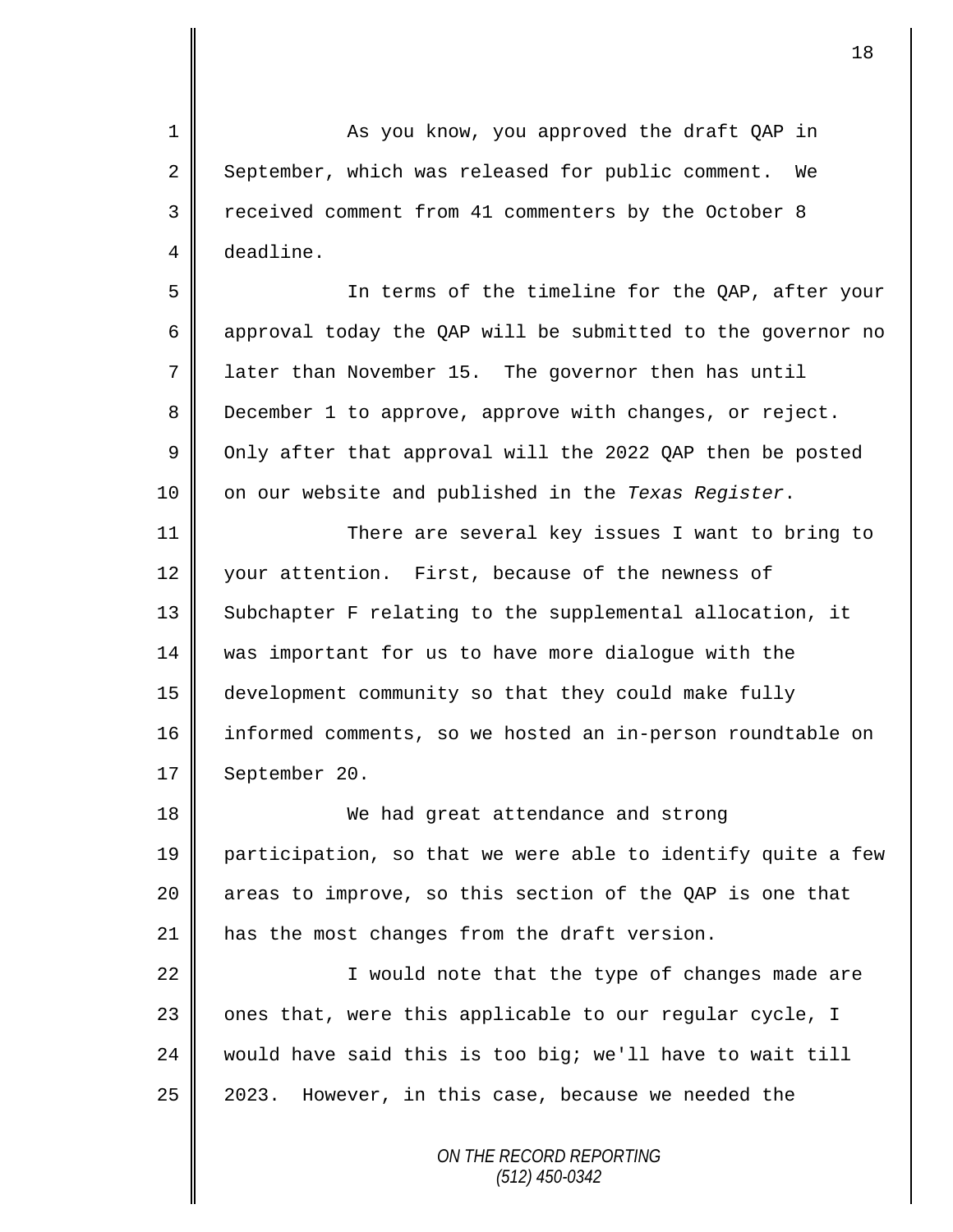1 As you know, you approved the draft QAP in 2 September, which was released for public comment. We 3 Teceived comment from 41 commenters by the October 8 4 deadline.

 In terms of the timeline for the QAP, after your approval today the QAP will be submitted to the governor no 7 | later than November 15. The governor then has until 8 December 1 to approve, approve with changes, or reject.  $\parallel$  Only after that approval will the 2022 QAP then be posted on our website and published in the *Texas Register*.

11 | There are several key issues I want to bring to 12 vour attention. First, because of the newness of 13 | Subchapter F relating to the supplemental allocation, it 14 was important for us to have more dialogue with the 15 development community so that they could make fully 16 informed comments, so we hosted an in-person roundtable on 17 | September 20.

18 We had great attendance and strong 19 || participation, so that we were able to identify quite a few 20  $\parallel$  areas to improve, so this section of the QAP is one that 21  $\parallel$  has the most changes from the draft version.

22 || I would note that the type of changes made are | ones that, were this applicable to our regular cycle, I would have said this is too big; we'll have to wait till | 2023. However, in this case, because we needed the

> *ON THE RECORD REPORTING (512) 450-0342*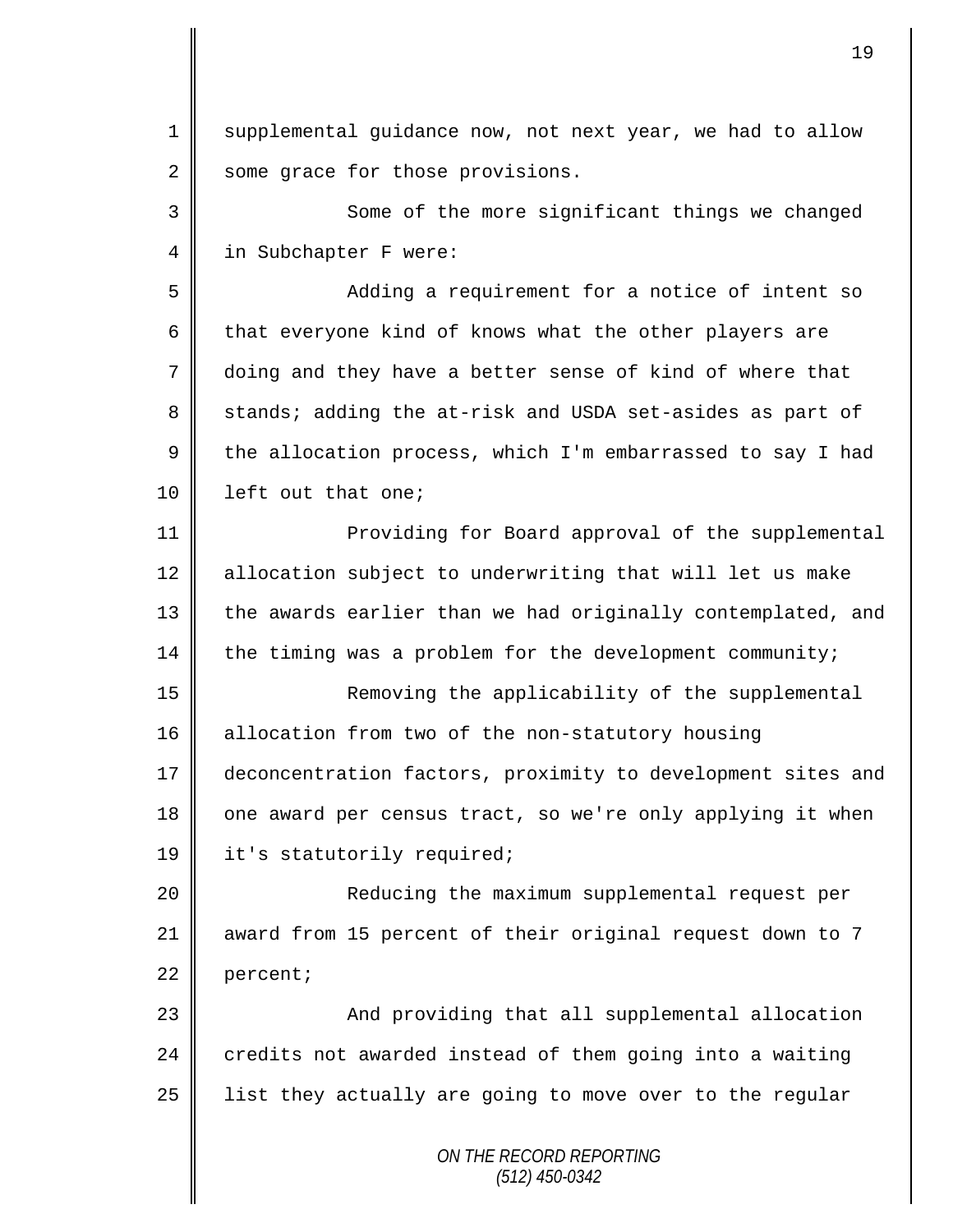1 supplemental quidance now, not next year, we had to allow 2 some grace for those provisions.

3 || Some of the more significant things we changed 4 in Subchapter F were:

5 Adding a requirement for a notice of intent so 6 that everyone kind of knows what the other players are 7 doing and they have a better sense of kind of where that 8 stands; adding the at-risk and USDA set-asides as part of 9  $\parallel$  the allocation process, which I'm embarrassed to say I had 10 | left out that one;

11 || Providing for Board approval of the supplemental 12 | allocation subject to underwriting that will let us make 13 || the awards earlier than we had originally contemplated, and  $14$  the timing was a problem for the development community;

15 || Removing the applicability of the supplemental 16 allocation from two of the non-statutory housing 17 deconcentration factors, proximity to development sites and 18 one award per census tract, so we're only applying it when 19 | it's statutorily required;

20 || Reducing the maximum supplemental request per 21 award from 15 percent of their original request down to 7 22 percent;

23 || And providing that all supplemental allocation 24  $\parallel$  credits not awarded instead of them going into a waiting  $25$  | list they actually are going to move over to the regular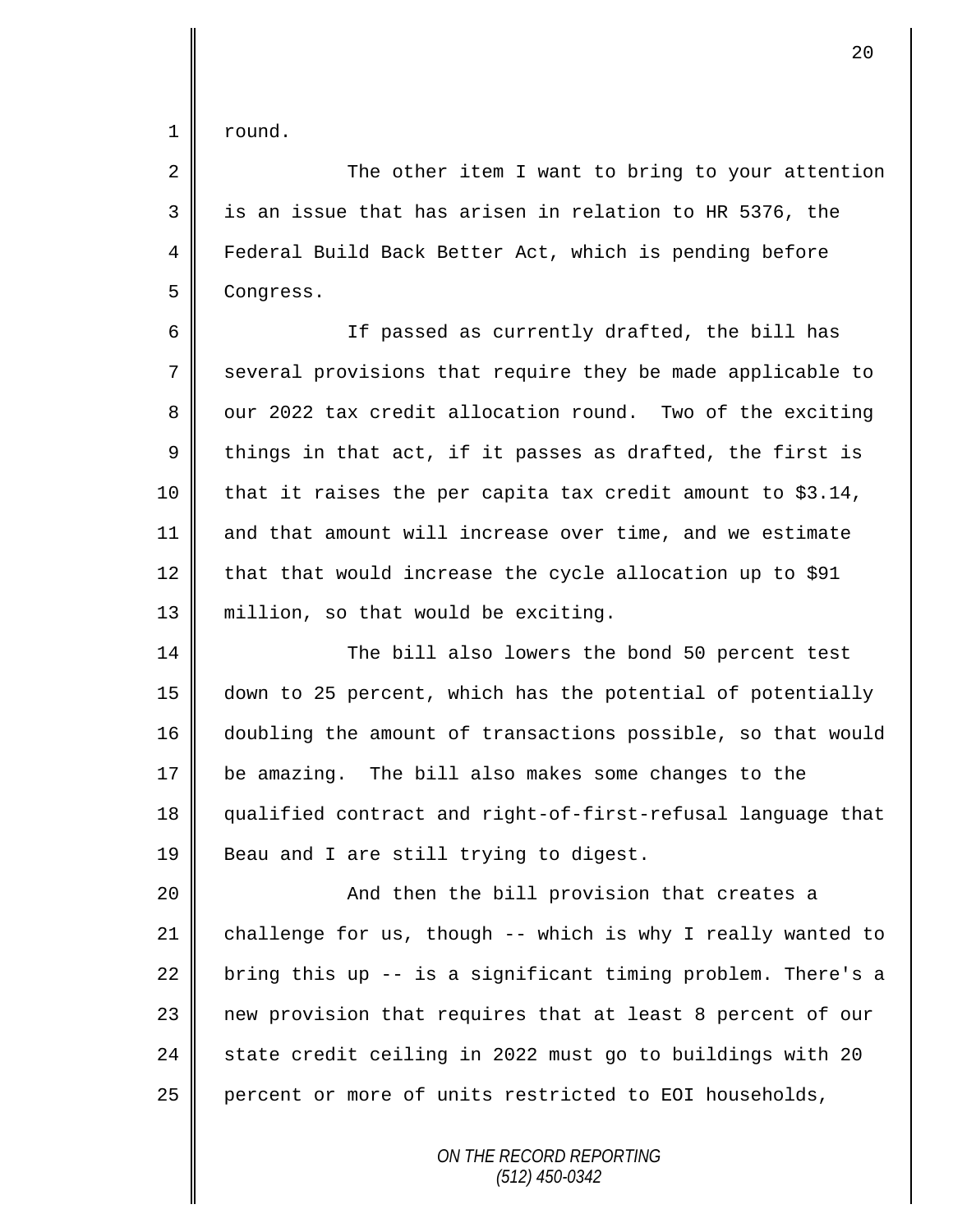$1 \parallel$  round.

2 || The other item I want to bring to your attention  $3 \parallel$  is an issue that has arisen in relation to HR 5376, the 4 Federal Build Back Better Act, which is pending before 5 **Congress.** 

6 || If passed as currently drafted, the bill has 7 Several provisions that require they be made applicable to  $8 \parallel$  our 2022 tax credit allocation round. Two of the exciting 9  $\parallel$  things in that act, if it passes as drafted, the first is 10 that it raises the per capita tax credit amount to \$3.14, 11 and that amount will increase over time, and we estimate 12  $\parallel$  that that would increase the cycle allocation up to \$91 13 million, so that would be exciting.

14 The bill also lowers the bond 50 percent test down to 25 percent, which has the potential of potentially doubling the amount of transactions possible, so that would be amazing. The bill also makes some changes to the qualified contract and right-of-first-refusal language that **Beau and I are still trying to digest.** 

20 || And then the bill provision that creates a 21 challenge for us, though  $-$ - which is why I really wanted to 22 bring this up -- is a significant timing problem. There's a 23 | new provision that requires that at least 8 percent of our 24  $\parallel$  state credit ceiling in 2022 must go to buildings with 20 25 percent or more of units restricted to EOI households,

> *ON THE RECORD REPORTING (512) 450-0342*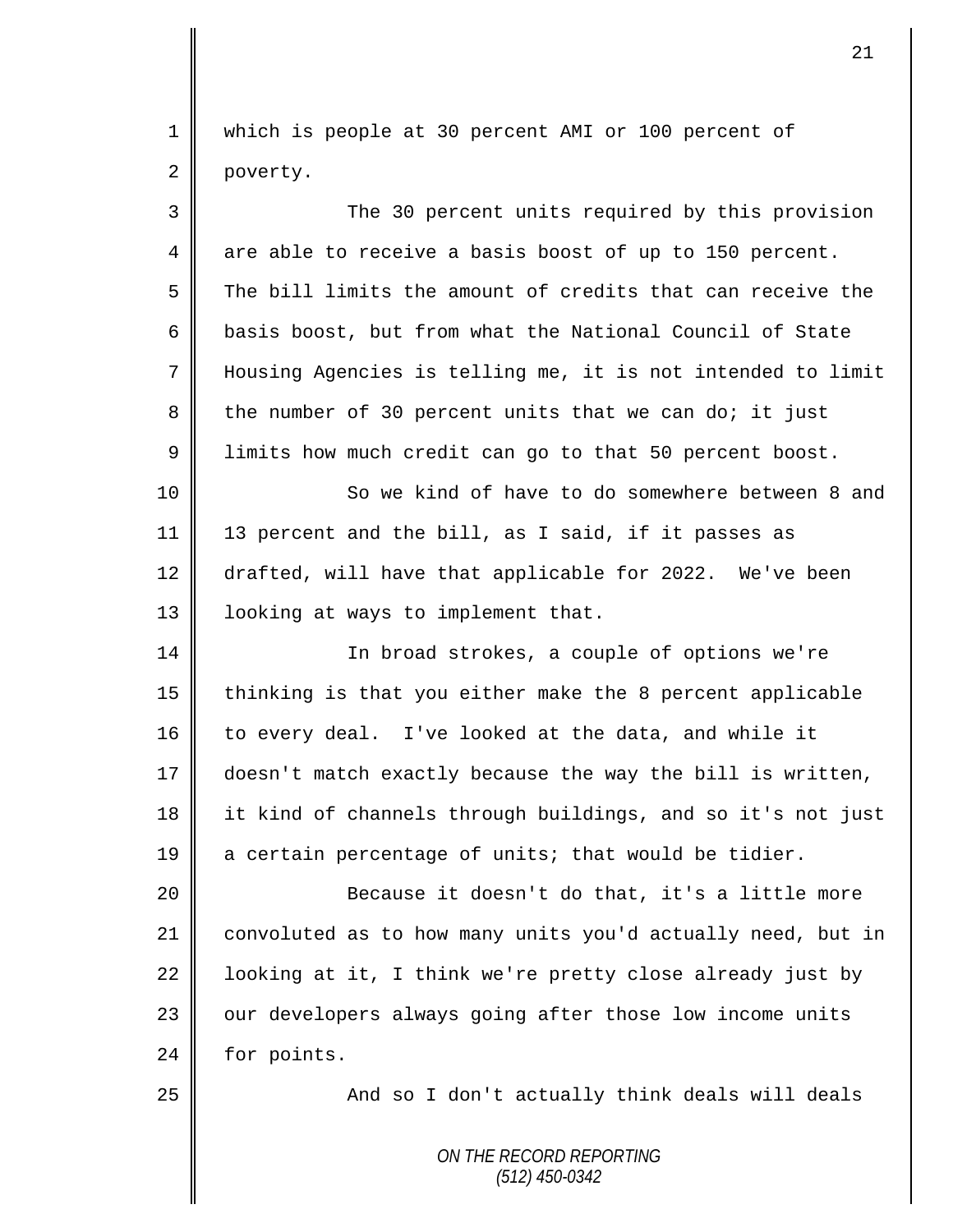1 which is people at 30 percent AMI or 100 percent of 2 poverty.

| 3  | The 30 percent units required by this provision             |
|----|-------------------------------------------------------------|
| 4  | are able to receive a basis boost of up to 150 percent.     |
| 5  | The bill limits the amount of credits that can receive the  |
| 6  | basis boost, but from what the National Council of State    |
| 7  | Housing Agencies is telling me, it is not intended to limit |
| 8  | the number of 30 percent units that we can do; it just      |
| 9  | limits how much credit can go to that 50 percent boost.     |
| 10 | So we kind of have to do somewhere between 8 and            |
| 11 | 13 percent and the bill, as I said, if it passes as         |
| 12 | drafted, will have that applicable for 2022. We've been     |
| 13 | looking at ways to implement that.                          |
| 14 | In broad strokes, a couple of options we're                 |
| 15 | thinking is that you either make the 8 percent applicable   |
| 16 | to every deal. I've looked at the data, and while it        |
| 17 | doesn't match exactly because the way the bill is written,  |
| 18 | it kind of channels through buildings, and so it's not just |
| 19 | a certain percentage of units; that would be tidier.        |
| 20 | Because it doesn't do that, it's a little more              |
| 21 | convoluted as to how many units you'd actually need, but in |
| 22 | looking at it, I think we're pretty close already just by   |
| 23 | our developers always going after those low income units    |
| 24 | for points.                                                 |
| 25 | And so I don't actually think deals will deals              |
|    | ON THE RECORD REPORTING                                     |

*(512) 450-0342*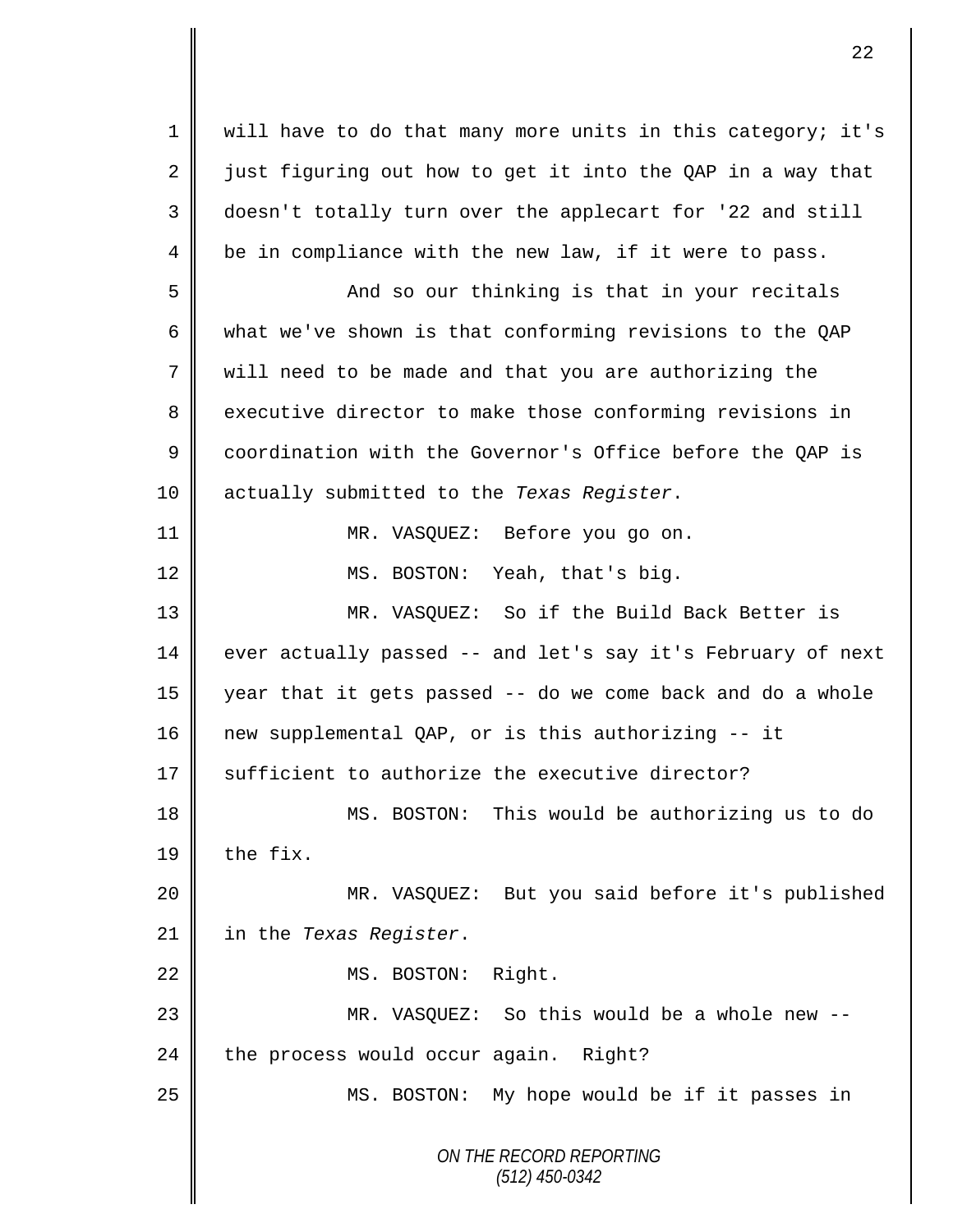1 || will have to do that many more units in this category; it's 2 just figuring out how to get it into the QAP in a way that 3 doesn't totally turn over the applecart for '22 and still  $4 \parallel$  be in compliance with the new law, if it were to pass.

 And so our thinking is that in your recitals what we've shown is that conforming revisions to the QAP will need to be made and that you are authorizing the 8 executive director to make those conforming revisions in 9 | coordination with the Governor's Office before the QAP is actually submitted to the *Texas Register*.

| $11$           |  | MR. VASQUEZ: Before you go on. |
|----------------|--|--------------------------------|
| $\frac{12}{ }$ |  | MS. BOSTON: Yeah, that's big.  |

13 MR. VASQUEZ: So if the Build Back Better is 14 ever actually passed -- and let's say it's February of next 15 year that it gets passed -- do we come back and do a whole 16 new supplemental QAP, or is this authorizing -- it  $17 \parallel$  sufficient to authorize the executive director?

18 MS. BOSTON: This would be authorizing us to do 19  $\parallel$  the fix.

20 MR. VASQUEZ: But you said before it's published 21 in the *Texas Register*.

22 | MS. BOSTON: Right.

23 || MR. VASQUEZ: So this would be a whole new -- $24$  the process would occur again. Right?

25 || MS. BOSTON: My hope would be if it passes in

*ON THE RECORD REPORTING (512) 450-0342*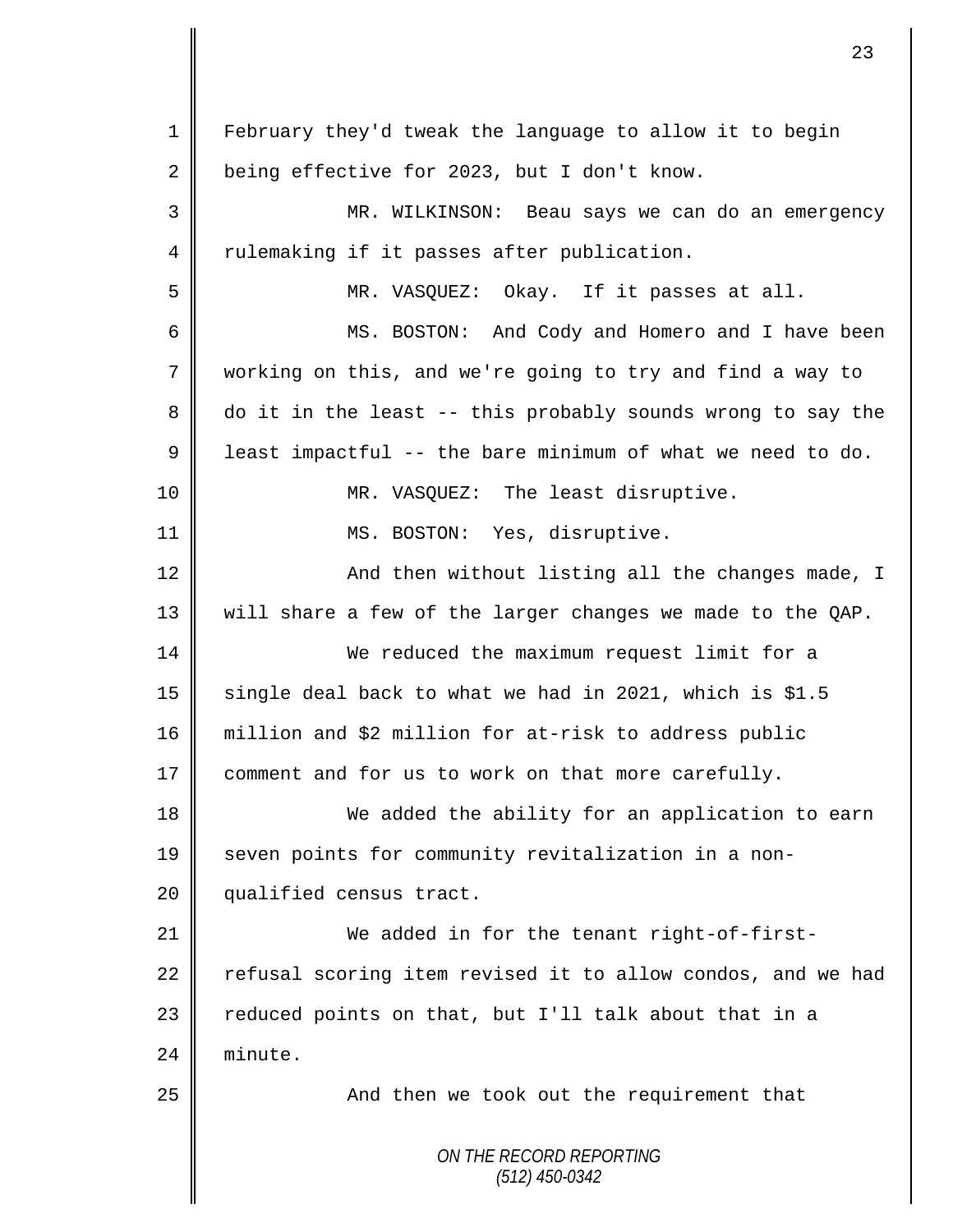*ON THE RECORD REPORTING (512) 450-0342* 1 February they'd tweak the language to allow it to begin 2 being effective for 2023, but I don't know. 3 MR. WILKINSON: Beau says we can do an emergency 4 Tulemaking if it passes after publication. 5 MR. VASQUEZ: Okay. If it passes at all. 6 MS. BOSTON: And Cody and Homero and I have been 7 working on this, and we're going to try and find a way to 8 do it in the least -- this probably sounds wrong to say the  $9 \parallel$  least impactful -- the bare minimum of what we need to do. 10 || MR. VASQUEZ: The least disruptive. 11 || MS. BOSTON: Yes, disruptive. 12 || And then without listing all the changes made, I 13 will share a few of the larger changes we made to the QAP. 14 We reduced the maximum request limit for a 15 | single deal back to what we had in 2021, which is \$1.5 16 million and \$2 million for at-risk to address public 17  $\parallel$  comment and for us to work on that more carefully. 18 We added the ability for an application to earn 19 seven points for community revitalization in a non-20 | qualified census tract. 21 We added in for the tenant right-of-first- $22$  refusal scoring item revised it to allow condos, and we had 23  $\parallel$  reduced points on that, but I'll talk about that in a 24  $\parallel$  minute. 25 || And then we took out the requirement that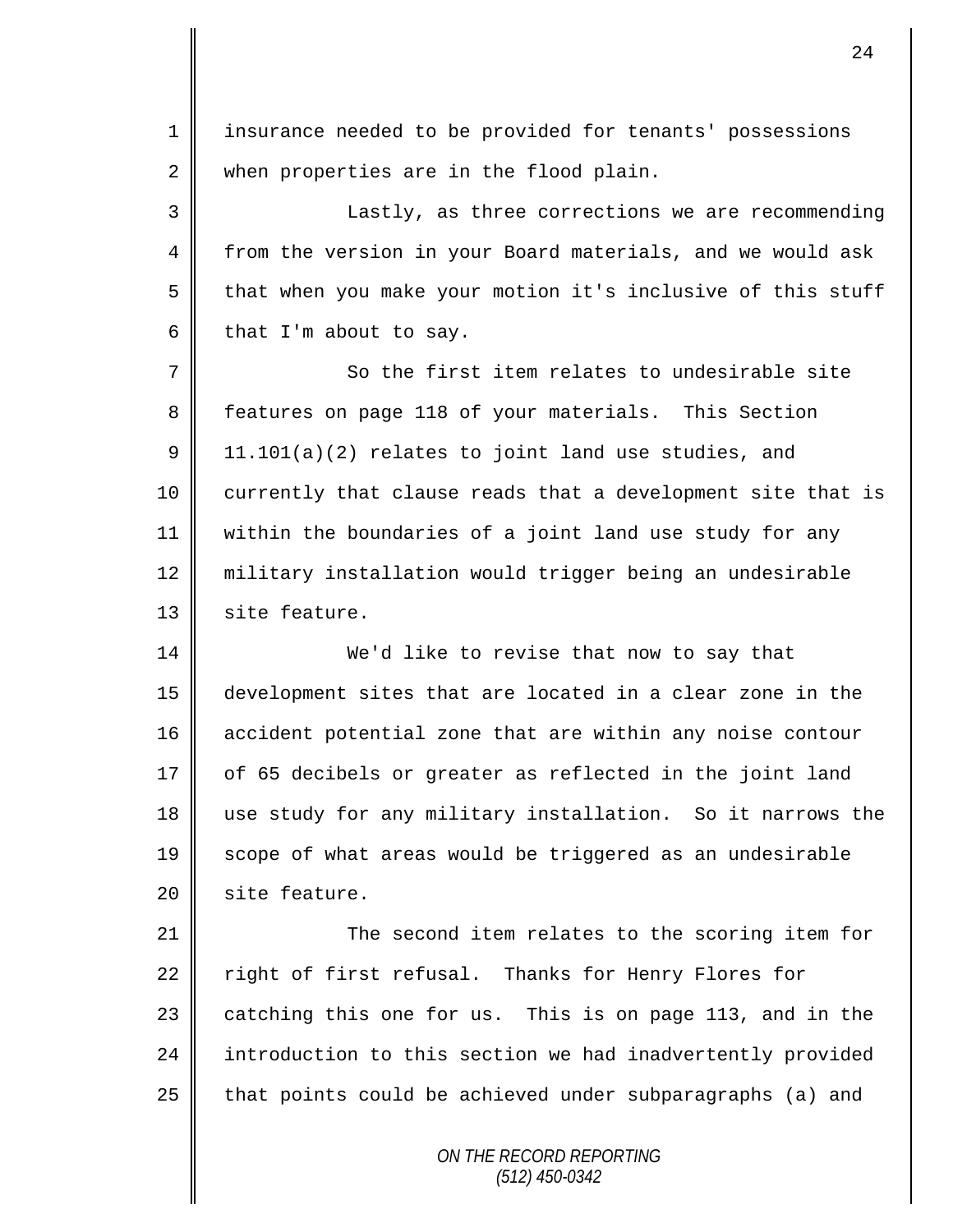1 || insurance needed to be provided for tenants' possessions 2 when properties are in the flood plain.

3 Lastly, as three corrections we are recommending 4 from the version in your Board materials, and we would ask 5 that when you make your motion it's inclusive of this stuff 6 that I'm about to say.

7 So the first item relates to undesirable site 8 features on page 118 of your materials. This Section  $9 \parallel 11.101(a)(2)$  relates to joint land use studies, and 10 | currently that clause reads that a development site that is 11 within the boundaries of a joint land use study for any 12 military installation would trigger being an undesirable 13 | site feature.

14 We'd like to revise that now to say that 15 development sites that are located in a clear zone in the 16 accident potential zone that are within any noise contour  $17$  | of 65 decibels or greater as reflected in the joint land 18 use study for any military installation. So it narrows the 19 || scope of what areas would be triggered as an undesirable 20 | site feature.

21 | The second item relates to the scoring item for 22 right of first refusal. Thanks for Henry Flores for  $23$  catching this one for us. This is on page 113, and in the 24 introduction to this section we had inadvertently provided 25  $\parallel$  that points could be achieved under subparagraphs (a) and

> *ON THE RECORD REPORTING (512) 450-0342*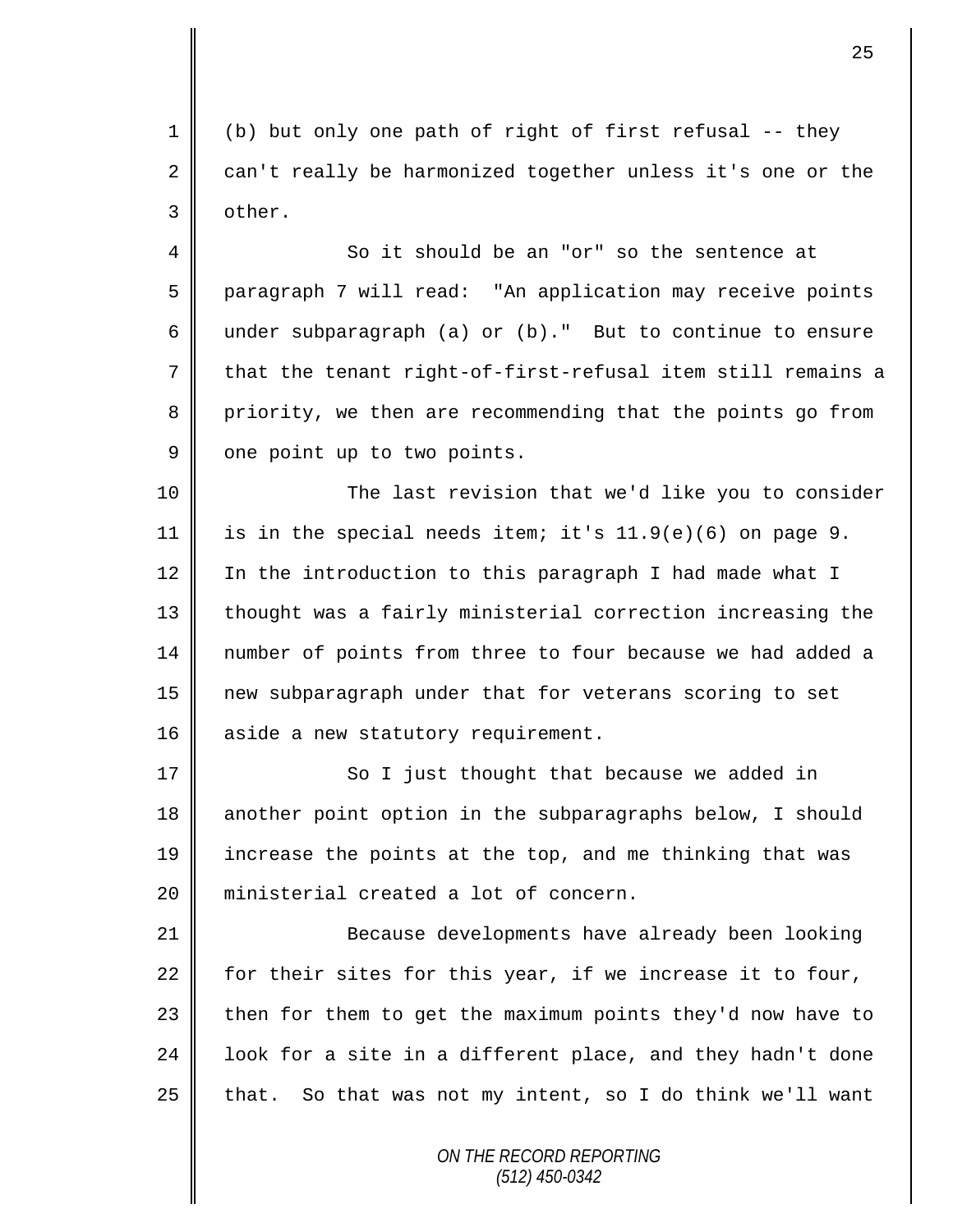1 || (b) but only one path of right of first refusal  $-$ - they 2 can't really be harmonized together unless it's one or the 3 other.

4 So it should be an "or" so the sentence at 5 paragraph 7 will read: "An application may receive points 6 under subparagraph (a) or  $(b)$ ." But to continue to ensure 7 that the tenant right-of-first-refusal item still remains a 8 priority, we then are recommending that the points go from  $9 \parallel$  one point up to two points.

10 The last revision that we'd like you to consider 11 is in the special needs item; it's  $11.9(e)(6)$  on page 9. 12 | In the introduction to this paragraph I had made what I 13 | thought was a fairly ministerial correction increasing the 14 number of points from three to four because we had added a 15 new subparagraph under that for veterans scoring to set 16 aside a new statutory requirement.

17 || So I just thought that because we added in 18 another point option in the subparagraphs below, I should 19 increase the points at the top, and me thinking that was 20 ministerial created a lot of concern.

21 Because developments have already been looking 22 for their sites for this year, if we increase it to four,  $23$  then for them to get the maximum points they'd now have to 24 | look for a site in a different place, and they hadn't done 25  $\parallel$  that. So that was not my intent, so I do think we'll want

> *ON THE RECORD REPORTING (512) 450-0342*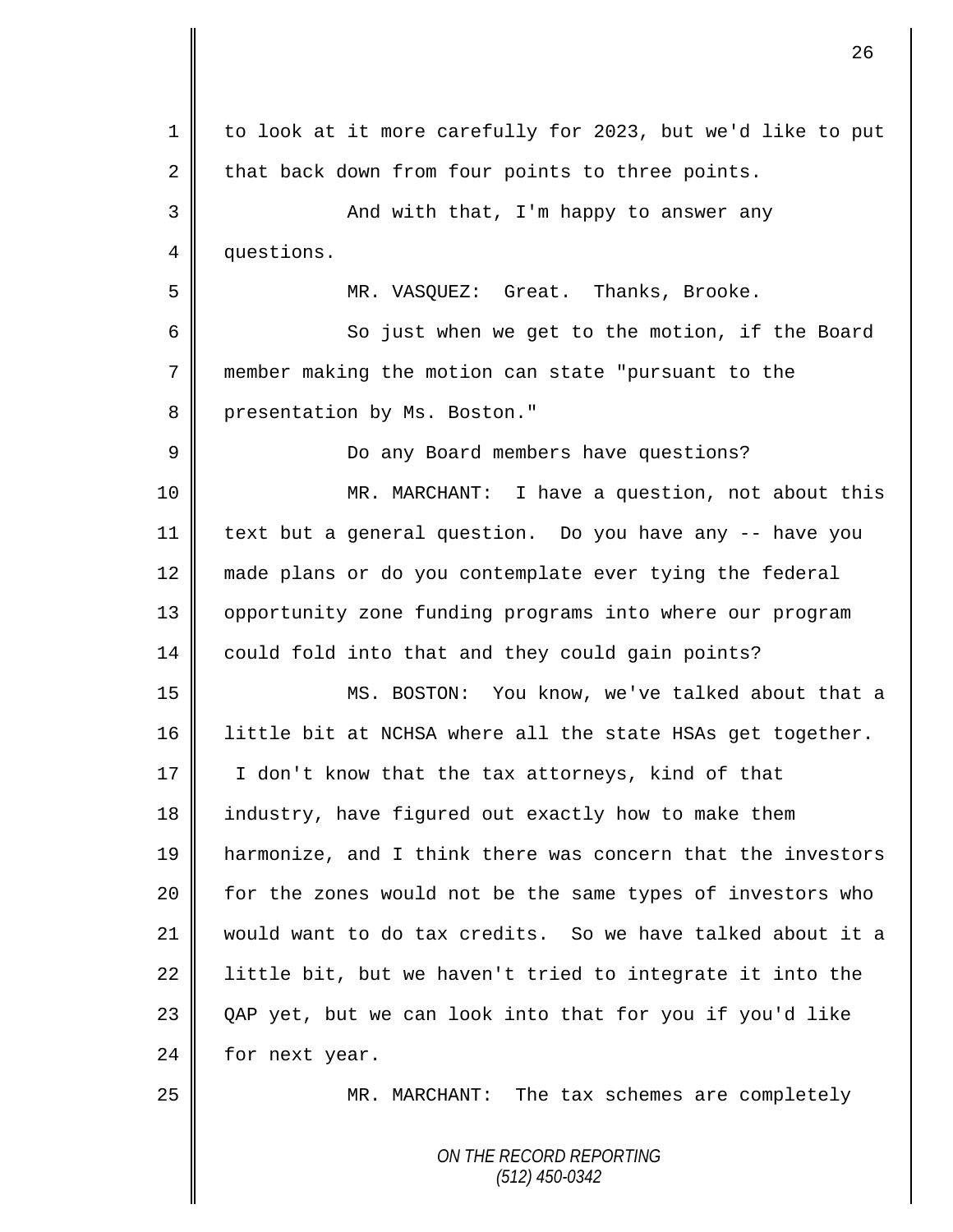| $\mathbf 1$ | to look at it more carefully for 2023, but we'd like to put |
|-------------|-------------------------------------------------------------|
| 2           | that back down from four points to three points.            |
| 3           | And with that, I'm happy to answer any                      |
| 4           | questions.                                                  |
| 5           | MR. VASQUEZ: Great. Thanks, Brooke.                         |
| 6           | So just when we get to the motion, if the Board             |
| 7           | member making the motion can state "pursuant to the         |
| 8           | presentation by Ms. Boston."                                |
| 9           | Do any Board members have questions?                        |
| 10          | MR. MARCHANT: I have a question, not about this             |
| 11          | text but a general question. Do you have any -- have you    |
| 12          | made plans or do you contemplate ever tying the federal     |
| 13          | opportunity zone funding programs into where our program    |
| 14          | could fold into that and they could gain points?            |
| 15          | MS. BOSTON: You know, we've talked about that a             |
| 16          | little bit at NCHSA where all the state HSAs get together.  |
| 17          | I don't know that the tax attorneys, kind of that           |
| 18          | industry, have figured out exactly how to make them         |
| 19          | harmonize, and I think there was concern that the investors |
| 20          | for the zones would not be the same types of investors who  |
| 21          | would want to do tax credits. So we have talked about it a  |
| 22          | little bit, but we haven't tried to integrate it into the   |
| 23          | QAP yet, but we can look into that for you if you'd like    |
| 24          | for next year.                                              |
| 25          | MR. MARCHANT: The tax schemes are completely                |
|             | ON THE RECORD REPORTING<br>$(512)$ 450-0342                 |

 $\overline{\mathsf{I}}$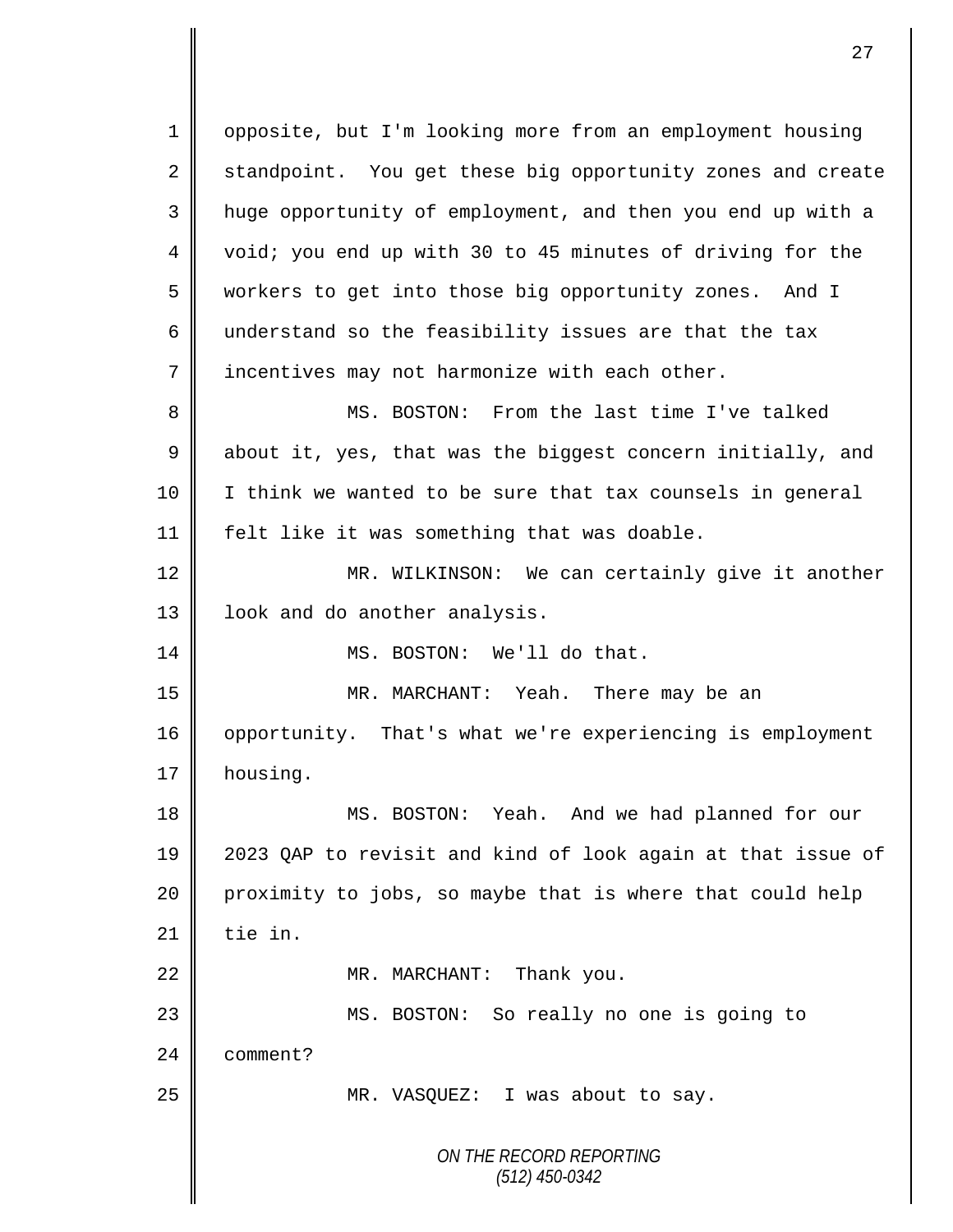*ON THE RECORD REPORTING (512) 450-0342* 1 | opposite, but I'm looking more from an employment housing 2 standpoint. You get these big opportunity zones and create 3 || huge opportunity of employment, and then you end up with a 4 | void; you end up with 30 to 45 minutes of driving for the 5 workers to get into those big opportunity zones. And I 6 understand so the feasibility issues are that the tax 7 | incentives may not harmonize with each other. 8 MS. BOSTON: From the last time I've talked 9  $\parallel$  about it, yes, that was the biggest concern initially, and 10 | I think we wanted to be sure that tax counsels in general 11 felt like it was something that was doable. 12 || MR. WILKINSON: We can certainly give it another 13 | look and do another analysis. 14 MS. BOSTON: We'll do that. 15 MR. MARCHANT: Yeah. There may be an 16 | opportunity. That's what we're experiencing is employment 17 housing. 18 || MS. BOSTON: Yeah. And we had planned for our 19 2023 QAP to revisit and kind of look again at that issue of 20 proximity to jobs, so maybe that is where that could help  $21$   $\parallel$  tie in. 22 || MR. MARCHANT: Thank you. 23 || MS. BOSTON: So really no one is going to 24 **comment?** 25 MR. VASQUEZ: I was about to say.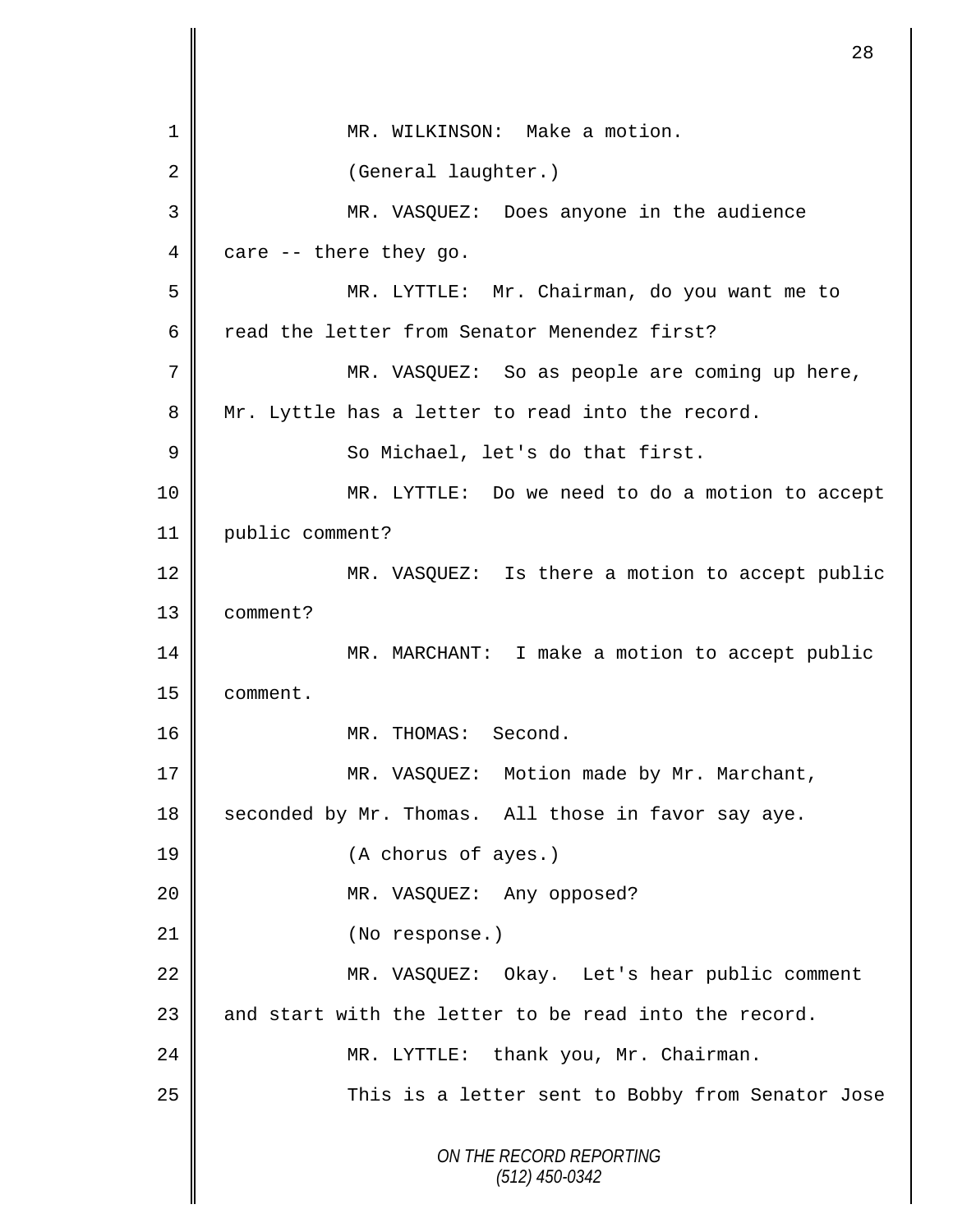| 1  | MR. WILKINSON: Make a motion.                         |
|----|-------------------------------------------------------|
| 2  | (General laughter.)                                   |
| 3  | MR. VASQUEZ: Does anyone in the audience              |
| 4  | care -- there they go.                                |
| 5  | MR. LYTTLE: Mr. Chairman, do you want me to           |
| 6  | read the letter from Senator Menendez first?          |
| 7  | MR. VASQUEZ: So as people are coming up here,         |
| 8  | Mr. Lyttle has a letter to read into the record.      |
| 9  | So Michael, let's do that first.                      |
| 10 | MR. LYTTLE: Do we need to do a motion to accept       |
| 11 | public comment?                                       |
| 12 | MR. VASQUEZ: Is there a motion to accept public       |
| 13 | comment?                                              |
| 14 | MR. MARCHANT: I make a motion to accept public        |
| 15 | comment.                                              |
| 16 | MR. THOMAS: Second.                                   |
| 17 | MR. VASQUEZ: Motion made by Mr. Marchant,             |
| 18 | seconded by Mr. Thomas. All those in favor say aye.   |
| 19 | (A chorus of ayes.)                                   |
| 20 | MR. VASQUEZ: Any opposed?                             |
| 21 | (No response.)                                        |
| 22 | MR. VASQUEZ: Okay. Let's hear public comment          |
| 23 | and start with the letter to be read into the record. |
| 24 | MR. LYTTLE: thank you, Mr. Chairman.                  |
| 25 | This is a letter sent to Bobby from Senator Jose      |
|    | ON THE RECORD REPORTING<br>$(512)$ 450-0342           |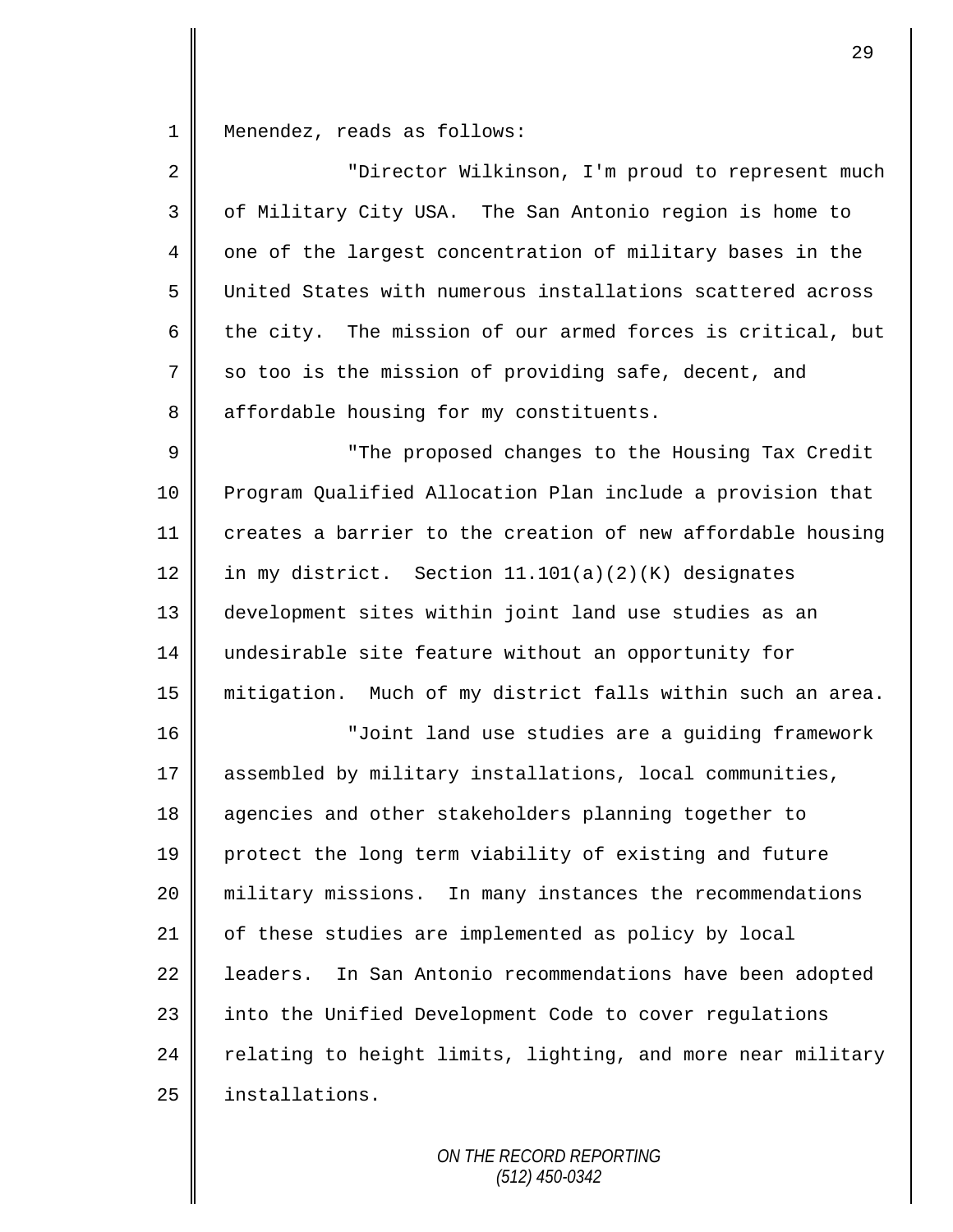1 Menendez, reads as follows:

| $\overline{2}$ | "Director Wilkinson, I'm proud to represent much             |
|----------------|--------------------------------------------------------------|
| 3              | of Military City USA. The San Antonio region is home to      |
| 4              | one of the largest concentration of military bases in the    |
| 5              | United States with numerous installations scattered across   |
| 6              | the city. The mission of our armed forces is critical, but   |
| 7              | so too is the mission of providing safe, decent, and         |
| 8              | affordable housing for my constituents.                      |
| 9              | "The proposed changes to the Housing Tax Credit              |
| 10             | Program Qualified Allocation Plan include a provision that   |
| 11             | creates a barrier to the creation of new affordable housing  |
| 12             | in my district. Section 11.101(a)(2)(K) designates           |
| 13             | development sites within joint land use studies as an        |
| 14             | undesirable site feature without an opportunity for          |
| 15             | mitigation. Much of my district falls within such an area.   |
| 16             | "Joint land use studies are a guiding framework              |
| 17             | assembled by military installations, local communities,      |
| 18             | agencies and other stakeholders planning together to         |
| 19             | protect the long term viability of existing and future       |
| 20             | military missions. In many instances the recommendations     |
| 21             | of these studies are implemented as policy by local          |
| 22             | In San Antonio recommendations have been adopted<br>leaders. |
| 23             | into the Unified Development Code to cover regulations       |
| 24             | relating to height limits, lighting, and more near military  |
| 25             | installations.                                               |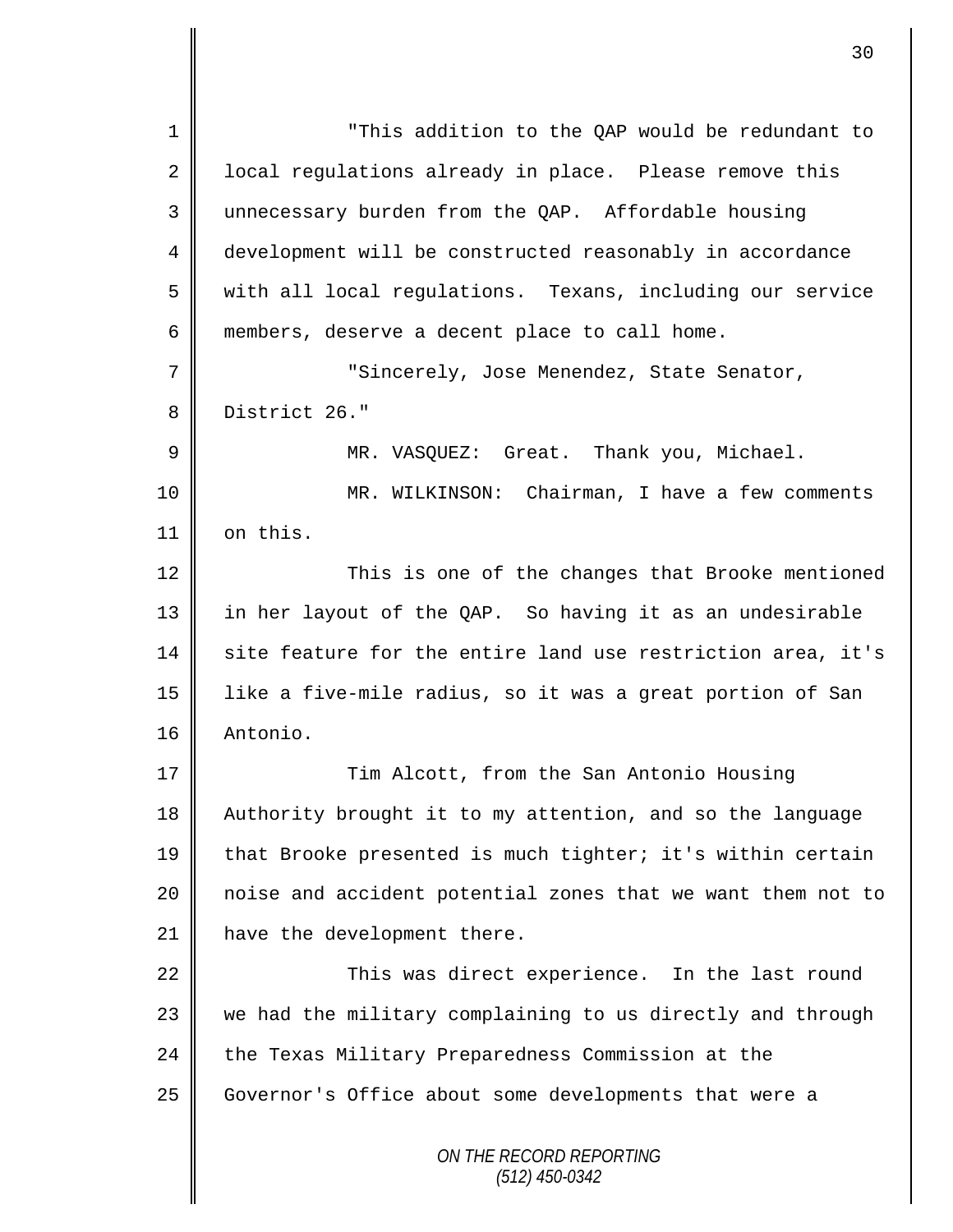*ON THE RECORD REPORTING (512) 450-0342* 1 "This addition to the QAP would be redundant to 2 | local regulations already in place. Please remove this 3 unnecessary burden from the QAP. Affordable housing 4 development will be constructed reasonably in accordance 5 with all local regulations. Texans, including our service 6 members, deserve a decent place to call home. 7 "Sincerely, Jose Menendez, State Senator, 8 District 26." 9 || MR. VASQUEZ: Great. Thank you, Michael. 10 MR. WILKINSON: Chairman, I have a few comments 11 | on this. 12 || This is one of the changes that Brooke mentioned 13 in her layout of the QAP. So having it as an undesirable  $14$  site feature for the entire land use restriction area, it's 15 like a five-mile radius, so it was a great portion of San 16 Antonio. 17 Tim Alcott, from the San Antonio Housing 18 Authority brought it to my attention, and so the language 19 that Brooke presented is much tighter; it's within certain 20 || noise and accident potential zones that we want them not to 21 | have the development there. 22 | This was direct experience. In the last round 23 we had the military complaining to us directly and through 24 the Texas Military Preparedness Commission at the 25 | Governor's Office about some developments that were a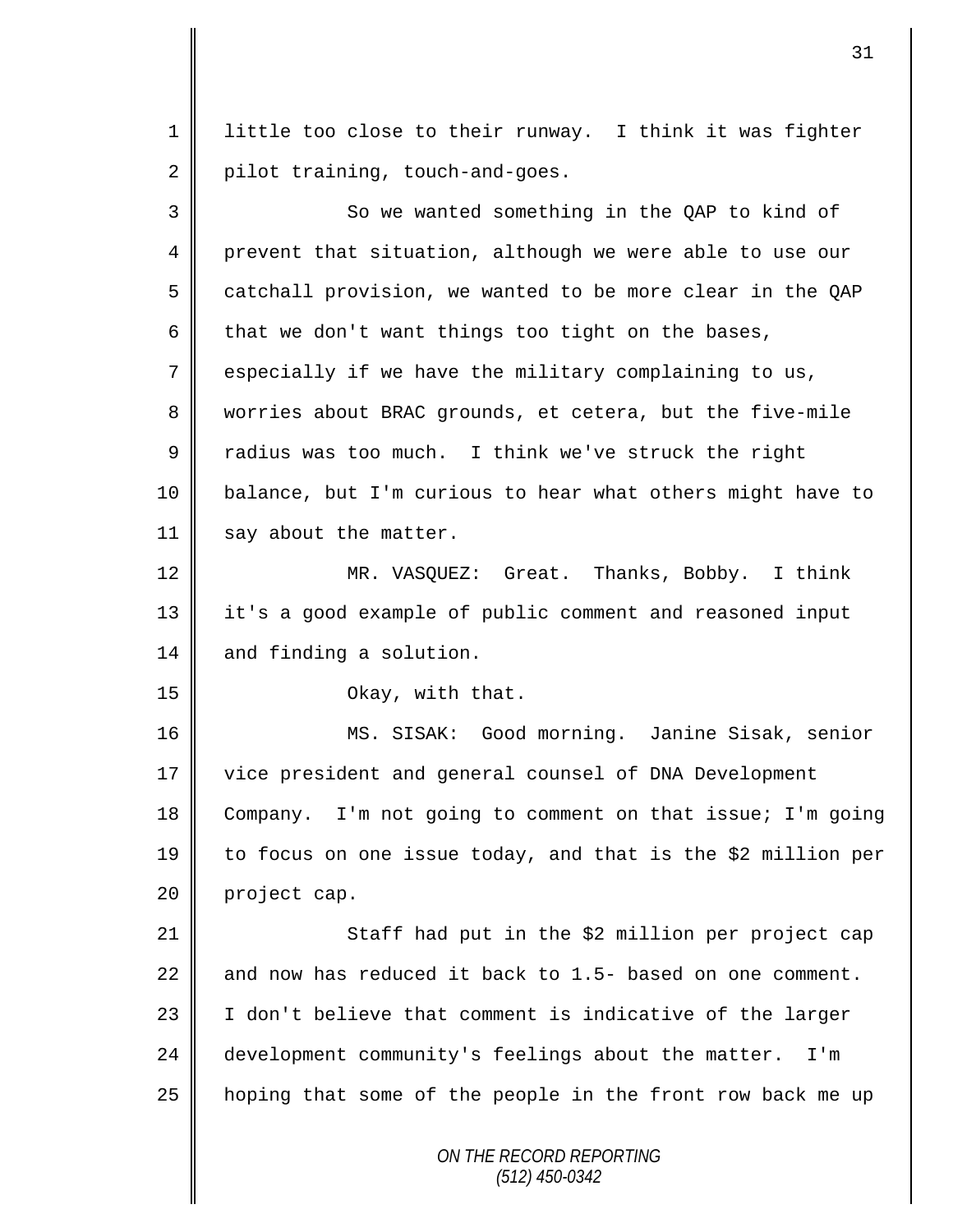1 | little too close to their runway. I think it was fighter 2 pilot training, touch-and-goes.

| 3  | So we wanted something in the QAP to kind of                 |
|----|--------------------------------------------------------------|
| 4  | prevent that situation, although we were able to use our     |
| 5  | catchall provision, we wanted to be more clear in the QAP    |
| 6  | that we don't want things too tight on the bases,            |
| 7  | especially if we have the military complaining to us,        |
| 8  | worries about BRAC grounds, et cetera, but the five-mile     |
| 9  | radius was too much. I think we've struck the right          |
| 10 | balance, but I'm curious to hear what others might have to   |
| 11 | say about the matter.                                        |
| 12 | MR. VASQUEZ: Great. Thanks, Bobby. I think                   |
| 13 | it's a good example of public comment and reasoned input     |
| 14 | and finding a solution.                                      |
| 15 | Okay, with that.                                             |
| 16 | MS. SISAK: Good morning. Janine Sisak, senior                |
| 17 | vice president and general counsel of DNA Development        |
| 18 | Company. I'm not going to comment on that issue; I'm going   |
| 19 | to focus on one issue today, and that is the \$2 million per |
| 20 | project cap.                                                 |
| 21 | Staff had put in the \$2 million per project cap             |
| 22 | and now has reduced it back to 1.5- based on one comment.    |
| 23 | I don't believe that comment is indicative of the larger     |
| 24 | development community's feelings about the matter.<br>I'm    |
| 25 | hoping that some of the people in the front row back me up   |
|    | ON THE RECORD REPORTING<br>$(512)$ 450-0342                  |

II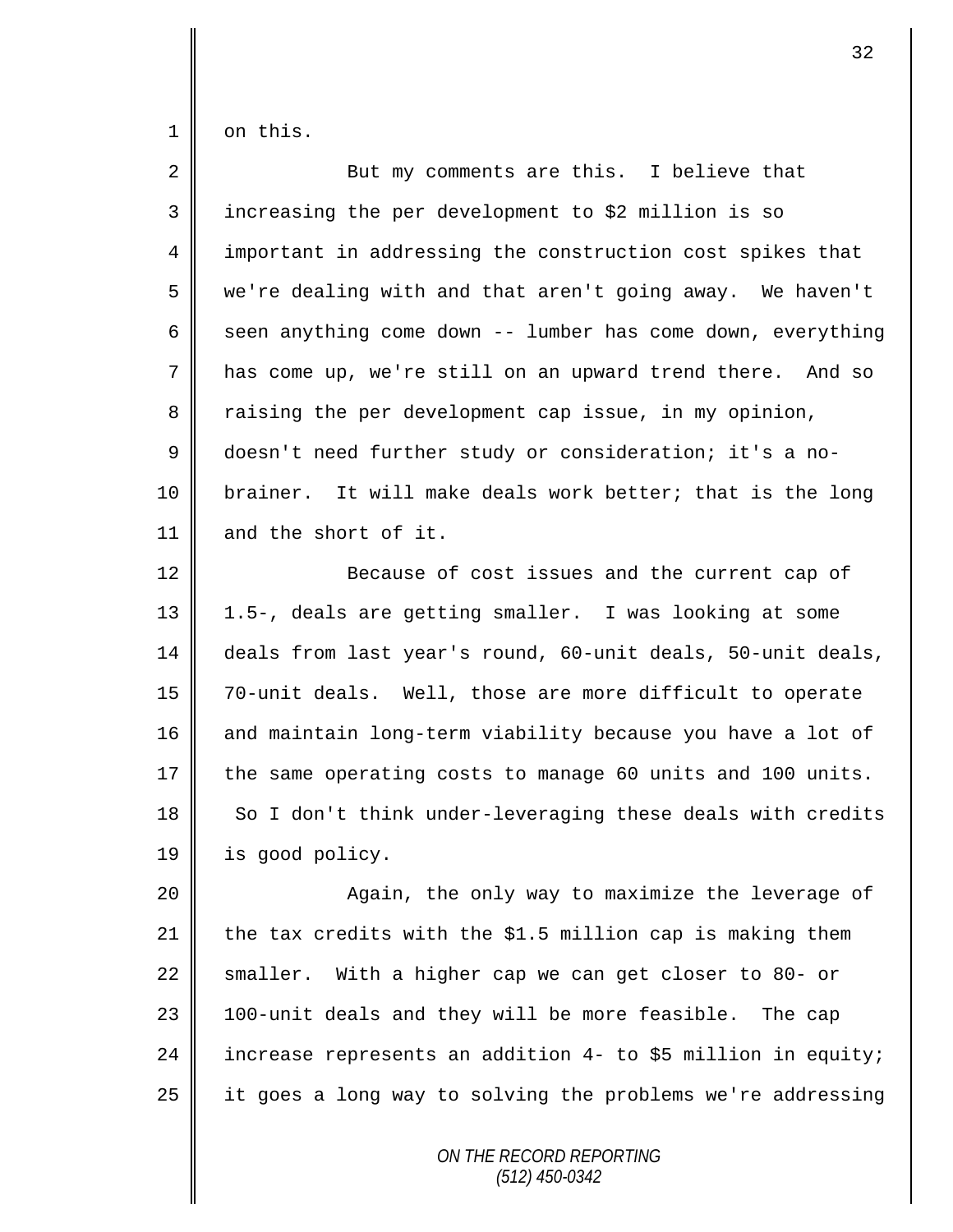$1 \parallel$  on this.

| $\overline{2}$ | But my comments are this. I believe that                     |
|----------------|--------------------------------------------------------------|
| 3              | increasing the per development to \$2 million is so          |
| 4              | important in addressing the construction cost spikes that    |
| 5              | we're dealing with and that aren't going away. We haven't    |
| 6              | seen anything come down -- lumber has come down, everything  |
| 7              | has come up, we're still on an upward trend there. And so    |
| 8              | raising the per development cap issue, in my opinion,        |
| $\mathsf 9$    | doesn't need further study or consideration; it's a no-      |
| 10             | brainer. It will make deals work better; that is the long    |
| 11             | and the short of it.                                         |
| 12             | Because of cost issues and the current cap of                |
| 13             | 1.5-, deals are getting smaller. I was looking at some       |
| 14             | deals from last year's round, 60-unit deals, 50-unit deals,  |
| 15             | 70-unit deals. Well, those are more difficult to operate     |
| 16             | and maintain long-term viability because you have a lot of   |
| 17             | the same operating costs to manage 60 units and 100 units.   |
| 18             | So I don't think under-leveraging these deals with credits   |
| 19             | is good policy.                                              |
| 20             | Again, the only way to maximize the leverage of              |
| 21             | the tax credits with the \$1.5 million cap is making them    |
| 22             | smaller. With a higher cap we can get closer to 80- or       |
| 23             | 100-unit deals and they will be more feasible. The cap       |
| 24             | increase represents an addition 4- to \$5 million in equity; |
| 25             | it goes a long way to solving the problems we're addressing  |
|                |                                                              |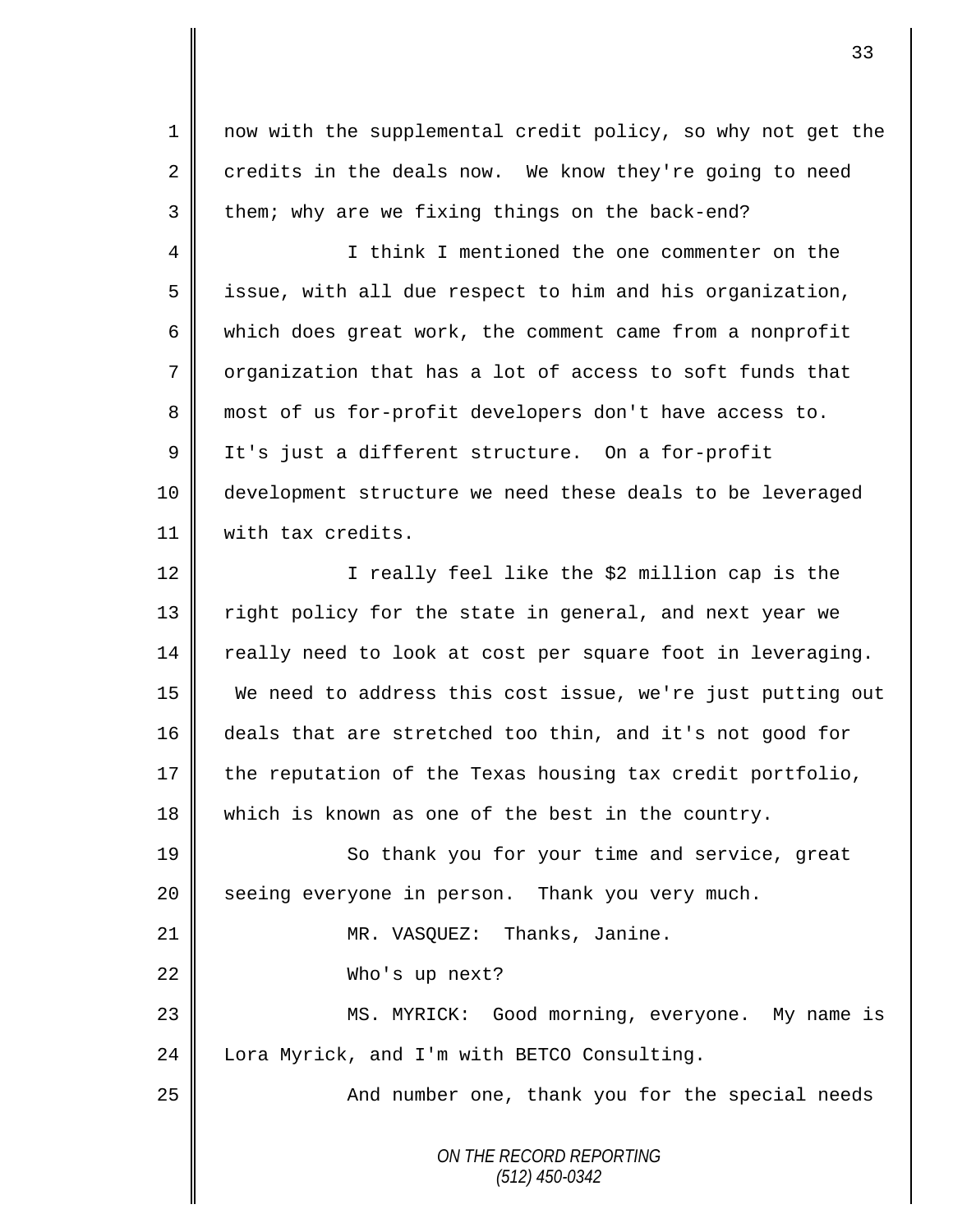1 || now with the supplemental credit policy, so why not get the  $2 \parallel$  credits in the deals now. We know they're going to need  $3 \parallel$  them; why are we fixing things on the back-end?

4 || I think I mentioned the one commenter on the  $5 \parallel$  issue, with all due respect to him and his organization, 6 which does great work, the comment came from a nonprofit 7 organization that has a lot of access to soft funds that 8 most of us for-profit developers don't have access to. 9 | It's just a different structure. On a for-profit 10 development structure we need these deals to be leveraged 11 with tax credits.

12 || I really feel like the \$2 million cap is the 13 || right policy for the state in general, and next year we  $14$  really need to look at cost per square foot in leveraging. 15 We need to address this cost issue, we're just putting out 16 deals that are stretched too thin, and it's not good for 17 the reputation of the Texas housing tax credit portfolio, 18 which is known as one of the best in the country.

19 || So thank you for your time and service, great 20 Seeing everyone in person. Thank you very much. 21 || MR. VASQUEZ: Thanks, Janine. 22 Who's up next? 23 || MS. MYRICK: Good morning, everyone. My name is 24 | Lora Myrick, and I'm with BETCO Consulting.

25 || And number one, thank you for the special needs

*ON THE RECORD REPORTING (512) 450-0342*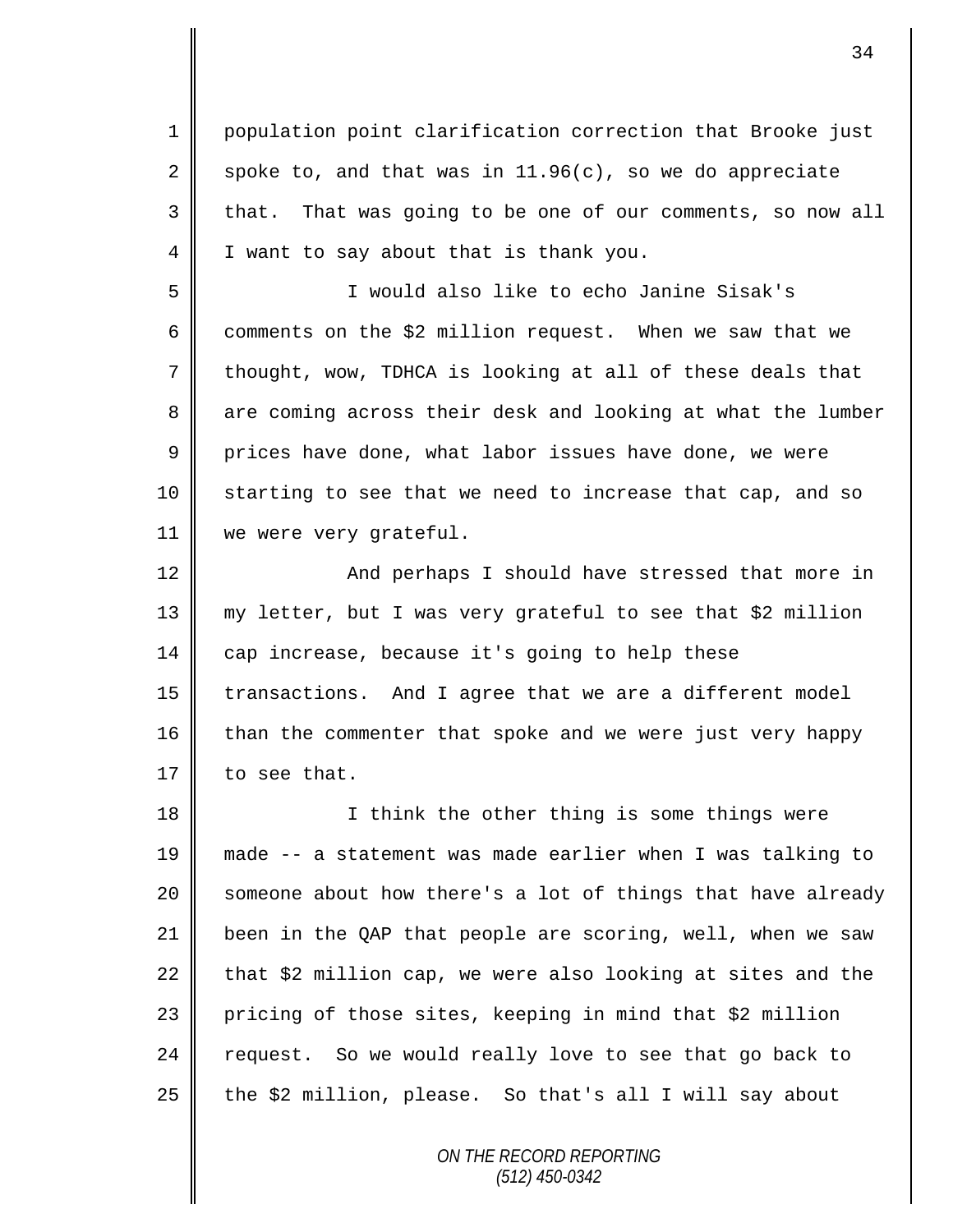1 population point clarification correction that Brooke just 2 spoke to, and that was in 11.96(c), so we do appreciate 3 that. That was going to be one of our comments, so now all 4 I I want to say about that is thank you.

5 I would also like to echo Janine Sisak's 6 comments on the \$2 million request. When we saw that we 7 thought, wow, TDHCA is looking at all of these deals that 8 are coming across their desk and looking at what the lumber 9 prices have done, what labor issues have done, we were 10 starting to see that we need to increase that cap, and so 11 || we were very grateful.

12 | And perhaps I should have stressed that more in 13 my letter, but I was very grateful to see that \$2 million 14 cap increase, because it's going to help these  $15$  | transactions. And I agree that we are a different model 16 than the commenter that spoke and we were just very happy 17 to see that.

18 || I think the other thing is some things were made -- a statement was made earlier when I was talking to  $\parallel$  someone about how there's a lot of things that have already been in the QAP that people are scoring, well, when we saw 22 that  $$2$  million cap, we were also looking at sites and the 23 pricing of those sites, keeping in mind that \$2 million request. So we would really love to see that go back to  $\parallel$  the \$2 million, please. So that's all I will say about

> *ON THE RECORD REPORTING (512) 450-0342*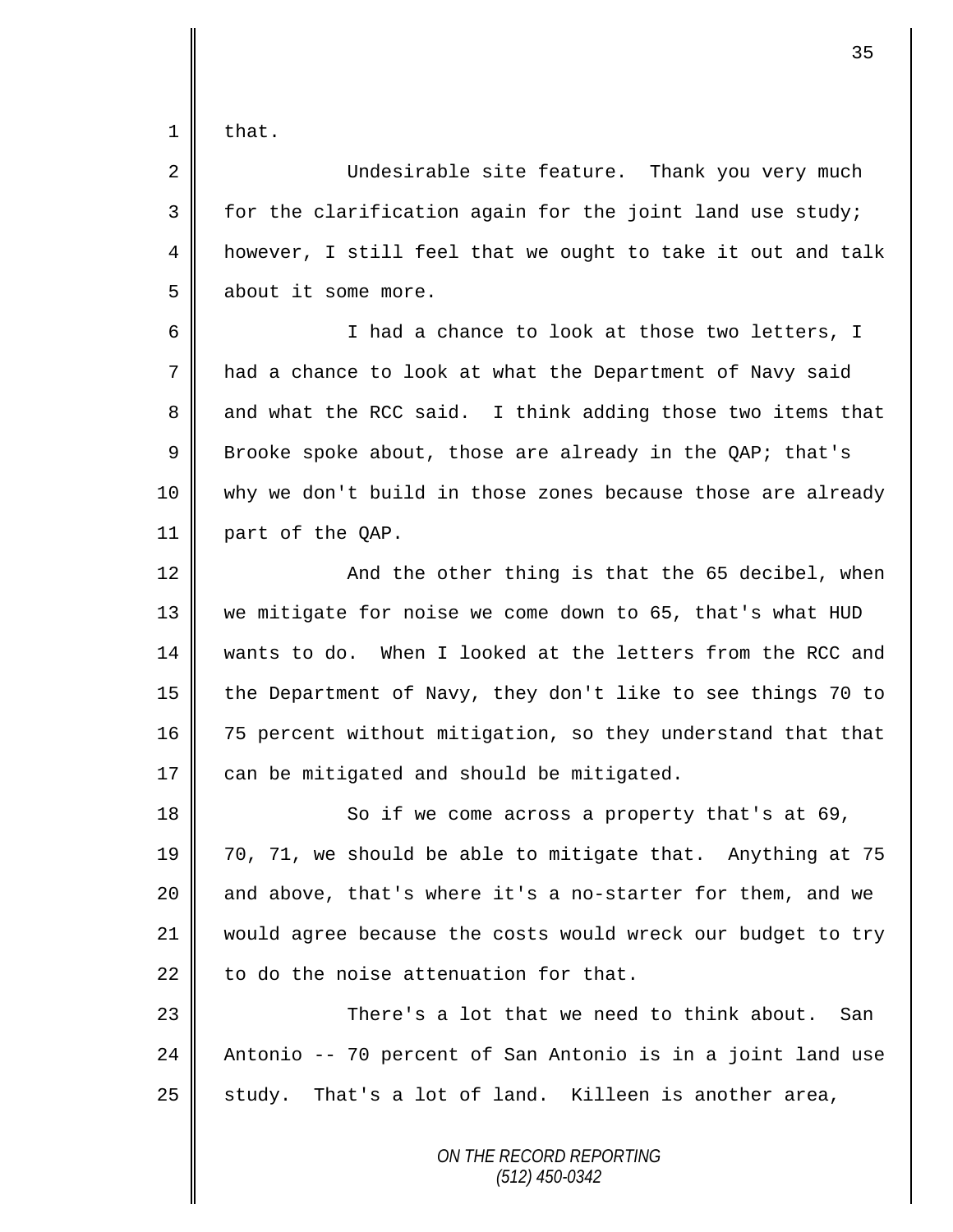$1 \parallel$  that.

2 Undesirable site feature. Thank you very much  $3 \parallel$  for the clarification again for the joint land use study; 4 | however, I still feel that we ought to take it out and talk 5 about it some more.

6 || I had a chance to look at those two letters, I 7 had a chance to look at what the Department of Navy said 8 and what the RCC said. I think adding those two items that 9 Brooke spoke about, those are already in the QAP; that's 10 why we don't build in those zones because those are already 11 part of the QAP.

  $\parallel$  and the other thing is that the 65 decibel, when we mitigate for noise we come down to 65, that's what HUD wants to do. When I looked at the letters from the RCC and 15 the Department of Navy, they don't like to see things 70 to 16 75 percent without mitigation, so they understand that that  $\parallel$  can be mitigated and should be mitigated.

18 || So if we come across a property that's at 69, 19 70, 71, we should be able to mitigate that. Anything at 75 20 and above, that's where it's a no-starter for them, and we 21 would agree because the costs would wreck our budget to try  $22$  | to do the noise attenuation for that.

23  $\parallel$  23 There's a lot that we need to think about. San 24  $\parallel$  Antonio -- 70 percent of San Antonio is in a joint land use  $25$  | study. That's a lot of land. Killeen is another area,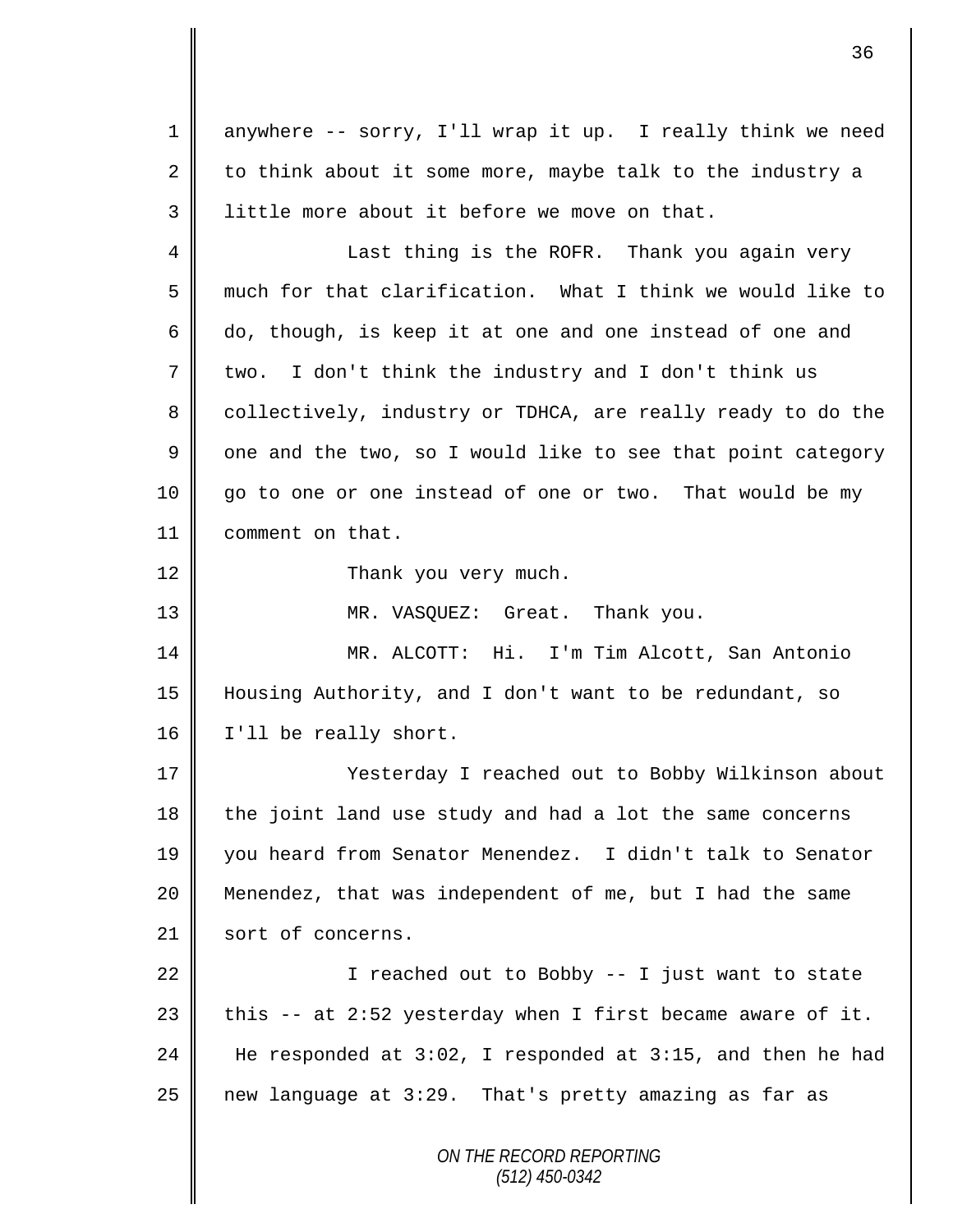*ON THE RECORD REPORTING (512) 450-0342* 1 anywhere -- sorry, I'll wrap it up. I really think we need 2 to think about it some more, maybe talk to the industry a 3 little more about it before we move on that. 4 || Last thing is the ROFR. Thank you again very 5 much for that clarification. What I think we would like to 6  $\parallel$  do, though, is keep it at one and one instead of one and  $7 \parallel$  two. I don't think the industry and I don't think us 8 collectively, industry or TDHCA, are really ready to do the  $9 \parallel$  one and the two, so I would like to see that point category 10 go to one or one instead of one or two. That would be my 11 comment on that. 12 | Thank you very much. 13 || MR. VASQUEZ: Great. Thank you. 14 MR. ALCOTT: Hi. I'm Tim Alcott, San Antonio 15 Housing Authority, and I don't want to be redundant, so 16 | I'll be really short. 17 || Yesterday I reached out to Bobby Wilkinson about  $18$  the joint land use study and had a lot the same concerns 19 you heard from Senator Menendez. I didn't talk to Senator 20 Menendez, that was independent of me, but I had the same 21 sort of concerns. 22  $\parallel$  I reached out to Bobby -- I just want to state 23  $\parallel$  this -- at 2:52 yesterday when I first became aware of it. 24  $\parallel$  He responded at 3:02, I responded at 3:15, and then he had 25 new language at 3:29. That's pretty amazing as far as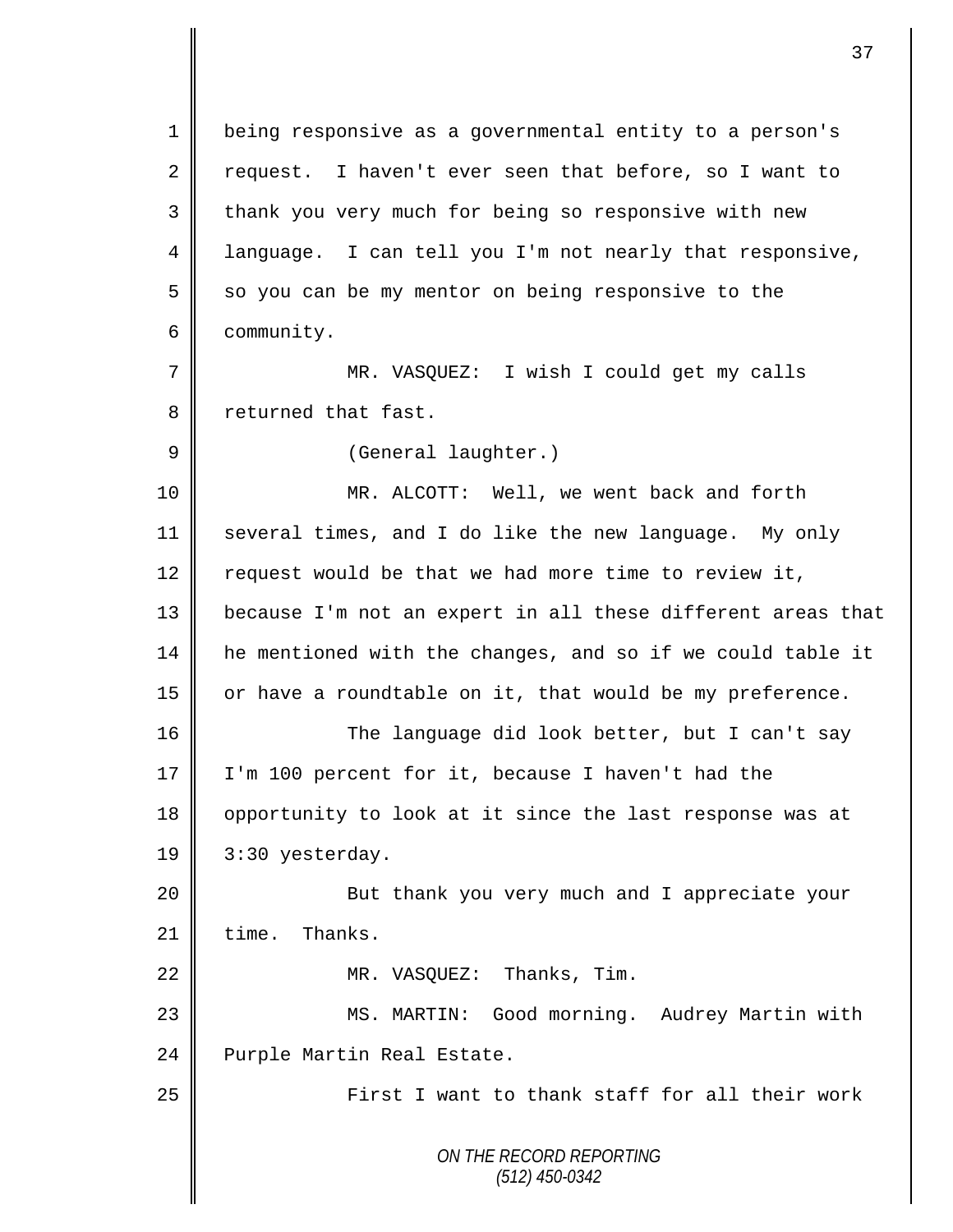*ON THE RECORD REPORTING (512) 450-0342* 1 | being responsive as a governmental entity to a person's 2 request. I haven't ever seen that before, so I want to 3 || thank you very much for being so responsive with new 4 language. I can tell you I'm not nearly that responsive,  $5 \parallel$  so you can be my mentor on being responsive to the 6 community. 7 || MR. VASQUEZ: I wish I could get my calls 8 returned that fast. 9 | (General laughter.) 10 MR. ALCOTT: Well, we went back and forth 11 several times, and I do like the new language. My only 12  $\parallel$  request would be that we had more time to review it, 13 || because I'm not an expert in all these different areas that 14 he mentioned with the changes, and so if we could table it 15  $\parallel$  or have a roundtable on it, that would be my preference. 16 || The language did look better, but I can't say 17  $\parallel$  I'm 100 percent for it, because I haven't had the 18 || opportunity to look at it since the last response was at 19 | 3:30 yesterday. 20 || But thank you very much and I appreciate your  $21$  time. Thanks. 22 || MR. VASQUEZ: Thanks, Tim. 23 MS. MARTIN: Good morning. Audrey Martin with 24 | Purple Martin Real Estate. 25 First I want to thank staff for all their work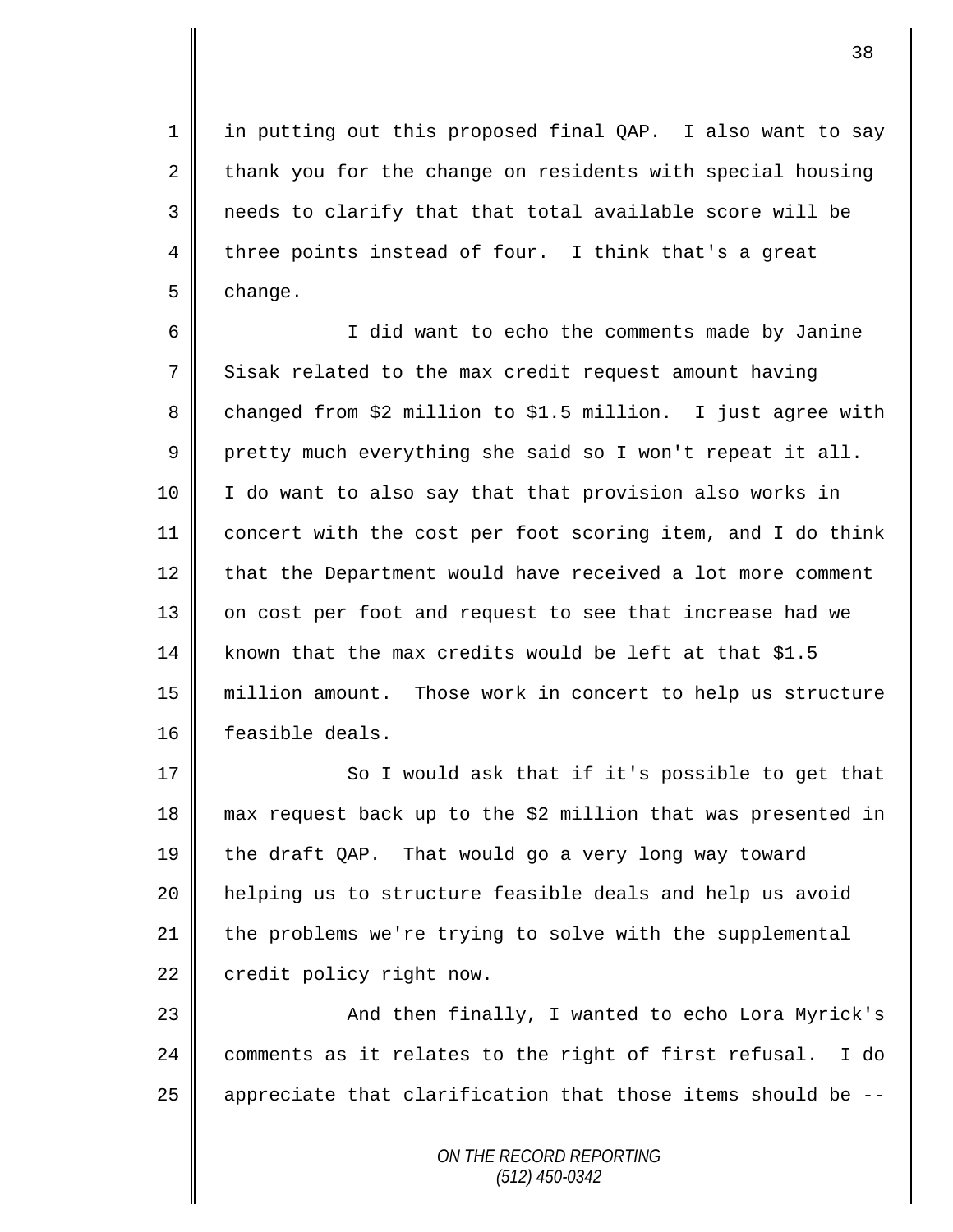1 || in putting out this proposed final QAP. I also want to say  $2 \parallel$  thank you for the change on residents with special housing 3 || needs to clarify that that total available score will be 4 three points instead of four. I think that's a great 5 change.

6 I did want to echo the comments made by Janine 7 Sisak related to the max credit request amount having 8 changed from \$2 million to \$1.5 million. I just agree with  $9 \parallel$  pretty much everything she said so I won't repeat it all. 10 I do want to also say that that provision also works in 11 concert with the cost per foot scoring item, and I do think 12 that the Department would have received a lot more comment 13 || on cost per foot and request to see that increase had we 14 known that the max credits would be left at that  $$1.5$ 15 million amount. Those work in concert to help us structure 16 feasible deals.

 $\parallel$  So I would ask that if it's possible to get that max request back up to the \$2 million that was presented in the draft QAP. That would go a very long way toward helping us to structure feasible deals and help us avoid the problems we're trying to solve with the supplemental 22 credit policy right now.

23 And then finally, I wanted to echo Lora Myrick's 24  $\parallel$  comments as it relates to the right of first refusal. I do 25  $\parallel$  appreciate that clarification that those items should be --

> *ON THE RECORD REPORTING (512) 450-0342*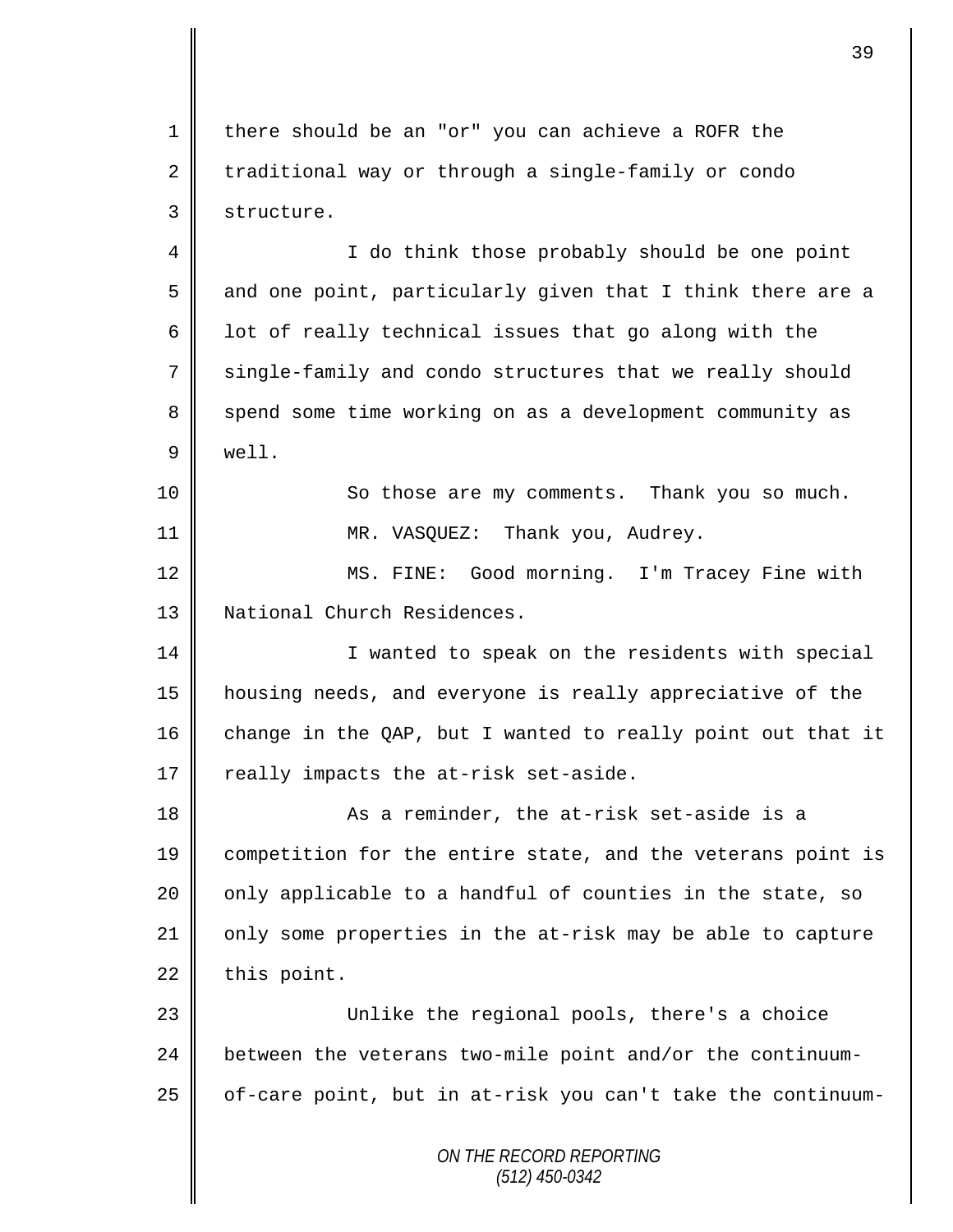1 there should be an "or" you can achieve a ROFR the  $2 \parallel$  traditional way or through a single-family or condo 3 structure.

4 || I do think those probably should be one point 5 and one point, particularly given that I think there are a 6  $\parallel$  1ot of really technical issues that go along with the 7 single-family and condo structures that we really should 8 spend some time working on as a development community as 9 well.

10 || So those are my comments. Thank you so much. 11 || MR. VASOUEZ: Thank you, Audrey.

12 || MS. FINE: Good morning. I'm Tracey Fine with 13 || National Church Residences.

14 || I wanted to speak on the residents with special 15 housing needs, and everyone is really appreciative of the 16 change in the QAP, but I wanted to really point out that it 17  $\parallel$  really impacts the at-risk set-aside.

18 || As a reminder, the at-risk set-aside is a 19 competition for the entire state, and the veterans point is  $20$  | only applicable to a handful of counties in the state, so 21 | only some properties in the at-risk may be able to capture  $22$  this point.

23 Unlike the regional pools, there's a choice 24 between the veterans two-mile point and/or the continuum- $25$  | of-care point, but in at-risk you can't take the continuum-

> *ON THE RECORD REPORTING (512) 450-0342*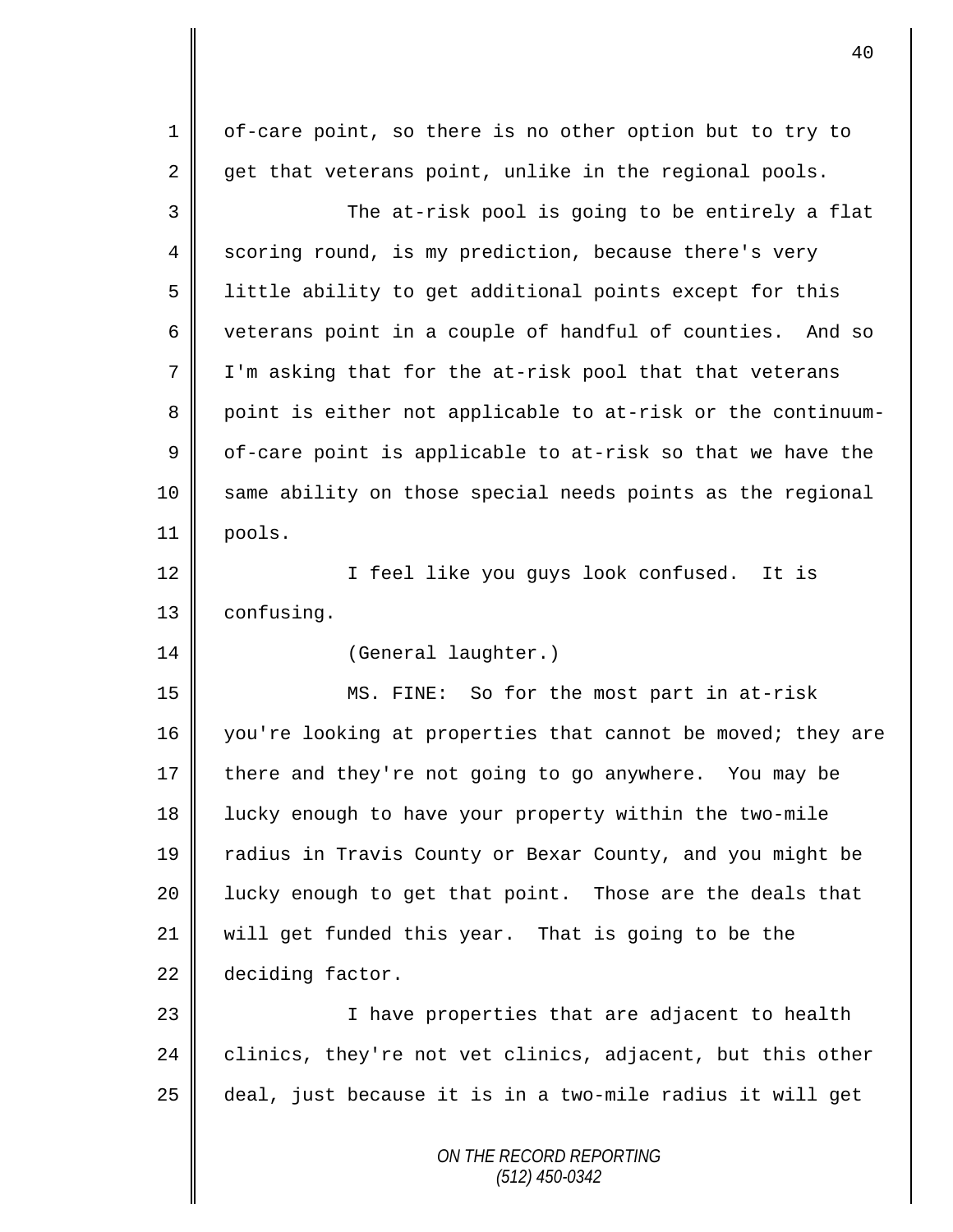| $\mathbf 1$    | of-care point, so there is no other option but to try to    |
|----------------|-------------------------------------------------------------|
| 2              | get that veterans point, unlike in the regional pools.      |
| 3              | The at-risk pool is going to be entirely a flat             |
| $\overline{4}$ | scoring round, is my prediction, because there's very       |
| 5              | little ability to get additional points except for this     |
| 6              | veterans point in a couple of handful of counties. And so   |
| 7              | I'm asking that for the at-risk pool that that veterans     |
| 8              | point is either not applicable to at-risk or the continuum- |
| 9              | of-care point is applicable to at-risk so that we have the  |
| 10             | same ability on those special needs points as the regional  |
| 11             | pools.                                                      |
| 12             | I feel like you guys look confused. It is                   |
| 13             | confusing.                                                  |
| 14             | (General laughter.)                                         |
| 15             | MS. FINE: So for the most part in at-risk                   |
| 16             | you're looking at properties that cannot be moved; they are |
| 17             | there and they're not going to go anywhere. You may be      |
| 18             | lucky enough to have your property within the two-mile      |
| 19             | radius in Travis County or Bexar County, and you might be   |
| 20             | lucky enough to get that point. Those are the deals that    |
| 21             | will get funded this year. That is going to be the          |
| 22             | deciding factor.                                            |
| 23             | I have properties that are adjacent to health               |
| 24             | clinics, they're not vet clinics, adjacent, but this other  |
| 25             | deal, just because it is in a two-mile radius it will get   |
|                | ON THE RECORD REPORTING<br>$(512)$ 450-0342                 |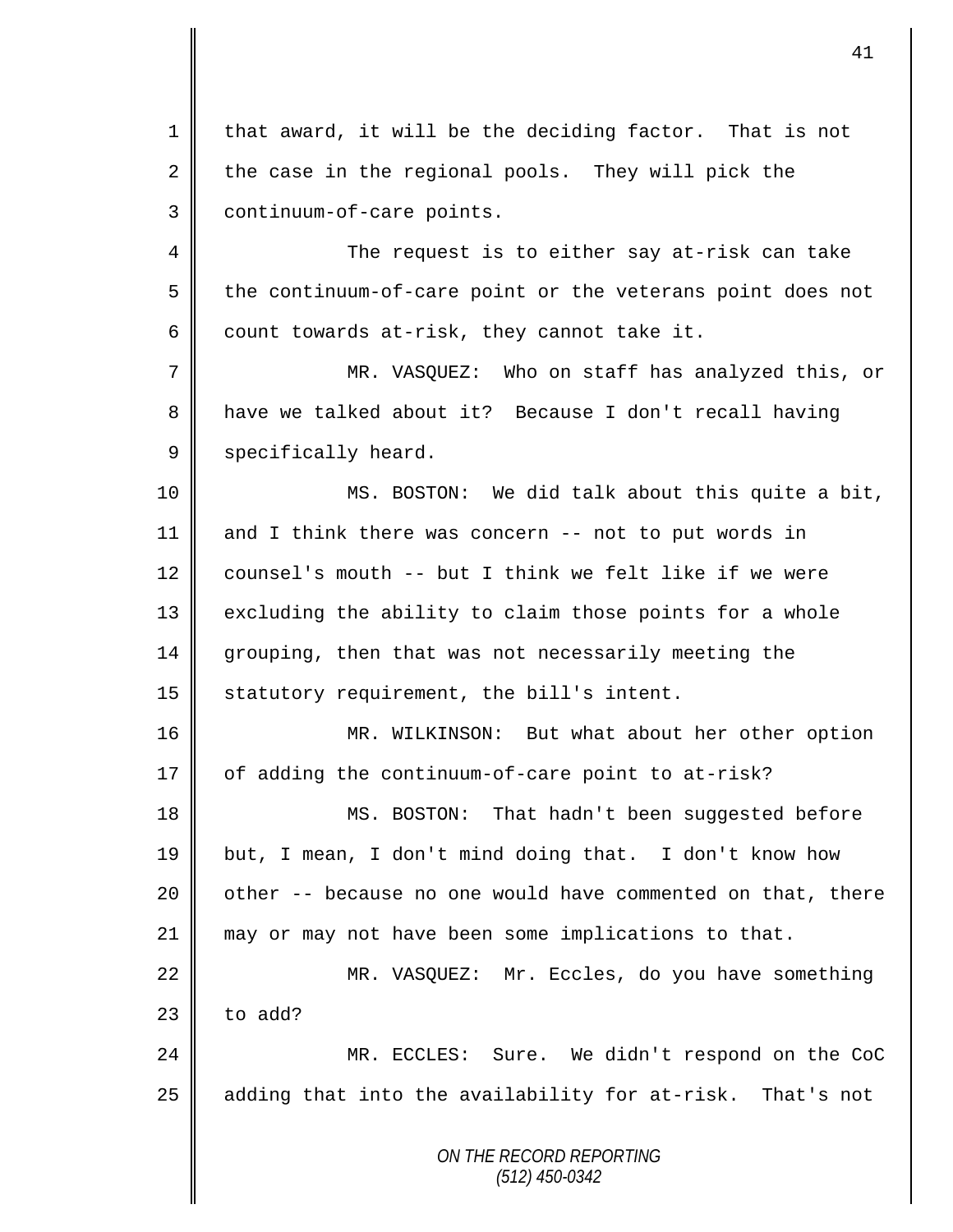*ON THE RECORD REPORTING (512) 450-0342* 1 || that award, it will be the deciding factor. That is not  $2 \parallel$  the case in the regional pools. They will pick the 3 | continuum-of-care points. 4 The request is to either say at-risk can take  $5 \parallel$  the continuum-of-care point or the veterans point does not 6 count towards at-risk, they cannot take it. 7 || MR. VASQUEZ: Who on staff has analyzed this, or 8 have we talked about it? Because I don't recall having 9 specifically heard. 10 MS. BOSTON: We did talk about this quite a bit, 11 and I think there was concern -- not to put words in 12 counsel's mouth -- but I think we felt like if we were 13 | excluding the ability to claim those points for a whole 14 grouping, then that was not necessarily meeting the 15  $\parallel$  statutory requirement, the bill's intent. 16 MR. WILKINSON: But what about her other option  $17 \parallel$  of adding the continuum-of-care point to at-risk? 18 || MS. BOSTON: That hadn't been suggested before 19 but, I mean, I don't mind doing that. I don't know how 20  $\parallel$  other -- because no one would have commented on that, there 21 may or may not have been some implications to that. 22 MR. VASQUEZ: Mr. Eccles, do you have something  $23$  | to add? 24 MR. ECCLES: Sure. We didn't respond on the CoC 25 || adding that into the availability for at-risk. That's not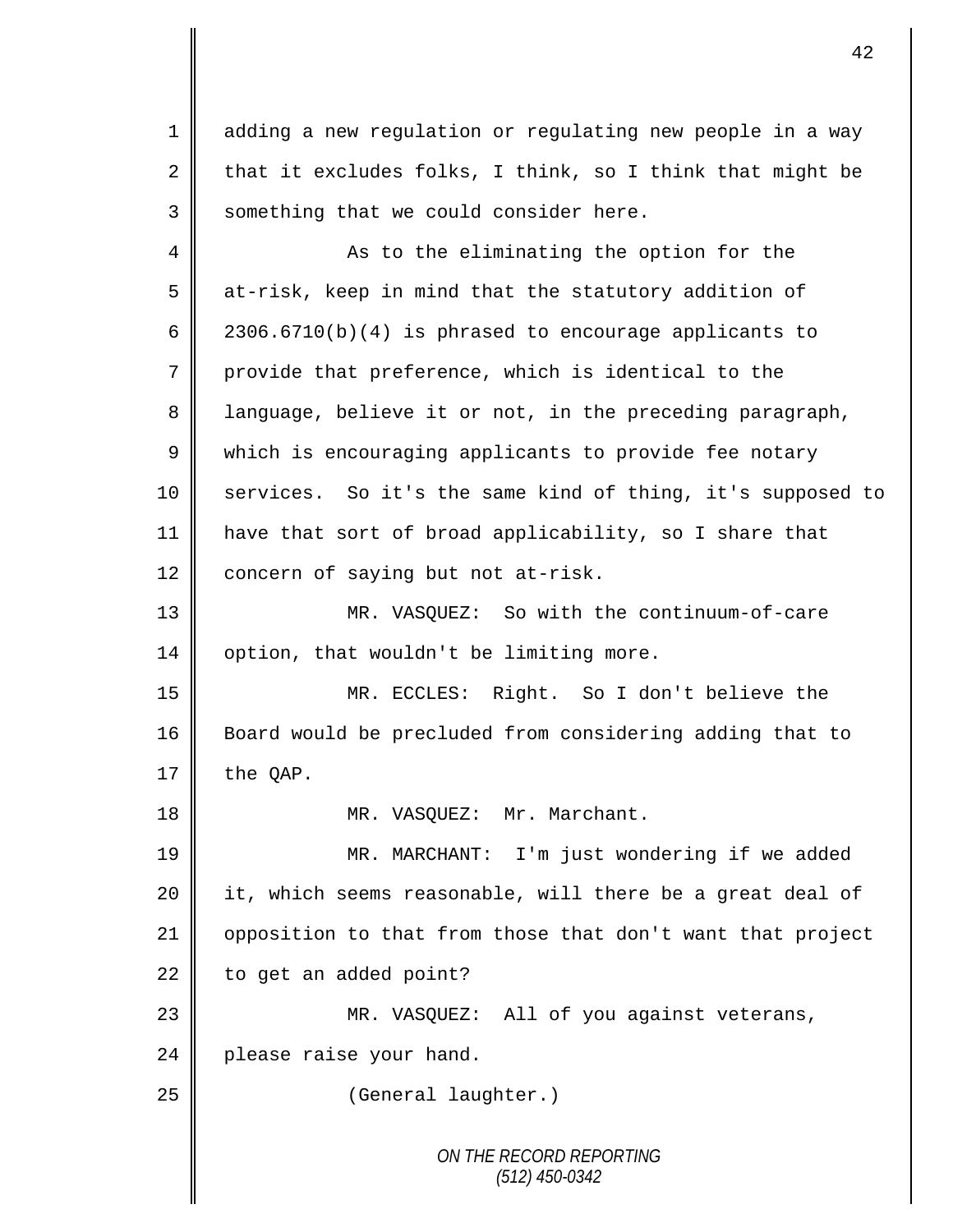1 adding a new regulation or regulating new people in a way 2 that it excludes folks, I think, so I think that might be 3 Something that we could consider here.

*ON THE RECORD REPORTING* 4 As to the eliminating the option for the 5 at-risk, keep in mind that the statutory addition of 6  $\parallel$  2306.6710(b)(4) is phrased to encourage applicants to 7 provide that preference, which is identical to the 8 || language, believe it or not, in the preceding paragraph, 9 which is encouraging applicants to provide fee notary 10 || services. So it's the same kind of thing, it's supposed to 11 have that sort of broad applicability, so I share that  $12$  concern of saying but not at-risk. 13 MR. VASQUEZ: So with the continuum-of-care  $14 \parallel$  option, that wouldn't be limiting more. 15 MR. ECCLES: Right. So I don't believe the 16 Board would be precluded from considering adding that to  $17 \parallel$  the OAP. 18 || MR. VASQUEZ: Mr. Marchant. 19 MR. MARCHANT: I'm just wondering if we added 20 | it, which seems reasonable, will there be a great deal of 21 | opposition to that from those that don't want that project  $22$  | to get an added point? 23 MR. VASQUEZ: All of you against veterans,  $24$  | please raise your hand. 25 | (General laughter.)

*(512) 450-0342*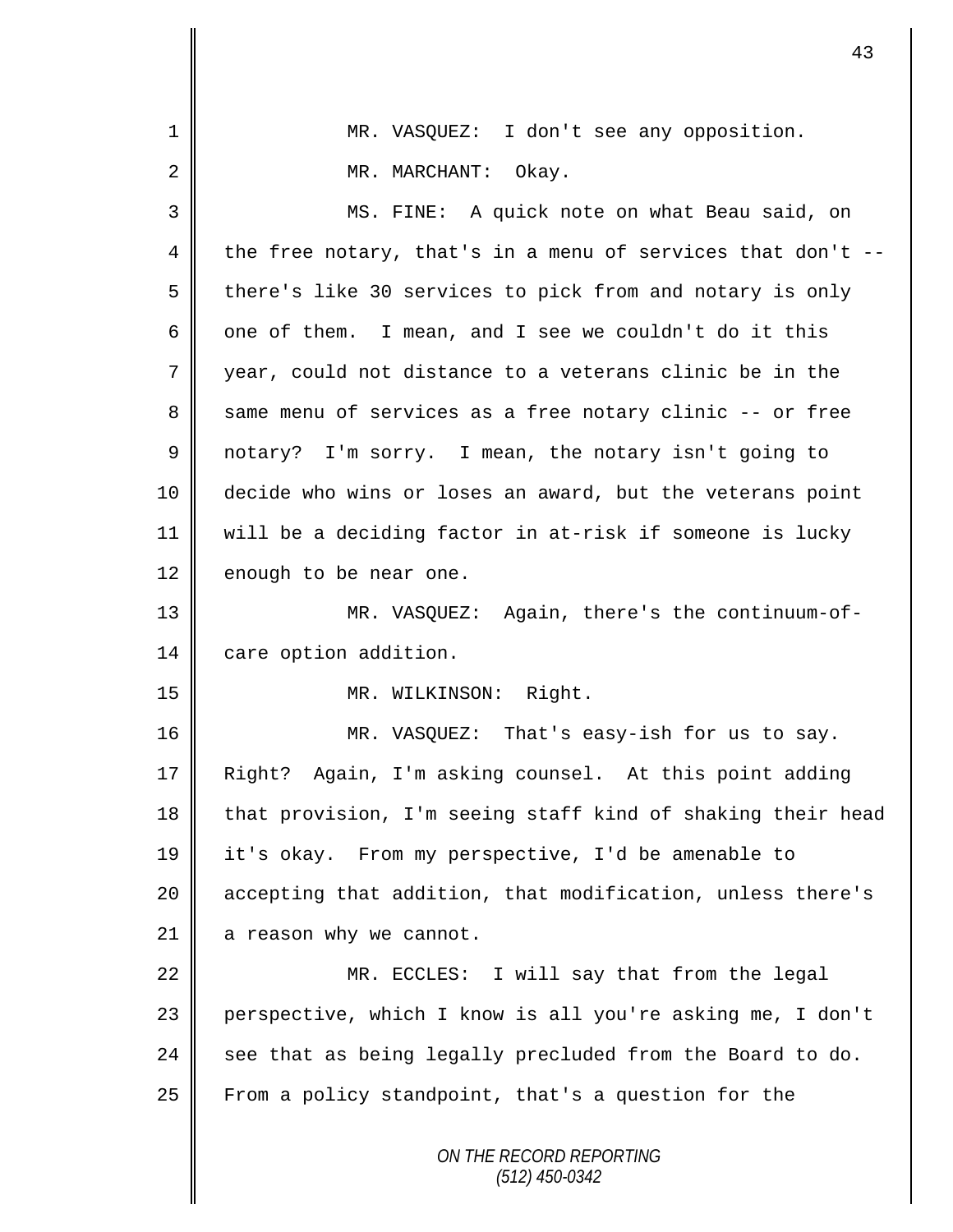| $\mathbf 1$ | MR. VASQUEZ: I don't see any opposition.                     |
|-------------|--------------------------------------------------------------|
| 2           | MR. MARCHANT: Okay.                                          |
| 3           | MS. FINE: A quick note on what Beau said, on                 |
| 4           | the free notary, that's in a menu of services that don't $-$ |
| 5           | there's like 30 services to pick from and notary is only     |
| 6           | one of them. I mean, and I see we couldn't do it this        |
| 7           | year, could not distance to a veterans clinic be in the      |
| 8           | same menu of services as a free notary clinic -- or free     |
| $\mathsf 9$ | notary? I'm sorry. I mean, the notary isn't going to         |
| 10          | decide who wins or loses an award, but the veterans point    |
| 11          | will be a deciding factor in at-risk if someone is lucky     |
| 12          | enough to be near one.                                       |
| 13          | MR. VASQUEZ: Again, there's the continuum-of-                |
| 14          | care option addition.                                        |
| 15          | MR. WILKINSON: Right.                                        |
| 16          | MR. VASQUEZ: That's easy-ish for us to say.                  |
| 17          | Again, I'm asking counsel. At this point adding<br>Right?    |
| 18          | that provision, I'm seeing staff kind of shaking their head  |
| 19          | it's okay. From my perspective, I'd be amenable to           |
| 20          | accepting that addition, that modification, unless there's   |
| 21          | a reason why we cannot.                                      |
| 22          | MR. ECCLES: I will say that from the legal                   |
| 23          | perspective, which I know is all you're asking me, I don't   |
| 24          | see that as being legally precluded from the Board to do.    |
| 25          | From a policy standpoint, that's a question for the          |
|             | ON THE RECORD REPORTING<br>(512) 450-0342                    |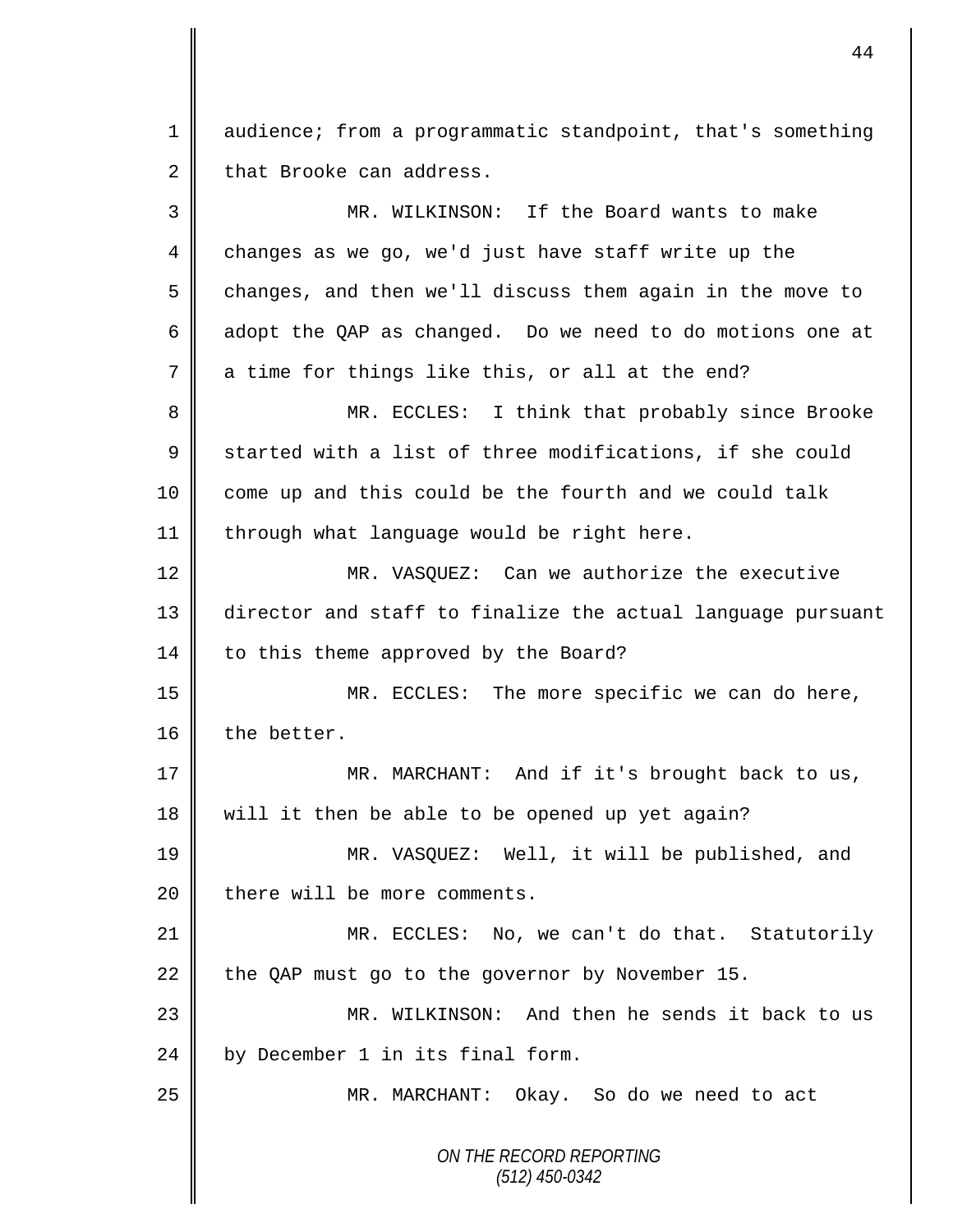1 audience; from a programmatic standpoint, that's something  $2 \parallel$  that Brooke can address.

*ON THE RECORD REPORTING (512) 450-0342* 3 MR. WILKINSON: If the Board wants to make 4 changes as we go, we'd just have staff write up the 5 changes, and then we'll discuss them again in the move to 6  $\parallel$  adopt the QAP as changed. Do we need to do motions one at  $7$  a time for things like this, or all at the end? 8 MR. ECCLES: I think that probably since Brooke  $9 \parallel$  started with a list of three modifications, if she could 10 come up and this could be the fourth and we could talk  $11$  | through what language would be right here. 12 MR. VASOUEZ: Can we authorize the executive 13 director and staff to finalize the actual language pursuant 14 | to this theme approved by the Board? 15 MR. ECCLES: The more specific we can do here, 16 the better. 17 MR. MARCHANT: And if it's brought back to us, 18 | will it then be able to be opened up yet again? 19 MR. VASQUEZ: Well, it will be published, and  $20$  | there will be more comments. 21 MR. ECCLES: No, we can't do that. Statutorily 22 the QAP must go to the governor by November 15. 23 MR. WILKINSON: And then he sends it back to us 24 by December 1 in its final form. 25 || MR. MARCHANT: Okay. So do we need to act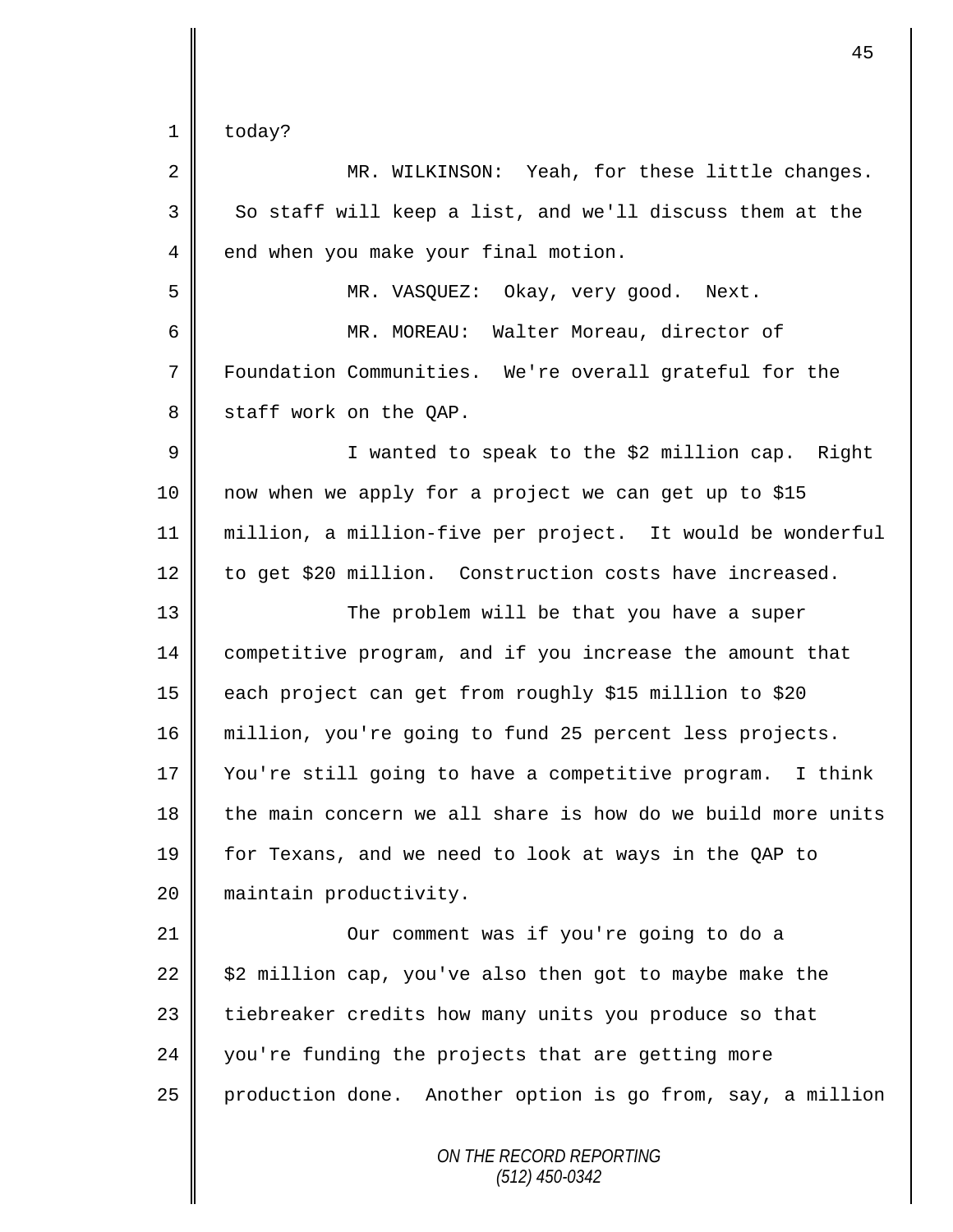$1 \parallel$  today?

| $\overline{2}$ | MR. WILKINSON: Yeah, for these little changes.              |
|----------------|-------------------------------------------------------------|
| 3              | So staff will keep a list, and we'll discuss them at the    |
| 4              | end when you make your final motion.                        |
| 5              | MR. VASQUEZ: Okay, very good. Next.                         |
| 6              | MR. MOREAU: Walter Moreau, director of                      |
| 7              | Foundation Communities. We're overall grateful for the      |
| 8              | staff work on the QAP.                                      |
| 9              | I wanted to speak to the \$2 million cap. Right             |
| 10             | now when we apply for a project we can get up to \$15       |
| 11             | million, a million-five per project. It would be wonderful  |
| 12             | to get \$20 million. Construction costs have increased.     |
| 13             | The problem will be that you have a super                   |
| 14             | competitive program, and if you increase the amount that    |
| 15             | each project can get from roughly \$15 million to \$20      |
| 16             | million, you're going to fund 25 percent less projects.     |
| 17             | You're still going to have a competitive program. I think   |
| 18             | the main concern we all share is how do we build more units |
| 19             | for Texans, and we need to look at ways in the QAP to       |
| 20             | maintain productivity.                                      |
| 21             | Our comment was if you're going to do a                     |
| 22             | \$2 million cap, you've also then got to maybe make the     |
| 23             | tiebreaker credits how many units you produce so that       |
| 24             | you're funding the projects that are getting more           |
| 25             | production done. Another option is go from, say, a million  |
|                | ON THE RECORD REPORTING<br>$(512)$ 450-0342                 |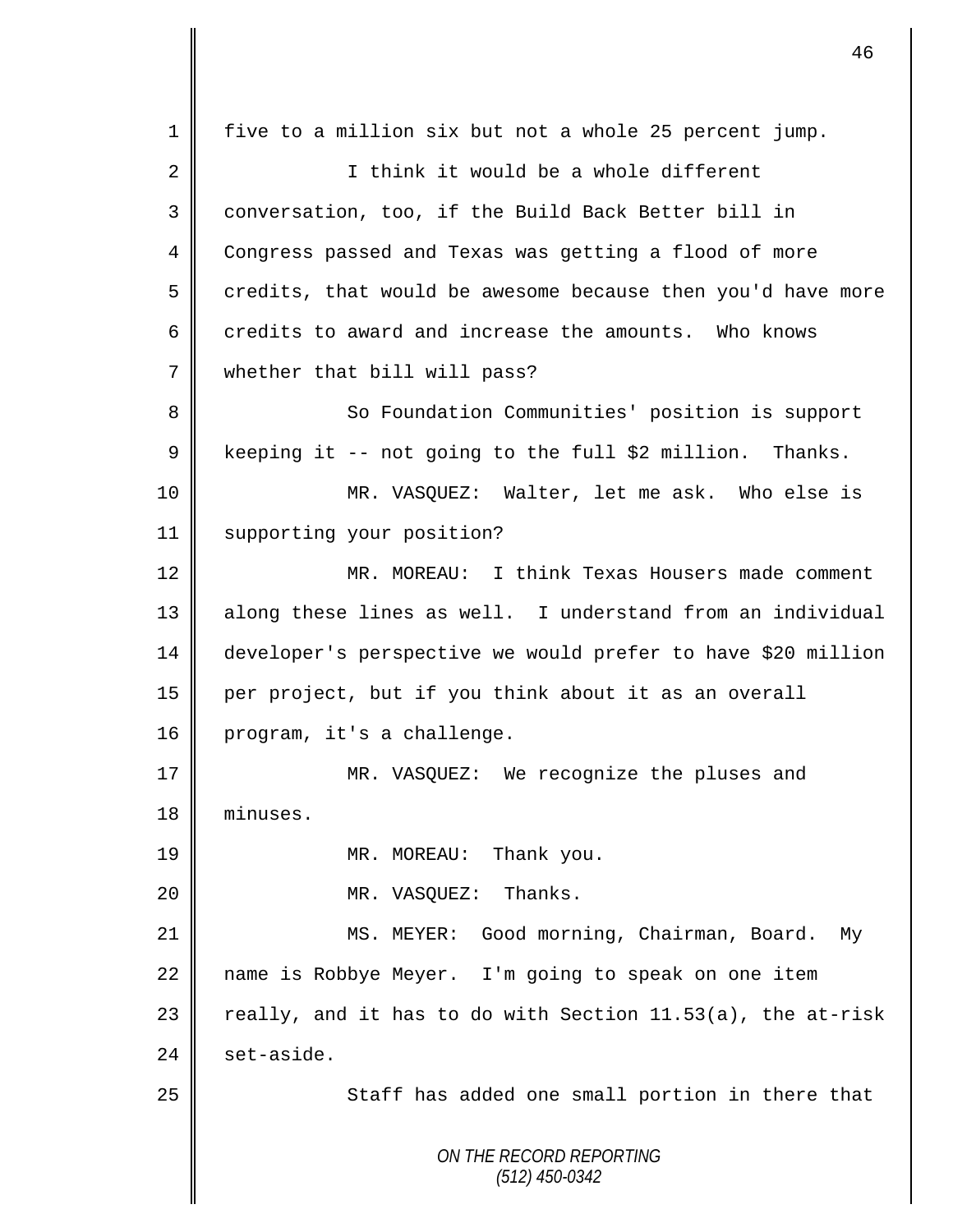*ON THE RECORD REPORTING (512) 450-0342* 1 five to a million six but not a whole 25 percent jump. 2 || I think it would be a whole different 3 conversation, too, if the Build Back Better bill in 4 Congress passed and Texas was getting a flood of more  $5 \parallel$  credits, that would be awesome because then you'd have more 6  $\parallel$  credits to award and increase the amounts. Who knows 7 whether that bill will pass? 8 So Foundation Communities' position is support 9 | keeping it -- not going to the full \$2 million. Thanks. 10 MR. VASQUEZ: Walter, let me ask. Who else is 11 | supporting your position? 12 MR. MOREAU: I think Texas Housers made comment 13 || along these lines as well. I understand from an individual 14 developer's perspective we would prefer to have \$20 million 15 per project, but if you think about it as an overall 16 program, it's a challenge. 17 MR. VASQUEZ: We recognize the pluses and 18 minuses. 19 **MR. MOREAU:** Thank you. 20 **||** MR. VASQUEZ: Thanks. 21 | MS. MEYER: Good morning, Chairman, Board. My 22 | name is Robbye Meyer. I'm going to speak on one item 23  $\parallel$  really, and it has to do with Section 11.53(a), the at-risk  $24 \parallel$  set-aside. 25 || Staff has added one small portion in there that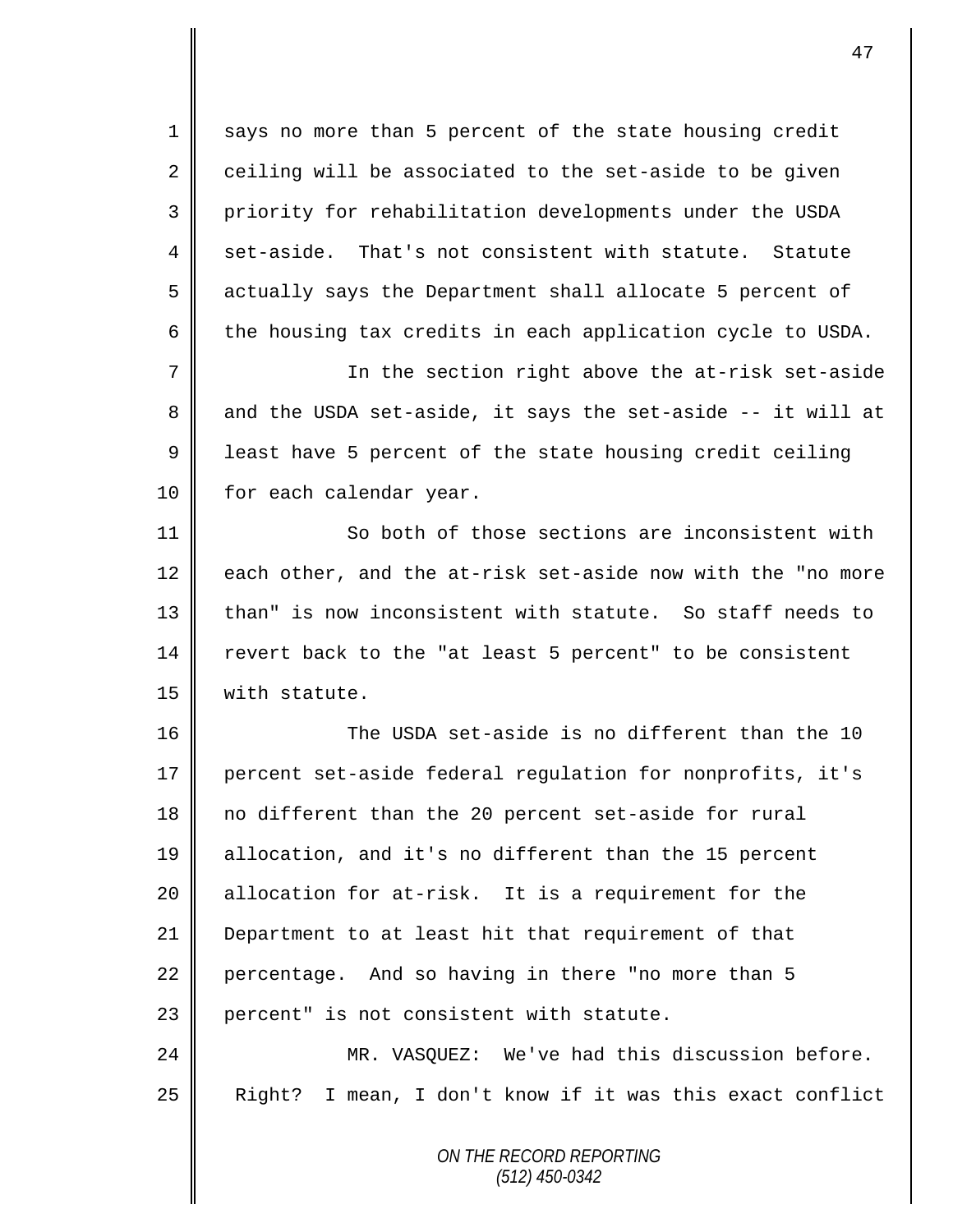1 says no more than 5 percent of the state housing credit  $2 \parallel$  ceiling will be associated to the set-aside to be given 3 priority for rehabilitation developments under the USDA 4 set-aside. That's not consistent with statute. Statute 5 actually says the Department shall allocate 5 percent of  $6 \parallel$  the housing tax credits in each application cycle to USDA.

7 || The section right above the at-risk set-aside  $8 \parallel$  and the USDA set-aside, it says the set-aside -- it will at 9 | least have 5 percent of the state housing credit ceiling 10 | for each calendar year.

11 **So both of those sections are inconsistent with**  $12$  each other, and the at-risk set-aside now with the "no more 13 than" is now inconsistent with statute. So staff needs to 14 revert back to the "at least 5 percent" to be consistent 15 | with statute.

16 The USDA set-aside is no different than the 10 17 percent set-aside federal regulation for nonprofits, it's 18 no different than the 20 percent set-aside for rural 19 allocation, and it's no different than the 15 percent 20 || allocation for at-risk. It is a requirement for the 21 Department to at least hit that requirement of that 22 percentage. And so having in there "no more than 5 23 percent" is not consistent with statute. 24 MR. VASQUEZ: We've had this discussion before.

 $25$  Right? I mean, I don't know if it was this exact conflict

*ON THE RECORD REPORTING (512) 450-0342*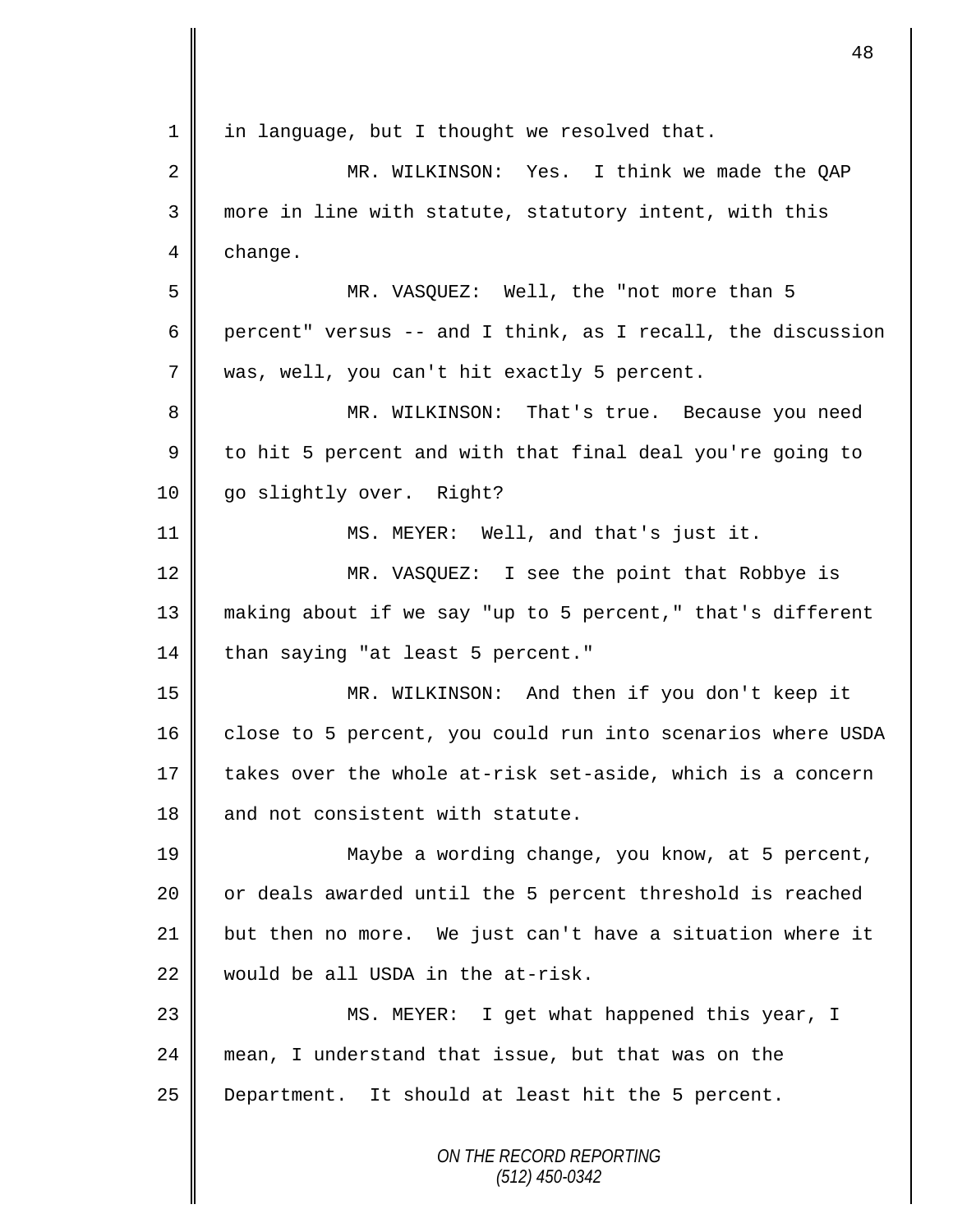*ON THE RECORD REPORTING*  $1 \parallel$  in language, but I thought we resolved that. 2 MR. WILKINSON: Yes. I think we made the OAP 3 more in line with statute, statutory intent, with this 4 change. 5 MR. VASQUEZ: Well, the "not more than 5 6 percent" versus -- and I think, as I recall, the discussion 7 was, well, you can't hit exactly 5 percent. 8 MR. WILKINSON: That's true. Because you need 9 to hit 5 percent and with that final deal you're going to 10 | go slightly over. Right? 11 MS. MEYER: Well, and that's just it. 12 MR. VASQUEZ: I see the point that Robbye is 13 making about if we say "up to 5 percent," that's different 14 than saying "at least 5 percent." 15 MR. WILKINSON: And then if you don't keep it 16 close to 5 percent, you could run into scenarios where USDA 17 takes over the whole at-risk set-aside, which is a concern 18 and not consistent with statute. 19 || Maybe a wording change, you know, at 5 percent, 20  $\parallel$  or deals awarded until the 5 percent threshold is reached 21 but then no more. We just can't have a situation where it 22 would be all USDA in the at-risk. 23 || MS. MEYER: I get what happened this year, I 24 mean, I understand that issue, but that was on the 25 Department. It should at least hit the 5 percent.

48

*(512) 450-0342*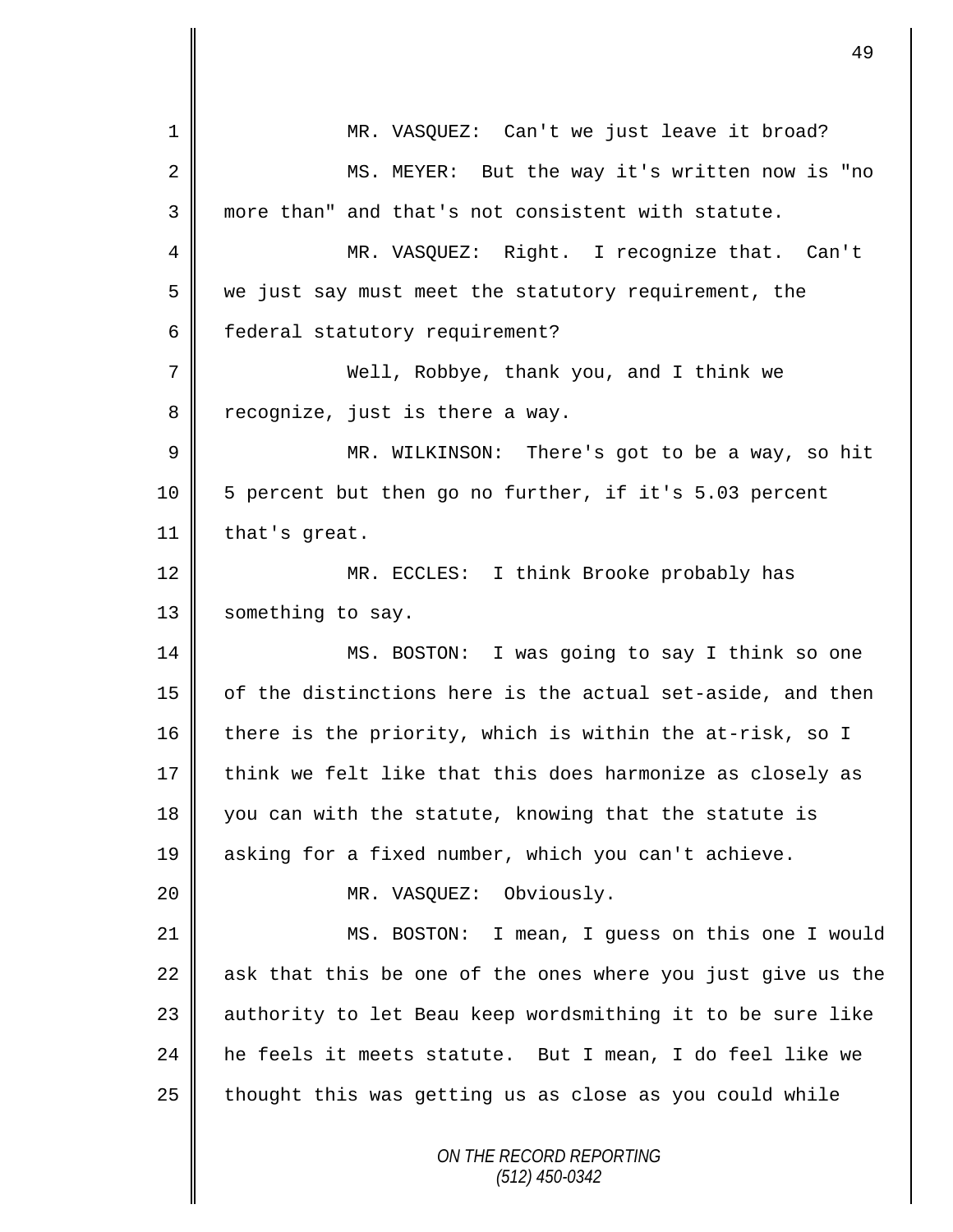| $\mathbf 1$ | MR. VASQUEZ: Can't we just leave it broad?                  |
|-------------|-------------------------------------------------------------|
| 2           | MS. MEYER: But the way it's written now is "no              |
| 3           | more than" and that's not consistent with statute.          |
| 4           | MR. VASQUEZ: Right. I recognize that. Can't                 |
| 5           | we just say must meet the statutory requirement, the        |
| 6           | federal statutory requirement?                              |
| 7           | Well, Robbye, thank you, and I think we                     |
| 8           | recognize, just is there a way.                             |
| 9           | MR. WILKINSON: There's got to be a way, so hit              |
| 10          | 5 percent but then go no further, if it's 5.03 percent      |
| 11          | that's great.                                               |
| 12          | MR. ECCLES: I think Brooke probably has                     |
| 13          | something to say.                                           |
| 14          | MS. BOSTON: I was going to say I think so one               |
| 15          | of the distinctions here is the actual set-aside, and then  |
| 16          | there is the priority, which is within the at-risk, so I    |
| 17          | think we felt like that this does harmonize as closely as   |
| 18          | you can with the statute, knowing that the statute is       |
| 19          | asking for a fixed number, which you can't achieve.         |
| 20          | MR. VASQUEZ: Obviously.                                     |
| 21          | MS. BOSTON: I mean, I guess on this one I would             |
| 22          | ask that this be one of the ones where you just give us the |
| 23          | authority to let Beau keep wordsmithing it to be sure like  |
| 24          | he feels it meets statute. But I mean, I do feel like we    |
| 25          | thought this was getting us as close as you could while     |
|             | ON THE RECORD REPORTING<br>$(512)$ 450-0342                 |

 $\mathsf{I}$ 

║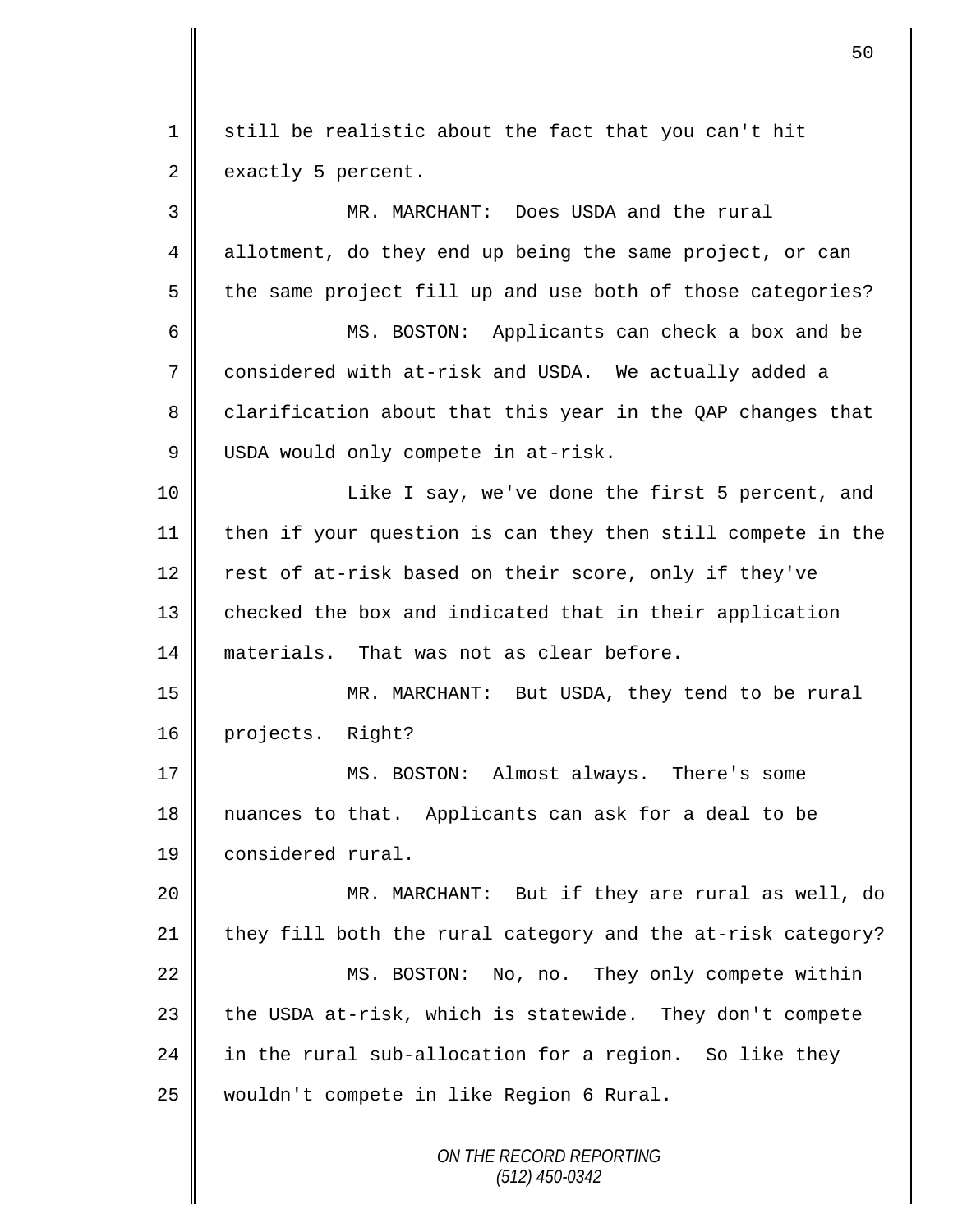*ON THE RECORD REPORTING (512) 450-0342* 1 still be realistic about the fact that you can't hit  $2 \parallel$  exactly 5 percent. 3 MR. MARCHANT: Does USDA and the rural 4 allotment, do they end up being the same project, or can  $5 \parallel$  the same project fill up and use both of those categories? 6 MS. BOSTON: Applicants can check a box and be 7 considered with at-risk and USDA. We actually added a 8 clarification about that this year in the QAP changes that 9 USDA would only compete in at-risk. 10 || Like I say, we've done the first 5 percent, and 11 then if your question is can they then still compete in the 12  $\parallel$  rest of at-risk based on their score, only if they've 13 checked the box and indicated that in their application 14 materials. That was not as clear before. 15 MR. MARCHANT: But USDA, they tend to be rural 16 projects. Right? 17 MS. BOSTON: Almost always. There's some 18 nuances to that. Applicants can ask for a deal to be 19 considered rural. 20 MR. MARCHANT: But if they are rural as well, do 21  $\parallel$  they fill both the rural category and the at-risk category? 22 | MS. BOSTON: No, no. They only compete within  $23$  the USDA at-risk, which is statewide. They don't compete 24 in the rural sub-allocation for a region. So like they 25 || wouldn't compete in like Region 6 Rural.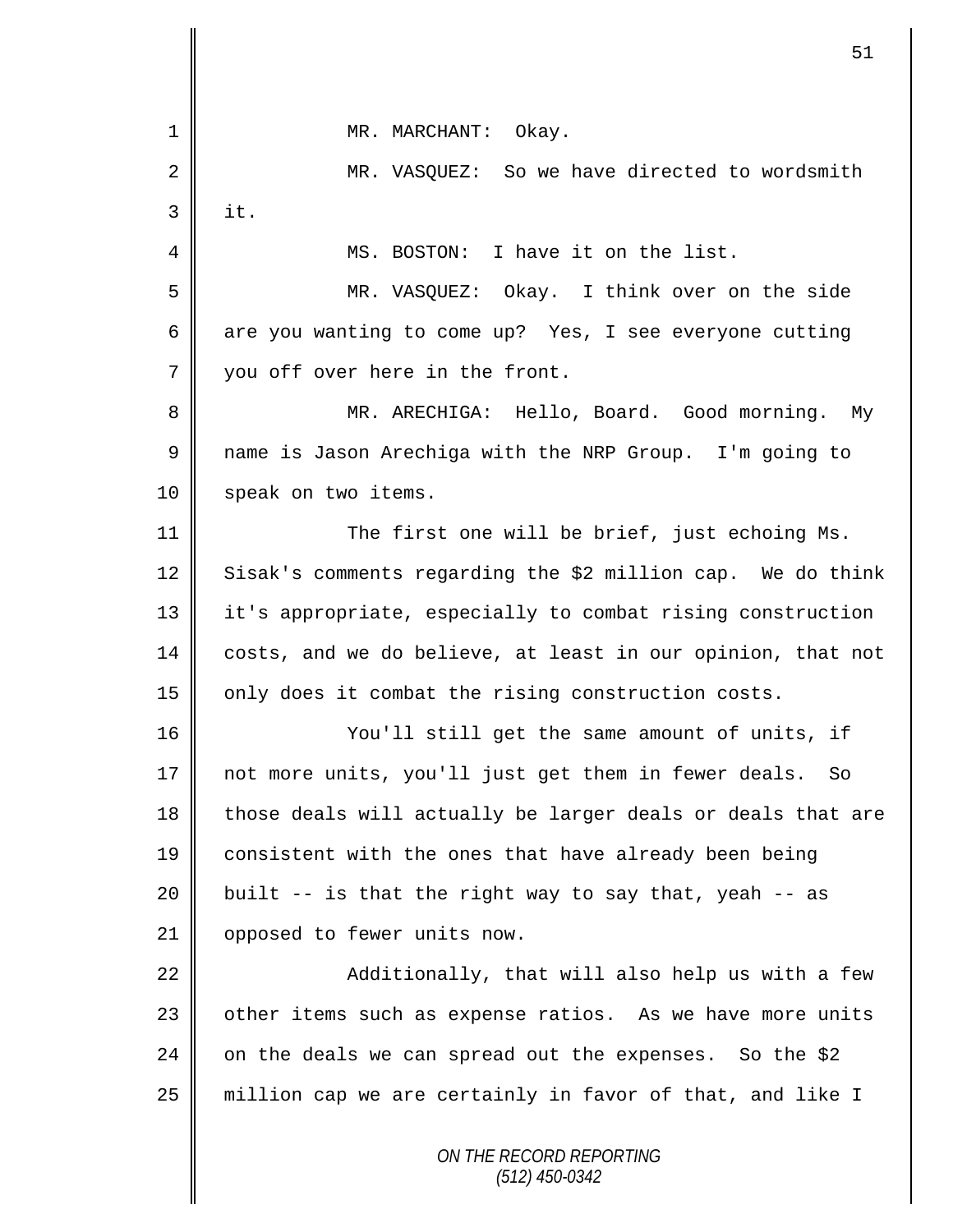*ON THE RECORD REPORTING* 1 || MR. MARCHANT: Okay. 2 MR. VASQUEZ: So we have directed to wordsmith  $3 \parallel$  it. 4 MS. BOSTON: I have it on the list. 5 MR. VASQUEZ: Okay. I think over on the side 6 are you wanting to come up? Yes, I see everyone cutting 7 || you off over here in the front. 8 || MR. ARECHIGA: Hello, Board. Good morning. My 9 name is Jason Arechiga with the NRP Group. I'm going to 10 speak on two items. 11 The first one will be brief, just echoing Ms. 12 Sisak's comments regarding the \$2 million cap. We do think 13 it's appropriate, especially to combat rising construction 14 costs, and we do believe, at least in our opinion, that not 15 | only does it combat the rising construction costs. 16 You'll still get the same amount of units, if 17 not more units, you'll just get them in fewer deals. So  $18$  those deals will actually be larger deals or deals that are 19 consistent with the ones that have already been being 20  $\parallel$  built -- is that the right way to say that, yeah -- as 21 | opposed to fewer units now. 22 Additionally, that will also help us with a few 23 | other items such as expense ratios. As we have more units 24 on the deals we can spread out the expenses. So the \$2 25 | million cap we are certainly in favor of that, and like I

51

*(512) 450-0342*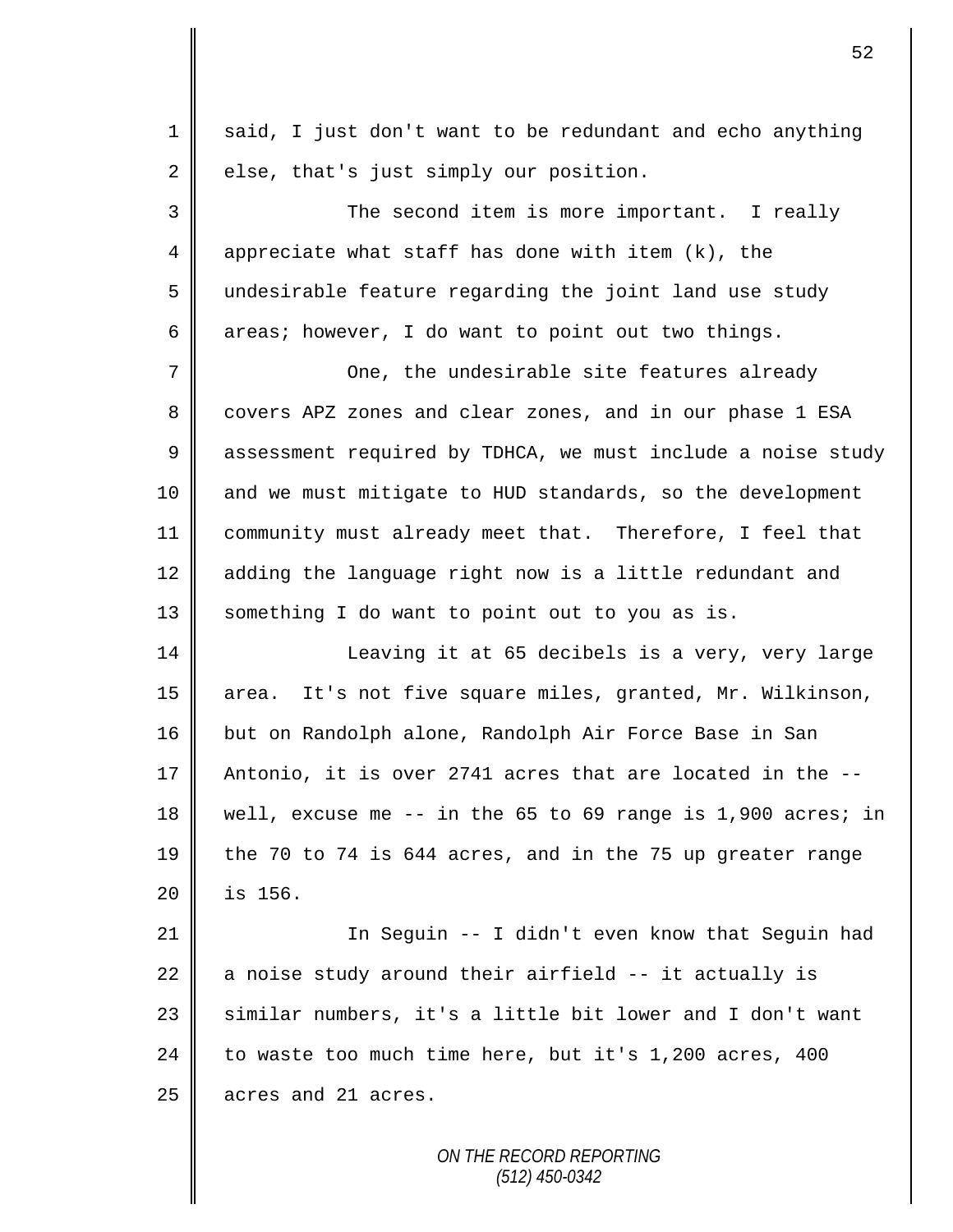1 said, I just don't want to be redundant and echo anything  $2 \parallel$  else, that's just simply our position. 3 The second item is more important. I really 4 | appreciate what staff has done with item  $(k)$ , the 5 undesirable feature regarding the joint land use study 6 areas; however, I do want to point out two things. 7 One, the undesirable site features already 8 covers APZ zones and clear zones, and in our phase 1 ESA 9 assessment required by TDHCA, we must include a noise study 10 and we must mitigate to HUD standards, so the development 11 community must already meet that. Therefore, I feel that 12 adding the language right now is a little redundant and 13 | something I do want to point out to you as is. 14 | Leaving it at 65 decibels is a very, very large 15 || area. It's not five square miles, granted, Mr. Wilkinson, 16 but on Randolph alone, Randolph Air Force Base in San 17  $\parallel$  Antonio, it is over 2741 acres that are located in the  $-$ -18 well, excuse me -- in the 65 to 69 range is 1,900 acres; in 19 the 70 to 74 is 644 acres, and in the 75 up greater range 20 is 156. 21 In Seguin -- I didn't even know that Seguin had 22  $\parallel$  a noise study around their airfield -- it actually is 23 similar numbers, it's a little bit lower and I don't want 24 to waste too much time here, but it's 1,200 acres, 400  $25$  | acres and 21 acres.

52

*ON THE RECORD REPORTING (512) 450-0342*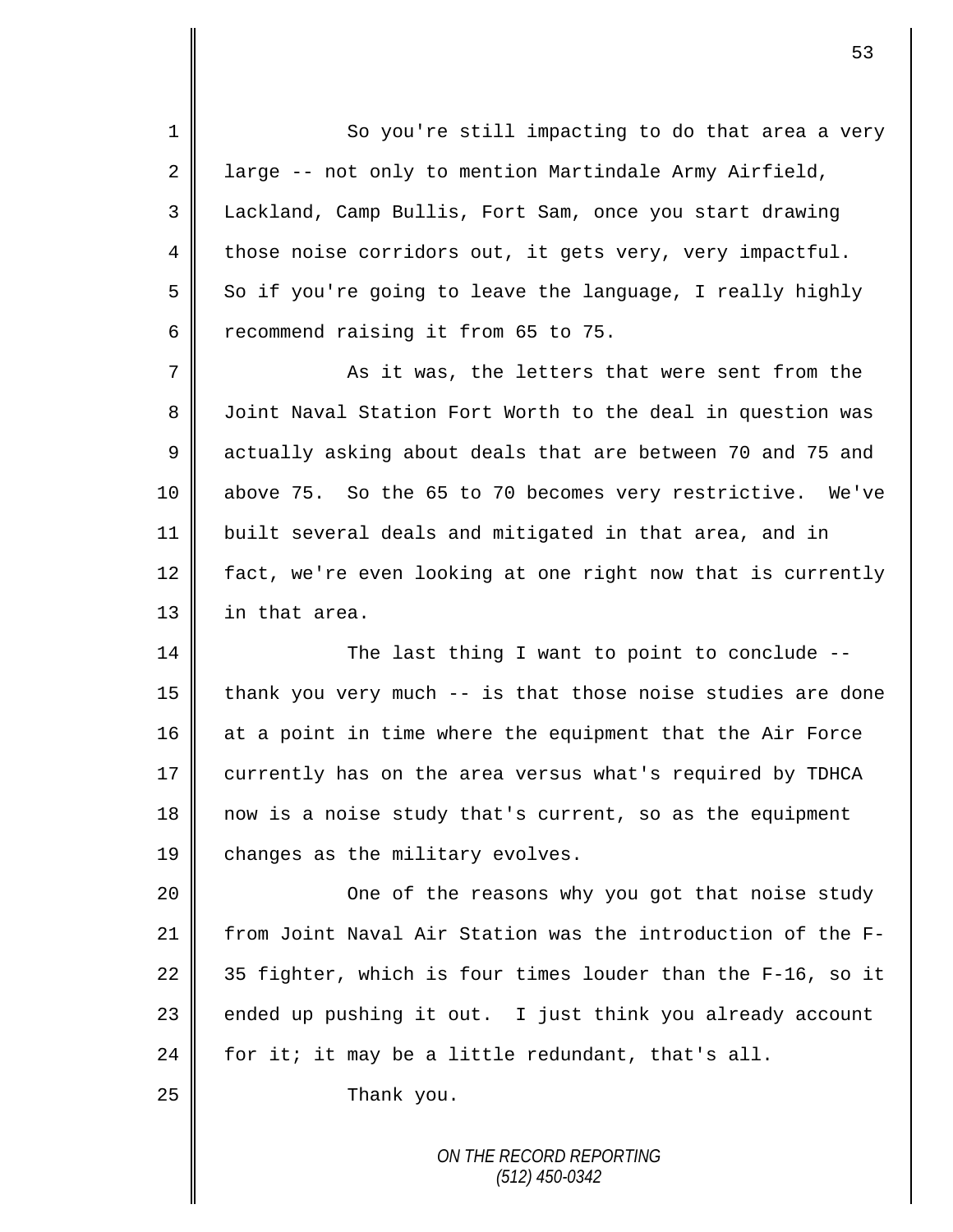1 So you're still impacting to do that area a very 2 | large  $-$  not only to mention Martindale Army Airfield, 3 || Lackland, Camp Bullis, Fort Sam, once you start drawing  $4 \parallel$  those noise corridors out, it gets very, very impactful.  $5 \parallel$  So if you're going to leave the language, I really highly 6 crecommend raising it from 65 to 75.

 $7 \parallel$  as it was, the letters that were sent from the 8 | Joint Naval Station Fort Worth to the deal in question was 9 | actually asking about deals that are between 70 and 75 and 10 above 75. So the 65 to 70 becomes very restrictive. We've 11 built several deals and mitigated in that area, and in 12  $\parallel$  fact, we're even looking at one right now that is currently 13 in that area.

14 The last thing I want to point to conclude --15  $\parallel$  thank you very much -- is that those noise studies are done  $16$  at a point in time where the equipment that the Air Force 17 currently has on the area versus what's required by TDHCA 18 now is a noise study that's current, so as the equipment 19 changes as the military evolves.

20 || One of the reasons why you got that noise study 21 From Joint Naval Air Station was the introduction of the F-22  $\parallel$  35 fighter, which is four times louder than the F-16, so it 23  $\parallel$  ended up pushing it out. I just think you already account 24 for it; it may be a little redundant, that's all.

25 **Thank** you.

*ON THE RECORD REPORTING (512) 450-0342*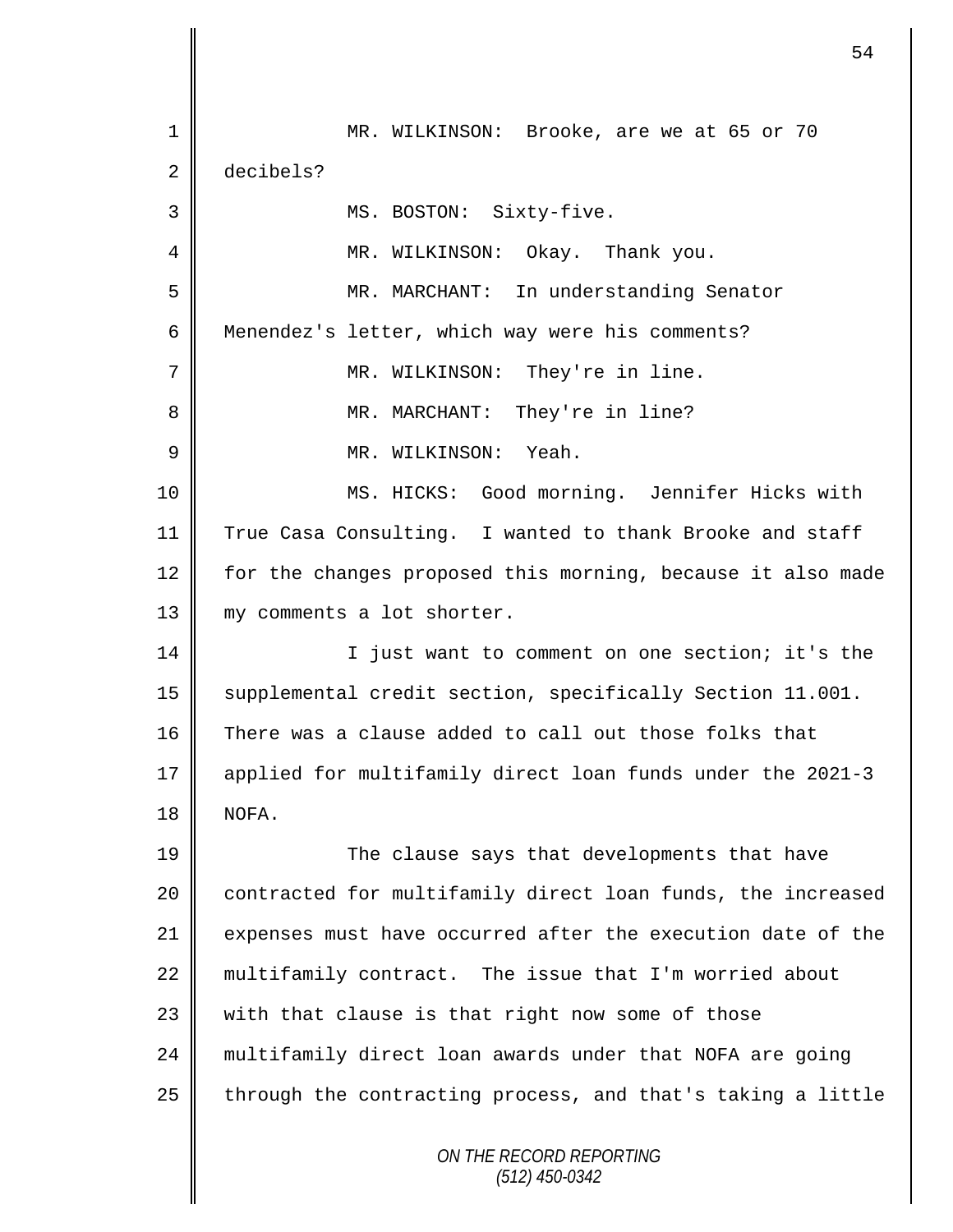*ON THE RECORD REPORTING (512) 450-0342* 1 MR. WILKINSON: Brooke, are we at 65 or 70 2 decibels? 3 | MS. BOSTON: Sixty-five. 4 MR. WILKINSON: Okay. Thank you. 5 MR. MARCHANT: In understanding Senator 6 Menendez's letter, which way were his comments? 7 MR. WILKINSON: They're in line. 8 MR. MARCHANT: They're in line? 9 MR. WILKINSON: Yeah. 10 MS. HICKS: Good morning. Jennifer Hicks with 11 True Casa Consulting. I wanted to thank Brooke and staff 12 for the changes proposed this morning, because it also made 13 || my comments a lot shorter. 14 | I just want to comment on one section; it's the 15 supplemental credit section, specifically Section 11.001. 16 There was a clause added to call out those folks that 17 applied for multifamily direct loan funds under the 2021-3 18 NOFA. 19 The clause says that developments that have 20 | contracted for multifamily direct loan funds, the increased 21 expenses must have occurred after the execution date of the 22 multifamily contract. The issue that I'm worried about  $23$  with that clause is that right now some of those 24 multifamily direct loan awards under that NOFA are going  $25$  through the contracting process, and that's taking a little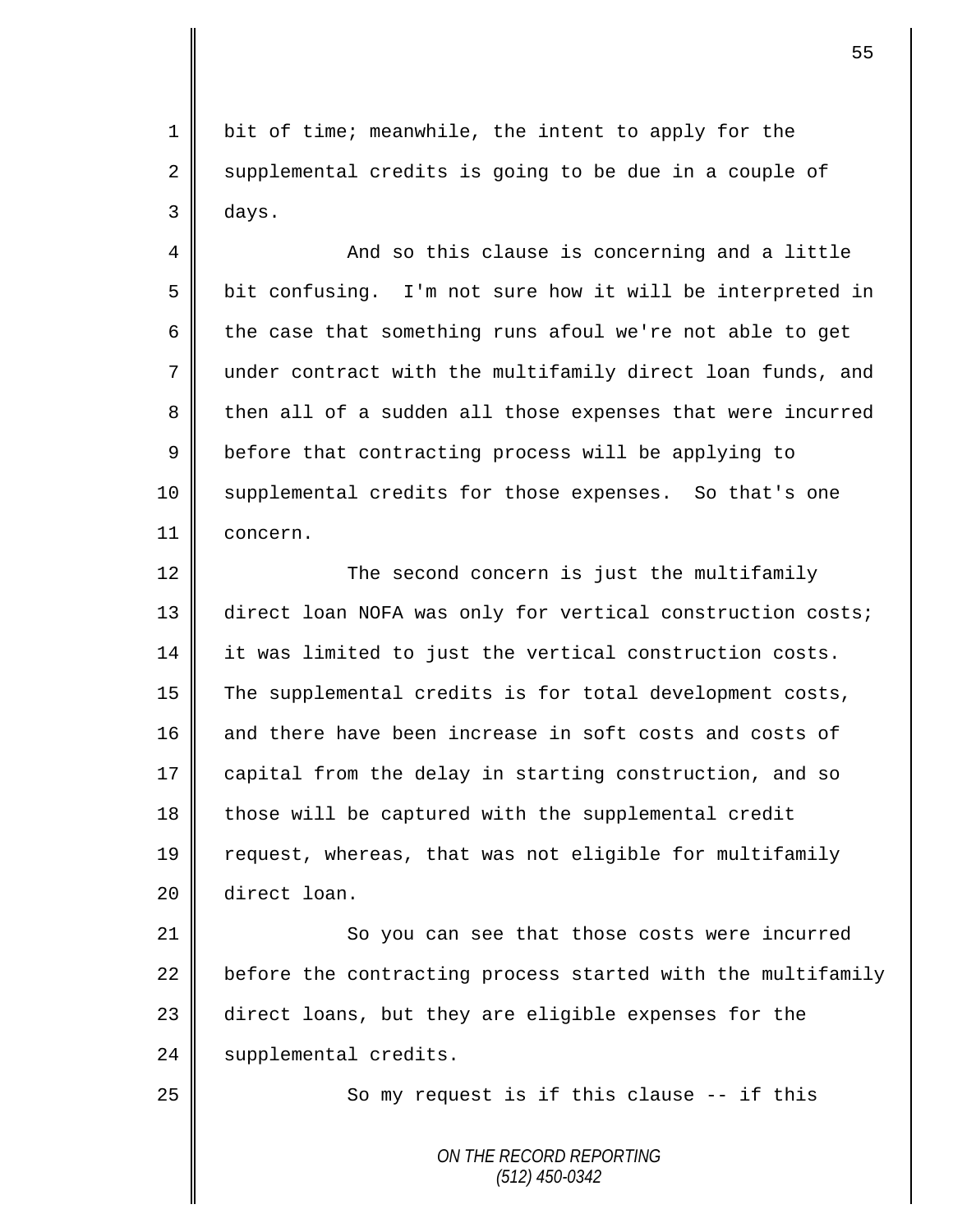1 | bit of time; meanwhile, the intent to apply for the  $2 \parallel$  supplemental credits is going to be due in a couple of 3 days.

4 || And so this clause is concerning and a little 5 bit confusing. I'm not sure how it will be interpreted in 6 the case that something runs afoul we're not able to get 7 under contract with the multifamily direct loan funds, and 8 then all of a sudden all those expenses that were incurred 9 **b**efore that contracting process will be applying to 10 Supplemental credits for those expenses. So that's one 11 concern.

12 ||<br>The second concern is just the multifamily 13 direct loan NOFA was only for vertical construction costs; 14 it was limited to just the vertical construction costs. 15 The supplemental credits is for total development costs, 16 and there have been increase in soft costs and costs of 17 capital from the delay in starting construction, and so 18 those will be captured with the supplemental credit 19 request, whereas, that was not eligible for multifamily 20 direct loan.

21 || So you can see that those costs were incurred  $22$  before the contracting process started with the multifamily 23 direct loans, but they are eligible expenses for the 24 | supplemental credits.

25 || So my request is if this clause -- if this

*ON THE RECORD REPORTING (512) 450-0342*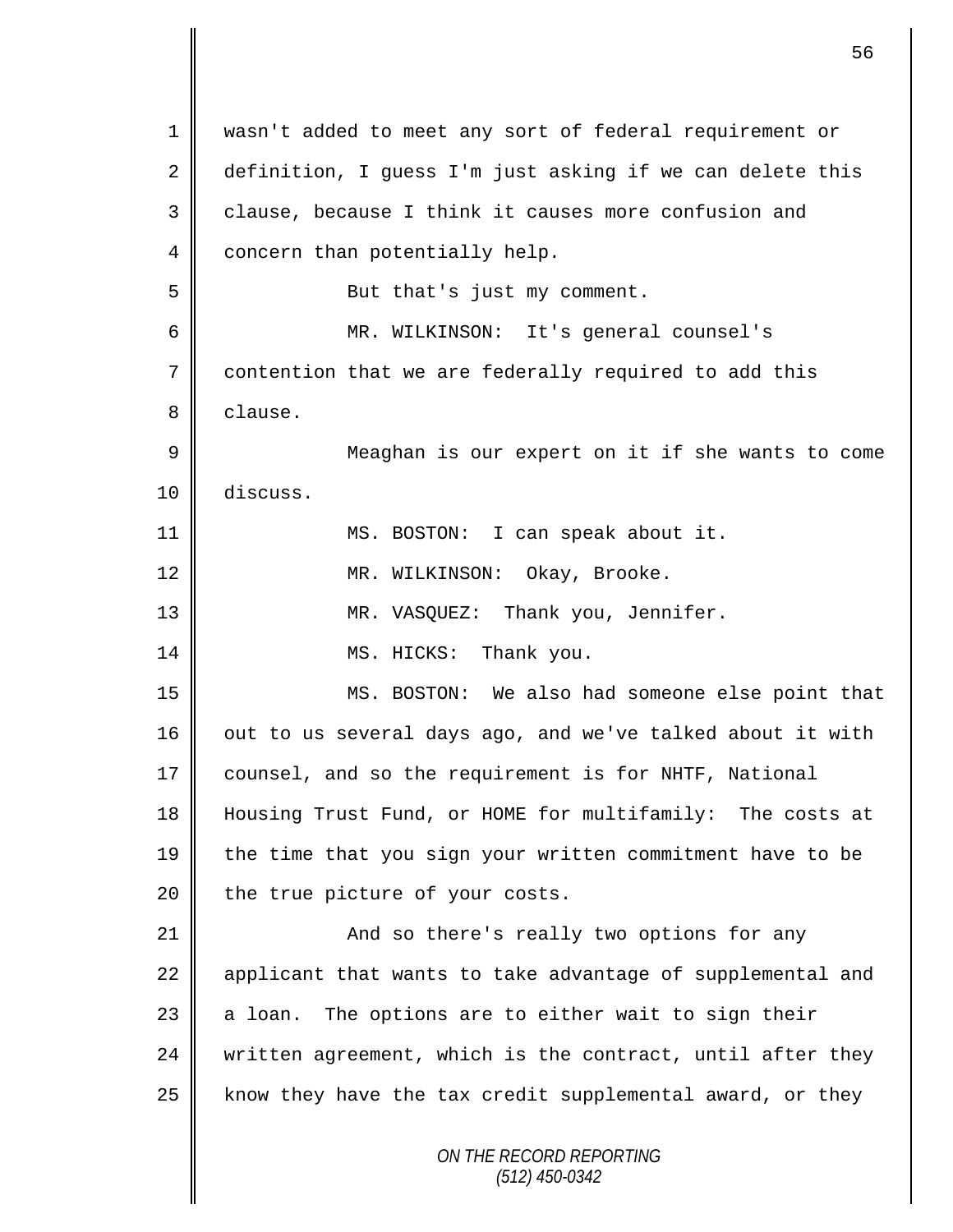| $\mathbf{1}$ | wasn't added to meet any sort of federal requirement or    |
|--------------|------------------------------------------------------------|
| 2            | definition, I guess I'm just asking if we can delete this  |
| 3            | clause, because I think it causes more confusion and       |
| 4            | concern than potentially help.                             |
| 5            | But that's just my comment.                                |
| 6            | MR. WILKINSON: It's general counsel's                      |
| 7            | contention that we are federally required to add this      |
| 8            | clause.                                                    |
| $\mathsf 9$  | Meaghan is our expert on it if she wants to come           |
| 10           | discuss.                                                   |
| 11           | MS. BOSTON: I can speak about it.                          |
| 12           | MR. WILKINSON: Okay, Brooke.                               |
| 13           | MR. VASQUEZ: Thank you, Jennifer.                          |
| 14           | MS. HICKS: Thank you.                                      |
| 15           | MS. BOSTON: We also had someone else point that            |
| 16           | out to us several days ago, and we've talked about it with |
| 17           | counsel, and so the requirement is for NHTF, National      |
| 18           | Housing Trust Fund, or HOME for multifamily: The costs at  |
| 19           | the time that you sign your written commitment have to be  |
| 20           | the true picture of your costs.                            |
| 21           | And so there's really two options for any                  |
| 22           | applicant that wants to take advantage of supplemental and |
| 23           | a loan. The options are to either wait to sign their       |
| 24           | written agreement, which is the contract, until after they |
| 25           | know they have the tax credit supplemental award, or they  |
|              | ON THE RECORD REPORTING<br>$(512)$ 450-0342                |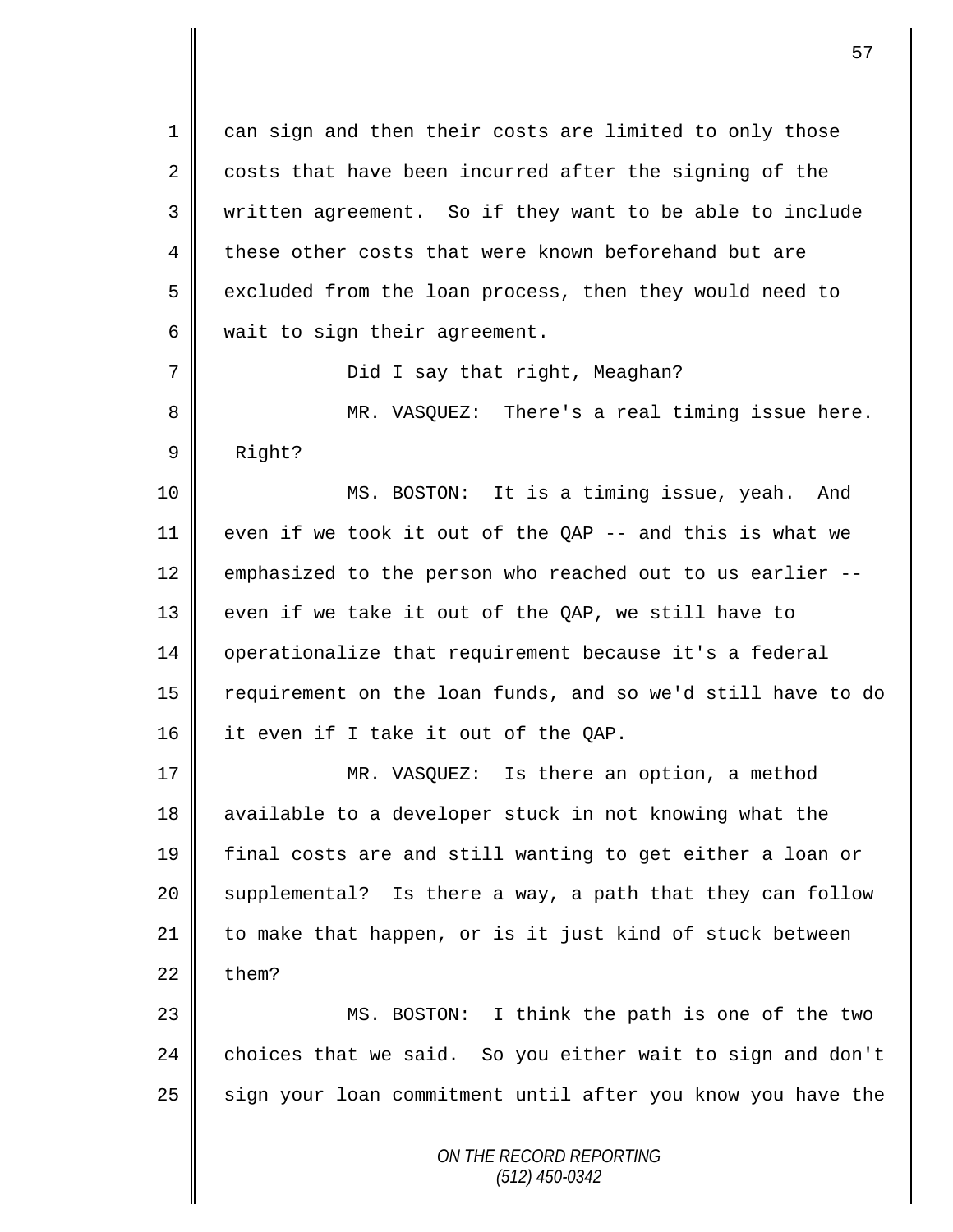*ON THE RECORD REPORTING* 1 can sign and then their costs are limited to only those  $2 \parallel$  costs that have been incurred after the signing of the 3 written agreement. So if they want to be able to include 4 these other costs that were known beforehand but are 5 excluded from the loan process, then they would need to  $6 \parallel$  wait to sign their agreement. 7 || Did I say that right, Meaghan? 8 MR. VASQUEZ: There's a real timing issue here. 9 Right? 10 || MS. BOSTON: It is a timing issue, yeah. And 11 even if we took it out of the QAP  $-$  and this is what we 12 emphasized to the person who reached out to us earlier --13 even if we take it out of the QAP, we still have to 14 | operationalize that requirement because it's a federal 15 | requirement on the loan funds, and so we'd still have to do 16 it even if I take it out of the QAP. 17 || MR. VASQUEZ: Is there an option, a method 18 available to a developer stuck in not knowing what the 19 final costs are and still wanting to get either a loan or 20 Supplemental? Is there a way, a path that they can follow 21 || to make that happen, or is it just kind of stuck between  $22 \parallel$  them? 23 || MS. BOSTON: I think the path is one of the two  $24$  choices that we said. So you either wait to sign and don't  $25$  sign your loan commitment until after you know you have the

*(512) 450-0342*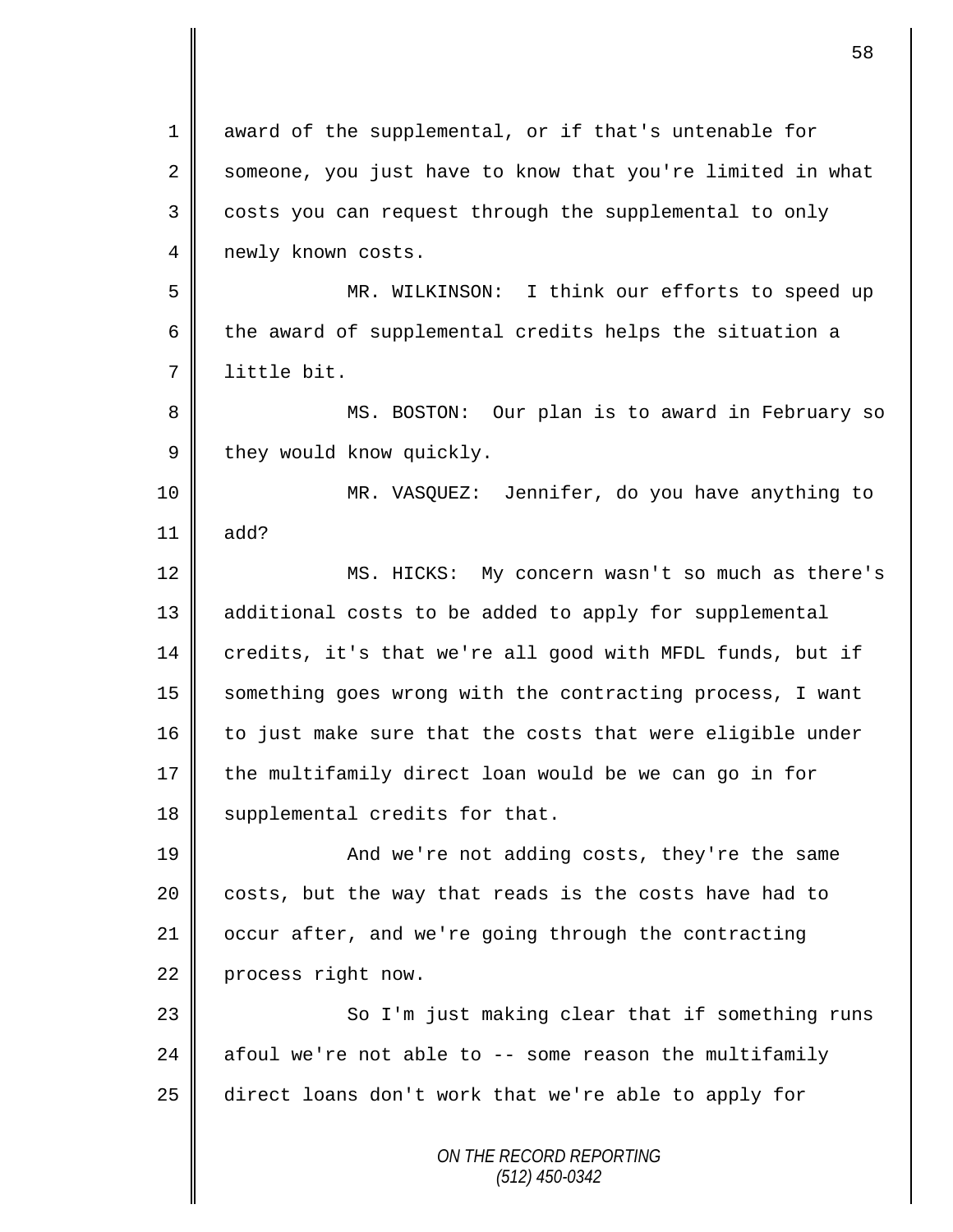*ON THE RECORD REPORTING (512) 450-0342* 1 award of the supplemental, or if that's untenable for 2 someone, you just have to know that you're limited in what 3 costs you can request through the supplemental to only 4 newly known costs. 5 MR. WILKINSON: I think our efforts to speed up 6 the award of supplemental credits helps the situation a 7 little bit. 8 MS. BOSTON: Our plan is to award in February so  $9 \parallel$  they would know quickly. 10 MR. VASQUEZ: Jennifer, do you have anything to 11  $\parallel$  add? 12 MS. HICKS: My concern wasn't so much as there's 13 additional costs to be added to apply for supplemental 14 credits, it's that we're all good with MFDL funds, but if 15 Something goes wrong with the contracting process, I want  $16$  to just make sure that the costs that were eligible under 17  $\parallel$  the multifamily direct loan would be we can go in for 18 | supplemental credits for that. 19 **And we're not adding costs, they're the same**  $20$  | costs, but the way that reads is the costs have had to 21 | occur after, and we're going through the contracting 22 process right now. 23 || So I'm just making clear that if something runs 24  $\parallel$  afoul we're not able to -- some reason the multifamily 25 direct loans don't work that we're able to apply for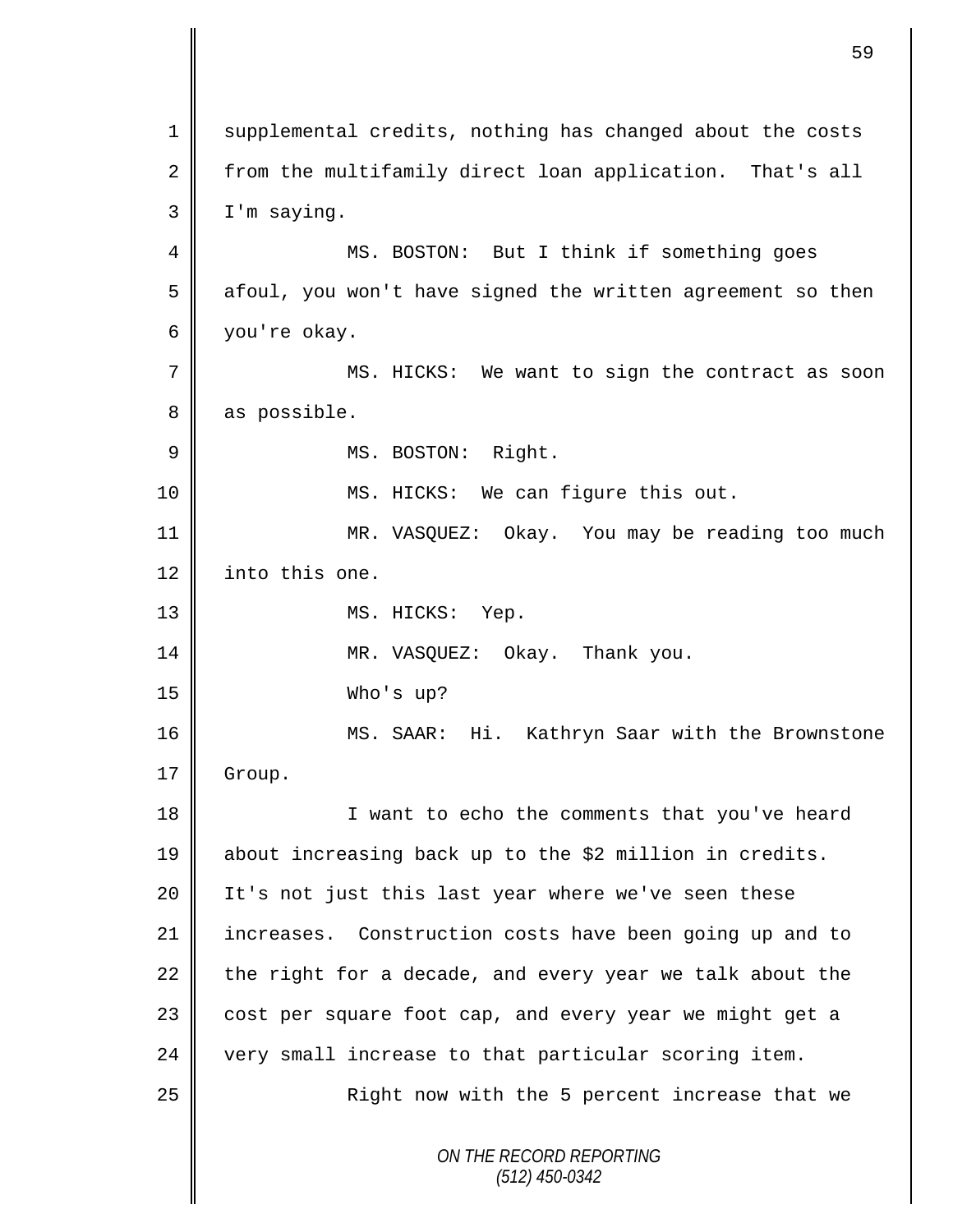*ON THE RECORD REPORTING (512) 450-0342* 1 supplemental credits, nothing has changed about the costs  $2 \parallel$  from the multifamily direct loan application. That's all 3 I'm saying. 4 || MS. BOSTON: But I think if something goes  $5 \parallel$  afoul, you won't have signed the written agreement so then 6 you're okay. 7 || MS. HICKS: We want to sign the contract as soon 8 as possible. 9 || MS. BOSTON: Right. 10 || MS. HICKS: We can figure this out. 11 MR. VASQUEZ: Okay. You may be reading too much 12 into this one. 13 || MS. HICKS: Yep. 14 MR. VASQUEZ: Okay. Thank you. 15 Who's up? 16 || MS. SAAR: Hi. Kathryn Saar with the Brownstone 17 | Group. 18 || I want to echo the comments that you've heard 19 about increasing back up to the \$2 million in credits. 20 | It's not just this last year where we've seen these 21 increases. Construction costs have been going up and to 22 the right for a decade, and every year we talk about the 23 | cost per square foot cap, and every year we might get a  $24$   $\parallel$  very small increase to that particular scoring item. 25 || Right now with the 5 percent increase that we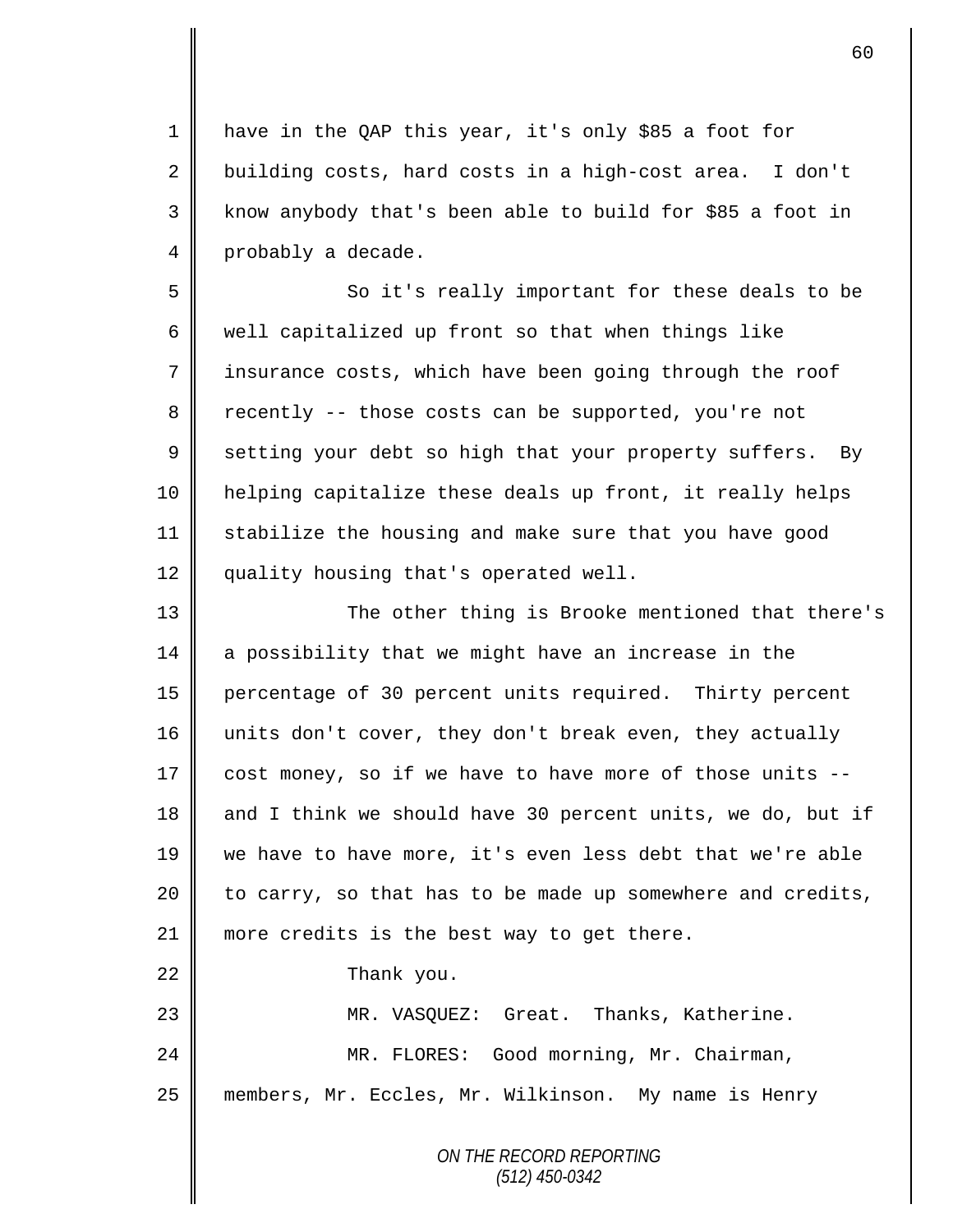1 | have in the QAP this year, it's only \$85 a foot for  $2 \parallel$  building costs, hard costs in a high-cost area. I don't 3 || know anybody that's been able to build for \$85 a foot in 4 probably a decade.

5 || So it's really important for these deals to be  $6 \parallel$  well capitalized up front so that when things like 7 | insurance costs, which have been going through the roof  $8 \parallel$  recently -- those costs can be supported, you're not 9 setting your debt so high that your property suffers. By 10 helping capitalize these deals up front, it really helps 11 stabilize the housing and make sure that you have good 12 quality housing that's operated well.

 The other thing is Brooke mentioned that there's 14 a possibility that we might have an increase in the percentage of 30 percent units required. Thirty percent 16 || units don't cover, they don't break even, they actually  $\parallel$  cost money, so if we have to have more of those units --18 and I think we should have 30 percent units, we do, but if we have to have more, it's even less debt that we're able | to carry, so that has to be made up somewhere and credits, 21 || more credits is the best way to get there. **Thank** you. MR. VASQUEZ: Great. Thanks, Katherine. 24 MR. FLORES: Good morning, Mr. Chairman, members, Mr. Eccles, Mr. Wilkinson. My name is Henry

> *ON THE RECORD REPORTING (512) 450-0342*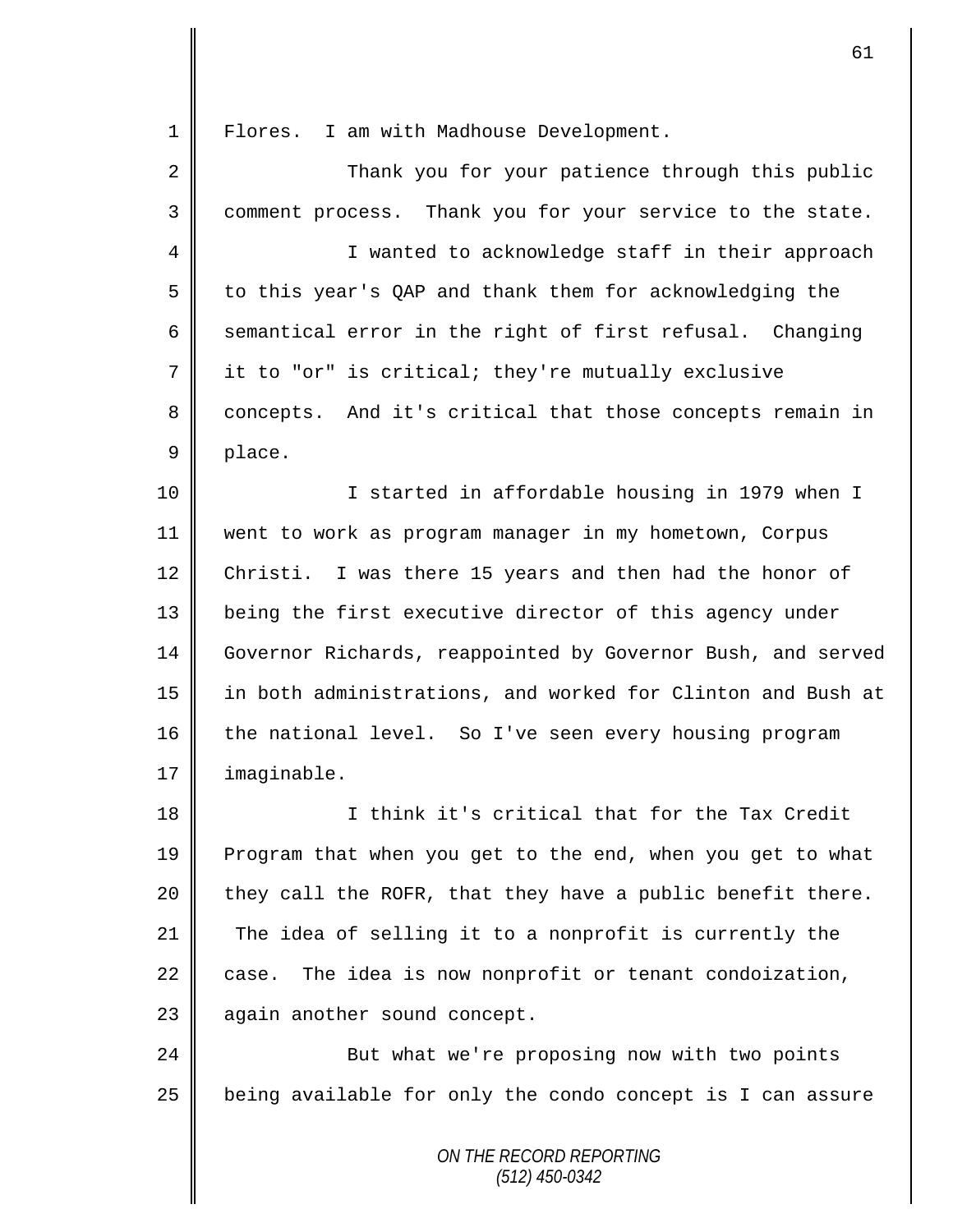1 Flores. I am with Madhouse Development.

| 2  | Thank you for your patience through this public             |
|----|-------------------------------------------------------------|
| 3  | comment process. Thank you for your service to the state.   |
| 4  | I wanted to acknowledge staff in their approach             |
| 5  | to this year's QAP and thank them for acknowledging the     |
| 6  | semantical error in the right of first refusal. Changing    |
| 7  | it to "or" is critical; they're mutually exclusive          |
| 8  | concepts. And it's critical that those concepts remain in   |
| 9  | place.                                                      |
| 10 | I started in affordable housing in 1979 when I              |
| 11 | went to work as program manager in my hometown, Corpus      |
| 12 | Christi. I was there 15 years and then had the honor of     |
| 13 | being the first executive director of this agency under     |
| 14 | Governor Richards, reappointed by Governor Bush, and served |
| 15 | in both administrations, and worked for Clinton and Bush at |
| 16 | the national level. So I've seen every housing program      |
| 17 | imaginable.                                                 |
| 18 | I think it's critical that for the Tax Credit               |
| 19 | Program that when you get to the end, when you get to what  |
| 20 | they call the ROFR, that they have a public benefit there.  |
| 21 | The idea of selling it to a nonprofit is currently the      |
| 22 | The idea is now nonprofit or tenant condoization,<br>case.  |
| 23 | again another sound concept.                                |
| 24 | But what we're proposing now with two points                |
| 25 | being available for only the condo concept is I can assure  |
|    | ON THE RECORD REPORTING                                     |

*(512) 450-0342*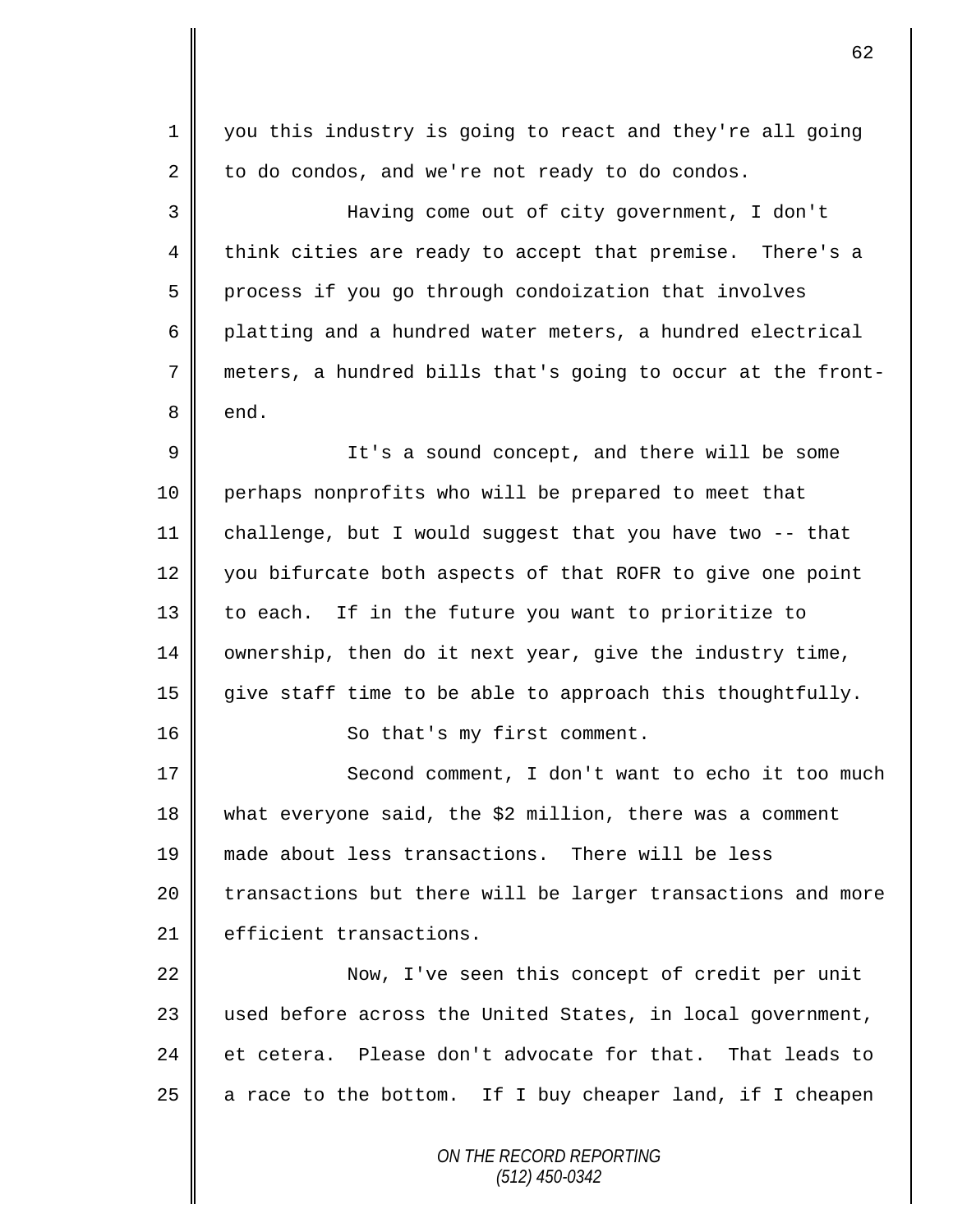| $\mathbf 1$ | you this industry is going to react and they're all going   |
|-------------|-------------------------------------------------------------|
| 2           | to do condos, and we're not ready to do condos.             |
| 3           | Having come out of city government, I don't                 |
| 4           | think cities are ready to accept that premise. There's a    |
| 5           | process if you go through condoization that involves        |
| 6           | platting and a hundred water meters, a hundred electrical   |
| 7           | meters, a hundred bills that's going to occur at the front- |
| 8           | end.                                                        |
| 9           | It's a sound concept, and there will be some                |
| 10          | perhaps nonprofits who will be prepared to meet that        |
| 11          | challenge, but I would suggest that you have two -- that    |
| 12          | you bifurcate both aspects of that ROFR to give one point   |
| 13          | to each. If in the future you want to prioritize to         |
| 14          | ownership, then do it next year, give the industry time,    |
| 15          | give staff time to be able to approach this thoughtfully.   |
| 16          | So that's my first comment.                                 |
| 17          | Second comment, I don't want to echo it too much            |
| 18          | what everyone said, the \$2 million, there was a comment    |
| 19          | made about less transactions. There will be less            |
| 20          | transactions but there will be larger transactions and more |
| 21          | efficient transactions.                                     |
| 22          | Now, I've seen this concept of credit per unit              |
| 23          | used before across the United States, in local government,  |
| 24          | et cetera. Please don't advocate for that. That leads to    |
| 25          | a race to the bottom. If I buy cheaper land, if I cheapen   |
|             | ON THE RECORD REPORTING<br>$(512)$ 450-0342                 |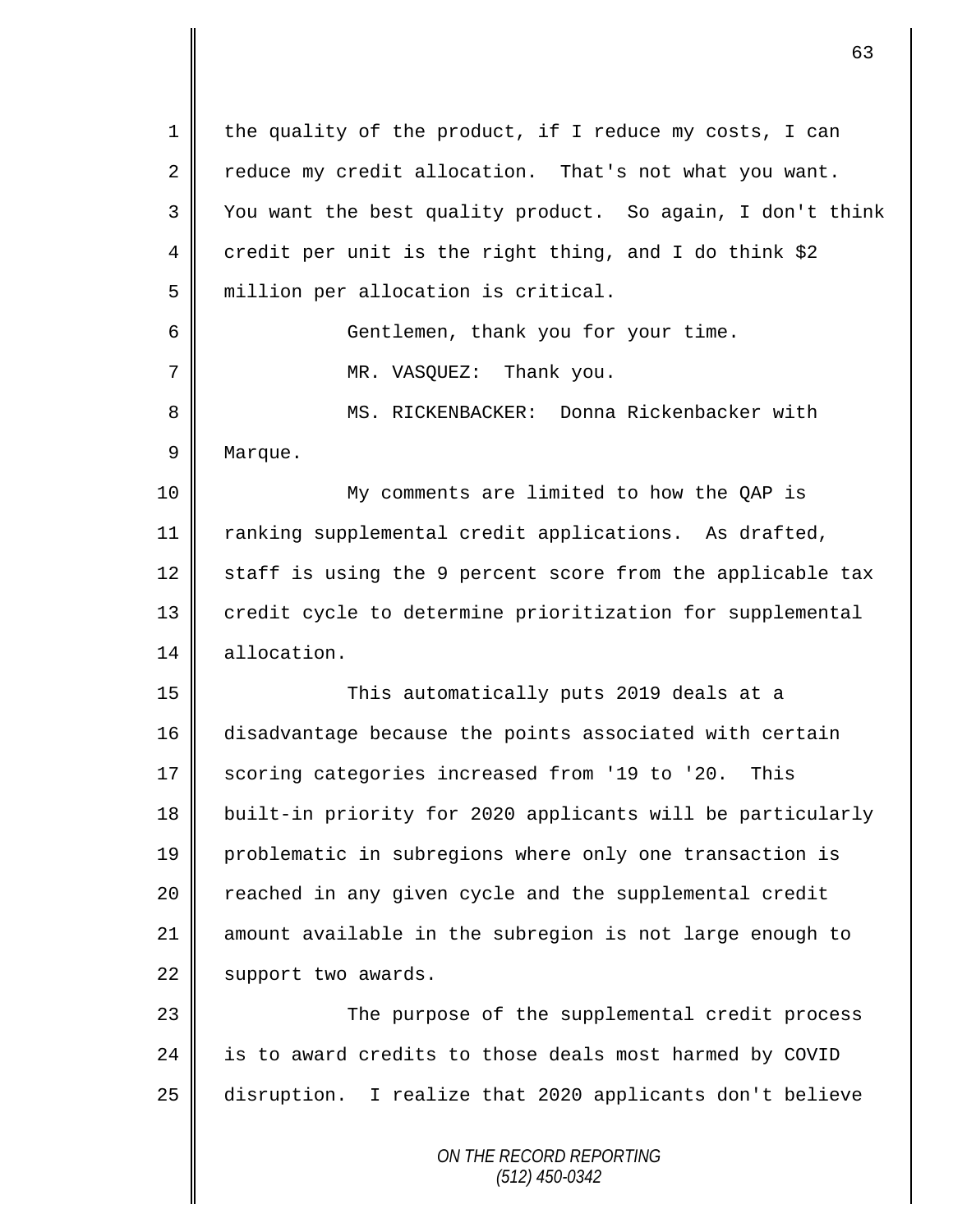| $\mathbf 1$ | the quality of the product, if I reduce my costs, I can    |
|-------------|------------------------------------------------------------|
| 2           | reduce my credit allocation. That's not what you want.     |
| 3           | You want the best quality product. So again, I don't think |
| 4           | credit per unit is the right thing, and I do think \$2     |
| 5           | million per allocation is critical.                        |
| 6           | Gentlemen, thank you for your time.                        |
| 7           | MR. VASQUEZ: Thank you.                                    |
| 8           | MS. RICKENBACKER: Donna Rickenbacker with                  |
| 9           | Marque.                                                    |
| 10          | My comments are limited to how the QAP is                  |
| 11          | ranking supplemental credit applications. As drafted,      |
| 12          | staff is using the 9 percent score from the applicable tax |
| 13          | credit cycle to determine prioritization for supplemental  |
| 14          | allocation.                                                |
| 15          | This automatically puts 2019 deals at a                    |
| 16          | disadvantage because the points associated with certain    |
| 17          | scoring categories increased from '19 to '20.<br>This      |
| 18          | built-in priority for 2020 applicants will be particularly |
| 19          | problematic in subregions where only one transaction is    |
| 20          | reached in any given cycle and the supplemental credit     |
| 21          | amount available in the subregion is not large enough to   |
| 22          | support two awards.                                        |
| 23          | The purpose of the supplemental credit process             |
| 24          | is to award credits to those deals most harmed by COVID    |
| 25          | disruption. I realize that 2020 applicants don't believe   |
|             | ON THE RECORD REPORTING                                    |

*(512) 450-0342*

 $\mathsf{I}$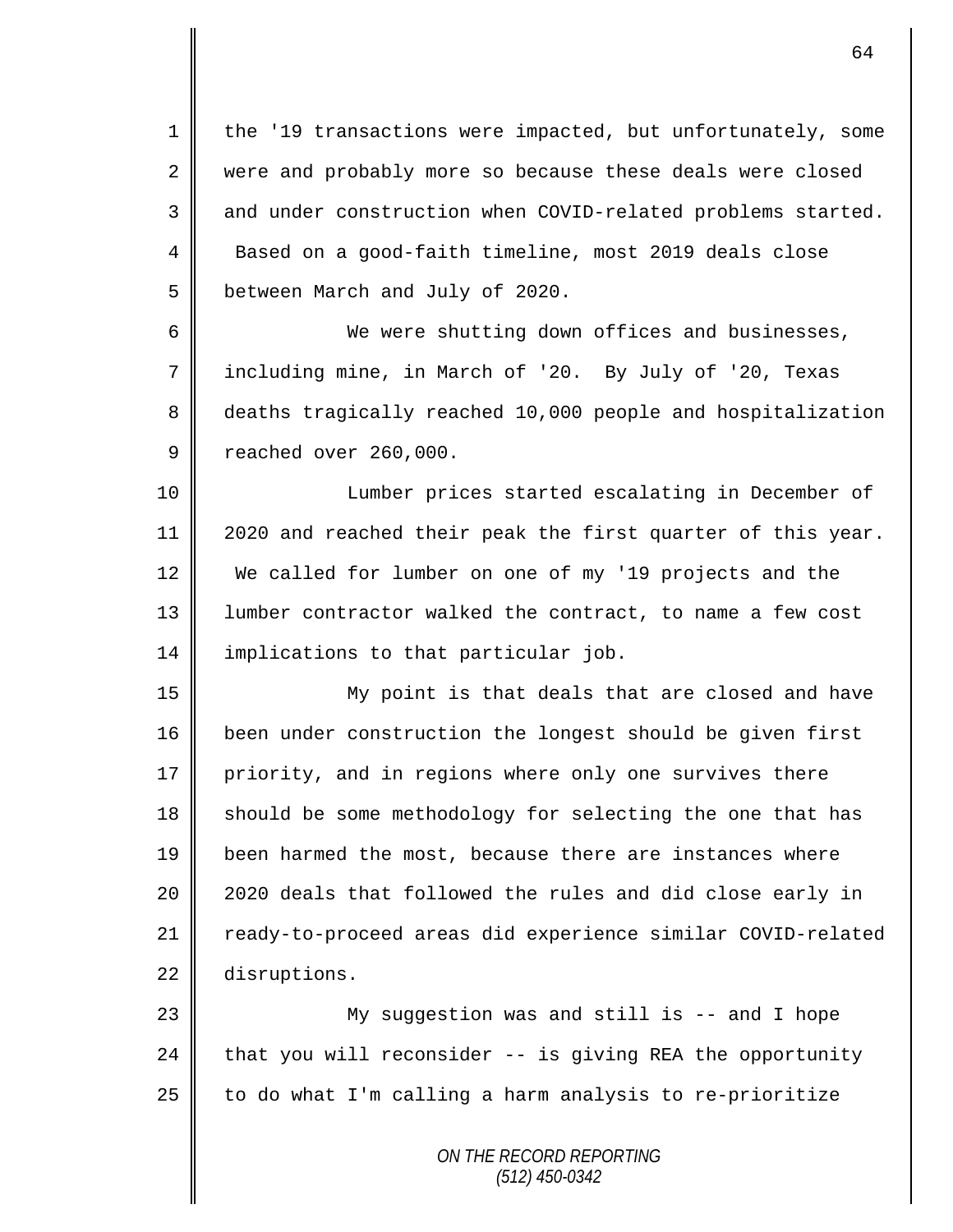1 the '19 transactions were impacted, but unfortunately, some 2 were and probably more so because these deals were closed 3 and under construction when COVID-related problems started. 4 Based on a good-faith timeline, most 2019 deals close 5 **b**etween March and July of 2020.

6 We were shutting down offices and businesses, 7 including mine, in March of '20. By July of '20, Texas 8 deaths tragically reached 10,000 people and hospitalization 9 ceached over 260,000.

10 || Lumber prices started escalating in December of 11 2020 and reached their peak the first quarter of this year. 12 We called for lumber on one of my '19 projects and the 13 | lumber contractor walked the contract, to name a few cost 14 implications to that particular job.

15 || My point is that deals that are closed and have 16 been under construction the longest should be given first 17 priority, and in regions where only one survives there 18 should be some methodology for selecting the one that has 19 been harmed the most, because there are instances where 20 || 2020 deals that followed the rules and did close early in 21 | ready-to-proceed areas did experience similar COVID-related 22 disruptions.

23 || My suggestion was and still is -- and I hope 24  $\parallel$  that you will reconsider -- is giving REA the opportunity 25  $\parallel$  to do what I'm calling a harm analysis to re-prioritize

> *ON THE RECORD REPORTING (512) 450-0342*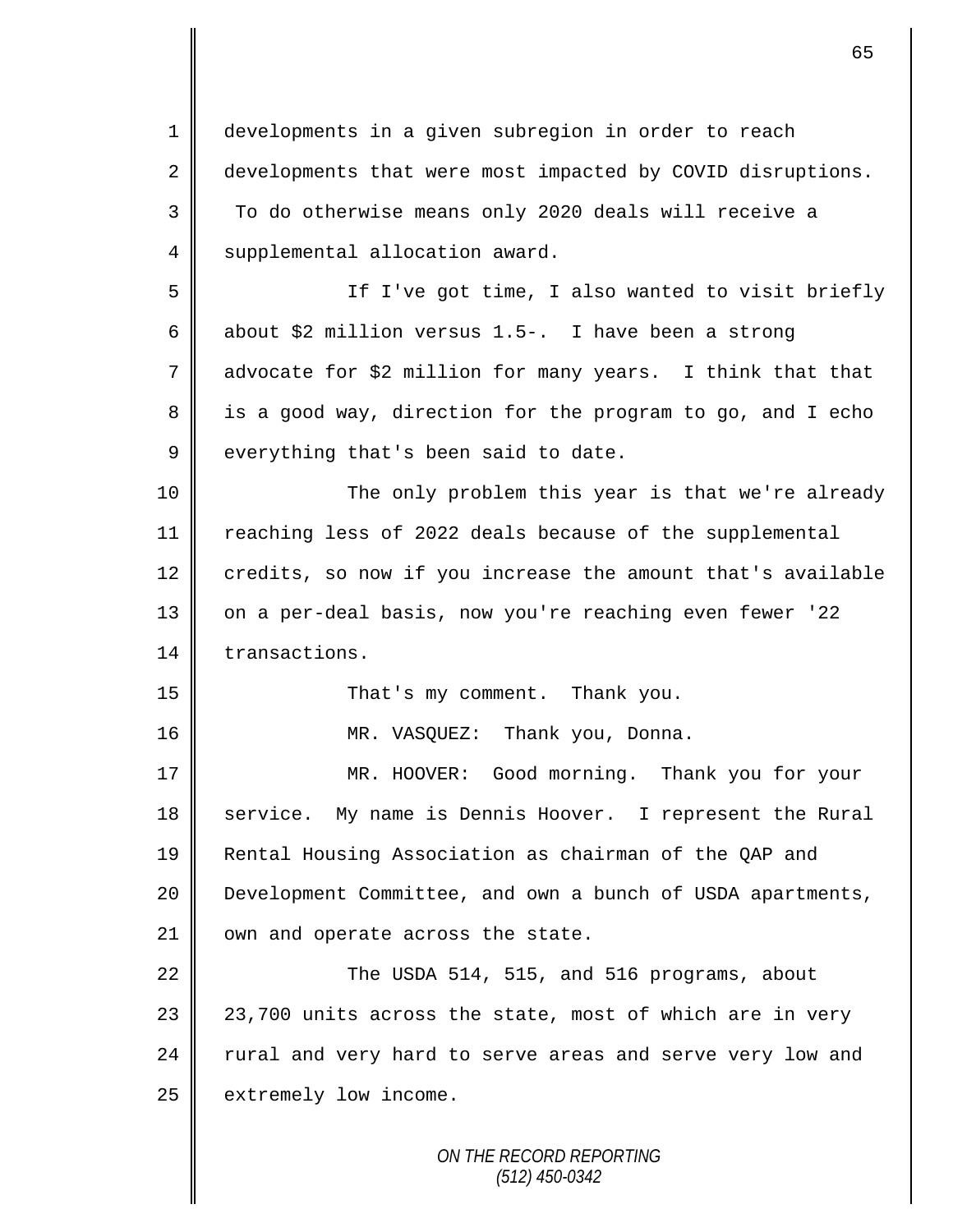*ON THE RECORD REPORTING* 1 developments in a given subregion in order to reach 2 developments that were most impacted by COVID disruptions. 3 To do otherwise means only 2020 deals will receive a 4 | supplemental allocation award. 5 If I've got time, I also wanted to visit briefly 6 about \$2 million versus 1.5-. I have been a strong 7 advocate for \$2 million for many years. I think that that  $8 \parallel$  is a good way, direction for the program to go, and I echo  $9 \parallel$  everything that's been said to date. 10 The only problem this year is that we're already 11 reaching less of 2022 deals because of the supplemental  $12$  credits, so now if you increase the amount that's available 13 || on a per-deal basis, now you're reaching even fewer '22 14 transactions. 15 || That's my comment. Thank you. 16 MR. VASQUEZ: Thank you, Donna. 17 MR. HOOVER: Good morning. Thank you for your 18 service. My name is Dennis Hoover. I represent the Rural 19 Rental Housing Association as chairman of the QAP and 20 | Development Committee, and own a bunch of USDA apartments, 21 | own and operate across the state. 22  $\parallel$  The USDA 514, 515, and 516 programs, about 23 || 23,700 units across the state, most of which are in very 24 rural and very hard to serve areas and serve very low and 25 extremely low income.

65

*(512) 450-0342*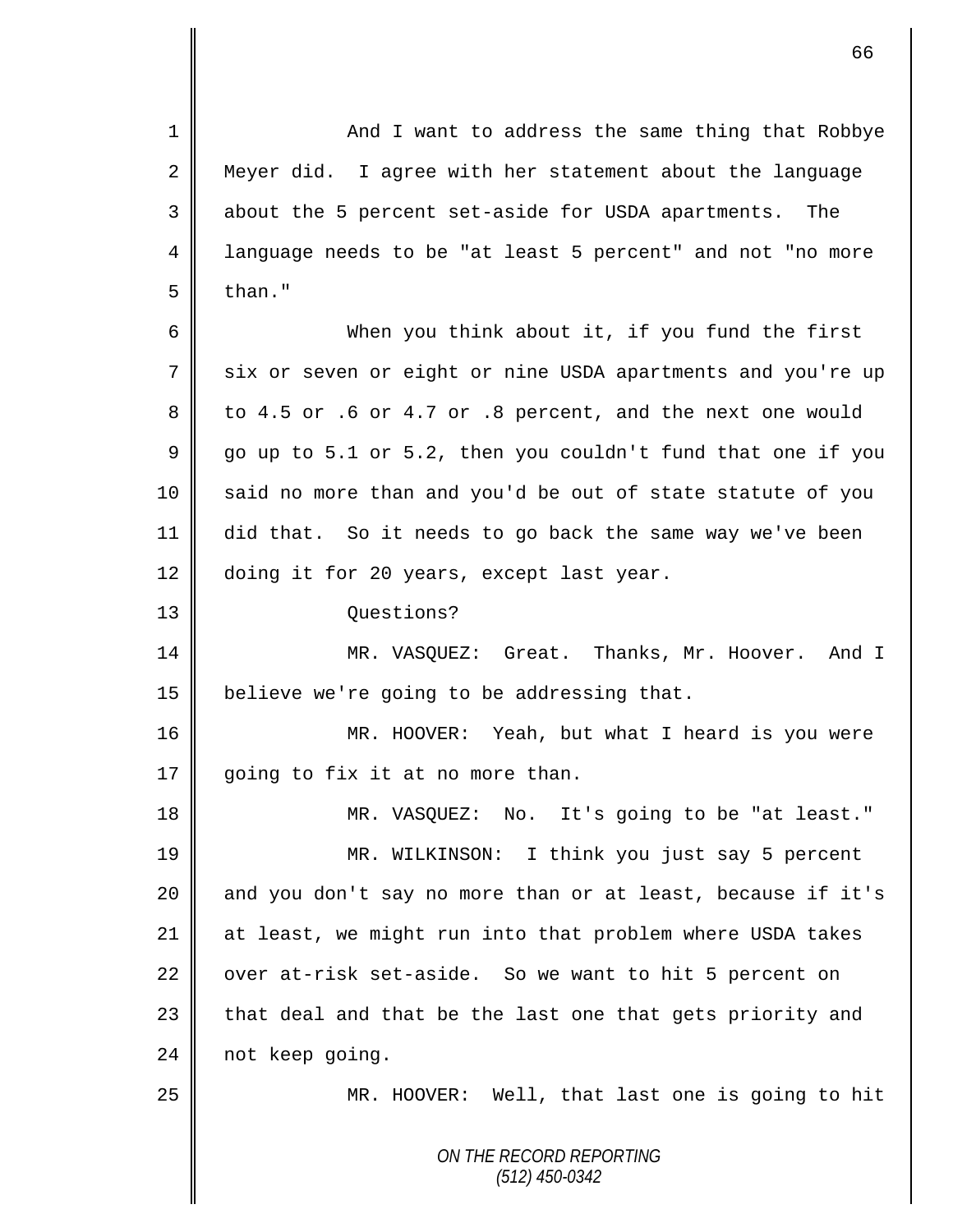*ON THE RECORD REPORTING (512) 450-0342* 1 || And I want to address the same thing that Robbye 2 Meyer did. I agree with her statement about the language 3 about the 5 percent set-aside for USDA apartments. The 4 language needs to be "at least 5 percent" and not "no more  $5 \parallel$  than." 6 When you think about it, if you fund the first 7 six or seven or eight or nine USDA apartments and you're up  $8 \parallel$  to 4.5 or .6 or 4.7 or .8 percent, and the next one would  $9 \parallel$  go up to 5.1 or 5.2, then you couldn't fund that one if you 10 said no more than and you'd be out of state statute of you 11 did that. So it needs to go back the same way we've been 12 doing it for 20 years, except last year. 13 Questions? 14 MR. VASQUEZ: Great. Thanks, Mr. Hoover. And I 15  $\parallel$  believe we're going to be addressing that. 16 | MR. HOOVER: Yeah, but what I heard is you were 17 going to fix it at no more than. 18 MR. VASQUEZ: No. It's going to be "at least." 19 MR. WILKINSON: I think you just say 5 percent 20  $\parallel$  and you don't say no more than or at least, because if it's 21 at least, we might run into that problem where USDA takes 22 over at-risk set-aside. So we want to hit 5 percent on  $23$  | that deal and that be the last one that gets priority and 24 not keep going. 25 MR. HOOVER: Well, that last one is going to hit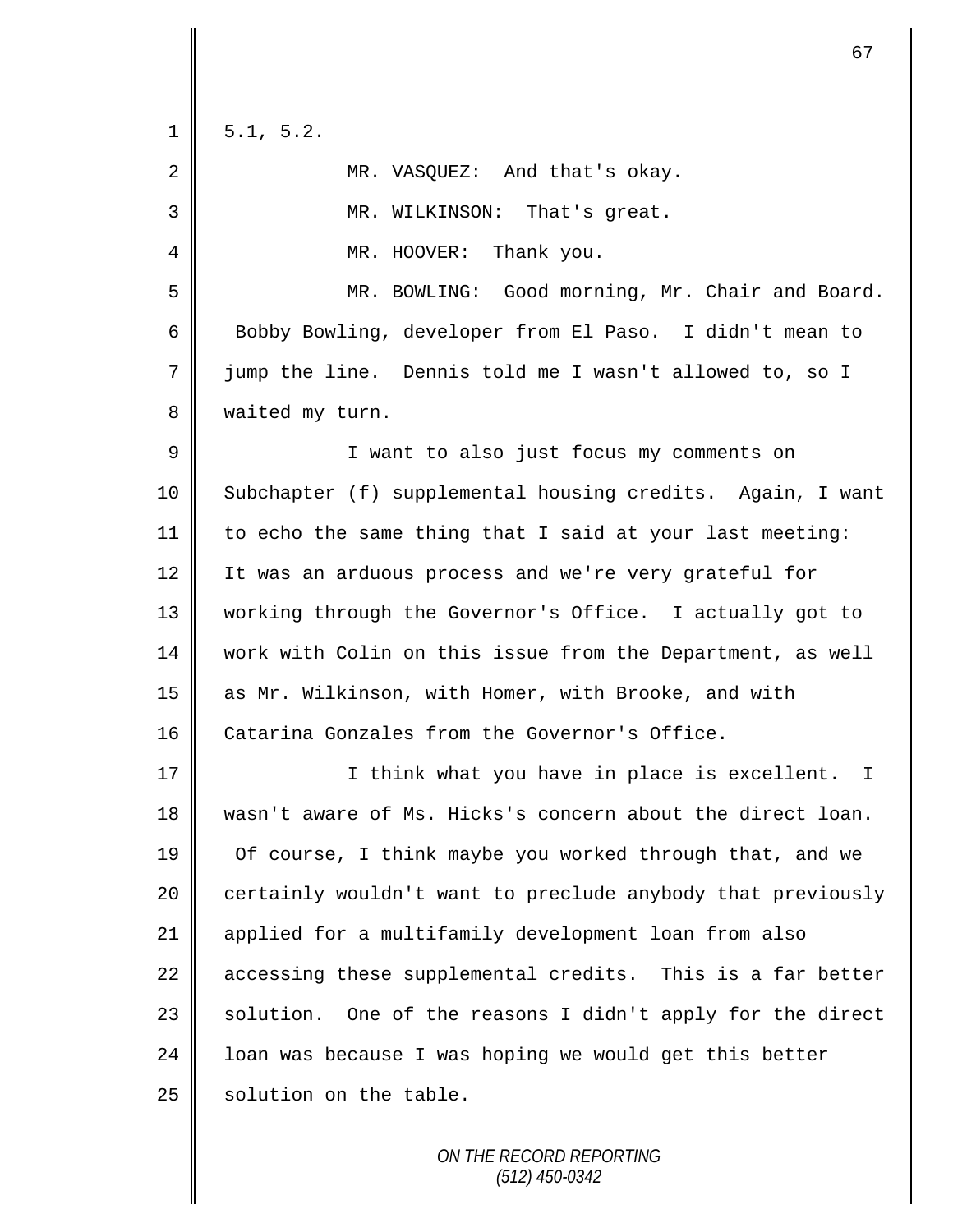| $\mathbf{1}$ | 5.1, 5.2.                                                   |
|--------------|-------------------------------------------------------------|
| 2            | MR. VASQUEZ: And that's okay.                               |
| 3            | MR. WILKINSON: That's great.                                |
| 4            | MR. HOOVER: Thank you.                                      |
| 5            | MR. BOWLING: Good morning, Mr. Chair and Board.             |
| 6            | Bobby Bowling, developer from El Paso. I didn't mean to     |
| 7            | jump the line. Dennis told me I wasn't allowed to, so I     |
| 8            | waited my turn.                                             |
| 9            | I want to also just focus my comments on                    |
| 10           | Subchapter (f) supplemental housing credits. Again, I want  |
| 11           | to echo the same thing that I said at your last meeting:    |
| 12           | It was an arduous process and we're very grateful for       |
| 13           | working through the Governor's Office. I actually got to    |
| 14           | work with Colin on this issue from the Department, as well  |
| 15           | as Mr. Wilkinson, with Homer, with Brooke, and with         |
| 16           | Catarina Gonzales from the Governor's Office.               |
| 17           | I think what you have in place is excellent.<br>I           |
| 18           | wasn't aware of Ms. Hicks's concern about the direct loan.  |
| 19           | Of course, I think maybe you worked through that, and we    |
| 20           | certainly wouldn't want to preclude anybody that previously |
| 21           | applied for a multifamily development loan from also        |
| 22           | accessing these supplemental credits. This is a far better  |
| 23           | solution. One of the reasons I didn't apply for the direct  |
| 24           | loan was because I was hoping we would get this better      |
| 25           | solution on the table.                                      |
|              |                                                             |

*ON THE RECORD REPORTING (512) 450-0342*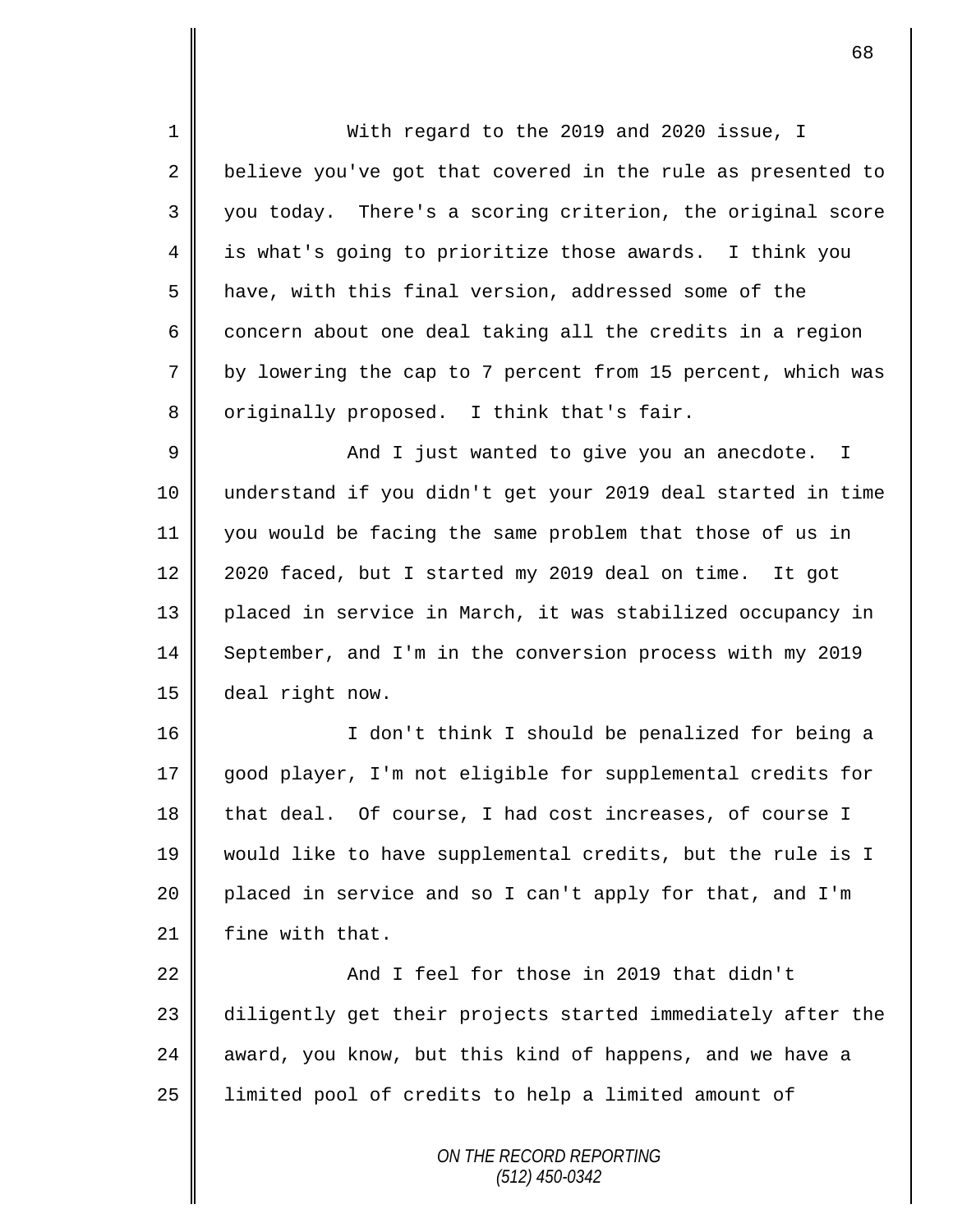1 With regard to the 2019 and 2020 issue, I 2 believe you've got that covered in the rule as presented to 3 you today. There's a scoring criterion, the original score 4 is what's going to prioritize those awards. I think you 5 | have, with this final version, addressed some of the 6 concern about one deal taking all the credits in a region 7 by lowering the cap to 7 percent from 15 percent, which was 8 | originally proposed. I think that's fair.

 And I just wanted to give you an anecdote. I understand if you didn't get your 2019 deal started in time you would be facing the same problem that those of us in 12 | 2020 faced, but I started my 2019 deal on time. It got placed in service in March, it was stabilized occupancy in 14 September, and I'm in the conversion process with my 2019 deal right now.

16 || I don't think I should be penalized for being a good player, I'm not eligible for supplemental credits for that deal. Of course, I had cost increases, of course I would like to have supplemental credits, but the rule is I 20 placed in service and so I can't apply for that, and I'm | fine with that.

22 And I feel for those in 2019 that didn't 23 diligently get their projects started immediately after the  $24$  award, you know, but this kind of happens, and we have a 25 | limited pool of credits to help a limited amount of

> *ON THE RECORD REPORTING (512) 450-0342*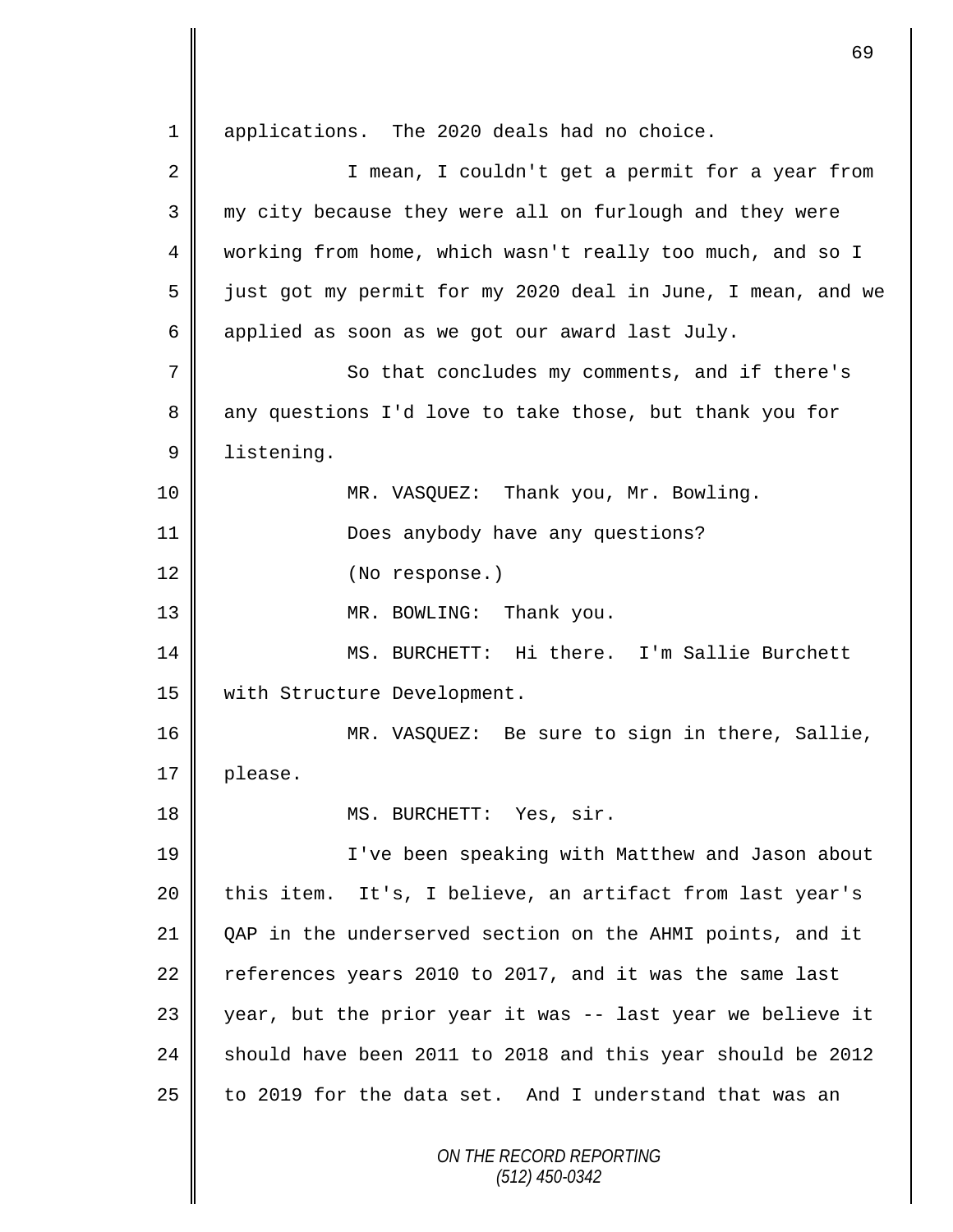*ON THE RECORD REPORTING (512) 450-0342* 1 | applications. The 2020 deals had no choice. 2 || I mean, I couldn't get a permit for a year from 3 my city because they were all on furlough and they were 4 working from home, which wasn't really too much, and so I 5 | just got my permit for my 2020 deal in June, I mean, and we 6 applied as soon as we got our award last July. 7 || So that concludes my comments, and if there's 8 any questions I'd love to take those, but thank you for 9 listening. 10 MR. VASQUEZ: Thank you, Mr. Bowling. 11 || Does anybody have any questions? 12 (No response.) 13 || MR. BOWLING: Thank you. 14 || MS. BURCHETT: Hi there. I'm Sallie Burchett 15 || with Structure Development. 16 MR. VASQUEZ: Be sure to sign in there, Sallie, 17 | please. 18 || MS. BURCHETT: Yes, sir. 19 || I've been speaking with Matthew and Jason about 20 this item. It's, I believe, an artifact from last year's 21 | OAP in the underserved section on the AHMI points, and it 22  $\parallel$  references years 2010 to 2017, and it was the same last 23 year, but the prior year it was -- last year we believe it 24 should have been 2011 to 2018 and this year should be 2012 25 to 2019 for the data set. And I understand that was an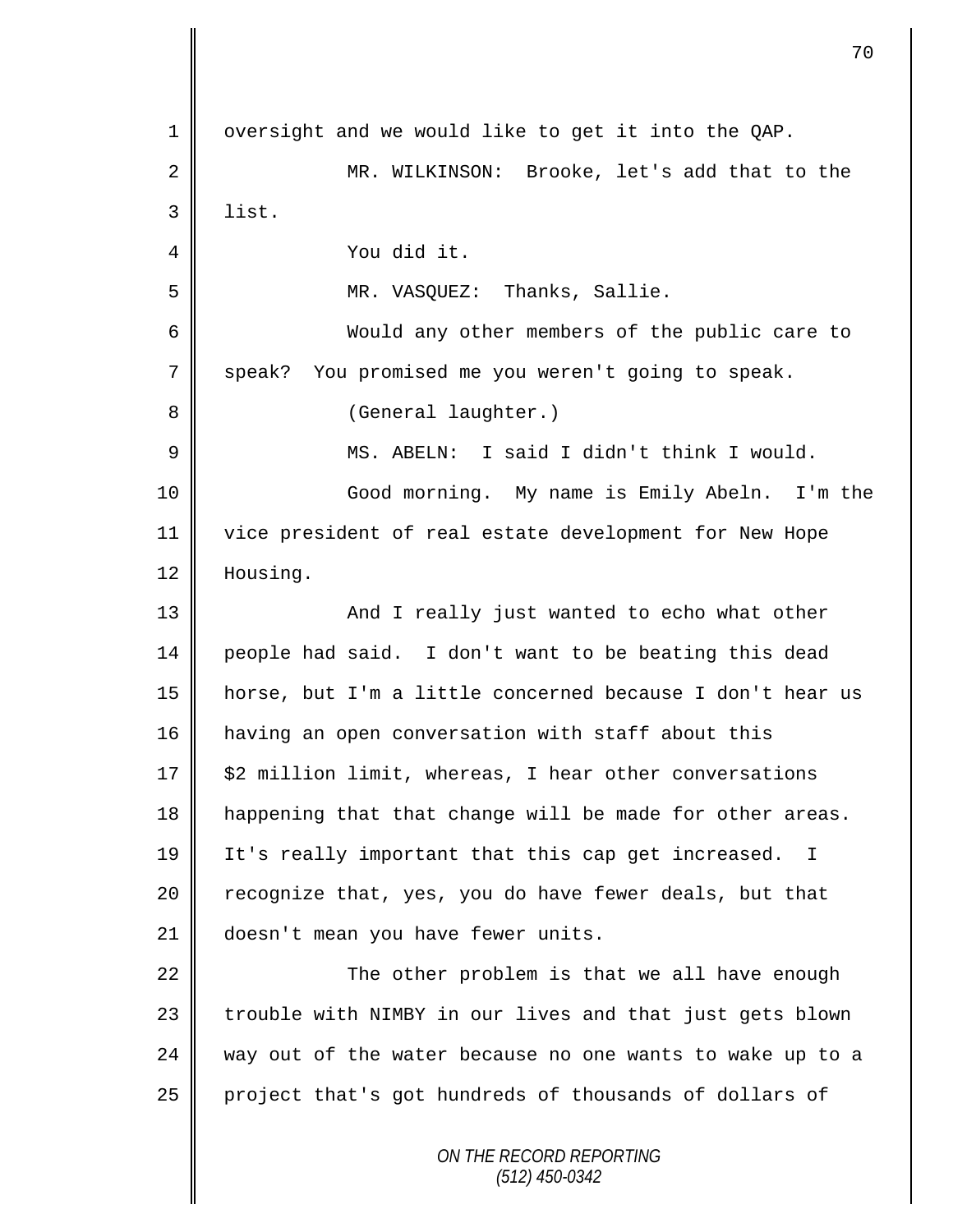*ON THE RECORD REPORTING (512) 450-0342*  $1 \parallel$  oversight and we would like to get it into the QAP. 2 MR. WILKINSON: Brooke, let's add that to the  $3$  | list. 4 You did it. 5 MR. VASQUEZ: Thanks, Sallie. 6 Would any other members of the public care to 7 speak? You promised me you weren't going to speak. 8 || (General laughter.) 9 MS. ABELN: I said I didn't think I would. 10 Good morning. My name is Emily Abeln. I'm the 11 vice president of real estate development for New Hope 12 | Housing. 13 || And I really just wanted to echo what other 14 people had said. I don't want to be beating this dead 15 horse, but I'm a little concerned because I don't hear us 16 | having an open conversation with staff about this 17 | \$2 million limit, whereas, I hear other conversations 18 | happening that that change will be made for other areas. 19 It's really important that this cap get increased. I 20 | recognize that, yes, you do have fewer deals, but that 21 doesn't mean you have fewer units.  $22$   $\parallel$  The other problem is that we all have enough 23 || trouble with NIMBY in our lives and that just gets blown  $24$  way out of the water because no one wants to wake up to a 25 project that's got hundreds of thousands of dollars of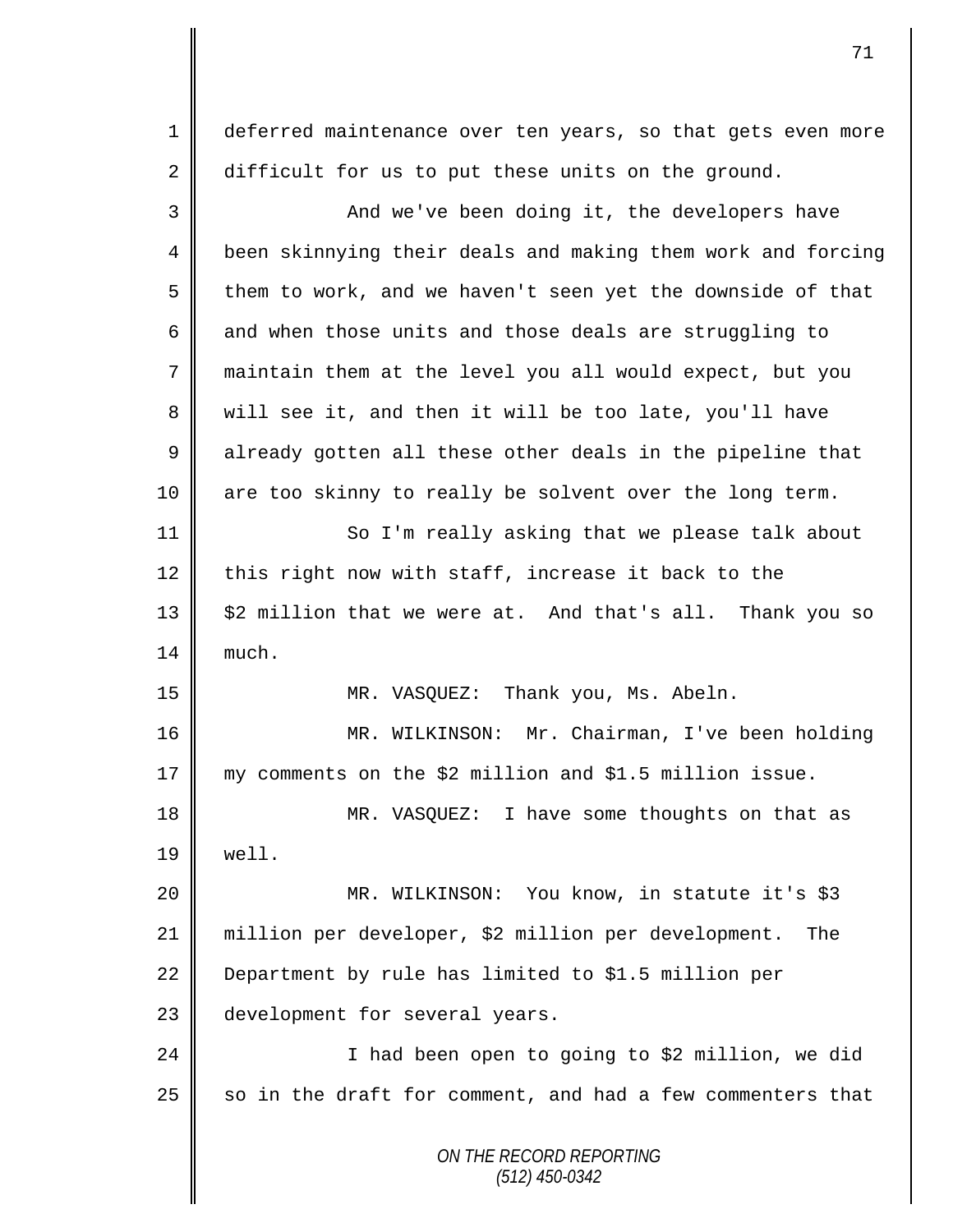1 deferred maintenance over ten years, so that gets even more 2 difficult for us to put these units on the ground.

*ON THE RECORD REPORTING (512) 450-0342* 3 || And we've been doing it, the developers have 4 | been skinnying their deals and making them work and forcing 5  $\parallel$  them to work, and we haven't seen yet the downside of that 6  $\parallel$  and when those units and those deals are struggling to 7 maintain them at the level you all would expect, but you 8 || will see it, and then it will be too late, you'll have 9 already gotten all these other deals in the pipeline that 10 || are too skinny to really be solvent over the long term. 11 | So I'm really asking that we please talk about 12 this right now with staff, increase it back to the  $13 \parallel$  \$2 million that we were at. And that's all. Thank you so  $14 \parallel$  much. 15 MR. VASQUEZ: Thank you, Ms. Abeln. 16 MR. WILKINSON: Mr. Chairman, I've been holding 17 my comments on the \$2 million and \$1.5 million issue. 18 || MR. VASQUEZ: I have some thoughts on that as  $19 \parallel$  well. 20 MR. WILKINSON: You know, in statute it's \$3 21 million per developer, \$2 million per development. The 22 **Department by rule has limited to \$1.5 million per** 23 development for several years. 24 || I had been open to going to \$2 million, we did 25  $\parallel$  so in the draft for comment, and had a few commenters that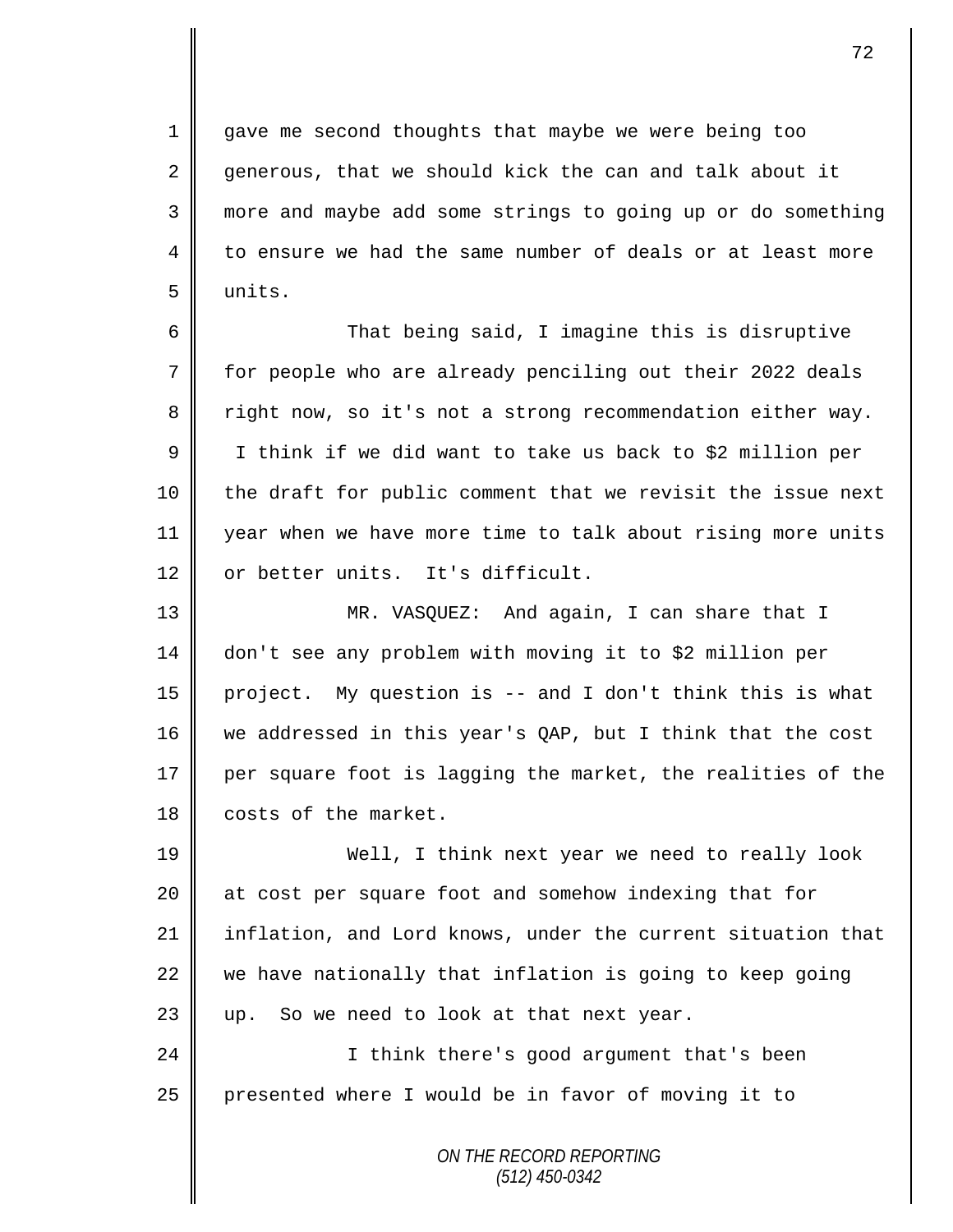1 gave me second thoughts that maybe we were being too 2 generous, that we should kick the can and talk about it 3 more and maybe add some strings to going up or do something 4 to ensure we had the same number of deals or at least more 5 units.

6 That being said, I imagine this is disruptive 7 for people who are already penciling out their 2022 deals 8 || right now, so it's not a strong recommendation either way. 9 | I think if we did want to take us back to \$2 million per  $10$  | the draft for public comment that we revisit the issue next 11 year when we have more time to talk about rising more units 12 or better units. It's difficult.

 MR. VASQUEZ: And again, I can share that I don't see any problem with moving it to \$2 million per project. My question is -- and I don't think this is what 16 we addressed in this year's QAP, but I think that the cost  $\parallel$  per square foot is lagging the market, the realities of the **costs of the market.** 

19 Well, I think next year we need to really look 20 at cost per square foot and somehow indexing that for 21 inflation, and Lord knows, under the current situation that  $22$  we have nationally that inflation is going to keep going  $23$  | up. So we need to look at that next year.

24 || I think there's good argument that's been 25 presented where I would be in favor of moving it to

> *ON THE RECORD REPORTING (512) 450-0342*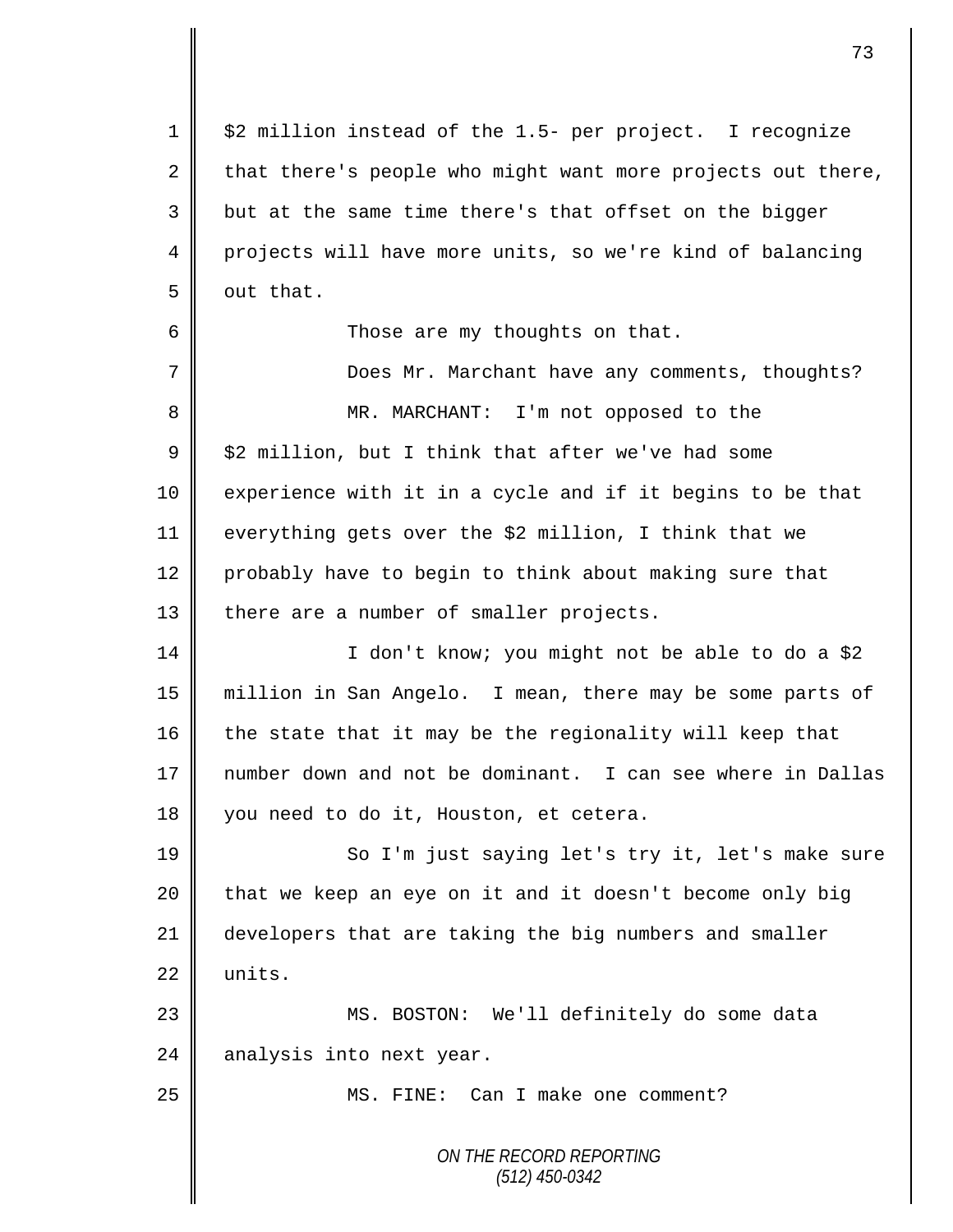$1 \parallel$  \$2 million instead of the 1.5- per project. I recognize 2 that there's people who might want more projects out there, 3 || but at the same time there's that offset on the bigger 4 projects will have more units, so we're kind of balancing  $5 \parallel$  out that. 6 Those are my thoughts on that. 7 Does Mr. Marchant have any comments, thoughts? 8 MR. MARCHANT: I'm not opposed to the  $9 \parallel$  \$2 million, but I think that after we've had some 10 experience with it in a cycle and if it begins to be that 11 everything gets over the \$2 million, I think that we 12 probably have to begin to think about making sure that 13 || there are a number of smaller projects. 14 | I don't know; you might not be able to do a \$2 15 million in San Angelo. I mean, there may be some parts of 16  $\parallel$  the state that it may be the regionality will keep that 17 number down and not be dominant. I can see where in Dallas 18 you need to do it, Houston, et cetera. 19 || So I'm just saying let's try it, let's make sure  $20$  that we keep an eye on it and it doesn't become only big 21 developers that are taking the big numbers and smaller  $22 \parallel \cdot \text{units}.$ 23 MS. BOSTON: We'll definitely do some data  $24$  analysis into next year. 25 || MS. FINE: Can I make one comment?

*ON THE RECORD REPORTING (512) 450-0342*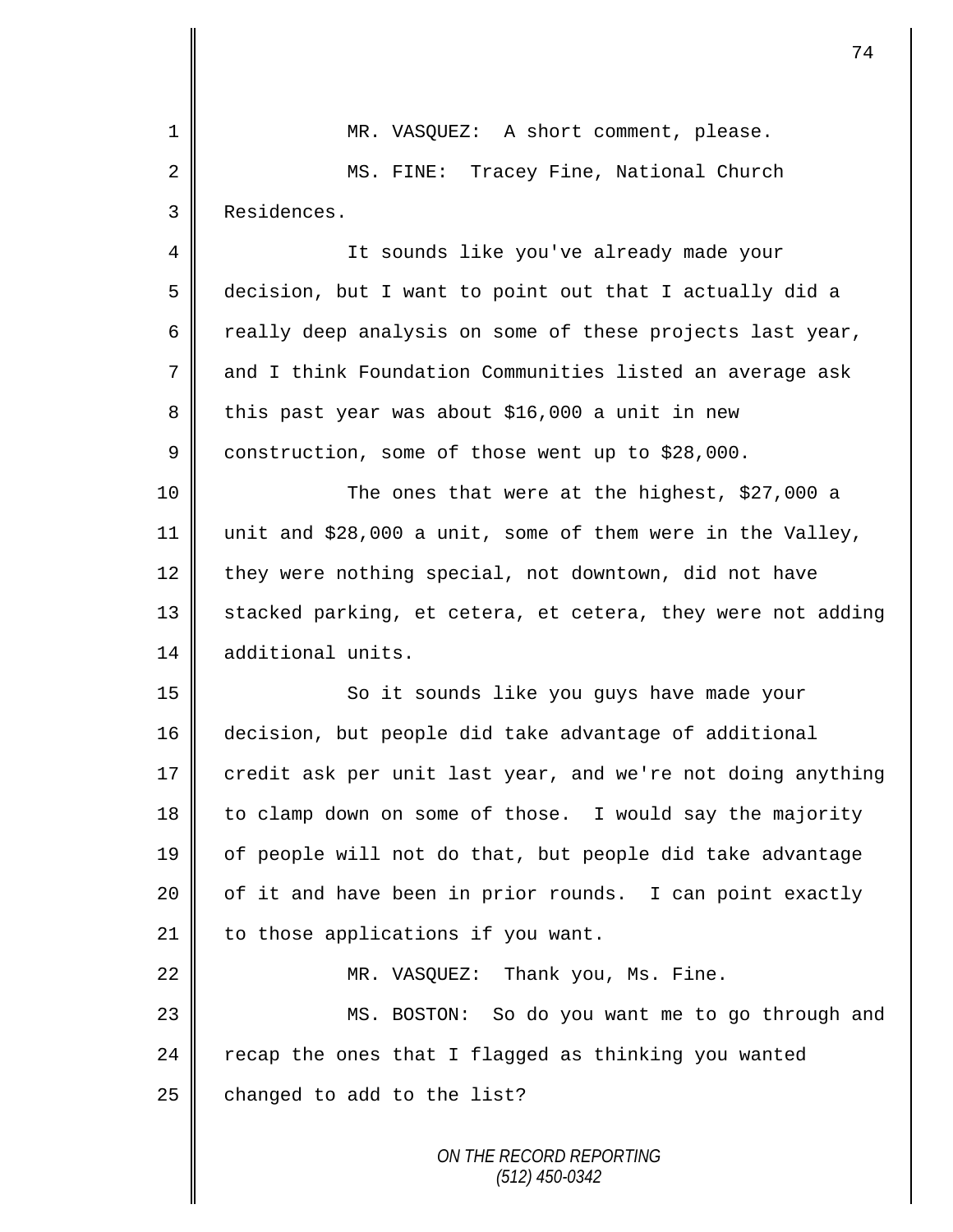| 1  | MR. VASQUEZ: A short comment, please.                       |
|----|-------------------------------------------------------------|
| 2  | Tracey Fine, National Church<br>MS. FINE:                   |
| 3  | Residences.                                                 |
| 4  | It sounds like you've already made your                     |
| 5  | decision, but I want to point out that I actually did a     |
| 6  | really deep analysis on some of these projects last year,   |
| 7  | and I think Foundation Communities listed an average ask    |
| 8  | this past year was about \$16,000 a unit in new             |
| 9  | construction, some of those went up to \$28,000.            |
| 10 | The ones that were at the highest, \$27,000 a               |
| 11 | unit and \$28,000 a unit, some of them were in the Valley,  |
| 12 | they were nothing special, not downtown, did not have       |
| 13 | stacked parking, et cetera, et cetera, they were not adding |
| 14 | additional units.                                           |
| 15 | So it sounds like you guys have made your                   |
| 16 | decision, but people did take advantage of additional       |
| 17 | credit ask per unit last year, and we're not doing anything |
| 18 | to clamp down on some of those. I would say the majority    |
| 19 | of people will not do that, but people did take advantage   |
| 20 | of it and have been in prior rounds. I can point exactly    |
| 21 | to those applications if you want.                          |
| 22 | MR. VASQUEZ: Thank you, Ms. Fine.                           |
| 23 | MS. BOSTON: So do you want me to go through and             |
| 24 | recap the ones that I flagged as thinking you wanted        |
| 25 | changed to add to the list?                                 |
|    | ON THE RECORD REPORTING                                     |

 $\mathbf l$ Ш

*(512) 450-0342*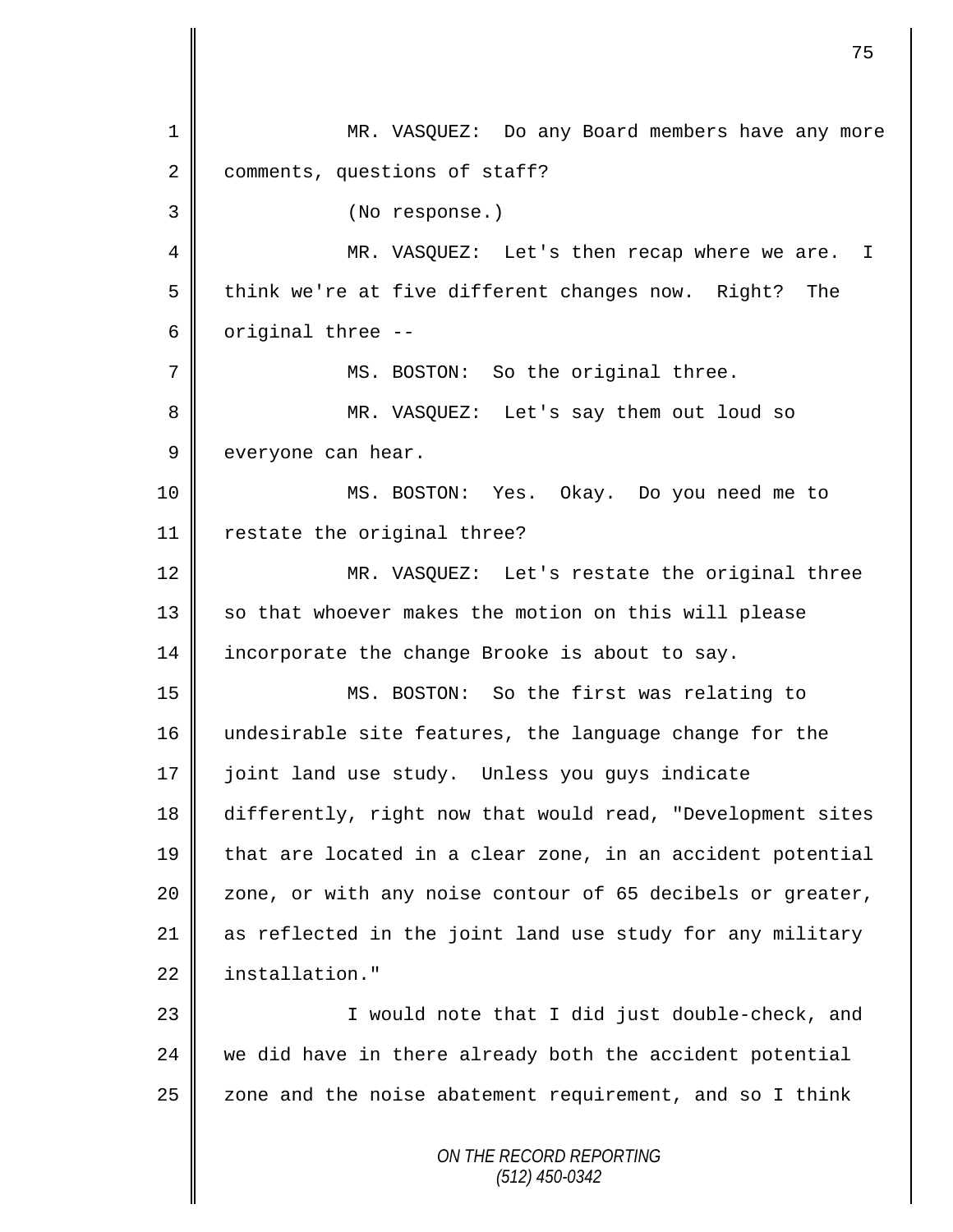*ON THE RECORD REPORTING (512) 450-0342* 1 MR. VASQUEZ: Do any Board members have any more 2 comments, questions of staff? 3 (No response.) 4 || MR. VASQUEZ: Let's then recap where we are. I 5 think we're at five different changes now. Right? The  $6 \parallel$  original three --7 || MS. BOSTON: So the original three. 8 MR. VASQUEZ: Let's say them out loud so  $9 \parallel$  everyone can hear. 10 MS. BOSTON: Yes. Okay. Do you need me to 11 | restate the original three? 12 MR. VASQUEZ: Let's restate the original three 13 || so that whoever makes the motion on this will please 14 incorporate the change Brooke is about to say. 15 MS. BOSTON: So the first was relating to 16 || undesirable site features, the language change for the 17 | joint land use study. Unless you guys indicate 18 differently, right now that would read, "Development sites 19 that are located in a clear zone, in an accident potential 20  $\parallel$  zone, or with any noise contour of 65 decibels or greater, 21 as reflected in the joint land use study for any military 22 installation." 23 || I would note that I did just double-check, and  $24$  we did have in there already both the accident potential  $25$   $\parallel$  zone and the noise abatement requirement, and so I think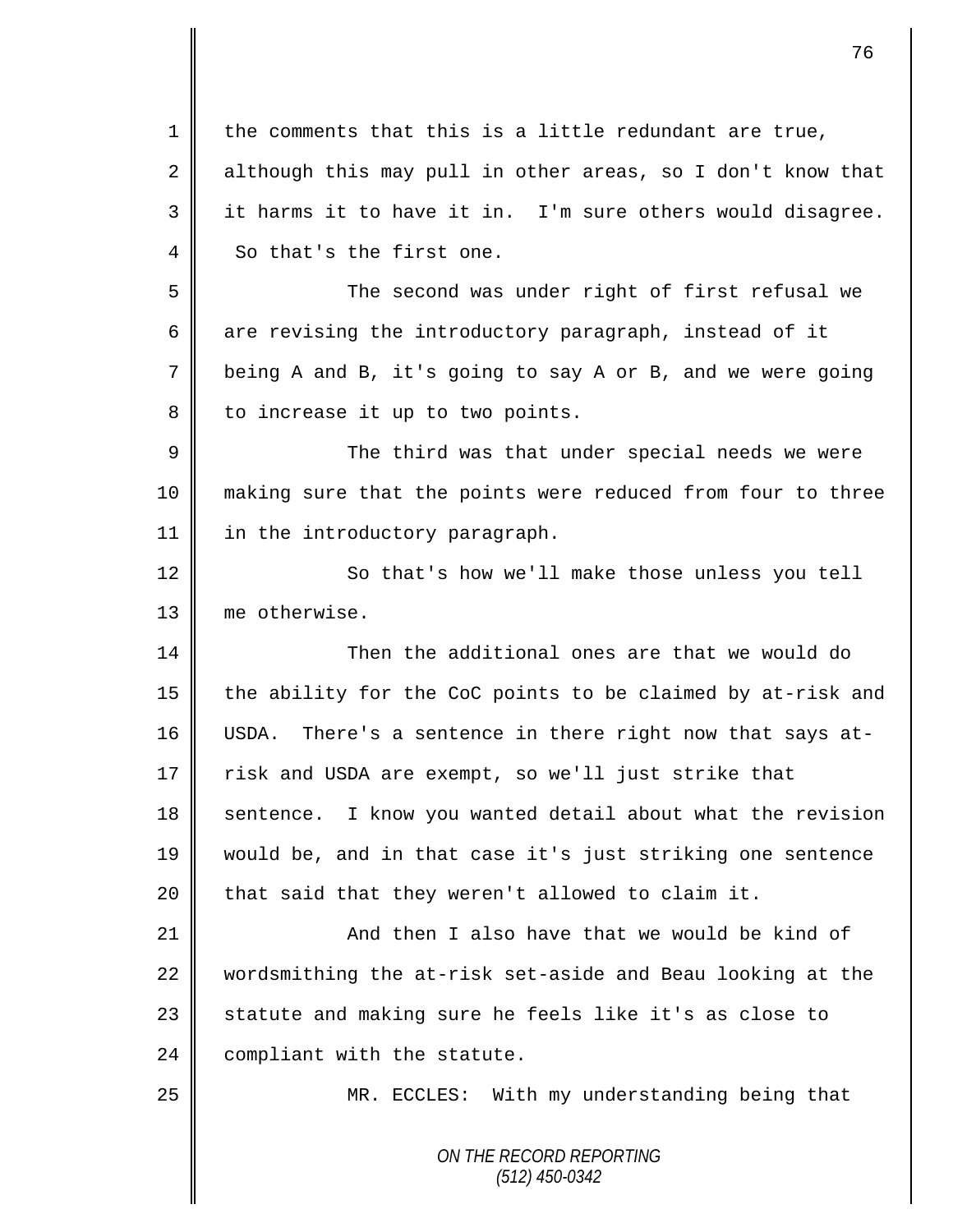| $\mathbf 1$ | the comments that this is a little redundant are true,      |
|-------------|-------------------------------------------------------------|
| 2           | although this may pull in other areas, so I don't know that |
| 3           | it harms it to have it in. I'm sure others would disagree.  |
| 4           | So that's the first one.                                    |
| 5           | The second was under right of first refusal we              |
| 6           | are revising the introductory paragraph, instead of it      |
| 7           | being A and B, it's going to say A or B, and we were going  |
| 8           | to increase it up to two points.                            |
| $\mathsf 9$ | The third was that under special needs we were              |
| 10          | making sure that the points were reduced from four to three |
| 11          | in the introductory paragraph.                              |
| 12          | So that's how we'll make those unless you tell              |
| 13          | me otherwise.                                               |
| 14          | Then the additional ones are that we would do               |
| 15          | the ability for the CoC points to be claimed by at-risk and |
| 16          | USDA. There's a sentence in there right now that says at-   |
| 17          | risk and USDA are exempt, so we'll just strike that         |
| 18          | sentence. I know you wanted detail about what the revision  |
| 19          | would be, and in that case it's just striking one sentence  |
| 20          | that said that they weren't allowed to claim it.            |
| 21          | And then I also have that we would be kind of               |
| 22          | wordsmithing the at-risk set-aside and Beau looking at the  |
| 23          | statute and making sure he feels like it's as close to      |
| 24          | compliant with the statute.                                 |
| 25          | MR. ECCLES: With my understanding being that                |
|             | ON THE RECORD REPORTING<br>$(512)$ 450-0342                 |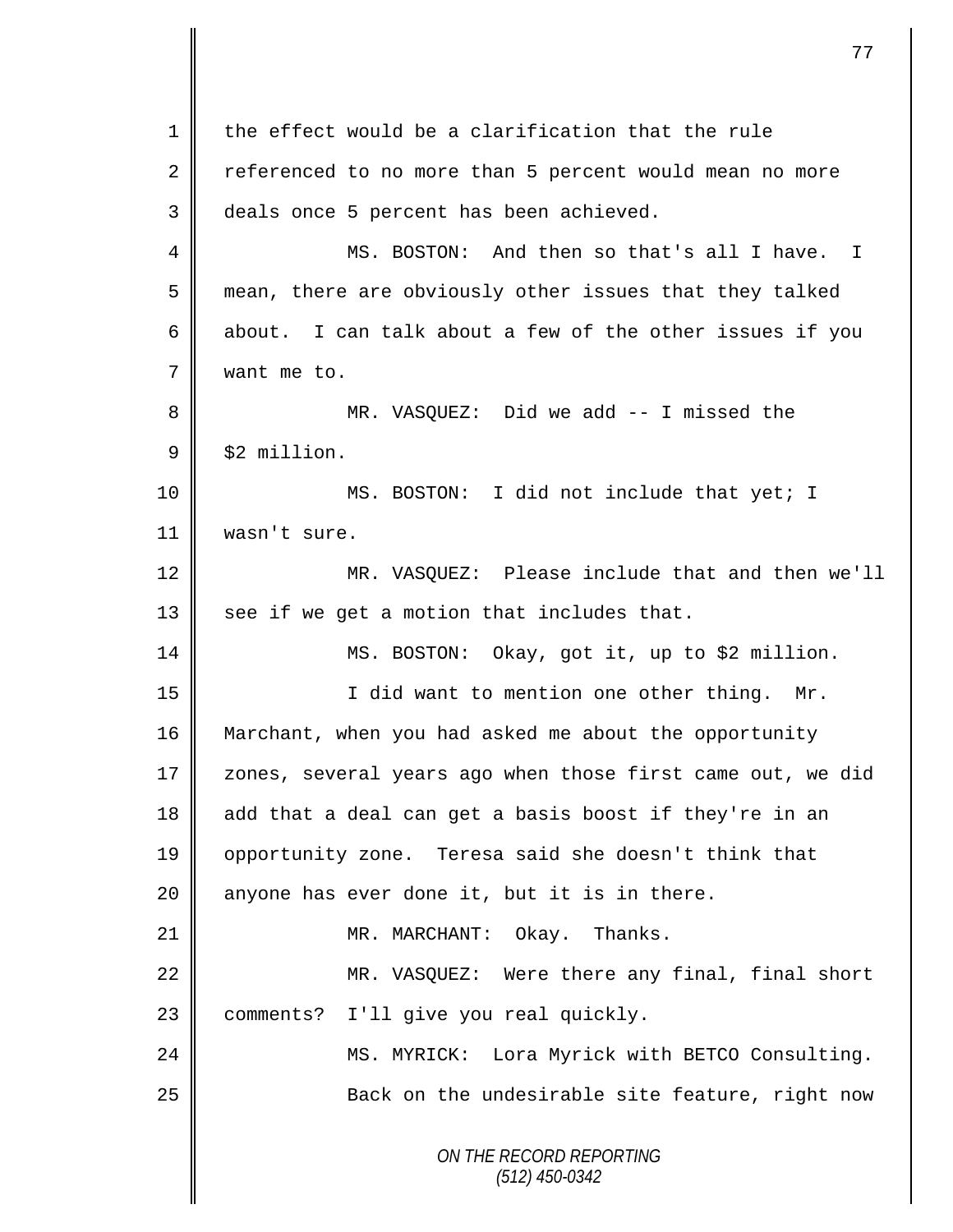*ON THE RECORD REPORTING (512) 450-0342* 1 the effect would be a clarification that the rule 2 referenced to no more than 5 percent would mean no more 3 deals once 5 percent has been achieved. 4 MS. BOSTON: And then so that's all I have. I 5 mean, there are obviously other issues that they talked 6 about. I can talk about a few of the other issues if you 7 | want me to. 8 MR. VASQUEZ: Did we add -- I missed the  $9 \parallel$  \$2 million. 10 || MS. BOSTON: I did not include that yet; I 11 wasn't sure. 12 MR. VASQUEZ: Please include that and then we'll 13  $\parallel$  see if we get a motion that includes that. 14 MS. BOSTON: Okay, got it, up to \$2 million. 15 || I did want to mention one other thing. Mr. 16 Marchant, when you had asked me about the opportunity 17 | zones, several years ago when those first came out, we did 18 add that a deal can get a basis boost if they're in an 19 || opportunity zone. Teresa said she doesn't think that 20  $\parallel$  anyone has ever done it, but it is in there. 21 || MR. MARCHANT: Okay. Thanks. 22 || MR. VASQUEZ: Were there any final, final short 23 | comments? I'll give you real quickly. 24 | MS. MYRICK: Lora Myrick with BETCO Consulting. 25 | Back on the undesirable site feature, right now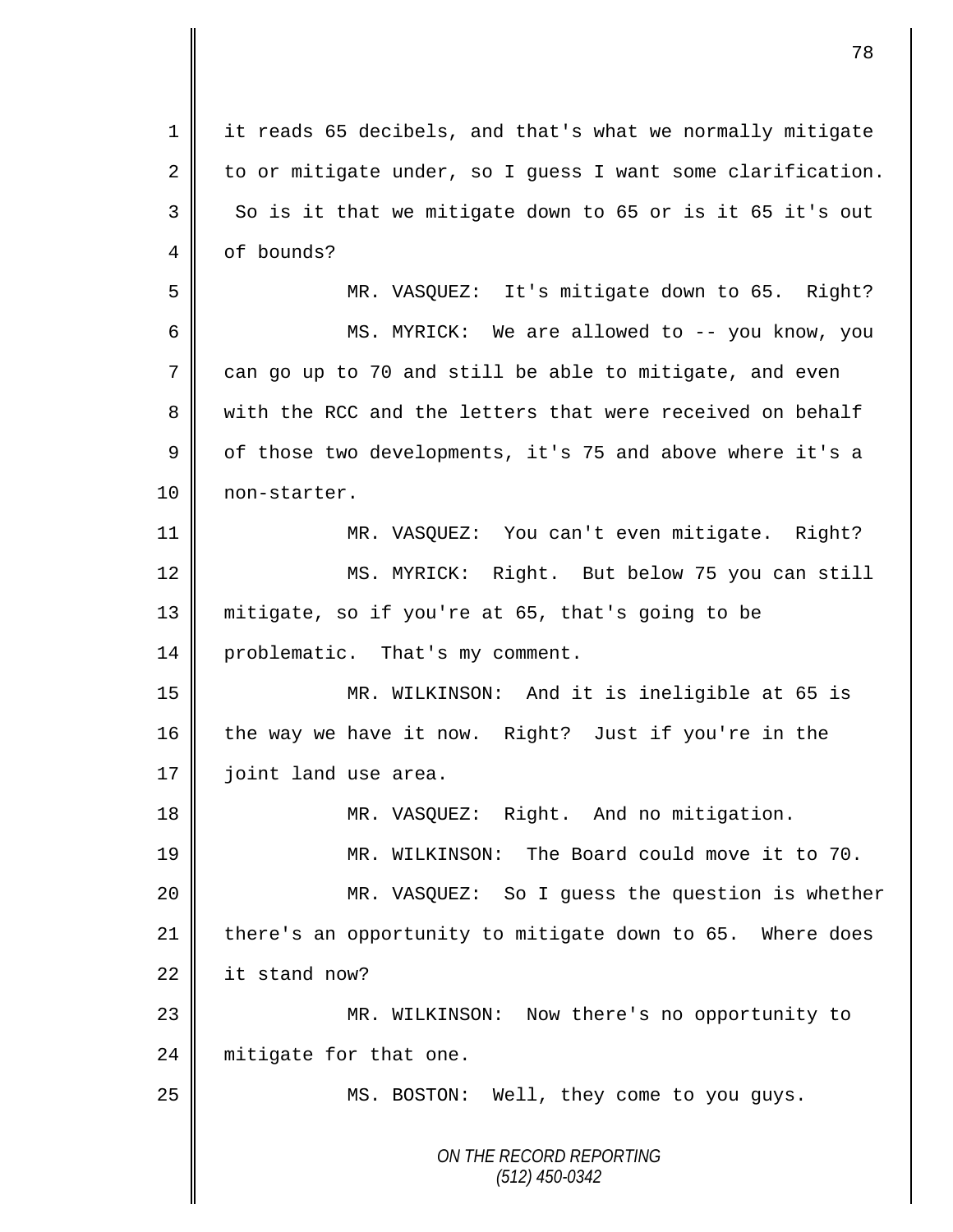*ON THE RECORD REPORTING (512) 450-0342* 1 it reads 65 decibels, and that's what we normally mitigate 2 to or mitigate under, so I quess I want some clarification.  $3 \parallel$  So is it that we mitigate down to 65 or is it 65 it's out 4 of bounds? 5 MR. VASQUEZ: It's mitigate down to 65. Right? 6 MS. MYRICK: We are allowed to -- you know, you  $7 \parallel$  can go up to 70 and still be able to mitigate, and even 8 with the RCC and the letters that were received on behalf 9 | of those two developments, it's 75 and above where it's a 10 | non-starter. 11 MR. VASQUEZ: You can't even mitigate. Right? 12 | MS. MYRICK: Right. But below 75 you can still 13 mitigate, so if you're at 65, that's going to be 14 problematic. That's my comment. 15 MR. WILKINSON: And it is ineligible at 65 is 16 the way we have it now. Right? Just if you're in the 17 | joint land use area. 18 || MR. VASQUEZ: Right. And no mitigation. 19 MR. WILKINSON: The Board could move it to 70. 20 MR. VASQUEZ: So I guess the question is whether 21 there's an opportunity to mitigate down to 65. Where does  $22$  it stand now? 23 MR. WILKINSON: Now there's no opportunity to 24 | mitigate for that one. 25 || MS. BOSTON: Well, they come to you guys.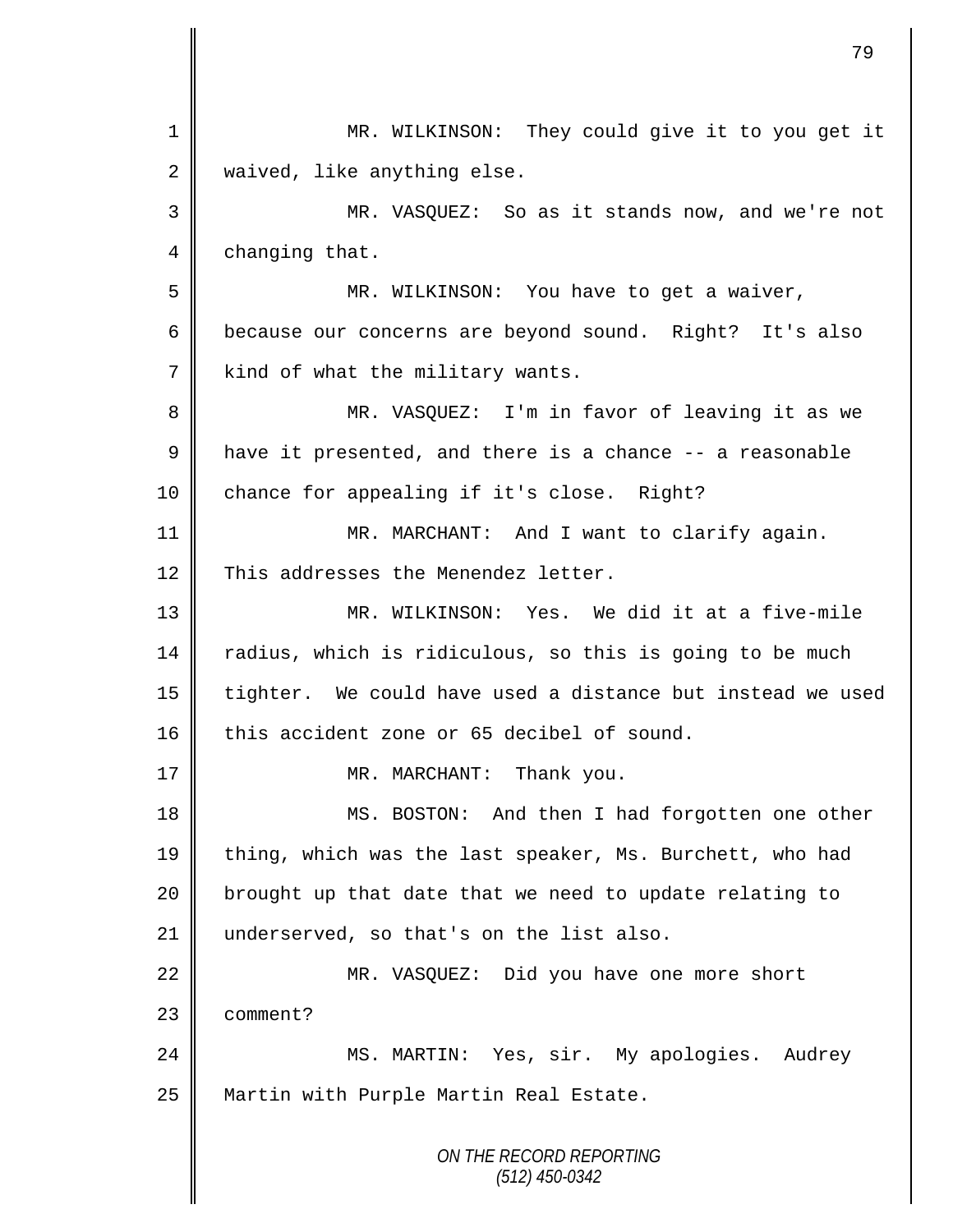|    | 79                                                         |
|----|------------------------------------------------------------|
| 1  | MR. WILKINSON: They could give it to you get it            |
| 2  | waived, like anything else.                                |
| 3  | MR. VASQUEZ: So as it stands now, and we're not            |
| 4  | changing that.                                             |
| 5  | MR. WILKINSON: You have to get a waiver,                   |
| 6  | because our concerns are beyond sound. Right? It's also    |
| 7  | kind of what the military wants.                           |
| 8  | MR. VASQUEZ: I'm in favor of leaving it as we              |
| 9  | have it presented, and there is a chance -- a reasonable   |
| 10 | chance for appealing if it's close. Right?                 |
| 11 | MR. MARCHANT: And I want to clarify again.                 |
| 12 | This addresses the Menendez letter.                        |
| 13 | MR. WILKINSON: Yes. We did it at a five-mile               |
| 14 | radius, which is ridiculous, so this is going to be much   |
| 15 | tighter. We could have used a distance but instead we used |
| 16 | this accident zone or 65 decibel of sound.                 |
| 17 | MR. MARCHANT:<br>Thank you.                                |
| 18 | MS. BOSTON: And then I had forgotten one other             |
| 19 | thing, which was the last speaker, Ms. Burchett, who had   |
| 20 | brought up that date that we need to update relating to    |
| 21 | underserved, so that's on the list also.                   |
| 22 | MR. VASQUEZ: Did you have one more short                   |
| 23 | comment?                                                   |
| 24 | MS. MARTIN: Yes, sir. My apologies.<br>Audrey              |
| 25 | Martin with Purple Martin Real Estate.                     |
|    | ON THE RECORD REPORTING<br>$(512)$ 450-0342                |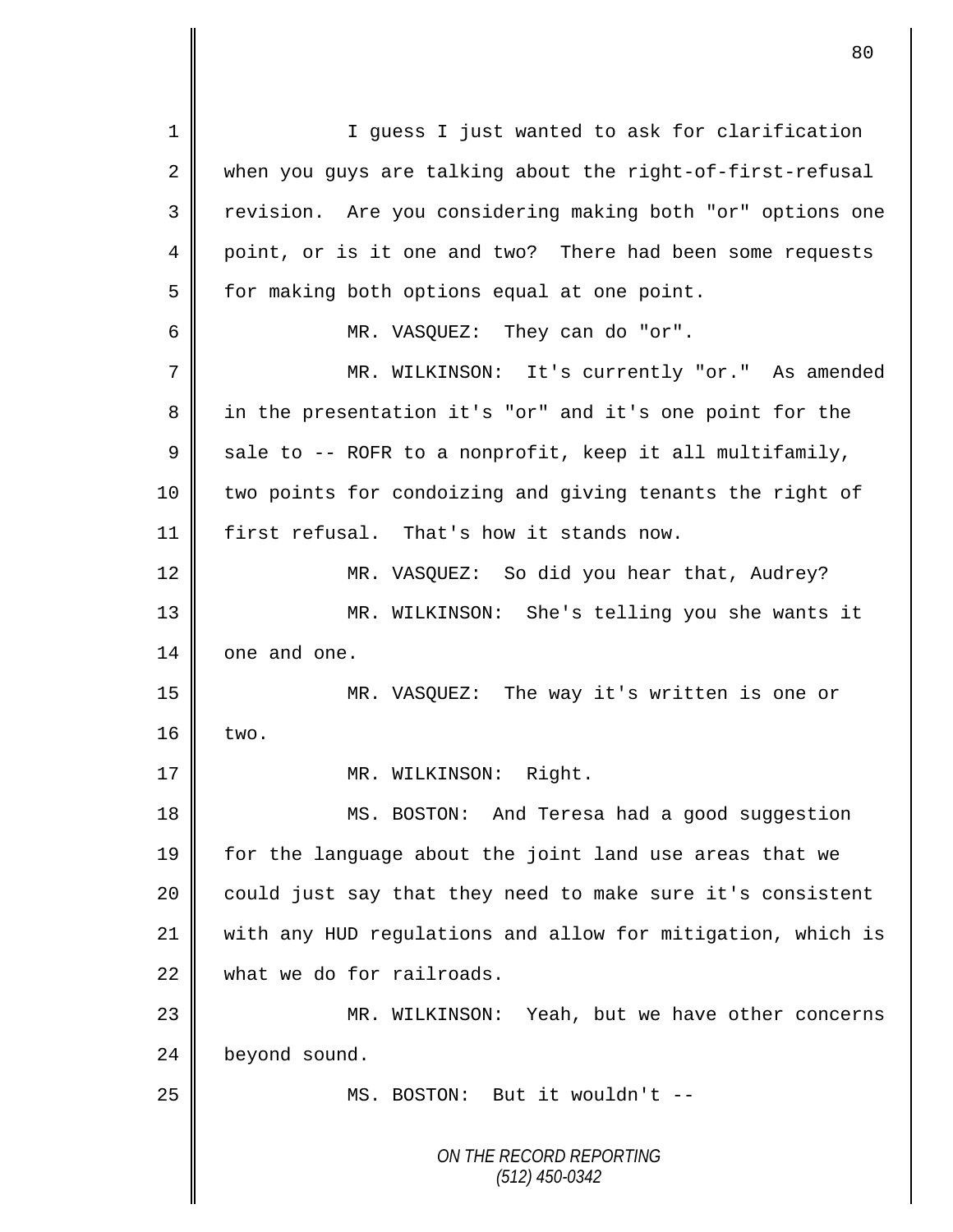*ON THE RECORD REPORTING (512) 450-0342* 1 || I guess I just wanted to ask for clarification 2 when you guys are talking about the right-of-first-refusal 3 || revision. Are you considering making both "or" options one 4 point, or is it one and two? There had been some requests 5 | for making both options equal at one point. 6 MR. VASQUEZ: They can do "or". 7 || MR. WILKINSON: It's currently "or." As amended 8 || in the presentation it's "or" and it's one point for the 9  $\parallel$  sale to -- ROFR to a nonprofit, keep it all multifamily, 10 | two points for condoizing and giving tenants the right of 11 first refusal. That's how it stands now. 12 MR. VASQUEZ: So did you hear that, Audrey? 13 MR. WILKINSON: She's telling you she wants it 14 one and one. 15 MR. VASQUEZ: The way it's written is one or  $16$   $\times$  two. 17 | MR. WILKINSON: Right. 18 || MS. BOSTON: And Teresa had a good suggestion 19 for the language about the joint land use areas that we 20 | could just say that they need to make sure it's consistent 21 with any HUD regulations and allow for mitigation, which is 22 what we do for railroads. 23 || MR. WILKINSON: Yeah, but we have other concerns 24 beyond sound. 25 || MS. BOSTON: But it wouldn't --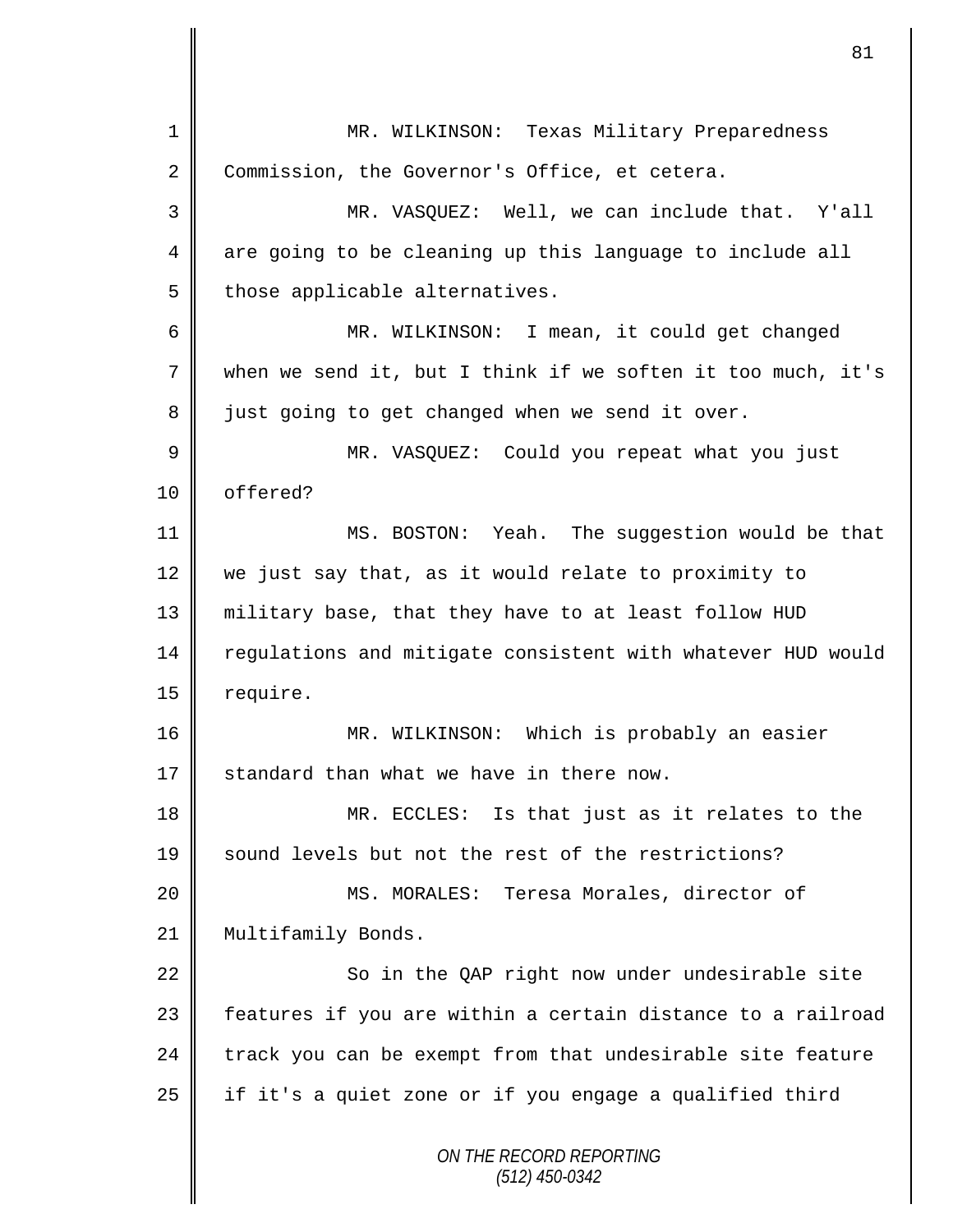*ON THE RECORD REPORTING (512) 450-0342* 1 || MR. WILKINSON: Texas Military Preparedness 2 Commission, the Governor's Office, et cetera. 3 MR. VASQUEZ: Well, we can include that. Y'all 4 are going to be cleaning up this language to include all  $5$  those applicable alternatives. 6 || MR. WILKINSON: I mean, it could get changed 7 when we send it, but I think if we soften it too much, it's 8 just going to get changed when we send it over. 9 || MR. VASQUEZ: Could you repeat what you just 10 | offered? 11 MS. BOSTON: Yeah. The suggestion would be that 12 we just say that, as it would relate to proximity to 13 military base, that they have to at least follow HUD 14 | regulations and mitigate consistent with whatever HUD would 15 | require. 16 MR. WILKINSON: Which is probably an easier 17  $\parallel$  standard than what we have in there now. 18 MR. ECCLES: Is that just as it relates to the 19 Sound levels but not the rest of the restrictions? 20 MS. MORALES: Teresa Morales, director of 21 | Multifamily Bonds.  $22$   $\parallel$  So in the QAP right now under undesirable site 23 || features if you are within a certain distance to a railroad  $24$  track you can be exempt from that undesirable site feature  $25$  if it's a quiet zone or if you engage a qualified third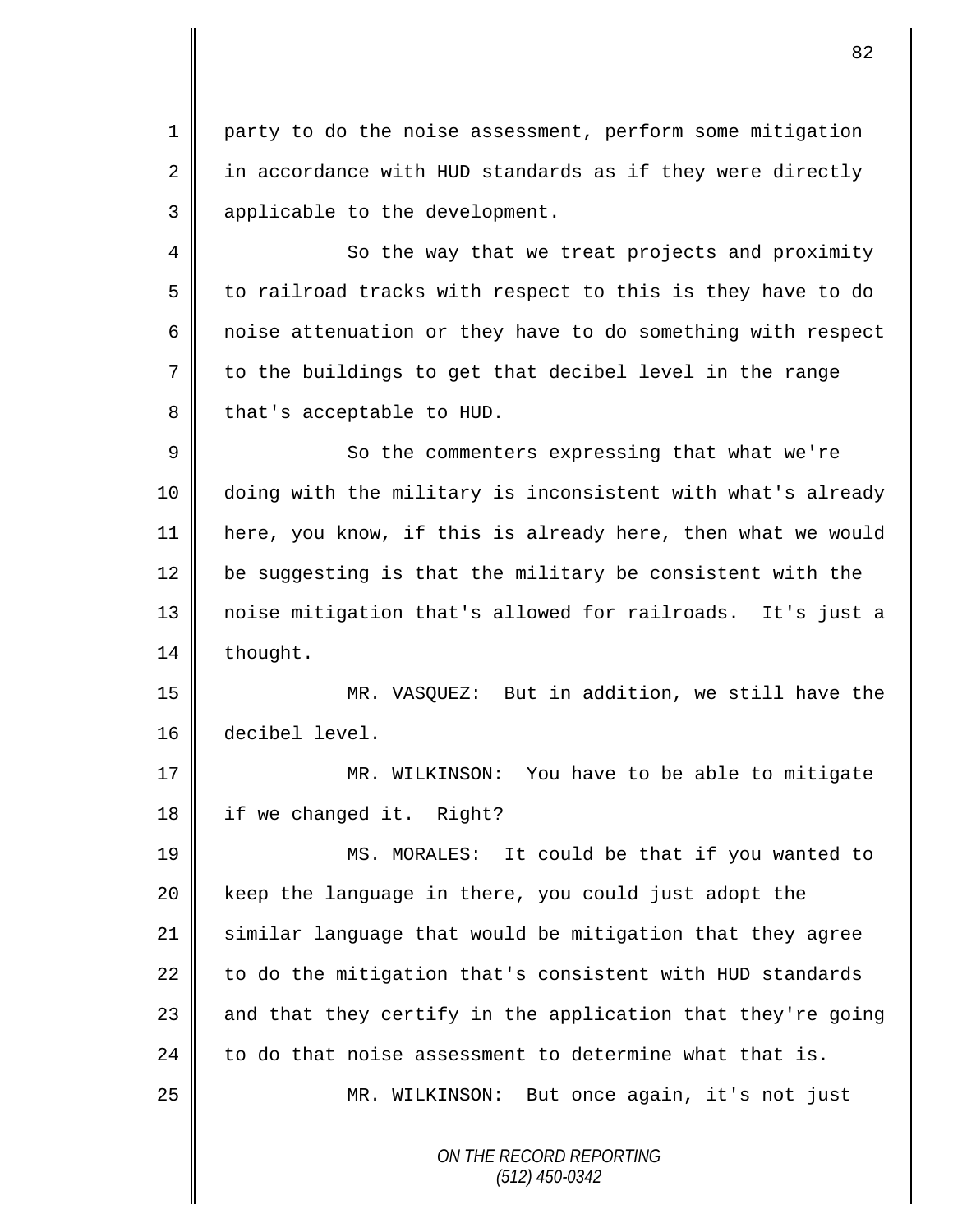1 party to do the noise assessment, perform some mitigation  $2 \parallel$  in accordance with HUD standards as if they were directly 3 | applicable to the development.

4 || So the way that we treat projects and proximity  $5 \parallel$  to railroad tracks with respect to this is they have to do  $6 \parallel$  noise attenuation or they have to do something with respect 7 to the buildings to get that decibel level in the range  $8 \parallel$  that's acceptable to HUD.

9 || So the commenters expressing that what we're doing with the military is inconsistent with what's already here, you know, if this is already here, then what we would  $\parallel$  be suggesting is that the military be consistent with the noise mitigation that's allowed for railroads. It's just a 14 | thought.

15 MR. VASQUEZ: But in addition, we still have the 16 decibel level.

17 || MR. WILKINSON: You have to be able to mitigate 18 | if we changed it. Right?

19 MS. MORALES: It could be that if you wanted to 20 || keep the language in there, you could just adopt the 21 similar language that would be mitigation that they agree  $22$  to do the mitigation that's consistent with HUD standards 23  $\parallel$  and that they certify in the application that they're going 24  $\parallel$  to do that noise assessment to determine what that is. 25 || MR. WILKINSON: But once again, it's not just

> *ON THE RECORD REPORTING (512) 450-0342*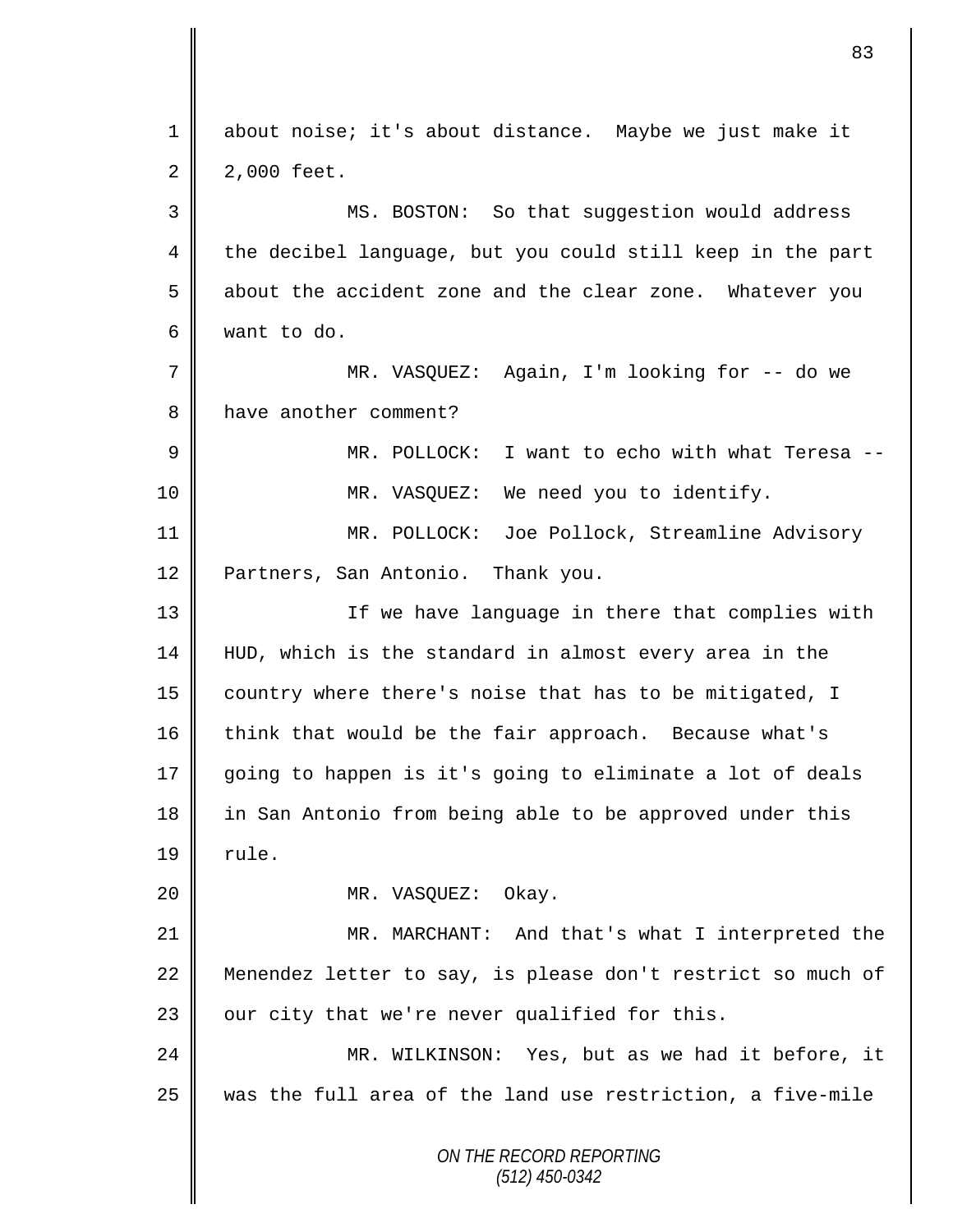| $\mathbf 1$ | about noise; it's about distance. Maybe we just make it     |
|-------------|-------------------------------------------------------------|
| 2           | 2,000 feet.                                                 |
| 3           | MS. BOSTON: So that suggestion would address                |
| 4           | the decibel language, but you could still keep in the part  |
| 5           | about the accident zone and the clear zone. Whatever you    |
| 6           | want to do.                                                 |
| 7           | MR. VASQUEZ: Again, I'm looking for -- do we                |
| 8           | have another comment?                                       |
| $\mathsf 9$ | MR. POLLOCK: I want to echo with what Teresa --             |
| 10          | MR. VASQUEZ: We need you to identify.                       |
| 11          | MR. POLLOCK: Joe Pollock, Streamline Advisory               |
| 12          | Partners, San Antonio. Thank you.                           |
| 13          | If we have language in there that complies with             |
| 14          | HUD, which is the standard in almost every area in the      |
| 15          | country where there's noise that has to be mitigated, I     |
| 16          | think that would be the fair approach. Because what's       |
| 17          | going to happen is it's going to eliminate a lot of deals   |
| 18          | in San Antonio from being able to be approved under this    |
| 19          | rule.                                                       |
| 20          | MR. VASQUEZ:<br>Okay.                                       |
| 21          | MR. MARCHANT: And that's what I interpreted the             |
| 22          | Menendez letter to say, is please don't restrict so much of |
| 23          | our city that we're never qualified for this.               |
| 24          | MR. WILKINSON: Yes, but as we had it before, it             |
| 25          | was the full area of the land use restriction, a five-mile  |
|             | ON THE RECORD REPORTING<br>$(512)$ 450-0342                 |

 $\mathbf{I}$ II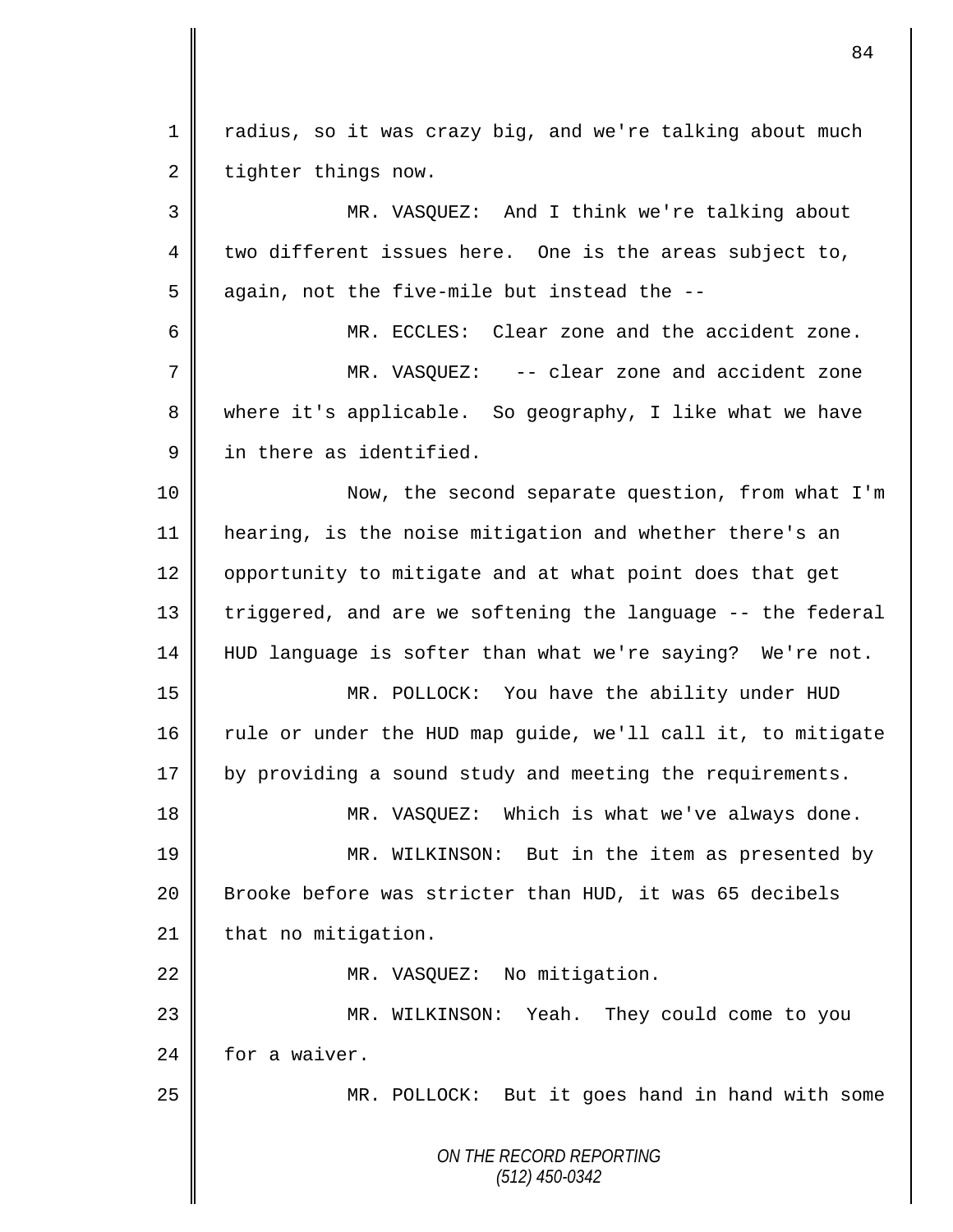*ON THE RECORD REPORTING (512) 450-0342* 1 | radius, so it was crazy big, and we're talking about much  $2 \parallel$  tighter things now. 3 MR. VASQUEZ: And I think we're talking about 4 two different issues here. One is the areas subject to,  $5 \parallel$  again, not the five-mile but instead the --6 MR. ECCLES: Clear zone and the accident zone. 7 MR. VASQUEZ: -- clear zone and accident zone 8 where it's applicable. So geography, I like what we have 9 **i** in there as identified. 10 || Now, the second separate question, from what I'm 11 hearing, is the noise mitigation and whether there's an 12 | opportunity to mitigate and at what point does that get 13 || triggered, and are we softening the language -- the federal 14 HUD language is softer than what we're saying? We're not. 15 MR. POLLOCK: You have the ability under HUD 16 Tule or under the HUD map guide, we'll call it, to mitigate 17 by providing a sound study and meeting the requirements. 18 || MR. VASQUEZ: Which is what we've always done. 19 MR. WILKINSON: But in the item as presented by 20 Brooke before was stricter than HUD, it was 65 decibels  $21$  | that no mitigation. 22 | MR. VASQUEZ: No mitigation. 23 MR. WILKINSON: Yeah. They could come to you 24 for a waiver. 25 MR. POLLOCK: But it goes hand in hand with some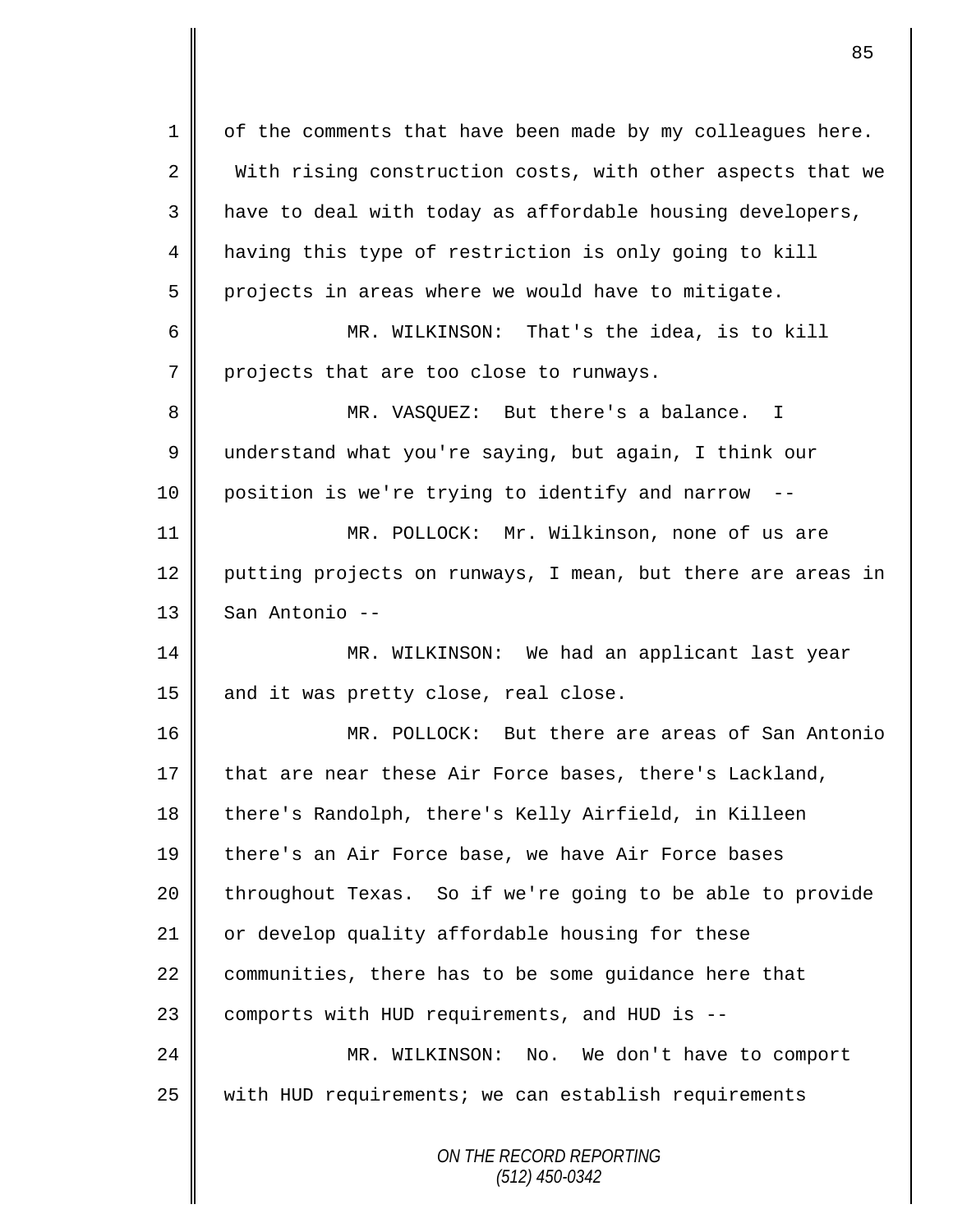*ON THE RECORD REPORTING (512) 450-0342*  $1 \parallel$  of the comments that have been made by my colleagues here. 2 With rising construction costs, with other aspects that we  $3 \parallel$  have to deal with today as affordable housing developers, 4 having this type of restriction is only going to kill  $5 \parallel$  projects in areas where we would have to mitigate. 6 MR. WILKINSON: That's the idea, is to kill  $7$  | projects that are too close to runways. 8 MR. VASQUEZ: But there's a balance. I 9 understand what you're saying, but again, I think our  $10 \parallel$  position is we're trying to identify and narrow 11 MR. POLLOCK: Mr. Wilkinson, none of us are 12 putting projects on runways, I mean, but there are areas in  $13 \parallel$  San Antonio --14 MR. WILKINSON: We had an applicant last year 15  $\parallel$  and it was pretty close, real close. 16 MR. POLLOCK: But there are areas of San Antonio 17 that are near these Air Force bases, there's Lackland, 18 there's Randolph, there's Kelly Airfield, in Killeen 19 || there's an Air Force base, we have Air Force bases 20 throughout Texas. So if we're going to be able to provide 21 | or develop quality affordable housing for these 22 communities, there has to be some guidance here that 23 | comports with HUD requirements, and HUD is --24 MR. WILKINSON: No. We don't have to comport 25 || with HUD requirements; we can establish requirements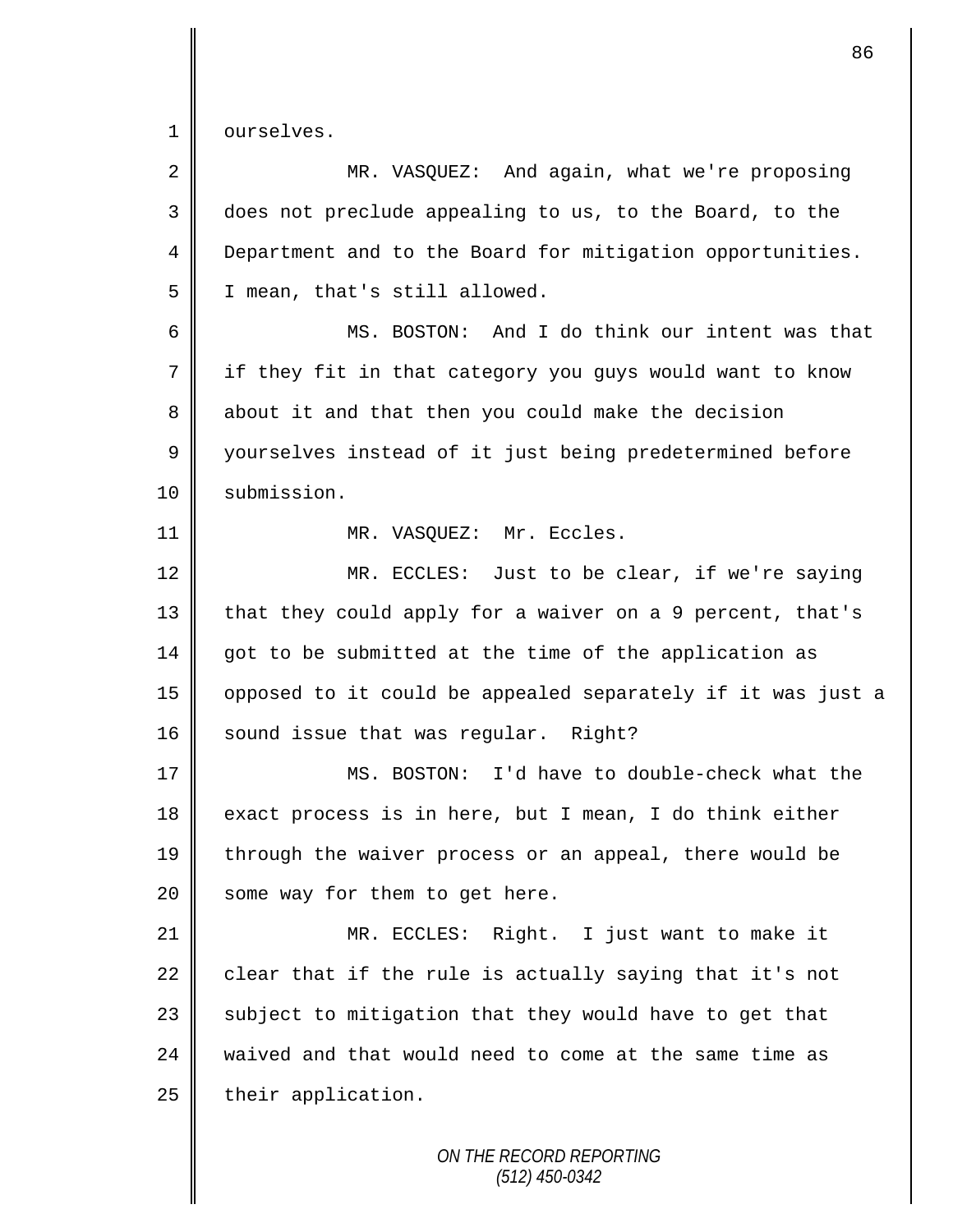1 ourselves.

| $\overline{2}$ | MR. VASQUEZ: And again, what we're proposing                |
|----------------|-------------------------------------------------------------|
| 3              | does not preclude appealing to us, to the Board, to the     |
| $\overline{4}$ | Department and to the Board for mitigation opportunities.   |
| 5              | I mean, that's still allowed.                               |
| 6              | MS. BOSTON: And I do think our intent was that              |
| 7              | if they fit in that category you guys would want to know    |
| 8              | about it and that then you could make the decision          |
| 9              | yourselves instead of it just being predetermined before    |
| 10             | submission.                                                 |
| 11             | MR. VASQUEZ: Mr. Eccles.                                    |
| 12             | MR. ECCLES: Just to be clear, if we're saying               |
| 13             | that they could apply for a waiver on a 9 percent, that's   |
| 14             | got to be submitted at the time of the application as       |
| 15             | opposed to it could be appealed separately if it was just a |
| 16             | sound issue that was regular. Right?                        |
| 17             | MS. BOSTON: I'd have to double-check what the               |
| 18             | exact process is in here, but I mean, I do think either     |
| 19             | through the waiver process or an appeal, there would be     |
| 20             | some way for them to get here.                              |
| 21             | MR. ECCLES: Right. I just want to make it                   |
| 22             | clear that if the rule is actually saying that it's not     |
| 23             | subject to mitigation that they would have to get that      |
| 24             | waived and that would need to come at the same time as      |
| 25             | their application.                                          |
|                | ON THE RECORD REPORTING                                     |

*(512) 450-0342*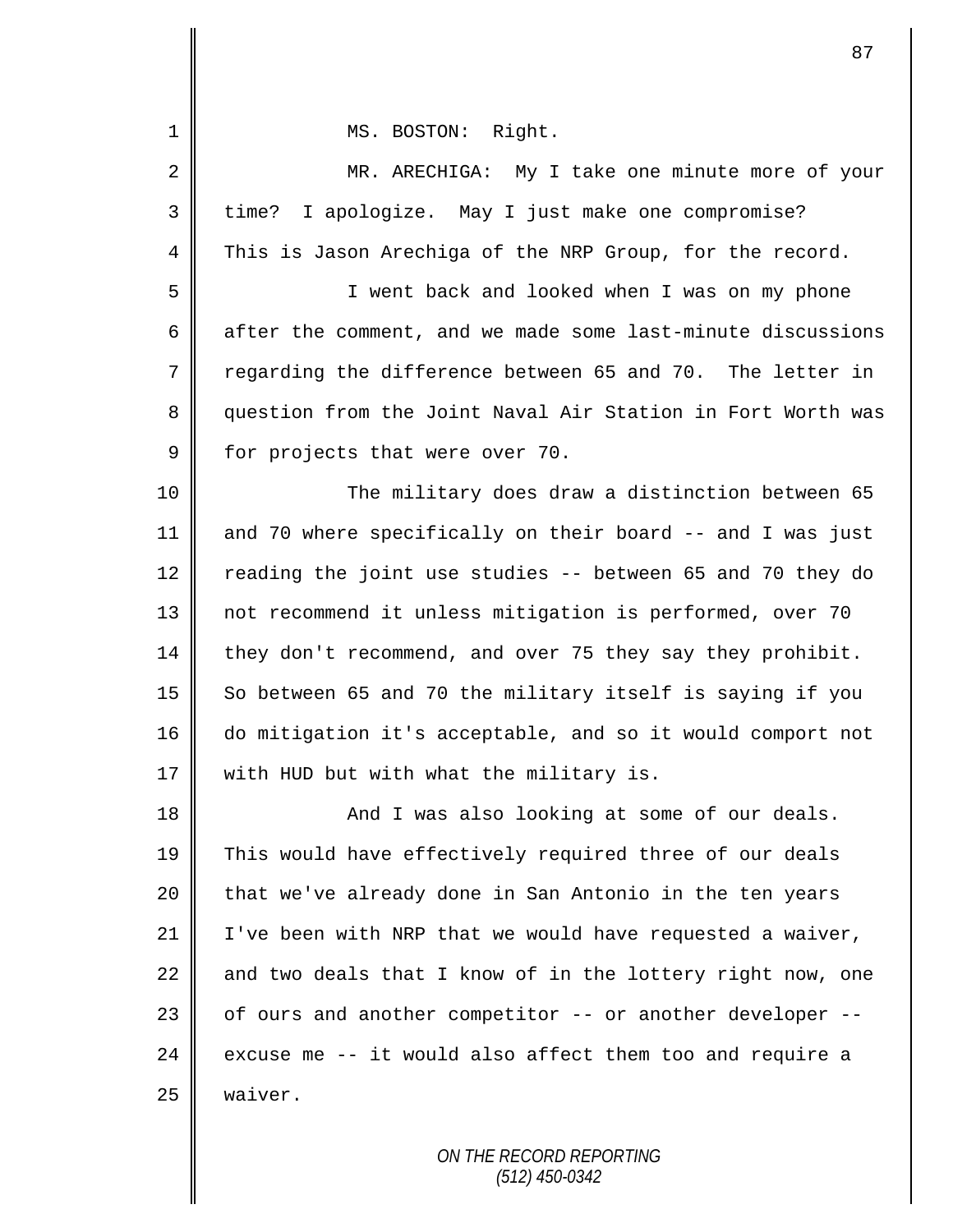| 1           | MS. BOSTON: Right.                                          |
|-------------|-------------------------------------------------------------|
| 2           | MR. ARECHIGA: My I take one minute more of your             |
| 3           | I apologize. May I just make one compromise?<br>time?       |
| 4           | This is Jason Arechiga of the NRP Group, for the record.    |
| 5           | I went back and looked when I was on my phone               |
| 6           | after the comment, and we made some last-minute discussions |
| 7           | regarding the difference between 65 and 70. The letter in   |
| 8           | question from the Joint Naval Air Station in Fort Worth was |
| $\mathsf 9$ | for projects that were over 70.                             |
| 10          | The military does draw a distinction between 65             |
| 11          | and 70 where specifically on their board -- and I was just  |
| 12          | reading the joint use studies -- between 65 and 70 they do  |
| 13          | not recommend it unless mitigation is performed, over 70    |
| 14          | they don't recommend, and over 75 they say they prohibit.   |
| 15          | So between 65 and 70 the military itself is saying if you   |
| 16          | do mitigation it's acceptable, and so it would comport not  |
| 17          | with HUD but with what the military is.                     |
| 18          | And I was also looking at some of our deals.                |
| 19          | This would have effectively required three of our deals     |
| 20          | that we've already done in San Antonio in the ten years     |
| 21          | I've been with NRP that we would have requested a waiver,   |
| 22          | and two deals that I know of in the lottery right now, one  |
| 23          | of ours and another competitor -- or another developer --   |
| 24          | excuse me -- it would also affect them too and require a    |
| 25          | waiver.                                                     |
|             |                                                             |

*ON THE RECORD REPORTING (512) 450-0342*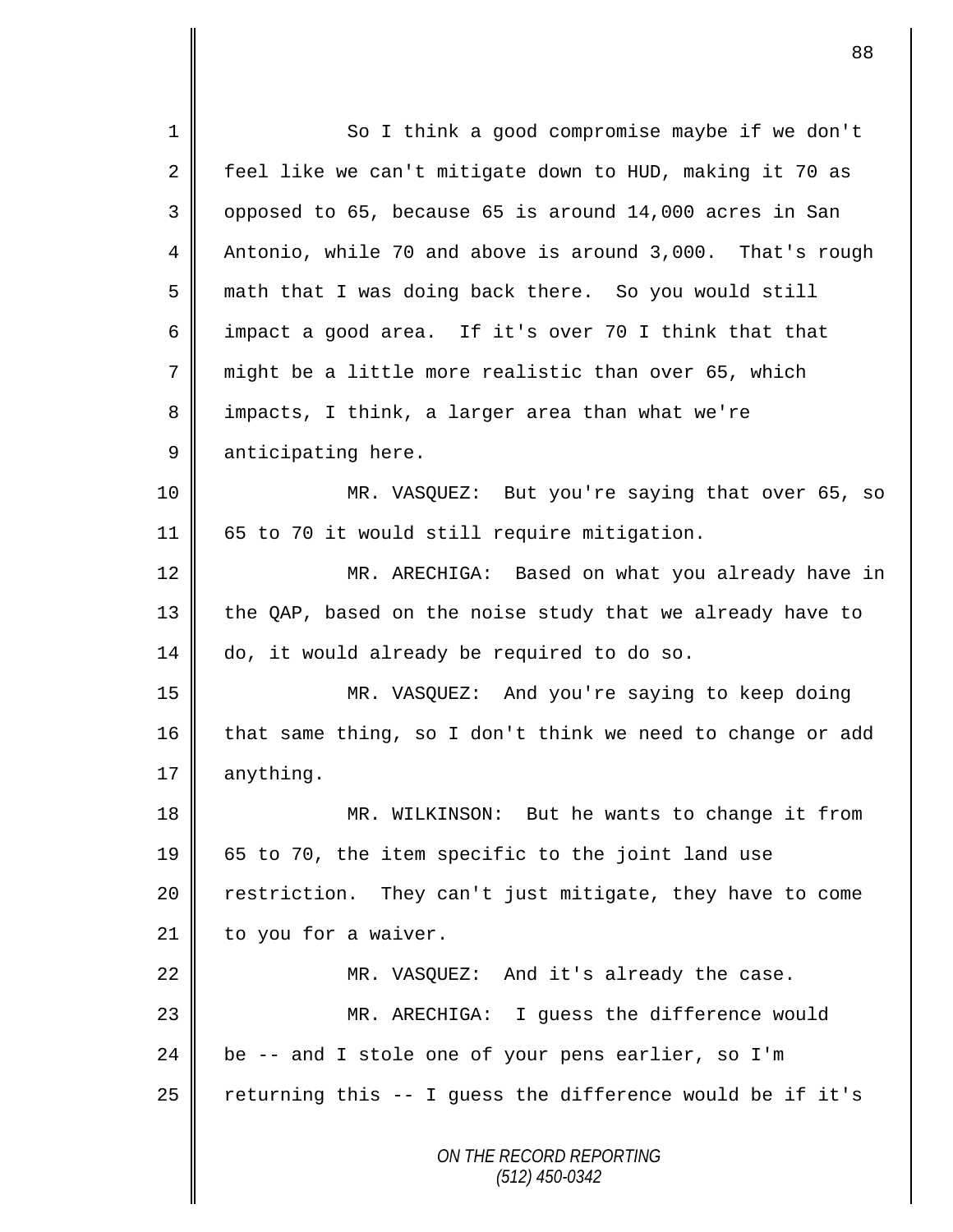*ON THE RECORD REPORTING (512) 450-0342* 1 || So I think a good compromise maybe if we don't 2 feel like we can't mitigate down to HUD, making it 70 as  $3 \parallel$  opposed to 65, because 65 is around 14,000 acres in San 4 Antonio, while 70 and above is around 3,000. That's rough 5 math that I was doing back there. So you would still 6  $\parallel$  impact a good area. If it's over 70 I think that that 7 might be a little more realistic than over 65, which 8 impacts, I think, a larger area than what we're 9 anticipating here. 10 MR. VASQUEZ: But you're saying that over 65, so 11 65 to 70 it would still require mitigation. 12 || MR. ARECHIGA: Based on what you already have in 13 the QAP, based on the noise study that we already have to 14 do, it would already be required to do so. 15 MR. VASQUEZ: And you're saying to keep doing 16 that same thing, so I don't think we need to change or add 17  $\parallel$  anything. 18 || MR. WILKINSON: But he wants to change it from 19 65 to 70, the item specific to the joint land use 20 | restriction. They can't just mitigate, they have to come  $21$  | to you for a waiver. 22 MR. VASQUEZ: And it's already the case. 23 MR. ARECHIGA: I guess the difference would 24  $\parallel$  be -- and I stole one of your pens earlier, so I'm 25  $\parallel$  returning this -- I guess the difference would be if it's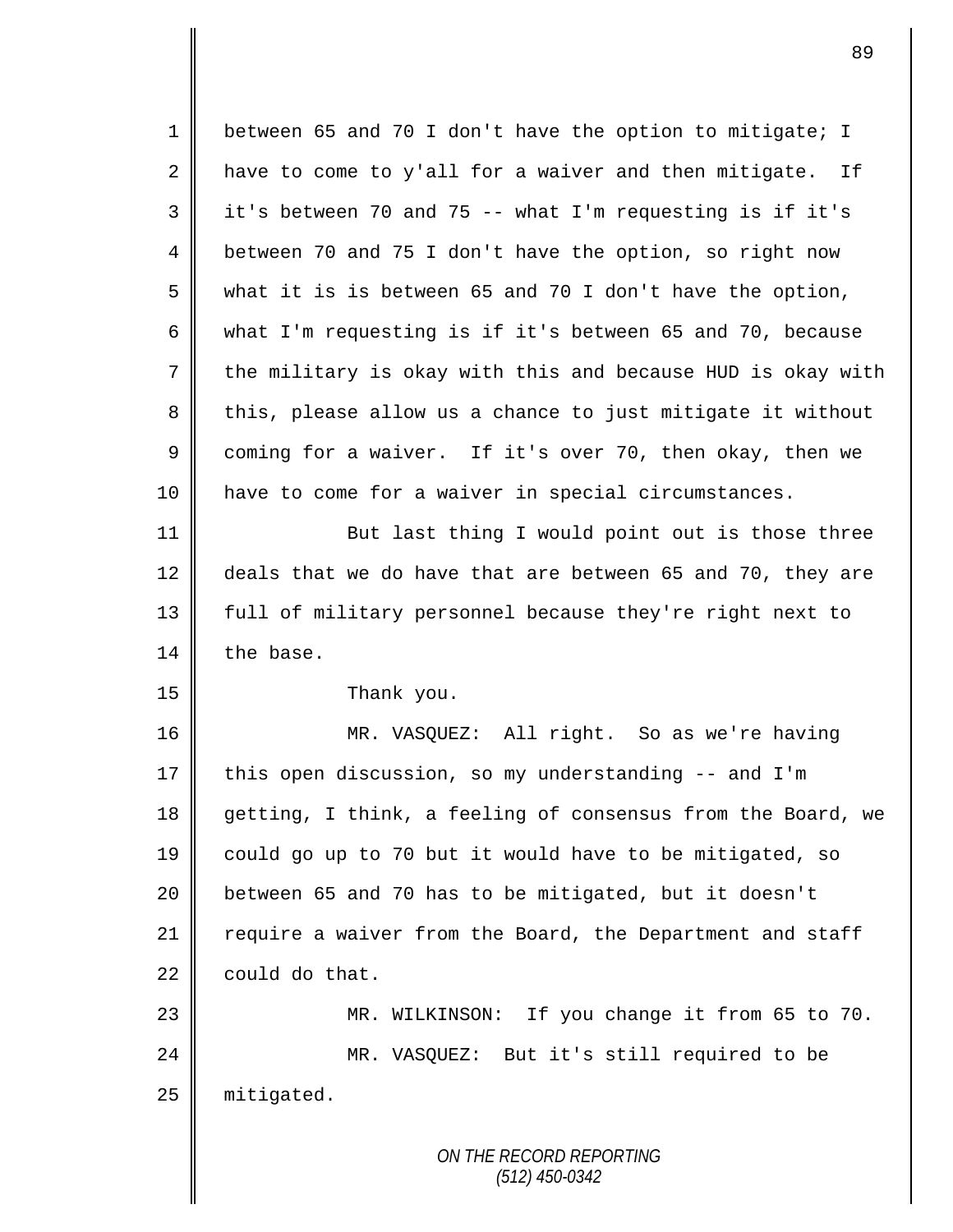*ON THE RECORD REPORTING (512) 450-0342* 1 between 65 and 70 I don't have the option to mitigate; I 2  $\parallel$  have to come to y'all for a waiver and then mitigate. If  $3 \parallel$  it's between 70 and 75 -- what I'm requesting is if it's 4 **b** between 70 and 75 I don't have the option, so right now  $5 \parallel$  what it is is between 65 and 70 I don't have the option, 6 what I'm requesting is if it's between 65 and 70, because 7 the military is okay with this and because HUD is okay with 8 this, please allow us a chance to just mitigate it without 9 coming for a waiver. If it's over 70, then okay, then we 10 have to come for a waiver in special circumstances. 11 | But last thing I would point out is those three 12 deals that we do have that are between 65 and 70, they are 13 || full of military personnel because they're right next to 14 the base. 15 **Thank** you. 16 MR. VASQUEZ: All right. So as we're having 17 this open discussion, so my understanding -- and I'm 18 getting, I think, a feeling of consensus from the Board, we 19 could go up to 70 but it would have to be mitigated, so 20 **b**etween 65 and 70 has to be mitigated, but it doesn't 21 require a waiver from the Board, the Department and staff  $22 \parallel$  could do that. 23 MR. WILKINSON: If you change it from 65 to 70. 24 MR. VASQUEZ: But it's still required to be 25 | mitigated.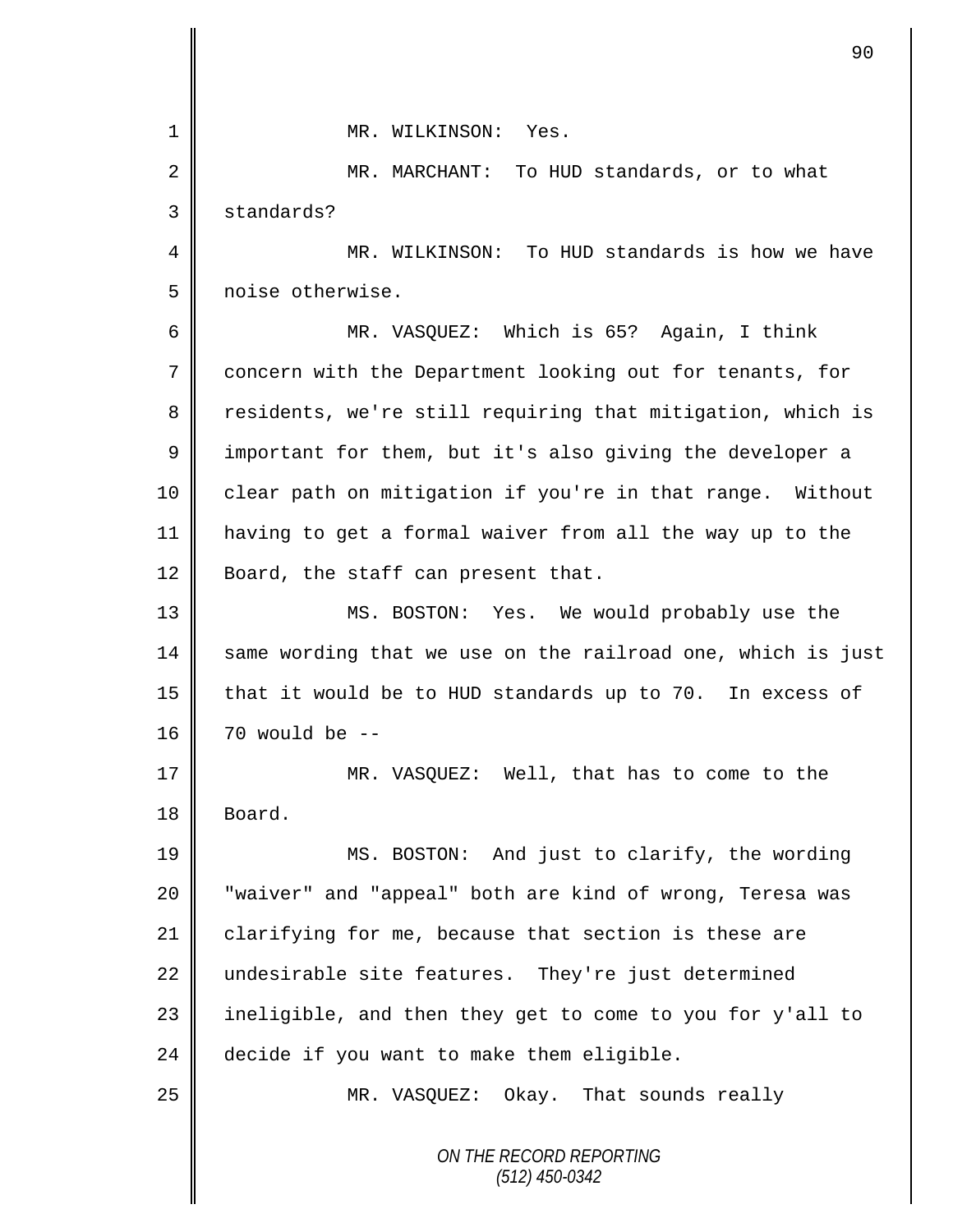*ON THE RECORD REPORTING (512) 450-0342* 1 MR. WILKINSON: Yes. 2 || MR. MARCHANT: To HUD standards, or to what 3 standards? 4 MR. WILKINSON: To HUD standards is how we have 5 | noise otherwise. 6 MR. VASQUEZ: Which is 65? Again, I think 7 concern with the Department looking out for tenants, for 8 Tesidents, we're still requiring that mitigation, which is 9 | important for them, but it's also giving the developer a 10 | clear path on mitigation if you're in that range. Without 11 having to get a formal waiver from all the way up to the 12 Board, the staff can present that. 13 MS. BOSTON: Yes. We would probably use the  $14$  same wording that we use on the railroad one, which is just 15  $\parallel$  that it would be to HUD standards up to 70. In excess of 16  $\parallel$  70 would be --17 MR. VASOUEZ: Well, that has to come to the 18 Board. 19 || MS. BOSTON: And just to clarify, the wording 20 || "waiver" and "appeal" both are kind of wrong, Teresa was 21 clarifying for me, because that section is these are 22 undesirable site features. They're just determined 23  $\parallel$  ineligible, and then they get to come to you for y'all to  $24$  | decide if you want to make them eligible. 25 MR. VASQUEZ: Okay. That sounds really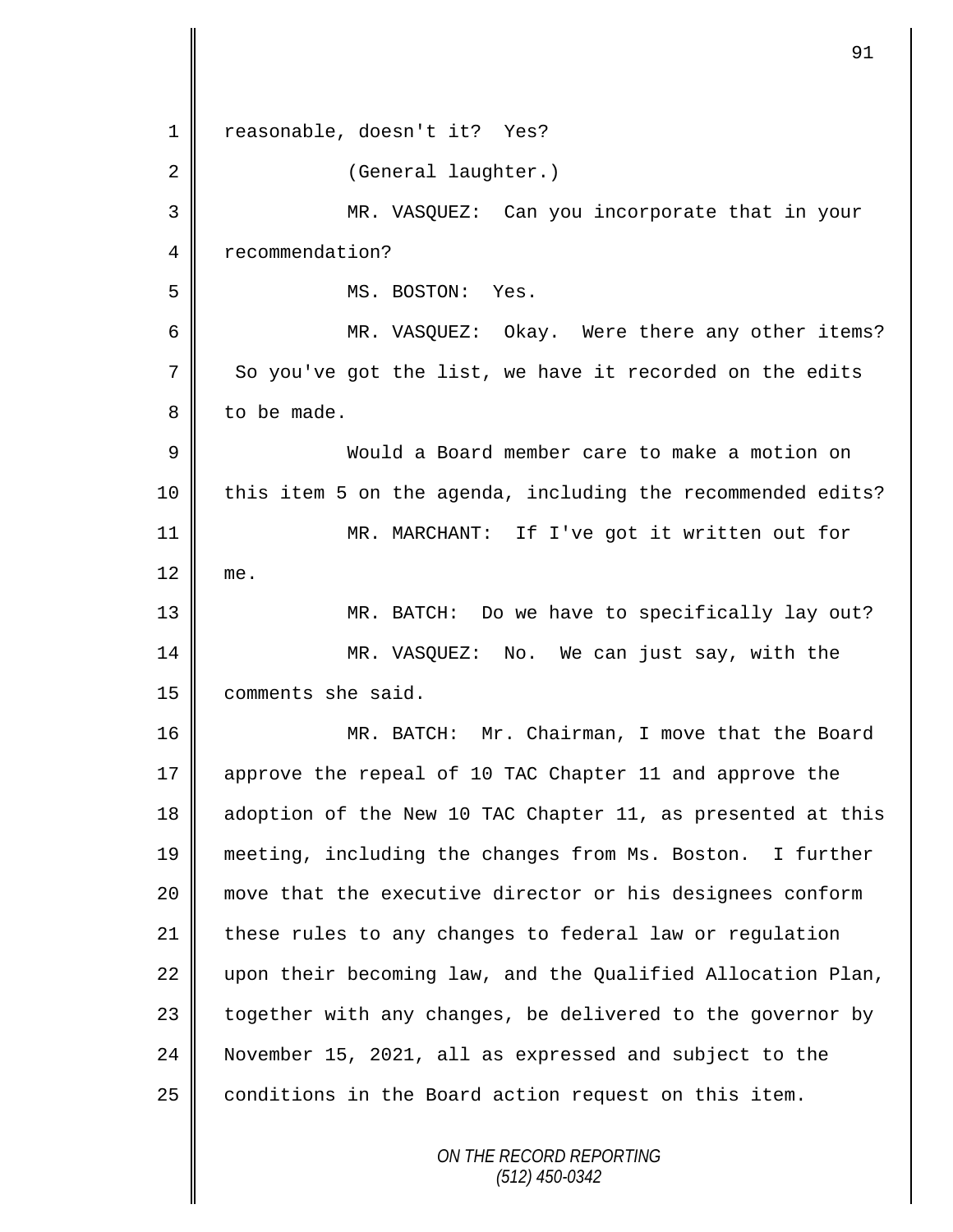*ON THE RECORD REPORTING (512) 450-0342* 1 | reasonable, doesn't it? Yes? 2 | (General laughter.) 3 MR. VASQUEZ: Can you incorporate that in your 4 | recommendation? 5 || MS. BOSTON: Yes. 6 || MR. VASQUEZ: Okay. Were there any other items? 7 So you've got the list, we have it recorded on the edits  $8 \parallel$  to be made. 9 Would a Board member care to make a motion on 10 || this item 5 on the agenda, including the recommended edits? 11 MR. MARCHANT: If I've got it written out for 12 me. 13 MR. BATCH: Do we have to specifically lay out? 14 MR. VASQUEZ: No. We can just say, with the 15 comments she said. 16 MR. BATCH: Mr. Chairman, I move that the Board 17 approve the repeal of 10 TAC Chapter 11 and approve the 18 adoption of the New 10 TAC Chapter 11, as presented at this 19 meeting, including the changes from Ms. Boston. I further 20 move that the executive director or his designees conform 21 these rules to any changes to federal law or regulation 22  $\parallel$  upon their becoming law, and the Qualified Allocation Plan, 23  $\parallel$  together with any changes, be delivered to the governor by 24 November 15, 2021, all as expressed and subject to the 25  $\parallel$  conditions in the Board action request on this item.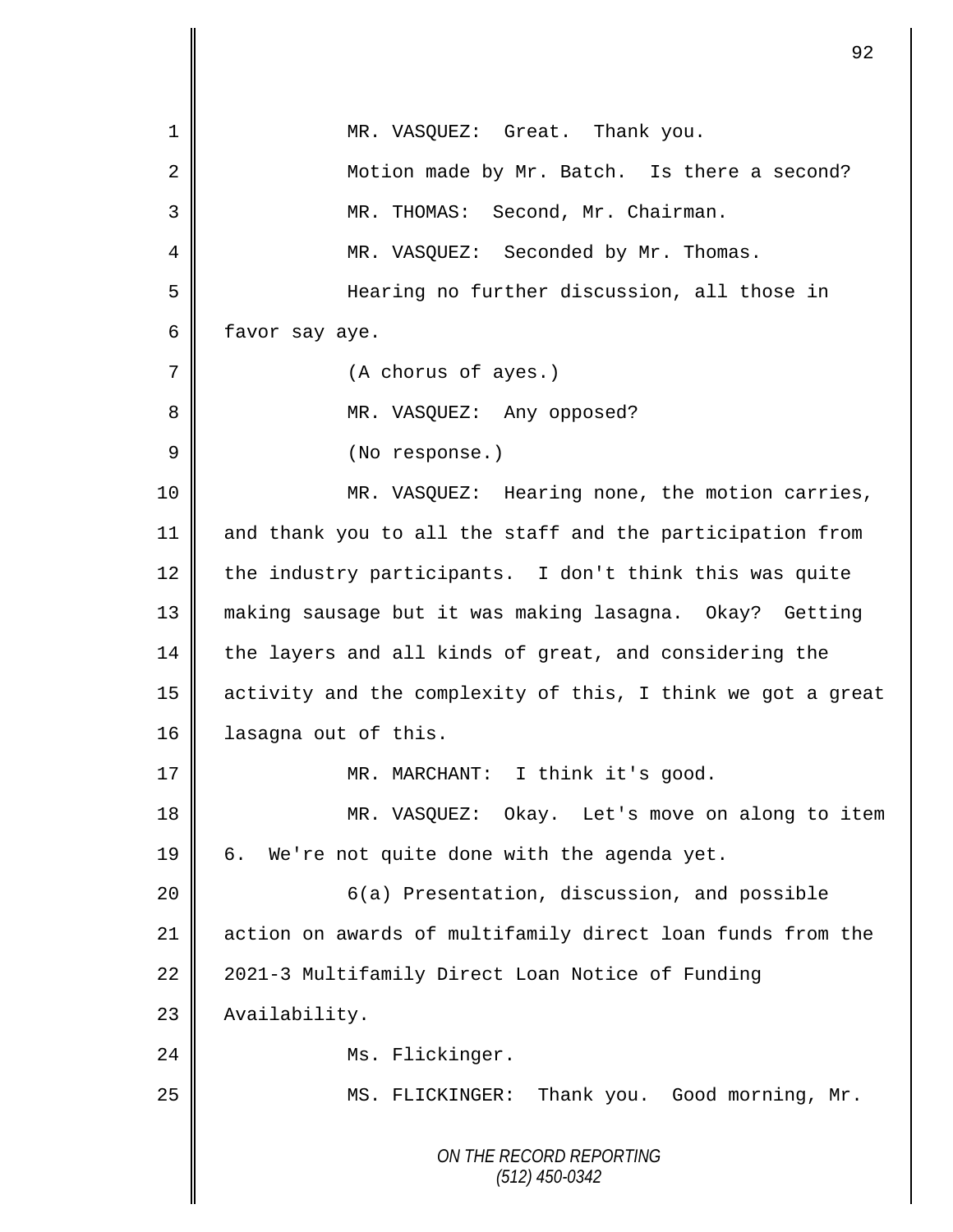|    | 92                                                          |
|----|-------------------------------------------------------------|
| 1  | MR. VASQUEZ: Great. Thank you.                              |
| 2  | Motion made by Mr. Batch. Is there a second?                |
| 3  | MR. THOMAS: Second, Mr. Chairman.                           |
| 4  | MR. VASQUEZ: Seconded by Mr. Thomas.                        |
| 5  | Hearing no further discussion, all those in                 |
| 6  | favor say aye.                                              |
| 7  | (A chorus of ayes.)                                         |
| 8  | MR. VASQUEZ: Any opposed?                                   |
| 9  | (No response.)                                              |
| 10 | MR. VASQUEZ: Hearing none, the motion carries,              |
| 11 | and thank you to all the staff and the participation from   |
| 12 | the industry participants. I don't think this was quite     |
| 13 | making sausage but it was making lasagna. Okay? Getting     |
| 14 | the layers and all kinds of great, and considering the      |
| 15 | activity and the complexity of this, I think we got a great |
| 16 | lasagna out of this.                                        |
| 17 | MR. MARCHANT: I think it's good.                            |
| 18 | MR. VASQUEZ: Okay. Let's move on along to item              |
| 19 | We're not quite done with the agenda yet.<br>б.             |
| 20 | 6(a) Presentation, discussion, and possible                 |
| 21 | action on awards of multifamily direct loan funds from the  |
| 22 | 2021-3 Multifamily Direct Loan Notice of Funding            |
| 23 | Availability.                                               |
| 24 | Ms. Flickinger.                                             |
| 25 | MS. FLICKINGER: Thank you. Good morning, Mr.                |
|    | ON THE RECORD REPORTING<br>$(512)$ 450-0342                 |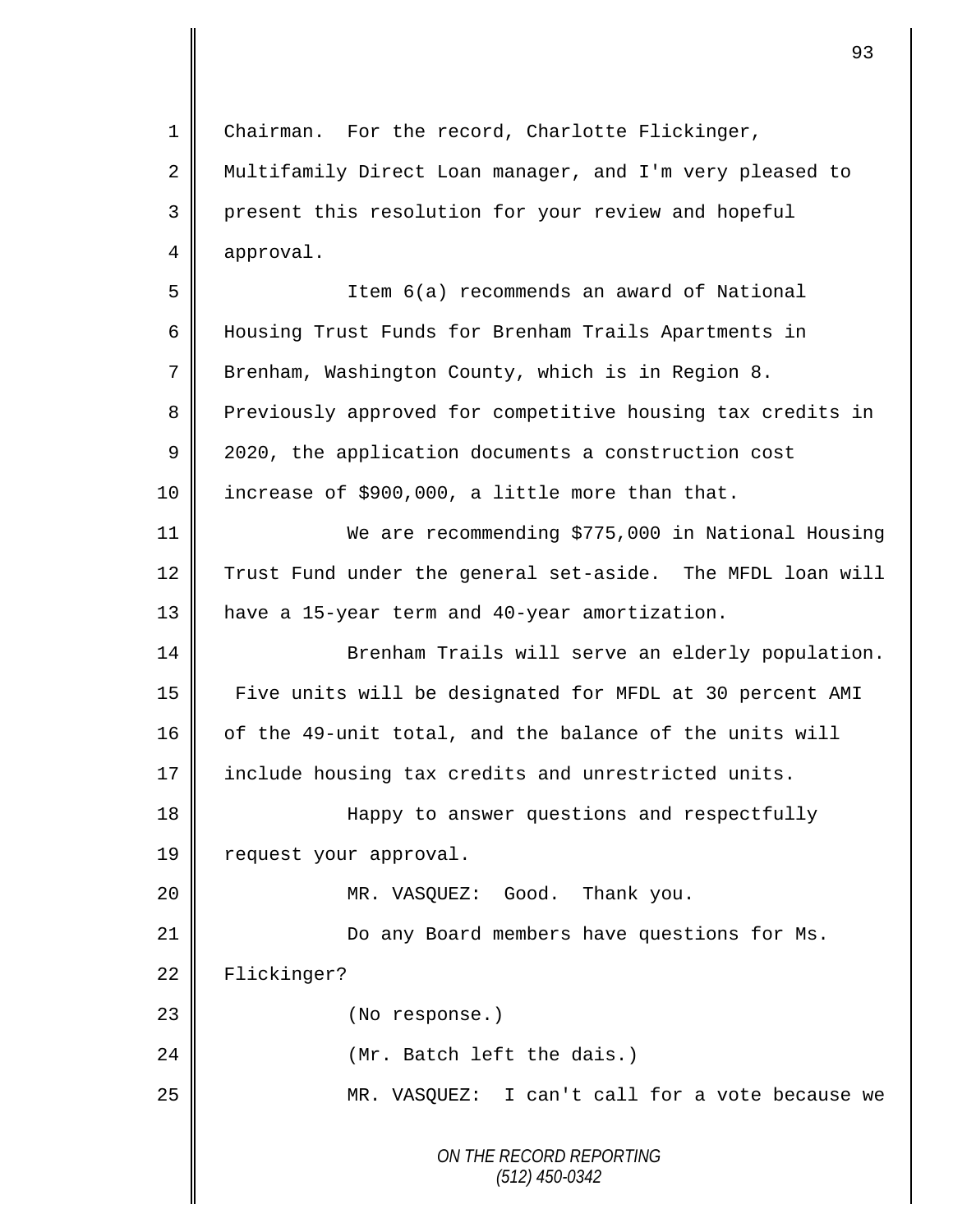*ON THE RECORD REPORTING (512) 450-0342* 1 | Chairman. For the record, Charlotte Flickinger, 2 Multifamily Direct Loan manager, and I'm very pleased to 3 present this resolution for your review and hopeful 4 approval. 5 Item 6(a) recommends an award of National 6 Housing Trust Funds for Brenham Trails Apartments in 7 Brenham, Washington County, which is in Region 8. 8 Previously approved for competitive housing tax credits in 9 | 2020, the application documents a construction cost 10 | increase of \$900,000, a little more than that. 11 We are recommending \$775,000 in National Housing 12 Trust Fund under the general set-aside. The MFDL loan will 13 | have a 15-year term and 40-year amortization. 14 || Brenham Trails will serve an elderly population. 15 Five units will be designated for MFDL at 30 percent AMI 16 of the 49-unit total, and the balance of the units will 17 include housing tax credits and unrestricted units. 18 || Happy to answer questions and respectfully 19 | request your approval. 20 MR. VASQUEZ: Good. Thank you. 21 | Do any Board members have questions for Ms. 22 Flickinger? 23 || (No response.) 24 || (Mr. Batch left the dais.) 25 MR. VASQUEZ: I can't call for a vote because we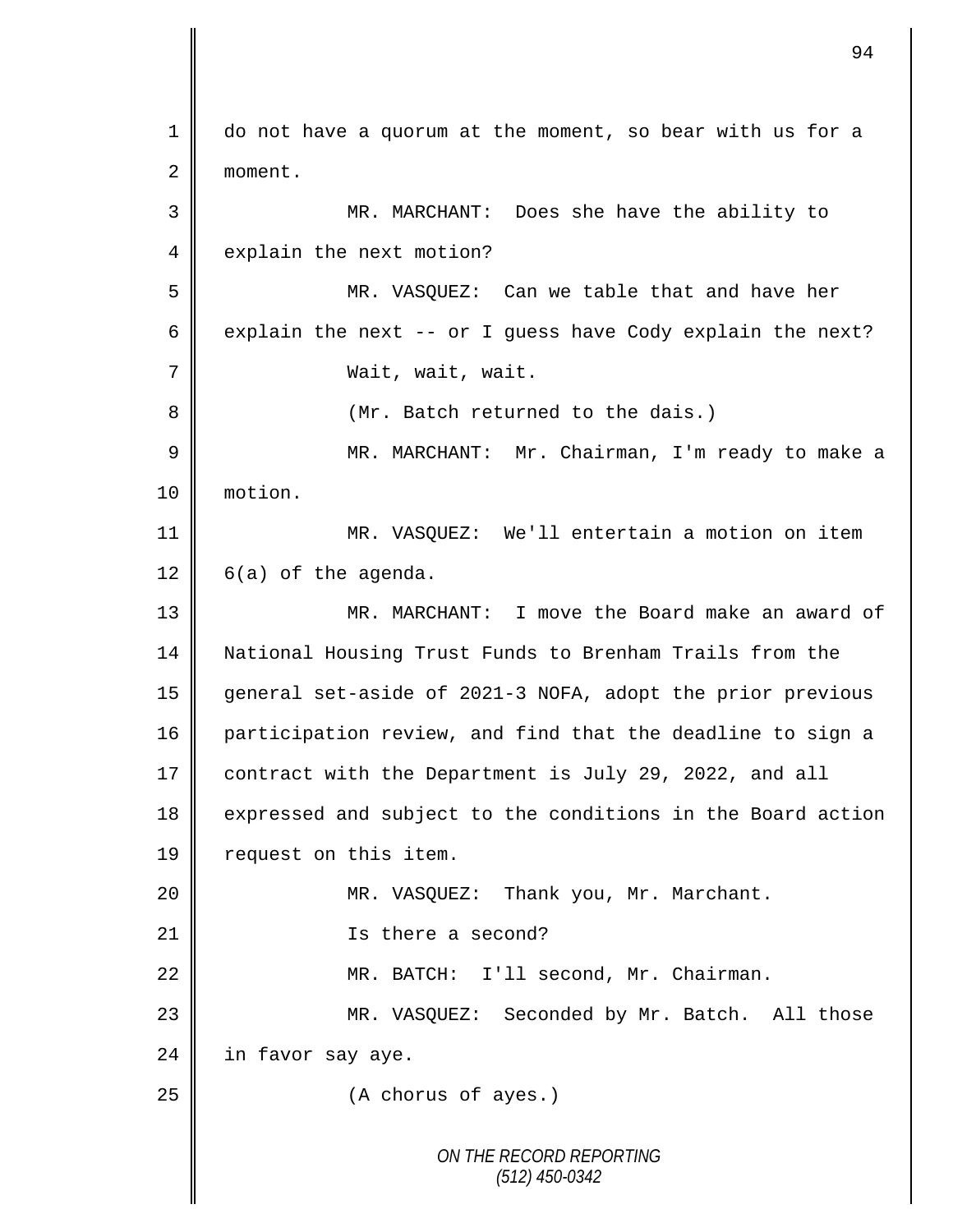*ON THE RECORD REPORTING (512) 450-0342* 1 do not have a quorum at the moment, so bear with us for a 2 moment. 3 MR. MARCHANT: Does she have the ability to 4 explain the next motion? 5 MR. VASQUEZ: Can we table that and have her 6 explain the next -- or I guess have Cody explain the next? 7 Wait, wait, wait. 8 || (Mr. Batch returned to the dais.) 9 || MR. MARCHANT: Mr. Chairman, I'm ready to make a 10 motion. 11 MR. VASQUEZ: We'll entertain a motion on item  $12 \parallel 6(a)$  of the agenda. 13 MR. MARCHANT: I move the Board make an award of 14 National Housing Trust Funds to Brenham Trails from the 15 general set-aside of 2021-3 NOFA, adopt the prior previous 16 participation review, and find that the deadline to sign a 17 contract with the Department is July 29, 2022, and all 18 expressed and subject to the conditions in the Board action 19 | request on this item. 20 MR. VASQUEZ: Thank you, Mr. Marchant. 21 || Is there a second? 22 MR. BATCH: I'll second, Mr. Chairman. 23 MR. VASQUEZ: Seconded by Mr. Batch. All those  $24$  in favor say aye. 25 **(A** chorus of ayes.)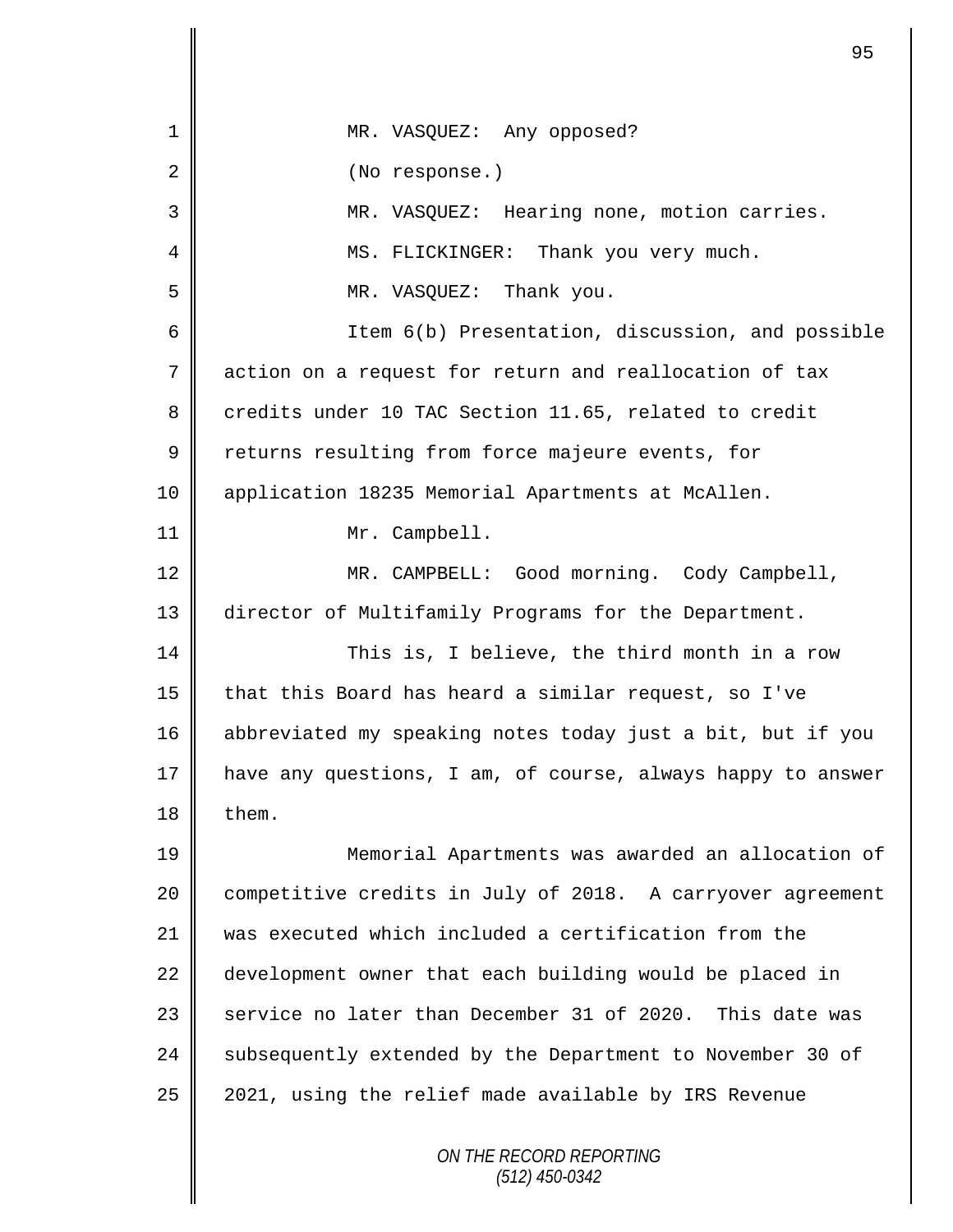| 1  | MR. VASQUEZ: Any opposed?                                   |
|----|-------------------------------------------------------------|
| 2  | (No response.)                                              |
| 3  | MR. VASQUEZ: Hearing none, motion carries.                  |
| 4  | MS. FLICKINGER: Thank you very much.                        |
| 5  | MR. VASQUEZ: Thank you.                                     |
| 6  | Item 6(b) Presentation, discussion, and possible            |
| 7  | action on a request for return and reallocation of tax      |
| 8  | credits under 10 TAC Section 11.65, related to credit       |
| 9  | returns resulting from force majeure events, for            |
| 10 | application 18235 Memorial Apartments at McAllen.           |
| 11 | Mr. Campbell.                                               |
| 12 | MR. CAMPBELL: Good morning. Cody Campbell,                  |
| 13 | director of Multifamily Programs for the Department.        |
| 14 | This is, I believe, the third month in a row                |
| 15 | that this Board has heard a similar request, so I've        |
| 16 | abbreviated my speaking notes today just a bit, but if you  |
| 17 | have any questions, I am, of course, always happy to answer |
| 18 | them.                                                       |
| 19 | Memorial Apartments was awarded an allocation of            |
| 20 | competitive credits in July of 2018. A carryover agreement  |
| 21 | was executed which included a certification from the        |
| 22 | development owner that each building would be placed in     |
| 23 | service no later than December 31 of 2020. This date was    |
| 24 | subsequently extended by the Department to November 30 of   |
| 25 | 2021, using the relief made available by IRS Revenue        |
|    | ON THE RECORD REPORTING<br>$(512)$ 450-0342                 |

 $\mathbf l$  $\mathsf{l}$ 

II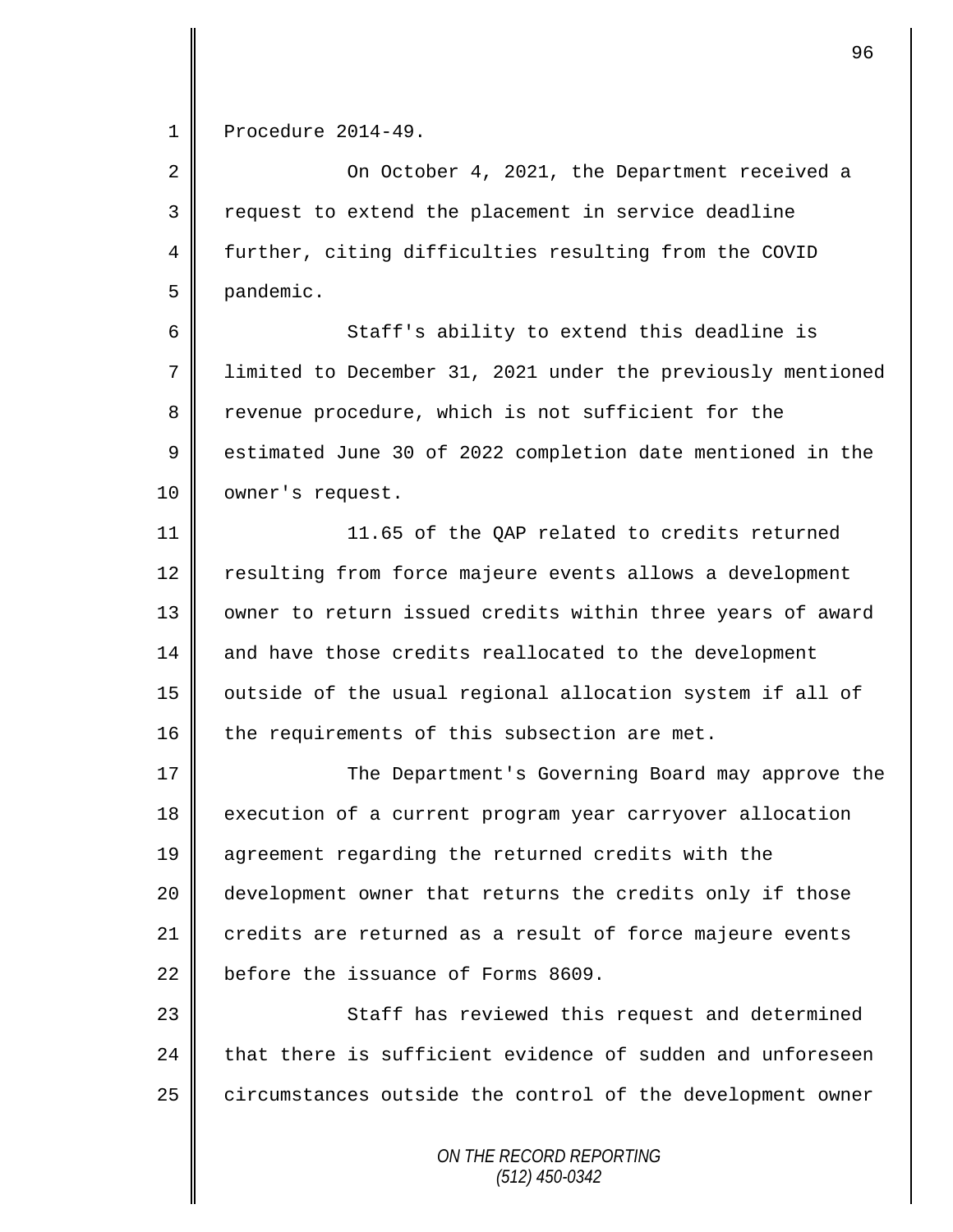1 Procedure 2014-49.

2 On October 4, 2021, the Department received a 3 Tequest to extend the placement in service deadline 4 further, citing difficulties resulting from the COVID 5 pandemic.

6 || Staff's ability to extend this deadline is 7 limited to December 31, 2021 under the previously mentioned 8 revenue procedure, which is not sufficient for the 9 Somethal 9 asseme to the 30 of 2022 completion date mentioned in the 10 | owner's request.

11 |  $\blacksquare$  11.65 of the OAP related to credits returned 12 | resulting from force majeure events allows a development 13 | owner to return issued credits within three years of award 14 and have those credits reallocated to the development 15 | outside of the usual regional allocation system if all of 16  $\parallel$  the requirements of this subsection are met.

17 The Department's Governing Board may approve the 18 execution of a current program year carryover allocation 19 agreement regarding the returned credits with the 20 || development owner that returns the credits only if those 21 credits are returned as a result of force majeure events 22 before the issuance of Forms 8609.

23 || Staff has reviewed this request and determined  $24$   $\parallel$  that there is sufficient evidence of sudden and unforeseen 25 circumstances outside the control of the development owner

> *ON THE RECORD REPORTING (512) 450-0342*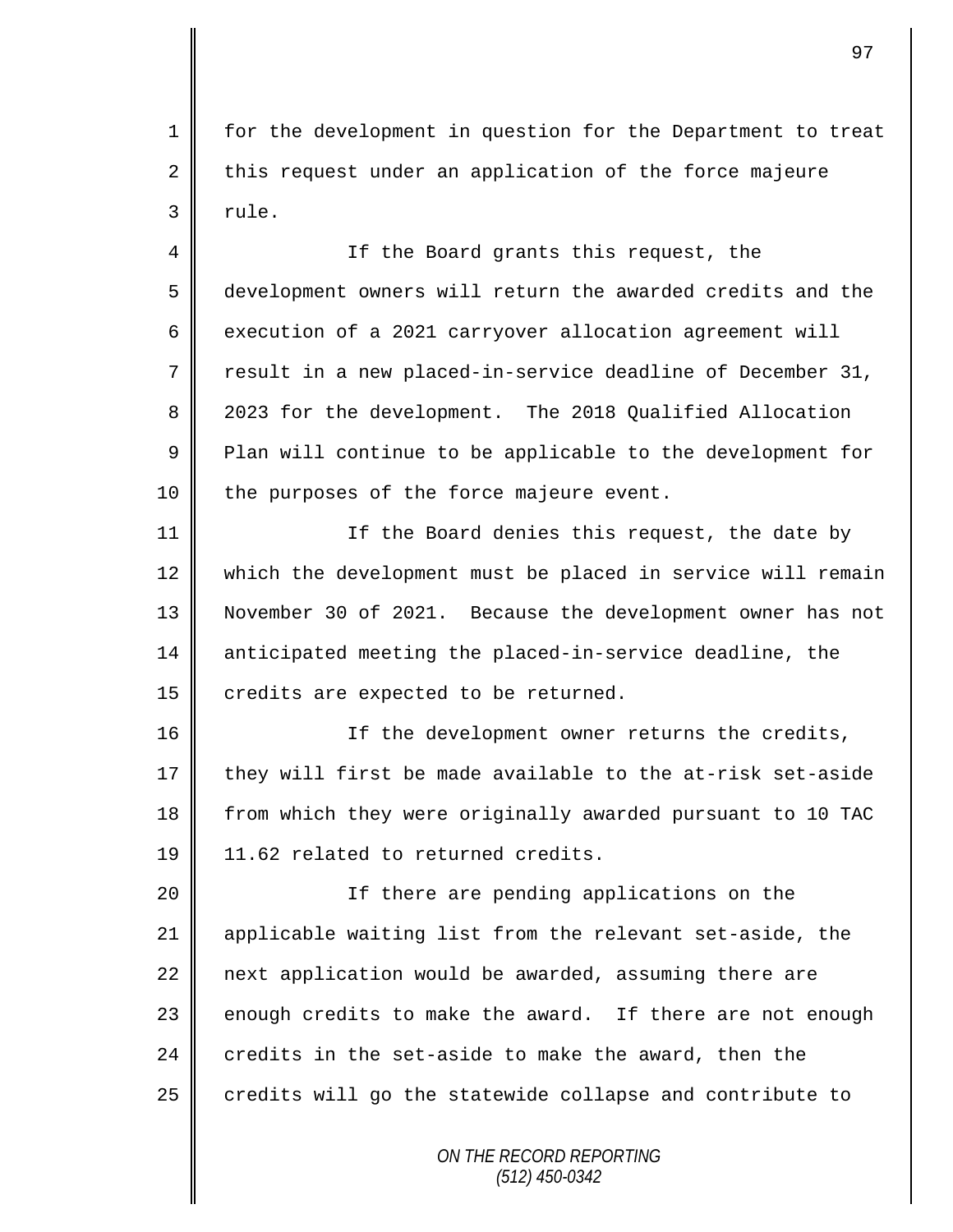1 for the development in question for the Department to treat  $2 \parallel$  this request under an application of the force majeure  $3 \parallel$  rule.

4 || If the Board grants this request, the 5 development owners will return the awarded credits and the 6 execution of a 2021 carryover allocation agreement will 7 Tresult in a new placed-in-service deadline of December 31, 8 2023 for the development. The 2018 Qualified Allocation  $9 \parallel$  Plan will continue to be applicable to the development for 10 | the purposes of the force majeure event.

11 || If the Board denies this request, the date by 12 which the development must be placed in service will remain 13 November 30 of 2021. Because the development owner has not 14 anticipated meeting the placed-in-service deadline, the 15  $\parallel$  credits are expected to be returned.

16 || If the development owner returns the credits, 17 they will first be made available to the at-risk set-aside 18 from which they were originally awarded pursuant to 10 TAC 19 | 11.62 related to returned credits.

20 || If there are pending applications on the applicable waiting list from the relevant set-aside, the  $\parallel$  next application would be awarded, assuming there are  $\parallel$  enough credits to make the award. If there are not enough 24 credits in the set-aside to make the award, then the credits will go the statewide collapse and contribute to

> *ON THE RECORD REPORTING (512) 450-0342*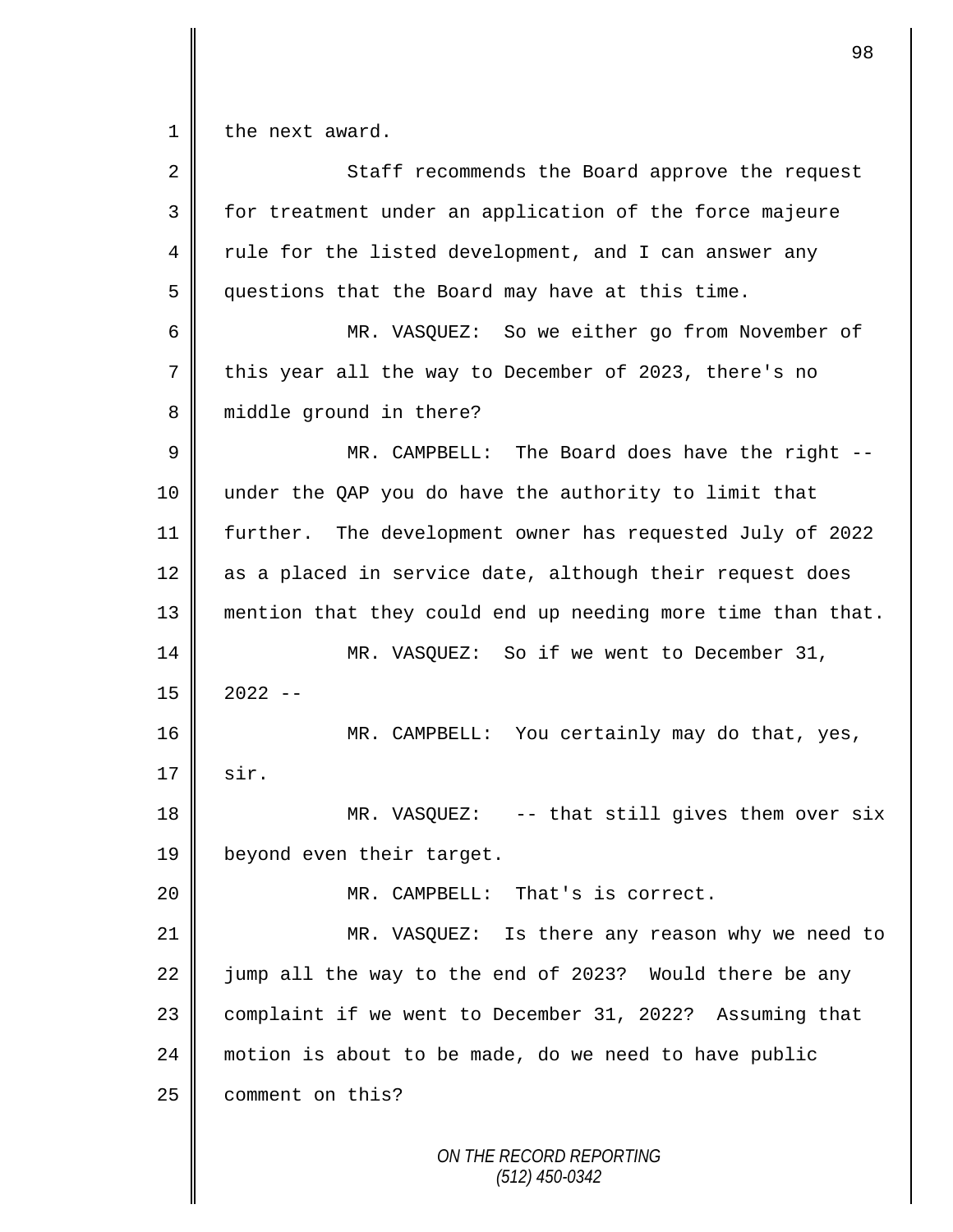$1 \parallel$  the next award.

| $\overline{2}$ | Staff recommends the Board approve the request              |
|----------------|-------------------------------------------------------------|
| 3              | for treatment under an application of the force majeure     |
| 4              | rule for the listed development, and I can answer any       |
| 5              | questions that the Board may have at this time.             |
| 6              | MR. VASQUEZ: So we either go from November of               |
| $\overline{7}$ | this year all the way to December of 2023, there's no       |
| 8              | middle ground in there?                                     |
| 9              | MR. CAMPBELL: The Board does have the right --              |
| 10             | under the QAP you do have the authority to limit that       |
| 11             | further. The development owner has requested July of 2022   |
| 12             | as a placed in service date, although their request does    |
| 13             | mention that they could end up needing more time than that. |
| 14             | MR. VASQUEZ: So if we went to December 31,                  |
| 15             | $2022 - -$                                                  |
| 16             | MR. CAMPBELL: You certainly may do that, yes,               |
| 17             | sir.                                                        |
| 18             | $MR. VASQUEZ: -- that still gives them over six$            |
| 19             | beyond even their target.                                   |
| 20             | MR. CAMPBELL: That's is correct.                            |
| 21             | MR. VASQUEZ: Is there any reason why we need to             |
| 22             | jump all the way to the end of 2023? Would there be any     |
| 23             | complaint if we went to December 31, 2022? Assuming that    |
| 24             | motion is about to be made, do we need to have public       |
| 25             | comment on this?                                            |
|                | ON THE RECORD REPORTING<br>$(512)$ 450-0342                 |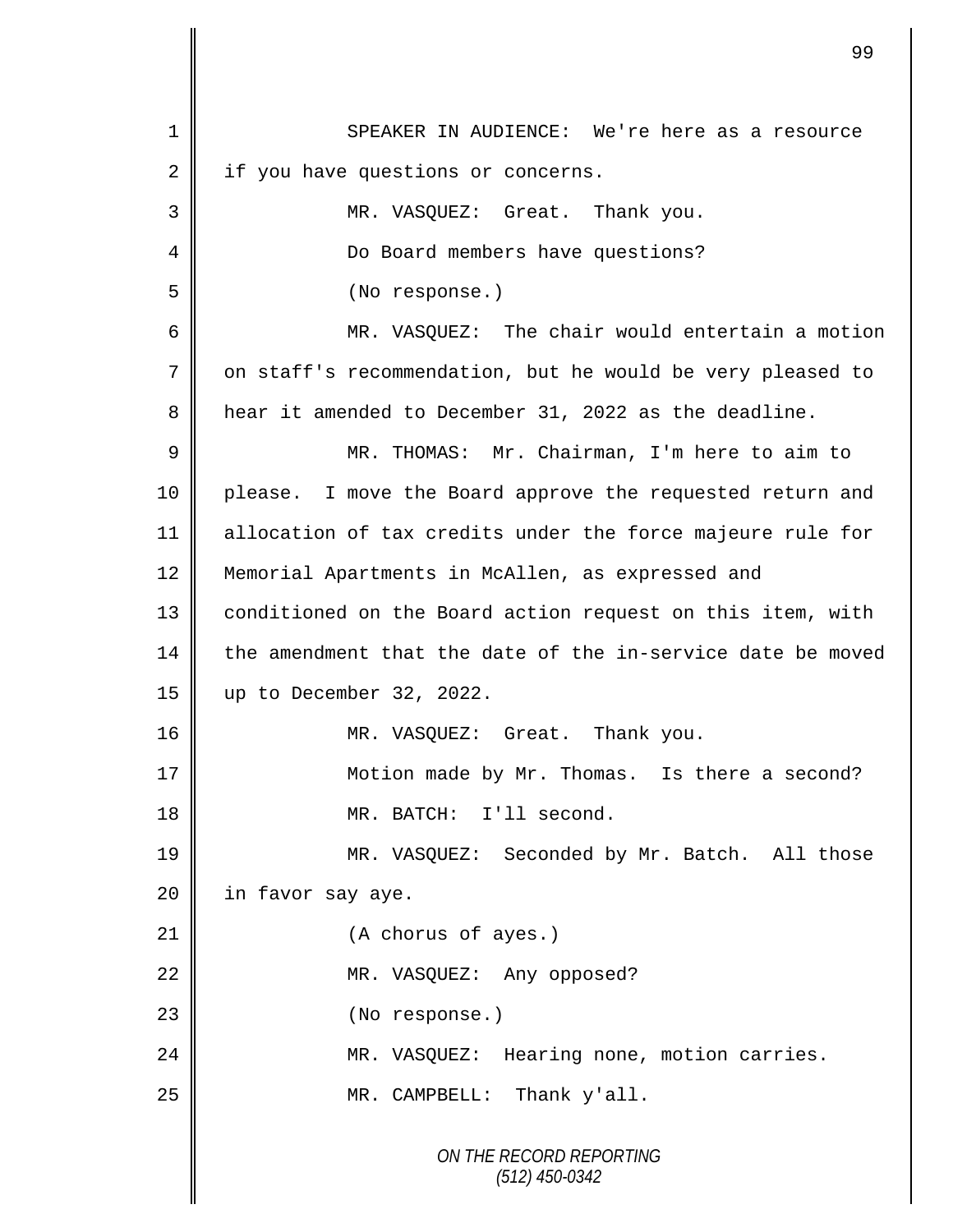|    | 99                                                          |
|----|-------------------------------------------------------------|
| 1  | SPEAKER IN AUDIENCE: We're here as a resource               |
| 2  | if you have questions or concerns.                          |
| 3  | MR. VASQUEZ: Great. Thank you.                              |
| 4  | Do Board members have questions?                            |
| 5  | (No response.)                                              |
| 6  | MR. VASQUEZ: The chair would entertain a motion             |
| 7  | on staff's recommendation, but he would be very pleased to  |
| 8  | hear it amended to December 31, 2022 as the deadline.       |
| 9  | MR. THOMAS: Mr. Chairman, I'm here to aim to                |
| 10 | please. I move the Board approve the requested return and   |
| 11 | allocation of tax credits under the force majeure rule for  |
| 12 | Memorial Apartments in McAllen, as expressed and            |
| 13 | conditioned on the Board action request on this item, with  |
| 14 | the amendment that the date of the in-service date be moved |
| 15 | up to December 32, 2022.                                    |
| 16 | MR. VASQUEZ: Great. Thank you.                              |
| 17 | Motion made by Mr. Thomas. Is there a second?               |
| 18 | MR. BATCH: I'll second.                                     |
| 19 | MR. VASQUEZ: Seconded by Mr. Batch. All those               |
| 20 | in favor say aye.                                           |
| 21 | (A chorus of ayes.)                                         |
| 22 | MR. VASQUEZ: Any opposed?                                   |
| 23 | (No response.)                                              |
| 24 | MR. VASQUEZ: Hearing none, motion carries.                  |
| 25 | MR. CAMPBELL: Thank y'all.                                  |
|    | ON THE RECORD REPORTING<br>$(512)$ 450-0342                 |

 $\mathbf l$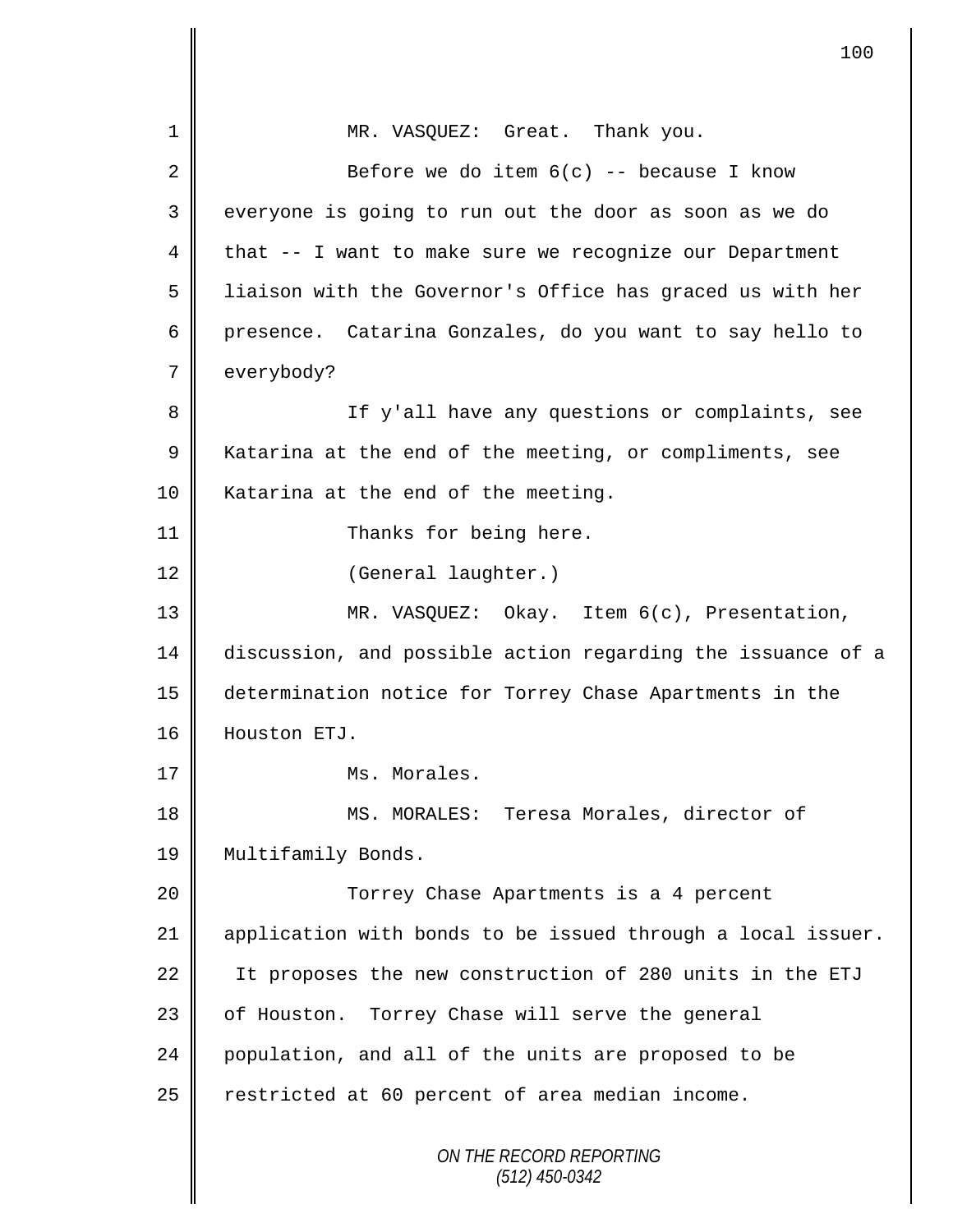|                | 100                                                         |
|----------------|-------------------------------------------------------------|
| $\mathbf 1$    | MR. VASQUEZ: Great. Thank you.                              |
| 2              | Before we do item $6(c)$ -- because I know                  |
| 3              | everyone is going to run out the door as soon as we do      |
| 4              | that -- I want to make sure we recognize our Department     |
| 5              | liaison with the Governor's Office has graced us with her   |
| 6              | presence. Catarina Gonzales, do you want to say hello to    |
| 7              | everybody?                                                  |
| 8              | If y'all have any questions or complaints, see              |
| $\overline{9}$ | Katarina at the end of the meeting, or compliments, see     |
| 10             | Katarina at the end of the meeting.                         |
| 11             | Thanks for being here.                                      |
| 12             | (General laughter.)                                         |
| 13             | MR. VASQUEZ: Okay. Item 6(c), Presentation,                 |
| 14             | discussion, and possible action regarding the issuance of a |
| 15             | determination notice for Torrey Chase Apartments in the     |
| 16             | Houston ETJ.                                                |
| 17             | Ms. Morales.                                                |
| 18             | MS. MORALES: Teresa Morales, director of                    |
| 19             | Multifamily Bonds.                                          |
| 20             | Torrey Chase Apartments is a 4 percent                      |
| 21             | application with bonds to be issued through a local issuer. |
| 22             | It proposes the new construction of 280 units in the ETJ    |
| 23             | of Houston. Torrey Chase will serve the general             |
| 24             | population, and all of the units are proposed to be         |
| 25             | restricted at 60 percent of area median income.             |
|                | ON THE RECORD REPORTING<br>$(512)$ 450-0342                 |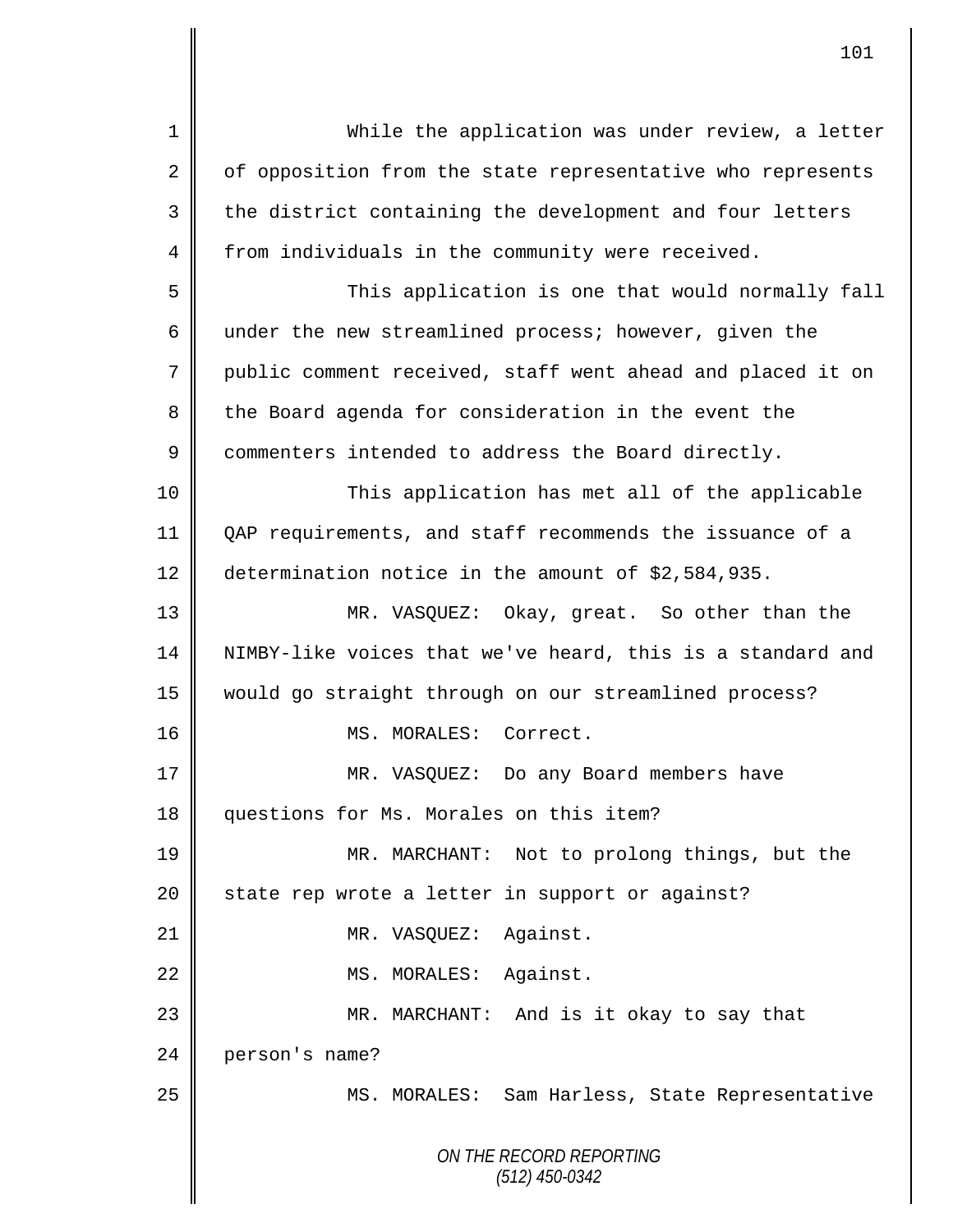| $\mathbf 1$ | While the application was under review, a letter           |
|-------------|------------------------------------------------------------|
| 2           | of opposition from the state representative who represents |
| 3           | the district containing the development and four letters   |
| 4           | from individuals in the community were received.           |
| 5           | This application is one that would normally fall           |
| 6           | under the new streamlined process; however, given the      |
| 7           | public comment received, staff went ahead and placed it on |
| 8           | the Board agenda for consideration in the event the        |
| $\mathsf 9$ | commenters intended to address the Board directly.         |
| 10          | This application has met all of the applicable             |
| 11          | QAP requirements, and staff recommends the issuance of a   |
| 12          | determination notice in the amount of \$2,584,935.         |
| 13          | MR. VASQUEZ: Okay, great. So other than the                |
| 14          | NIMBY-like voices that we've heard, this is a standard and |
| 15          | would go straight through on our streamlined process?      |
| 16          | MS. MORALES: Correct.                                      |
| 17          | MR. VASQUEZ: Do any Board members have                     |
| 18          | questions for Ms. Morales on this item?                    |
| 19          | MR. MARCHANT: Not to prolong things, but the               |
| 20          | state rep wrote a letter in support or against?            |
| 21          | MR. VASQUEZ: Against.                                      |
| 22          | MS. MORALES: Against.                                      |
| 23          | MR. MARCHANT: And is it okay to say that                   |
| 24          | person's name?                                             |
| 25          | MS. MORALES: Sam Harless, State Representative             |
|             |                                                            |
|             | ON THE RECORD REPORTING<br>$(512)$ 450-0342                |
|             |                                                            |

 $\overline{\mathsf{I}}$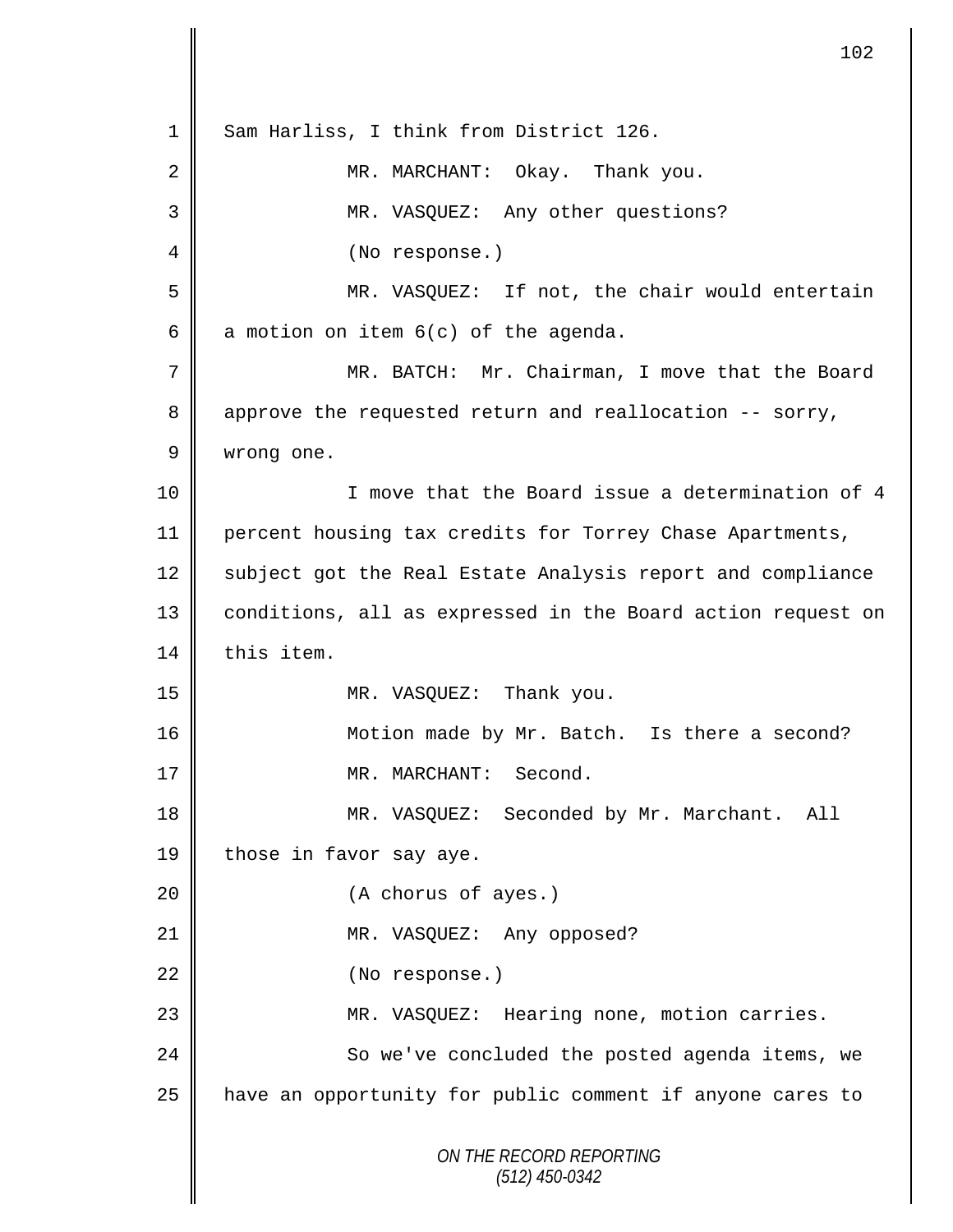*ON THE RECORD REPORTING (512) 450-0342* 1 | Sam Harliss, I think from District 126. 2 MR. MARCHANT: Okay. Thank you. 3 MR. VASQUEZ: Any other questions? 4 || (No response.) 5 MR. VASQUEZ: If not, the chair would entertain 6 a motion on item  $6(c)$  of the agenda. 7 MR. BATCH: Mr. Chairman, I move that the Board 8 approve the requested return and reallocation -- sorry, 9 wrong one. 10 || I move that the Board issue a determination of 4 11 percent housing tax credits for Torrey Chase Apartments, 12 subject got the Real Estate Analysis report and compliance 13 || conditions, all as expressed in the Board action request on 14 this item. 15 MR. VASQUEZ: Thank you. 16 | Motion made by Mr. Batch. Is there a second? 17 || MR. MARCHANT: Second. 18 MR. VASQUEZ: Seconded by Mr. Marchant. All 19 | those in favor say aye. 20 (A chorus of ayes.) 21 || MR. VASQUEZ: Any opposed? 22 | (No response.) 23 MR. VASQUEZ: Hearing none, motion carries. 24 So we've concluded the posted agenda items, we 25 | have an opportunity for public comment if anyone cares to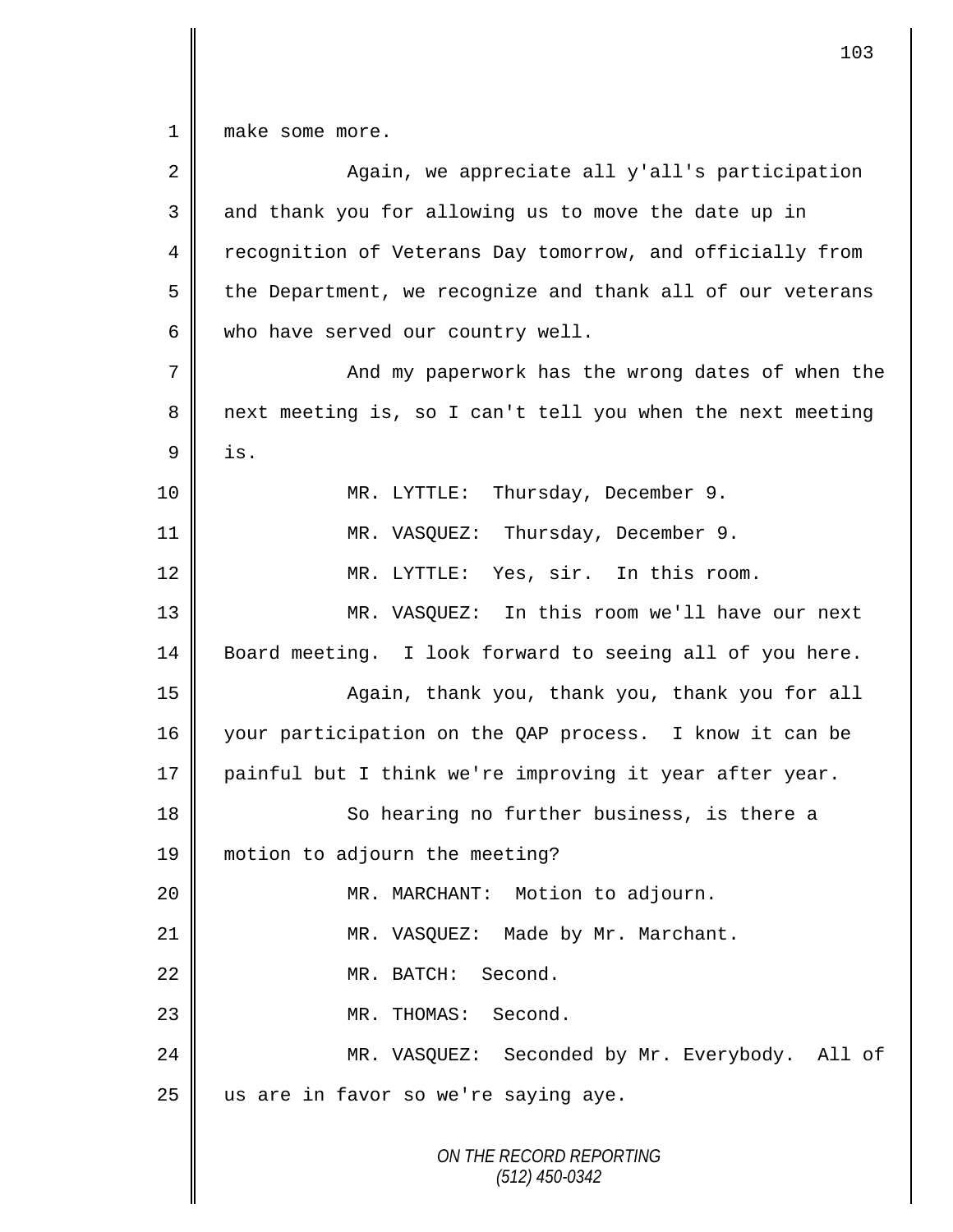1 | make some more.

II

| 2  | Again, we appreciate all y'all's participation             |  |  |  |  |
|----|------------------------------------------------------------|--|--|--|--|
| 3  | and thank you for allowing us to move the date up in       |  |  |  |  |
| 4  | recognition of Veterans Day tomorrow, and officially from  |  |  |  |  |
| 5  | the Department, we recognize and thank all of our veterans |  |  |  |  |
| 6  | who have served our country well.                          |  |  |  |  |
| 7  | And my paperwork has the wrong dates of when the           |  |  |  |  |
| 8  | next meeting is, so I can't tell you when the next meeting |  |  |  |  |
| 9  | is.                                                        |  |  |  |  |
| 10 | Thursday, December 9.<br>MR. LYTTLE:                       |  |  |  |  |
| 11 | MR. VASQUEZ: Thursday, December 9.                         |  |  |  |  |
| 12 | MR. LYTTLE: Yes, sir. In this room.                        |  |  |  |  |
| 13 | MR. VASQUEZ: In this room we'll have our next              |  |  |  |  |
| 14 | Board meeting. I look forward to seeing all of you here.   |  |  |  |  |
| 15 | Again, thank you, thank you, thank you for all             |  |  |  |  |
| 16 | your participation on the QAP process. I know it can be    |  |  |  |  |
| 17 | painful but I think we're improving it year after year.    |  |  |  |  |
| 18 | So hearing no further business, is there a                 |  |  |  |  |
| 19 | motion to adjourn the meeting?                             |  |  |  |  |
| 20 | MR. MARCHANT: Motion to adjourn.                           |  |  |  |  |
| 21 | MR. VASQUEZ: Made by Mr. Marchant.                         |  |  |  |  |
| 22 | MR. BATCH: Second.                                         |  |  |  |  |
| 23 | MR. THOMAS: Second.                                        |  |  |  |  |
| 24 | MR. VASQUEZ: Seconded by Mr. Everybody. All of             |  |  |  |  |
| 25 | us are in favor so we're saying aye.                       |  |  |  |  |
|    | ON THE RECORD REPORTING<br>$(512)$ 450-0342                |  |  |  |  |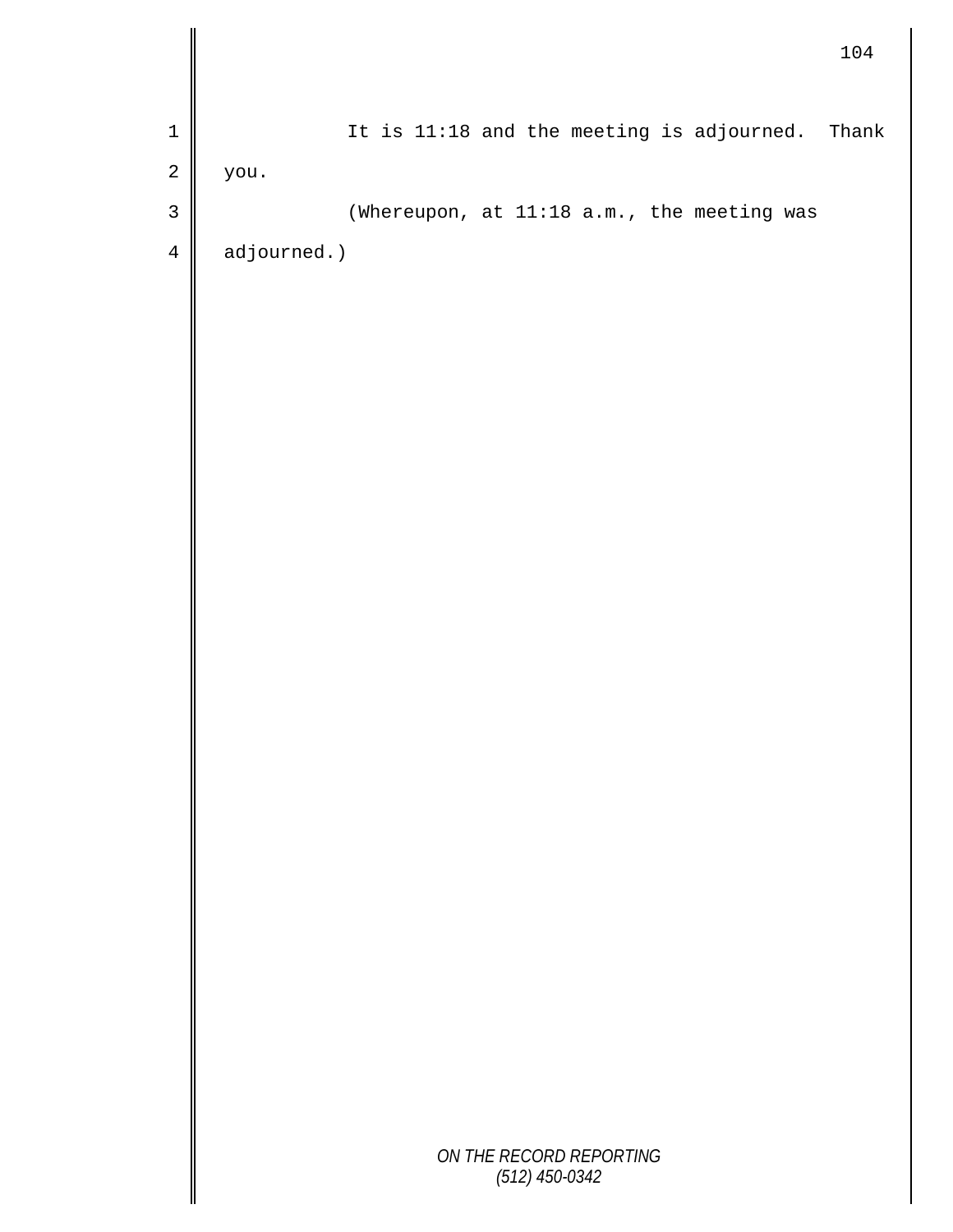|                |             |                  |                         |                                            | 104   |
|----------------|-------------|------------------|-------------------------|--------------------------------------------|-------|
| $\mathbf 1$    |             |                  |                         | It is 11:18 and the meeting is adjourned.  | Thank |
| $\sqrt{2}$     | you.        |                  |                         |                                            |       |
| $\mathsf 3$    |             |                  |                         | (Whereupon, at 11:18 a.m., the meeting was |       |
| $\overline{4}$ | adjourned.) |                  |                         |                                            |       |
|                |             |                  |                         |                                            |       |
|                |             |                  |                         |                                            |       |
|                |             |                  |                         |                                            |       |
|                |             |                  |                         |                                            |       |
|                |             |                  |                         |                                            |       |
|                |             |                  |                         |                                            |       |
|                |             |                  |                         |                                            |       |
|                |             |                  |                         |                                            |       |
|                |             |                  |                         |                                            |       |
|                |             |                  |                         |                                            |       |
|                |             |                  |                         |                                            |       |
|                |             |                  |                         |                                            |       |
|                |             |                  |                         |                                            |       |
|                |             |                  |                         |                                            |       |
|                |             |                  |                         |                                            |       |
|                |             |                  |                         |                                            |       |
|                |             |                  |                         |                                            |       |
|                |             |                  |                         |                                            |       |
|                |             |                  |                         |                                            |       |
|                |             |                  |                         |                                            |       |
|                |             |                  |                         |                                            |       |
|                |             | $(512)$ 450-0342 | ON THE RECORD REPORTING |                                            |       |